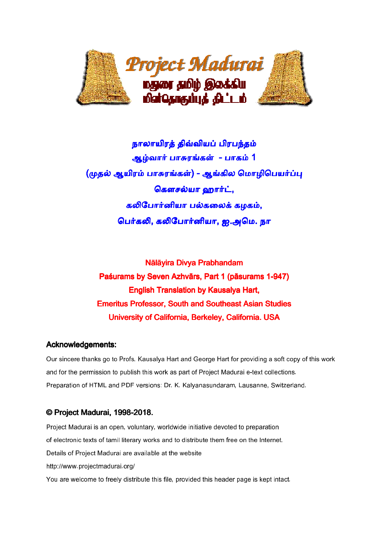

# நாலாயிரத் திவ்வியப் பிரபந்தம் <mark>ஆழ்வார் பாசுரங்கள் - பாகம் 1</mark> (முதல் ஆயிரம் பாசுரங்கள்) - ஆங்கில மொழிபெயர்ப்பு கலிபோர்னியா பல்கலைக் கழகம், பெர்கலி, கலிபோர்னியா, ஐ.<mark>அ</mark>மெ. நா கௌசல்யா ஹார்ட்,

Paśurams by Seven Azhvārs, Part 1 (pāsurams 1-947) English Translation by Kausalya Hart, Emeritus Professor, Professor, South and Southeast Asian Studies Studies University of C California, Berkeley, California. USA Nālāyira Divya Prabhandam

#### Acknowledgements:

Our sincere thanks go to Profs. Kausalya Hart and George Hart for providing a soft copy of this work<br>and for the permission to publish this work as part of Proiect Madurai e-text collections. and for the permission to publish this work as part of Project Madurai e-text collections. and for the permission to publish this work as part of Project Madurai e-text collections.<br>Preparation of HTML and PDF versions: Dr. K. Kalvanasundaram, Lausanne, Switzerland.

#### © Project Madurai, 1998-2018.

Project Madurai is an open, voluntary, worldwide initiative devoted to preparation of electronic texts of tamil literary works and to distribute them free on the Internet. Details of Project Madurai are available at the website http://www.projectmadurai.org/ You are welcome to freely distribute this file, provided this header page is kept intact.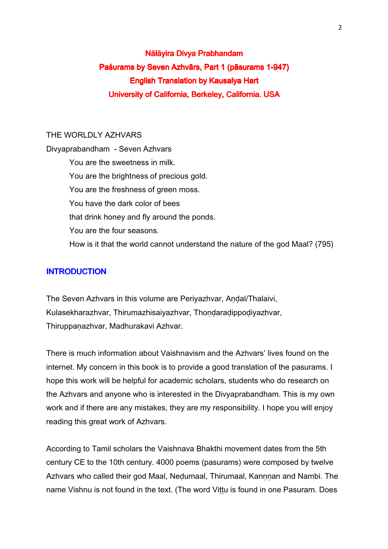# Nālāyira Divya Prabhandam Paśurams by Seven Azhvārs, Part 1 (pāsurams 1-947) English Translation by Kausalya Hart University of California, Berkeley, California. USA

#### THE WORLDLY AZHVARS

Divyaprabandham - Seven Azhvars You are the sweetness in milk. You are the brightness of precious gold. You are the freshness of green moss. You have the dark color of bees that drink honey and fly around the ponds. You are the four seasons. How is it that the world cannot understand the nature of the god Maal? (795)

#### **INTRODUCTION**

The Seven Azhvars in this volume are Periyazhvar, Andal/Thalaivi, Kulasekharazhvar, Thirumazhisaiyazhvar, Thondaradippodiyazhvar, Thiruppaṇazhvar, Madhurakavi Azhvar.

There is much information about Vaishnavism and the Azhvars' lives found on the internet. My concern in this book is to provide a good translation of the pasurams. I hope this work will be helpful for academic scholars, students who do research on the Azhvars and anyone who is interested in the Divyaprabandham. This is my own work and if there are any mistakes, they are my responsibility. I hope you will enjoy reading this great work of Azhvars.

According to Tamil scholars the Vaishnava Bhakthi movement dates from the 5th century CE to the 10th century. 4000 poems (pasurams) were composed by twelve Azhvars who called their god Maal, Nedumaal, Thirumaal, Kannnan and Nambi. The name Vishnu is not found in the text. (The word Vittu is found in one Pasuram. Does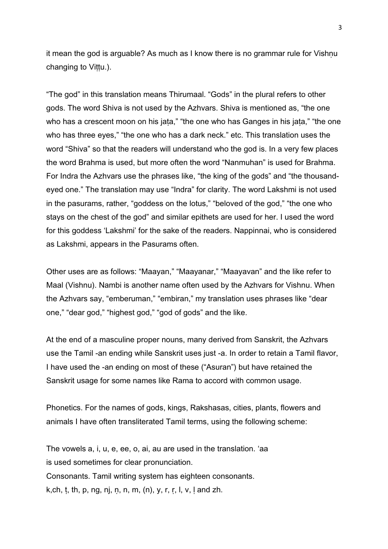it mean the god is arguable? As much as I know there is no grammar rule for Vishnu changing to Viṭṭu.).

"The god" in this translation means Thirumaal. "Gods" in the plural refers to other gods. The word Shiva is not used by the Azhvars. Shiva is mentioned as, "the one who has a crescent moon on his jata," "the one who has Ganges in his jata," "the one who has three eyes," "the one who has a dark neck." etc. This translation uses the word "Shiva" so that the readers will understand who the god is. In a very few places the word Brahma is used, but more often the word "Nanmuhan" is used for Brahma. For Indra the Azhvars use the phrases like, "the king of the gods" and "the thousandeyed one." The translation may use "Indra" for clarity. The word Lakshmi is not used in the pasurams, rather, "goddess on the lotus," "beloved of the god," "the one who stays on the chest of the god" and similar epithets are used for her. I used the word for this goddess 'Lakshmi' for the sake of the readers. Nappinnai, who is considered as Lakshmi, appears in the Pasurams often.

Other uses are as follows: "Maayan," "Maayanar," "Maayavan" and the like refer to Maal (Vishnu). Nambi is another name often used by the Azhvars for Vishnu. When the Azhvars say, "emberuman," "embiran," my translation uses phrases like "dear one," "dear god," "highest god," "god of gods" and the like.

At the end of a masculine proper nouns, many derived from Sanskrit, the Azhvars use the Tamil -an ending while Sanskrit uses just -a. In order to retain a Tamil flavor, I have used the -an ending on most of these ("Asuran") but have retained the Sanskrit usage for some names like Rama to accord with common usage.

Phonetics. For the names of gods, kings, Rakshasas, cities, plants, flowers and animals I have often transliterated Tamil terms, using the following scheme:

The vowels a, i, u, e, ee, o, ai, au are used in the translation. 'aa is used sometimes for clear pronunciation. Consonants. Tamil writing system has eighteen consonants. k, ch, t, th, p, ng, nj, n, n, m,  $(n)$ , y, r, r, l, v, l and zh.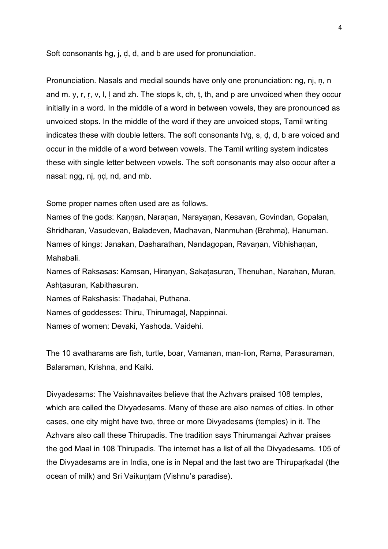Soft consonants hg, j, ḍ, d, and b are used for pronunciation.

Pronunciation. Nasals and medial sounds have only one pronunciation: ng, nj, ṇ, n and m. y, r, r, v, l, I and zh. The stops k, ch, t, th, and p are unvoiced when they occur initially in a word. In the middle of a word in between vowels, they are pronounced as unvoiced stops. In the middle of the word if they are unvoiced stops, Tamil writing indicates these with double letters. The soft consonants h/g, s, ḍ, d, b are voiced and occur in the middle of a word between vowels. The Tamil writing system indicates these with single letter between vowels. The soft consonants may also occur after a nasal: ngg, nj, nd, nd, and mb.

Some proper names often used are as follows.

Names of the gods: Kaṇṇan, Naraṇan, Narayaṇan, Kesavan, Govindan, Gopalan, Shridharan, Vasudevan, Baladeven, Madhavan, Nanmuhan (Brahma), Hanuman. Names of kings: Janakan, Dasharathan, Nandagopan, Ravanan, Vibhishanan, Mahabali.

Names of Raksasas: Kamsan, Hiraṇyan, Sakaṭasuran, Thenuhan, Narahan, Muran, Ashtasuran, Kabithasuran.

Names of Rakshasis: Thaḍahai, Puthana.

Names of goddesses: Thiru, Thirumagaḷ, Nappinnai.

Names of women: Devaki, Yashoda. Vaidehi.

The 10 avatharams are fish, turtle, boar, Vamanan, man-lion, Rama, Parasuraman, Balaraman, Krishna, and Kalki.

Divyadesams: The Vaishnavaites believe that the Azhvars praised 108 temples, which are called the Divyadesams. Many of these are also names of cities. In other cases, one city might have two, three or more Divyadesams (temples) in it. The Azhvars also call these Thirupadis. The tradition says Thirumangai Azhvar praises the god Maal in 108 Thirupadis. The internet has a list of all the Divyadesams. 105 of the Divyadesams are in India, one is in Nepal and the last two are Thiruparkadal (the ocean of milk) and Sri Vaikuntam (Vishnu's paradise).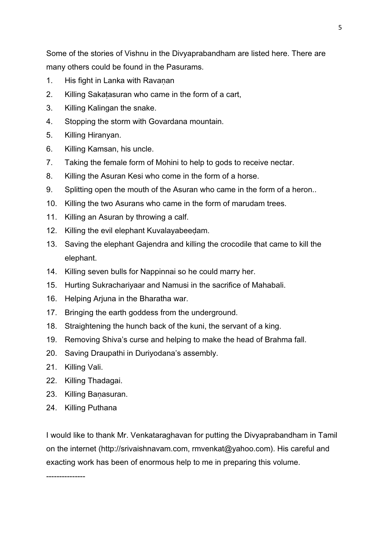Some of the stories of Vishnu in the Divyaprabandham are listed here. There are many others could be found in the Pasurams.

- 1. His fight in Lanka with Ravanan
- 2. Killing Sakaṭasuran who came in the form of a cart,
- 3. Killing Kalingan the snake.
- 4. Stopping the storm with Govardana mountain.
- 5. Killing Hiranyan.
- 6. Killing Kamsan, his uncle.
- 7. Taking the female form of Mohini to help to gods to receive nectar.
- 8. Killing the Asuran Kesi who come in the form of a horse.
- 9. Splitting open the mouth of the Asuran who came in the form of a heron..
- 10. Killing the two Asurans who came in the form of marudam trees.
- 11. Killing an Asuran by throwing a calf.
- 12. Killing the evil elephant Kuvalayabeedam.
- 13. Saving the elephant Gajendra and killing the crocodile that came to kill the elephant.
- 14. Killing seven bulls for Nappinnai so he could marry her.
- 15. Hurting Sukrachariyaar and Namusi in the sacrifice of Mahabali.
- 16. Helping Arjuna in the Bharatha war.
- 17. Bringing the earth goddess from the underground.
- 18. Straightening the hunch back of the kuni, the servant of a king.
- 19. Removing Shiva's curse and helping to make the head of Brahma fall.
- 20. Saving Draupathi in Duriyodana's assembly.
- 21. Killing Vali.
- 22. Killing Thadagai.
- 23. Killing Baṇasuran.
- 24. Killing Puthana

---------------

I would like to thank Mr. Venkataraghavan for putting the Divyaprabandham in Tamil on the internet (http://srivaishnavam.com, rmvenkat@yahoo.com). His careful and exacting work has been of enormous help to me in preparing this volume.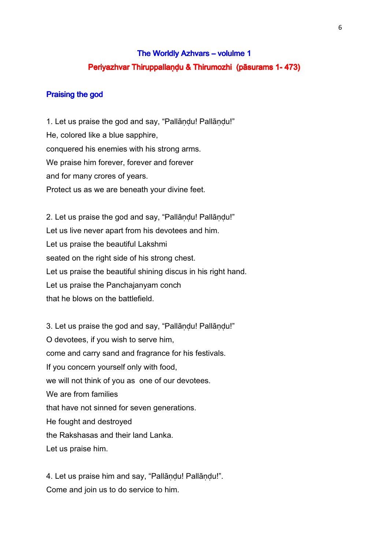# The Worldly Azhvars – volulme 1 Periyazhvar Thiruppallaṇḍu & Thirumozhi (pāsurams 1-473)

#### Praising the god

1. Let us praise the god and say, "Pallāṇḍu! Pallāṇḍu!" He, colored like a blue sapphire, conquered his enemies with his strong arms. We praise him forever, forever and forever and for many crores of years. Protect us as we are beneath your divine feet.

2. Let us praise the god and say, "Pallāndu! Pallāndu!" Let us live never apart from his devotees and him. Let us praise the beautiful Lakshmi seated on the right side of his strong chest. Let us praise the beautiful shining discus in his right hand. Let us praise the Panchajanyam conch that he blows on the battlefield.

3. Let us praise the god and say, "Pallāṇḍu! Pallāṇḍu!" O devotees, if you wish to serve him, come and carry sand and fragrance for his festivals. If you concern yourself only with food, we will not think of you as one of our devotees. We are from families that have not sinned for seven generations. He fought and destroyed the Rakshasas and their land Lanka. Let us praise him.

4. Let us praise him and say, "Pallāṇḍu! Pallāṇḍu!". Come and join us to do service to him.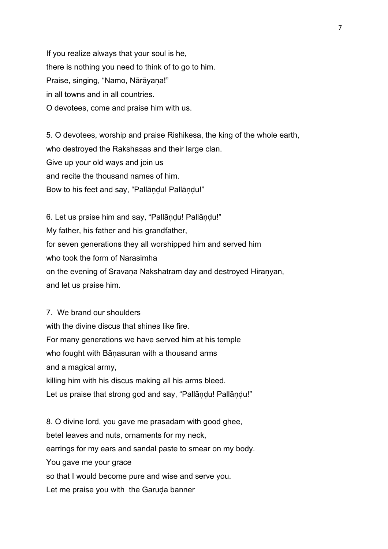If you realize always that your soul is he, there is nothing you need to think of to go to him. Praise, singing, "Namo, Nārāyaṇa!" in all towns and in all countries. O devotees, come and praise him with us.

5. O devotees, worship and praise Rishikesa, the king of the whole earth, who destroyed the Rakshasas and their large clan. Give up your old ways and join us and recite the thousand names of him. Bow to his feet and say, "Pallāndu! Pallāndu!"

6. Let us praise him and say, "Pallāṇḍu! Pallāṇḍu!" My father, his father and his grandfather, for seven generations they all worshipped him and served him who took the form of Narasimha on the evening of Sravana Nakshatram day and destroyed Hiranyan, and let us praise him.

7. We brand our shoulders with the divine discus that shines like fire. For many generations we have served him at his temple who fought with Bānasuran with a thousand arms and a magical army, killing him with his discus making all his arms bleed. Let us praise that strong god and say, "Pallāndu! Pallāndu!" 8. O divine lord, you gave me prasadam with good ghee,

betel leaves and nuts, ornaments for my neck, earrings for my ears and sandal paste to smear on my body. You gave me your grace so that I would become pure and wise and serve you. Let me praise you with the Garuḍa banner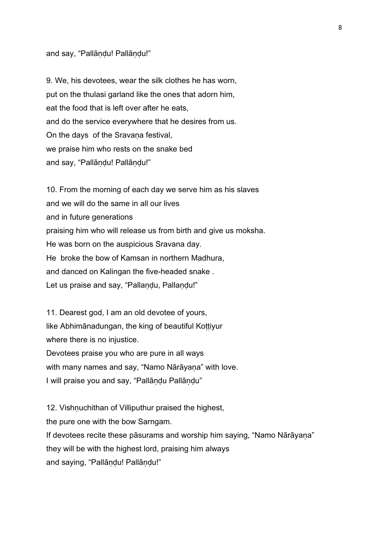#### and say, "Pallāṇḍu! Pallāṇḍu!"

9. We, his devotees, wear the silk clothes he has worn, put on the thulasi garland like the ones that adorn him, eat the food that is left over after he eats, and do the service everywhere that he desires from us. On the days of the Sravana festival, we praise him who rests on the snake bed and say, "Pallāṇḍu! Pallāṇḍu!"

10. From the morning of each day we serve him as his slaves and we will do the same in all our lives and in future generations praising him who will release us from birth and give us moksha. He was born on the auspicious Sravana day. He broke the bow of Kamsan in northern Madhura, and danced on Kalingan the five-headed snake . Let us praise and say, "Pallaṇḍu, Pallaṇḍu!"

11. Dearest god, I am an old devotee of yours, like Abhimānadungan, the king of beautiful Kottiyur where there is no injustice. Devotees praise you who are pure in all ways with many names and say, "Namo Nārāyana" with love. I will praise you and say, "Pallāṇḍu Pallāṇḍu"

12. Vishnuchithan of Villiputhur praised the highest,

the pure one with the bow Sarngam.

If devotees recite these pāsurams and worship him saying, "Namo Nārāyaṇa" they will be with the highest lord, praising him always and saying, "Pallāṇḍu! Pallāṇḍu!"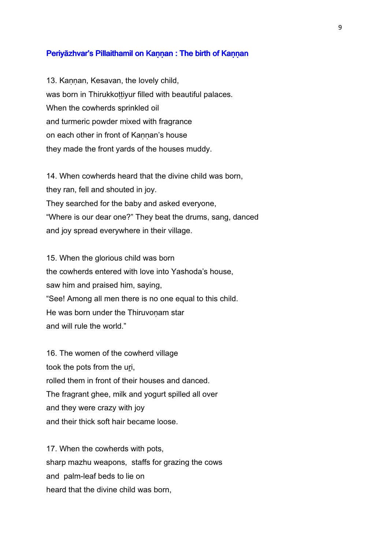#### Periyāzhvar's Pillaithamil on Kannan : The birth of Kannan

13. Kaṇṇan, Kesavan, the lovely child, was born in Thirukkottiyur filled with beautiful palaces. When the cowherds sprinkled oil and turmeric powder mixed with fragrance on each other in front of Kaṇṇan's house they made the front yards of the houses muddy.

14. When cowherds heard that the divine child was born, they ran, fell and shouted in joy. They searched for the baby and asked everyone, "Where is our dear one?" They beat the drums, sang, danced and joy spread everywhere in their village.

15. When the glorious child was born the cowherds entered with love into Yashoda's house, saw him and praised him, saying, "See! Among all men there is no one equal to this child. He was born under the Thiruvonam star and will rule the world."

16. The women of the cowherd village took the pots from the uri, rolled them in front of their houses and danced. The fragrant ghee, milk and yogurt spilled all over and they were crazy with joy and their thick soft hair became loose.

17. When the cowherds with pots, sharp mazhu weapons, staffs for grazing the cows and palm-leaf beds to lie on heard that the divine child was born,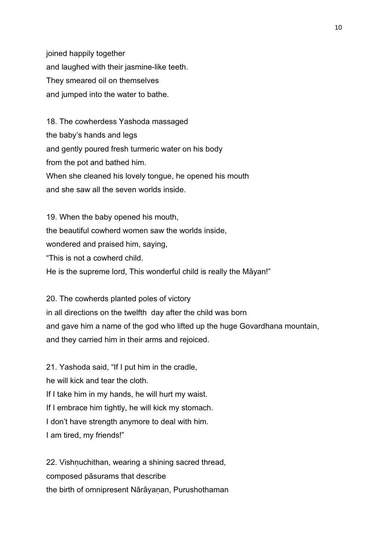joined happily together and laughed with their jasmine-like teeth. They smeared oil on themselves and jumped into the water to bathe.

18. The cowherdess Yashoda massaged the baby's hands and legs and gently poured fresh turmeric water on his body from the pot and bathed him. When she cleaned his lovely tongue, he opened his mouth and she saw all the seven worlds inside.

19. When the baby opened his mouth, the beautiful cowherd women saw the worlds inside, wondered and praised him, saying, "This is not a cowherd child. He is the supreme lord, This wonderful child is really the Māyan!"

20. The cowherds planted poles of victory in all directions on the twelfth day after the child was born and gave him a name of the god who lifted up the huge Govardhana mountain, and they carried him in their arms and rejoiced.

21. Yashoda said, "If I put him in the cradle, he will kick and tear the cloth. If I take him in my hands, he will hurt my waist. If I embrace him tightly, he will kick my stomach. I don't have strength anymore to deal with him. I am tired, my friends!"

22. Vishnuchithan, wearing a shining sacred thread, composed pāsurams that describe the birth of omnipresent Nārāyaṇan, Purushothaman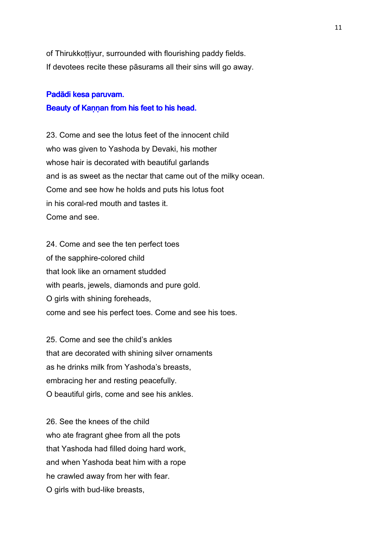of Thirukkottiyur, surrounded with flourishing paddy fields. If devotees recite these pāsurams all their sins will go away.

#### Padādi kesa paruvam.

#### Beauty of Kannan from his feet to his head.

23. Come and see the lotus feet of the innocent child who was given to Yashoda by Devaki, his mother whose hair is decorated with beautiful garlands and is as sweet as the nectar that came out of the milky ocean. Come and see how he holds and puts his lotus foot in his coral-red mouth and tastes it. Come and see.

24. Come and see the ten perfect toes of the sapphire-colored child that look like an ornament studded with pearls, jewels, diamonds and pure gold. O girls with shining foreheads, come and see his perfect toes. Come and see his toes.

25. Come and see the child's ankles that are decorated with shining silver ornaments as he drinks milk from Yashoda's breasts, embracing her and resting peacefully. O beautiful girls, come and see his ankles.

26. See the knees of the child who ate fragrant ghee from all the pots that Yashoda had filled doing hard work, and when Yashoda beat him with a rope he crawled away from her with fear. O girls with bud-like breasts,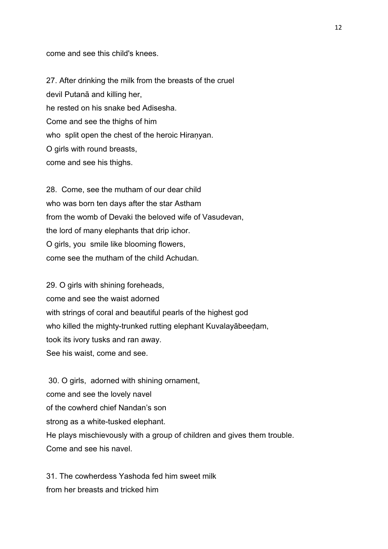come and see this child's knees.

27. After drinking the milk from the breasts of the cruel devil Putanā and killing her, he rested on his snake bed Adisesha. Come and see the thighs of him who split open the chest of the heroic Hiranyan. O girls with round breasts, come and see his thighs.

28. Come, see the mutham of our dear child who was born ten days after the star Astham from the womb of Devaki the beloved wife of Vasudevan, the lord of many elephants that drip ichor. O girls, you smile like blooming flowers, come see the mutham of the child Achudan.

29. O girls with shining foreheads, come and see the waist adorned with strings of coral and beautiful pearls of the highest god who killed the mighty-trunked rutting elephant Kuvalayābeeḍam, took its ivory tusks and ran away. See his waist, come and see.

 30. O girls, adorned with shining ornament, come and see the lovely navel of the cowherd chief Nandan's son strong as a white-tusked elephant. He plays mischievously with a group of children and gives them trouble. Come and see his navel.

31. The cowherdess Yashoda fed him sweet milk from her breasts and tricked him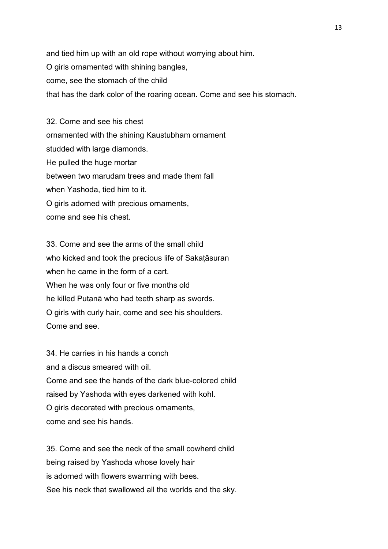and tied him up with an old rope without worrying about him. O girls ornamented with shining bangles, come, see the stomach of the child that has the dark color of the roaring ocean. Come and see his stomach.

32. Come and see his chest ornamented with the shining Kaustubham ornament studded with large diamonds. He pulled the huge mortar between two marudam trees and made them fall when Yashoda, tied him to it. O girls adorned with precious ornaments, come and see his chest.

33. Come and see the arms of the small child who kicked and took the precious life of Sakata suran when he came in the form of a cart. When he was only four or five months old he killed Putanā who had teeth sharp as swords. O girls with curly hair, come and see his shoulders. Come and see.

34. He carries in his hands a conch and a discus smeared with oil. Come and see the hands of the dark blue-colored child raised by Yashoda with eyes darkened with kohl. O girls decorated with precious ornaments, come and see his hands.

35. Come and see the neck of the small cowherd child being raised by Yashoda whose lovely hair is adorned with flowers swarming with bees. See his neck that swallowed all the worlds and the sky.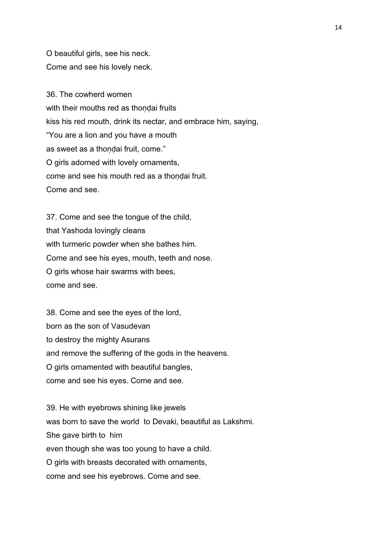O beautiful girls, see his neck. Come and see his lovely neck.

36. The cowherd women with their mouths red as thondai fruits kiss his red mouth, drink its nectar, and embrace him, saying, "You are a lion and you have a mouth as sweet as a thoṇḍai fruit, come." O girls adorned with lovely ornaments, come and see his mouth red as a thoṇḍai fruit. Come and see.

37. Come and see the tongue of the child, that Yashoda lovingly cleans with turmeric powder when she bathes him. Come and see his eyes, mouth, teeth and nose. O girls whose hair swarms with bees, come and see.

38. Come and see the eyes of the lord, born as the son of Vasudevan to destroy the mighty Asurans and remove the suffering of the gods in the heavens. O girls ornamented with beautiful bangles, come and see his eyes. Come and see.

39. He with eyebrows shining like jewels was born to save the world to Devaki, beautiful as Lakshmi. She gave birth to him even though she was too young to have a child. O girls with breasts decorated with ornaments, come and see his eyebrows. Come and see.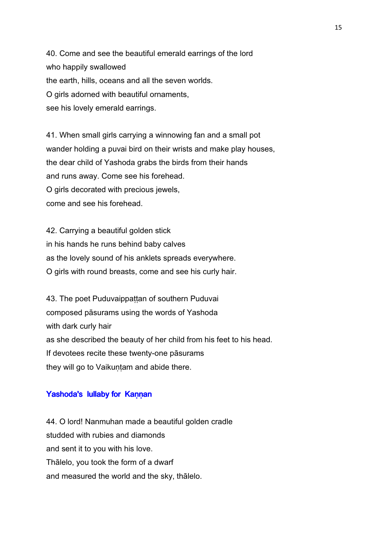40. Come and see the beautiful emerald earrings of the lord who happily swallowed the earth, hills, oceans and all the seven worlds. O girls adorned with beautiful ornaments, see his lovely emerald earrings.

41. When small girls carrying a winnowing fan and a small pot wander holding a puvai bird on their wrists and make play houses, the dear child of Yashoda grabs the birds from their hands and runs away. Come see his forehead. O girls decorated with precious jewels, come and see his forehead.

42. Carrying a beautiful golden stick in his hands he runs behind baby calves as the lovely sound of his anklets spreads everywhere. O girls with round breasts, come and see his curly hair.

43. The poet Puduvaippattan of southern Puduvai composed pāsurams using the words of Yashoda with dark curly hair as she described the beauty of her child from his feet to his head. If devotees recite these twenty-one pāsurams they will go to Vaikuntam and abide there.

#### Yashoda's lullaby for Kannan

44. O lord! Nanmuhan made a beautiful golden cradle studded with rubies and diamonds and sent it to you with his love. Thālelo, you took the form of a dwarf and measured the world and the sky, thālelo.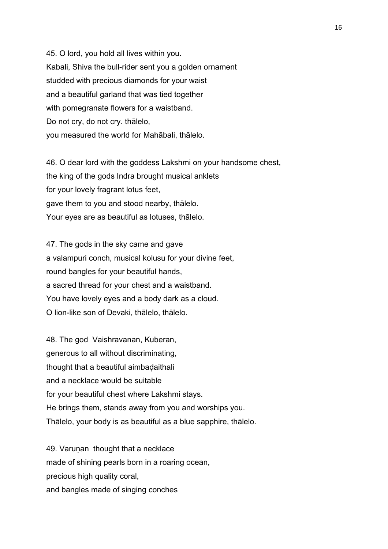45. O lord, you hold all lives within you. Kabali, Shiva the bull-rider sent you a golden ornament studded with precious diamonds for your waist and a beautiful garland that was tied together with pomegranate flowers for a waistband. Do not cry, do not cry. thālelo, you measured the world for Mahābali, thālelo.

46. O dear lord with the goddess Lakshmi on your handsome chest, the king of the gods Indra brought musical anklets for your lovely fragrant lotus feet, gave them to you and stood nearby, thālelo. Your eyes are as beautiful as lotuses, thālelo.

47. The gods in the sky came and gave a valampuri conch, musical kolusu for your divine feet, round bangles for your beautiful hands, a sacred thread for your chest and a waistband. You have lovely eyes and a body dark as a cloud. O lion-like son of Devaki, thālelo, thālelo.

48. The god Vaishravanan, Kuberan, generous to all without discriminating, thought that a beautiful aimbadaithali and a necklace would be suitable for your beautiful chest where Lakshmi stays. He brings them, stands away from you and worships you. Thālelo, your body is as beautiful as a blue sapphire, thālelo.

49. Varunan thought that a necklace made of shining pearls born in a roaring ocean, precious high quality coral, and bangles made of singing conches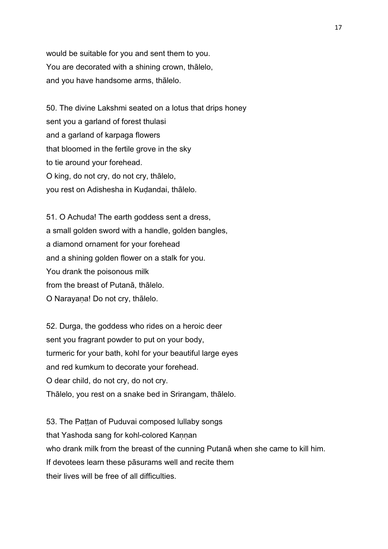would be suitable for you and sent them to you. You are decorated with a shining crown, thālelo, and you have handsome arms, thālelo.

50. The divine Lakshmi seated on a lotus that drips honey sent you a garland of forest thulasi and a garland of karpaga flowers that bloomed in the fertile grove in the sky to tie around your forehead. O king, do not cry, do not cry, thālelo, you rest on Adishesha in Kuḍandai, thālelo.

51. O Achuda! The earth goddess sent a dress, a small golden sword with a handle, golden bangles, a diamond ornament for your forehead and a shining golden flower on a stalk for you. You drank the poisonous milk from the breast of Putanā, thālelo. O Narayaṇa! Do not cry, thālelo.

52. Durga, the goddess who rides on a heroic deer sent you fragrant powder to put on your body, turmeric for your bath, kohl for your beautiful large eyes and red kumkum to decorate your forehead. O dear child, do not cry, do not cry. Thālelo, you rest on a snake bed in Srirangam, thālelo.

53. The Pattan of Puduvai composed lullaby songs that Yashoda sang for kohl-colored Kannan who drank milk from the breast of the cunning Putanā when she came to kill him. If devotees learn these pāsurams well and recite them their lives will be free of all difficulties.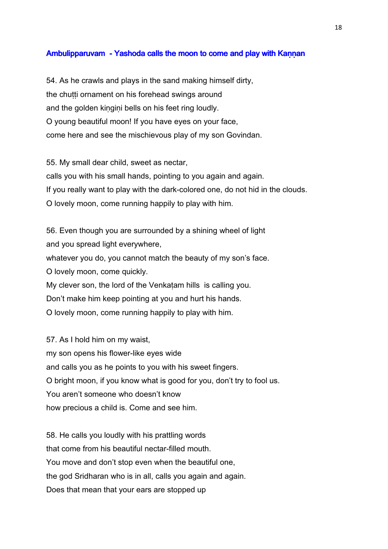#### Ambulipparuvam - Yashoda calls the moon to come and play with Kannan

54. As he crawls and plays in the sand making himself dirty, the chutti ornament on his forehead swings around and the golden kingini bells on his feet ring loudly. O young beautiful moon! If you have eyes on your face, come here and see the mischievous play of my son Govindan.

55. My small dear child, sweet as nectar, calls you with his small hands, pointing to you again and again. If you really want to play with the dark-colored one, do not hid in the clouds. O lovely moon, come running happily to play with him.

56. Even though you are surrounded by a shining wheel of light and you spread light everywhere, whatever you do, you cannot match the beauty of my son's face. O lovely moon, come quickly. My clever son, the lord of the Venkatam hills is calling you. Don't make him keep pointing at you and hurt his hands. O lovely moon, come running happily to play with him.

57. As I hold him on my waist, my son opens his flower-like eyes wide and calls you as he points to you with his sweet fingers. O bright moon, if you know what is good for you, don't try to fool us. You aren't someone who doesn't know how precious a child is. Come and see him.

58. He calls you loudly with his prattling words that come from his beautiful nectar-filled mouth. You move and don't stop even when the beautiful one, the god Sridharan who is in all, calls you again and again. Does that mean that your ears are stopped up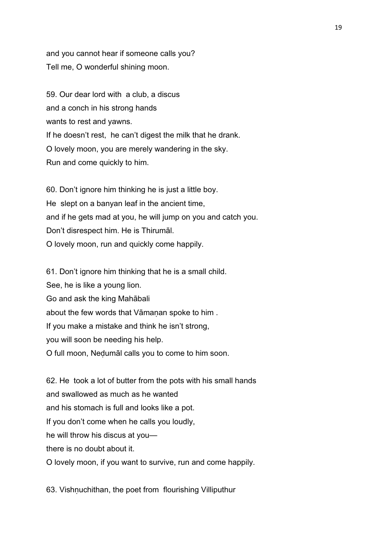and you cannot hear if someone calls you? Tell me, O wonderful shining moon.

59. Our dear lord with a club, a discus and a conch in his strong hands wants to rest and yawns. If he doesn't rest, he can't digest the milk that he drank. O lovely moon, you are merely wandering in the sky. Run and come quickly to him.

60. Don't ignore him thinking he is just a little boy. He slept on a banyan leaf in the ancient time, and if he gets mad at you, he will jump on you and catch you. Don't disrespect him. He is Thirumāl. O lovely moon, run and quickly come happily.

61. Don't ignore him thinking that he is a small child. See, he is like a young lion. Go and ask the king Mahābali about the few words that Vāmanan spoke to him. If you make a mistake and think he isn't strong, you will soon be needing his help. O full moon, Neḍumāl calls you to come to him soon.

62. He took a lot of butter from the pots with his small hands and swallowed as much as he wanted and his stomach is full and looks like a pot. If you don't come when he calls you loudly, he will throw his discus at you there is no doubt about it. O lovely moon, if you want to survive, run and come happily.

63. Vishṇuchithan, the poet from flourishing Villiputhur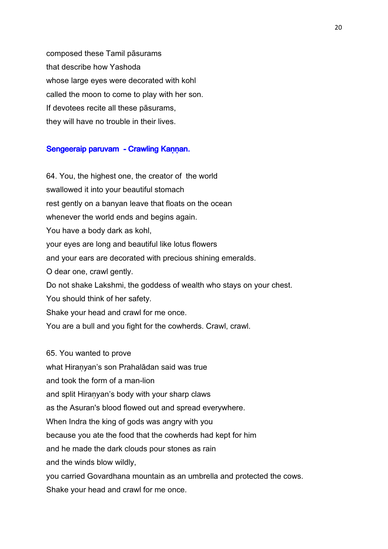composed these Tamil pāsurams that describe how Yashoda whose large eyes were decorated with kohl called the moon to come to play with her son. If devotees recite all these pāsurams, they will have no trouble in their lives.

#### Sengeeraip paruvam - Crawling Kaṇṇan.

64. You, the highest one, the creator of the world swallowed it into your beautiful stomach rest gently on a banyan leave that floats on the ocean whenever the world ends and begins again. You have a body dark as kohl, your eyes are long and beautiful like lotus flowers and your ears are decorated with precious shining emeralds. O dear one, crawl gently. Do not shake Lakshmi, the goddess of wealth who stays on your chest. You should think of her safety. Shake your head and crawl for me once. You are a bull and you fight for the cowherds. Crawl, crawl.

65. You wanted to prove what Hiraṇyan's son Prahalādan said was true and took the form of a man-lion and split Hiraṇyan's body with your sharp claws as the Asuran's blood flowed out and spread everywhere. When Indra the king of gods was angry with you because you ate the food that the cowherds had kept for him and he made the dark clouds pour stones as rain and the winds blow wildly, you carried Govardhana mountain as an umbrella and protected the cows. Shake your head and crawl for me once.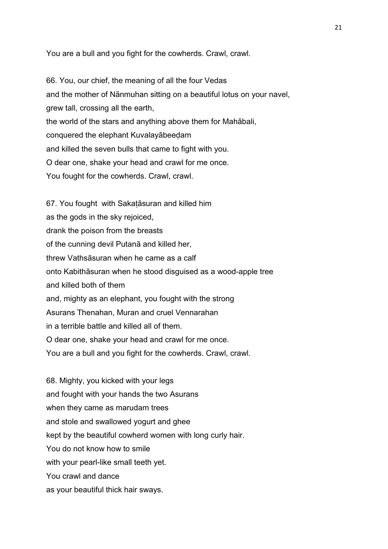You are a bull and you fight for the cowherds. Crawl, crawl.

66. You, our chief, the meaning of all the four Vedas and the mother of Nānmuhan sitting on a beautiful lotus on your navel, grew tall, crossing all the earth, the world of the stars and anything above them for Mahābali, conquered the elephant Kuvalayābeeḍam and killed the seven bulls that came to fight with you. O dear one, shake your head and crawl for me once. You fought for the cowherds. Crawl, crawl.

67. You fought with Sakaṭāsuran and killed him as the gods in the sky rejoiced, drank the poison from the breasts of the cunning devil Putanā and killed her, threw Vathsāsuran when he came as a calf onto Kabithāsuran when he stood disguised as a wood-apple tree and killed both of them and, mighty as an elephant, you fought with the strong Asurans Thenahan, Muran and cruel Vennarahan in a terrible battle and killed all of them. O dear one, shake your head and crawl for me once. You are a bull and you fight for the cowherds. Crawl, crawl.

68. Mighty, you kicked with your legs and fought with your hands the two Asurans when they came as marudam trees and stole and swallowed yogurt and ghee kept by the beautiful cowherd women with long curly hair. You do not know how to smile with your pearl-like small teeth yet. You crawl and dance as your beautiful thick hair sways.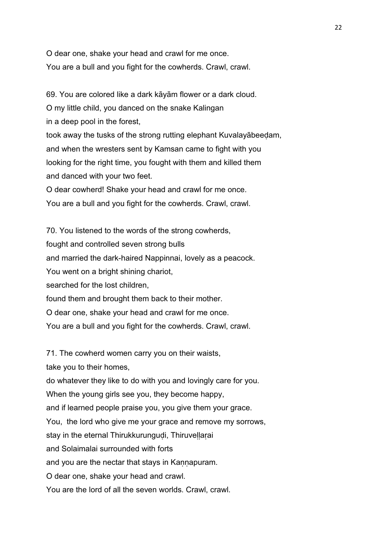O dear one, shake your head and crawl for me once. You are a bull and you fight for the cowherds. Crawl, crawl.

69. You are colored like a dark kāyām flower or a dark cloud. O my little child, you danced on the snake Kalingan in a deep pool in the forest, took away the tusks of the strong rutting elephant Kuvalayābeeḍam, and when the wresters sent by Kamsan came to fight with you looking for the right time, you fought with them and killed them and danced with your two feet. O dear cowherd! Shake your head and crawl for me once. You are a bull and you fight for the cowherds. Crawl, crawl.

70. You listened to the words of the strong cowherds, fought and controlled seven strong bulls and married the dark-haired Nappinnai, lovely as a peacock. You went on a bright shining chariot, searched for the lost children, found them and brought them back to their mother. O dear one, shake your head and crawl for me once. You are a bull and you fight for the cowherds. Crawl, crawl.

71. The cowherd women carry you on their waists,

take you to their homes,

do whatever they like to do with you and lovingly care for you.

When the young girls see you, they become happy,

and if learned people praise you, you give them your grace.

You, the lord who give me your grace and remove my sorrows,

stay in the eternal Thirukkurungudi, Thiruvellarai

and Solaimalai surrounded with forts

and you are the nectar that stays in Kannapuram.

O dear one, shake your head and crawl.

You are the lord of all the seven worlds. Crawl, crawl.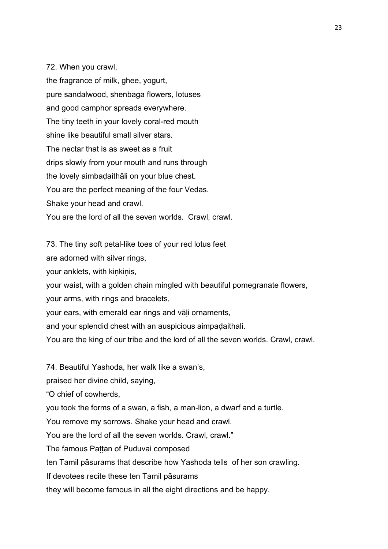72. When you crawl,

the fragrance of milk, ghee, yogurt, pure sandalwood, shenbaga flowers, lotuses and good camphor spreads everywhere. The tiny teeth in your lovely coral-red mouth shine like beautiful small silver stars. The nectar that is as sweet as a fruit drips slowly from your mouth and runs through the lovely aimbaḍaithāli on your blue chest. You are the perfect meaning of the four Vedas. Shake your head and crawl. You are the lord of all the seven worlds. Crawl, crawl.

73. The tiny soft petal-like toes of your red lotus feet

are adorned with silver rings,

your anklets, with kinkinis,

your waist, with a golden chain mingled with beautiful pomegranate flowers,

your arms, with rings and bracelets,

your ears, with emerald ear rings and vāḷi ornaments,

and your splendid chest with an auspicious aimpadaithali.

You are the king of our tribe and the lord of all the seven worlds. Crawl, crawl.

74. Beautiful Yashoda, her walk like a swan's,

praised her divine child, saying,

"O chief of cowherds,

you took the forms of a swan, a fish, a man-lion, a dwarf and a turtle.

You remove my sorrows. Shake your head and crawl.

You are the lord of all the seven worlds. Crawl, crawl."

The famous Pattan of Puduvai composed

ten Tamil pāsurams that describe how Yashoda tells of her son crawling.

If devotees recite these ten Tamil pāsurams

they will become famous in all the eight directions and be happy.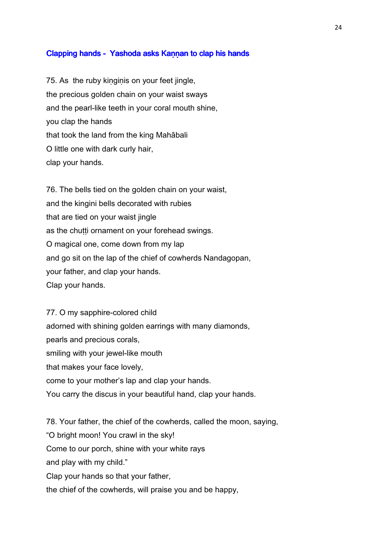#### Clapping hands - Yashoda asks Kannan to clap his hands

75. As the ruby kiṇgiṇis on your feet jingle, the precious golden chain on your waist sways and the pearl-like teeth in your coral mouth shine, you clap the hands that took the land from the king Mahābali O little one with dark curly hair, clap your hands.

76. The bells tied on the golden chain on your waist, and the kingini bells decorated with rubies that are tied on your waist jingle as the chutti ornament on your forehead swings. O magical one, come down from my lap and go sit on the lap of the chief of cowherds Nandagopan, your father, and clap your hands. Clap your hands.

77. O my sapphire-colored child adorned with shining golden earrings with many diamonds, pearls and precious corals, smiling with your jewel-like mouth that makes your face lovely, come to your mother's lap and clap your hands. You carry the discus in your beautiful hand, clap your hands.

78. Your father, the chief of the cowherds, called the moon, saying, "O bright moon! You crawl in the sky! Come to our porch, shine with your white rays and play with my child." Clap your hands so that your father, the chief of the cowherds, will praise you and be happy,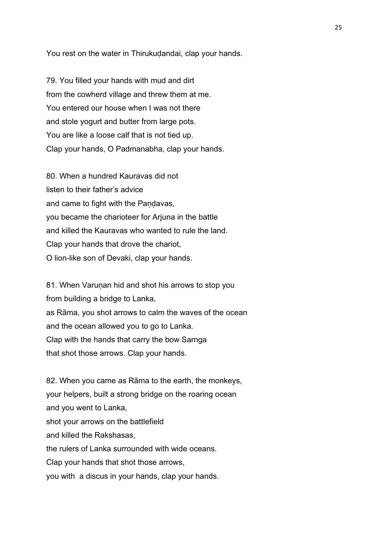You rest on the water in Thirukudandai, clap your hands.

79. You filled your hands with mud and dirt from the cowherd village and threw them at me. You entered our house when I was not there and stole yogurt and butter from large pots. You are like a loose calf that is not tied up. Clap your hands, O Padmanabha, clap your hands.

80. When a hundred Kauravas did not listen to their father's advice and came to fight with the Pandavas, you became the charioteer for Arjuna in the battle and killed the Kauravas who wanted to rule the land. Clap your hands that drove the chariot, O lion-like son of Devaki, clap your hands.

81. When Varunan hid and shot his arrows to stop you from building a bridge to Lanka, as Rāma, you shot arrows to calm the waves of the ocean and the ocean allowed you to go to Lanka. Clap with the hands that carry the bow Sarnga that shot those arrows. Clap your hands.

82. When you came as Rāma to the earth, the monkeys, your helpers, built a strong bridge on the roaring ocean and you went to Lanka, shot your arrows on the battlefield and killed the Rakshasas, the rulers of Lanka surrounded with wide oceans. Clap your hands that shot those arrows, you with a discus in your hands, clap your hands.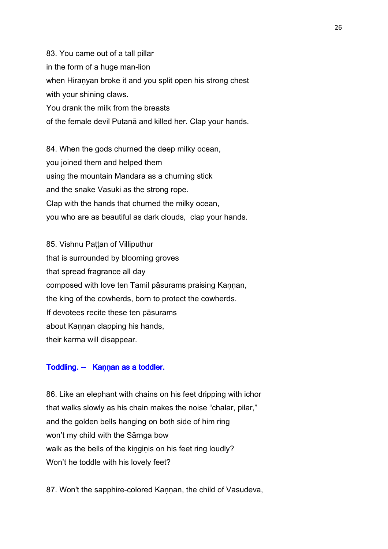83. You came out of a tall pillar in the form of a huge man-lion when Hiraṇyan broke it and you split open his strong chest with your shining claws. You drank the milk from the breasts of the female devil Putanā and killed her. Clap your hands.

84. When the gods churned the deep milky ocean, you joined them and helped them using the mountain Mandara as a churning stick and the snake Vasuki as the strong rope. Clap with the hands that churned the milky ocean, you who are as beautiful as dark clouds, clap your hands.

85. Vishnu Pattan of Villiputhur that is surrounded by blooming groves that spread fragrance all day composed with love ten Tamil pāsurams praising Kannan, the king of the cowherds, born to protect the cowherds. If devotees recite these ten pāsurams about Kannan clapping his hands, their karma will disappear.

#### Toddling. -- Kannan as a toddler.

86. Like an elephant with chains on his feet dripping with ichor that walks slowly as his chain makes the noise "chalar, pilar," and the golden bells hanging on both side of him ring won't my child with the Sārnga bow walk as the bells of the kinginis on his feet ring loudly? Won't he toddle with his lovely feet?

87. Won't the sapphire-colored Kaṇṇan, the child of Vasudeva,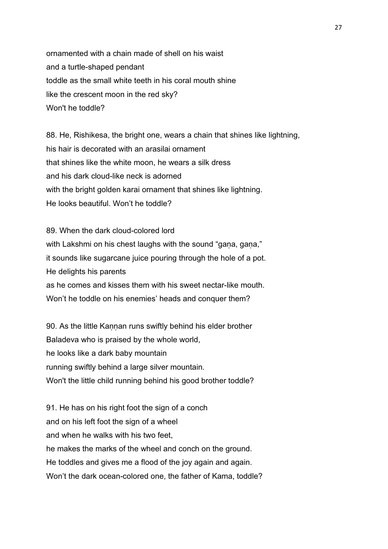ornamented with a chain made of shell on his waist and a turtle-shaped pendant toddle as the small white teeth in his coral mouth shine like the crescent moon in the red sky? Won't he toddle?

88. He, Rishikesa, the bright one, wears a chain that shines like lightning, his hair is decorated with an arasilai ornament that shines like the white moon, he wears a silk dress and his dark cloud-like neck is adorned with the bright golden karai ornament that shines like lightning. He looks beautiful. Won't he toddle?

89. When the dark cloud-colored lord with Lakshmi on his chest laughs with the sound "gana, gana," it sounds like sugarcane juice pouring through the hole of a pot. He delights his parents as he comes and kisses them with his sweet nectar-like mouth. Won't he toddle on his enemies' heads and conquer them?

90. As the little Kannan runs swiftly behind his elder brother Baladeva who is praised by the whole world, he looks like a dark baby mountain running swiftly behind a large silver mountain. Won't the little child running behind his good brother toddle?

91. He has on his right foot the sign of a conch and on his left foot the sign of a wheel and when he walks with his two feet, he makes the marks of the wheel and conch on the ground. He toddles and gives me a flood of the joy again and again. Won't the dark ocean-colored one, the father of Kama, toddle?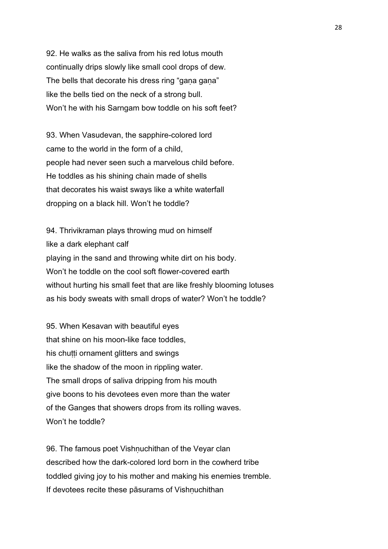92. He walks as the saliva from his red lotus mouth continually drips slowly like small cool drops of dew. The bells that decorate his dress ring "gaṇa gaṇa" like the bells tied on the neck of a strong bull. Won't he with his Sarngam bow toddle on his soft feet?

93. When Vasudevan, the sapphire-colored lord came to the world in the form of a child, people had never seen such a marvelous child before. He toddles as his shining chain made of shells that decorates his waist sways like a white waterfall dropping on a black hill. Won't he toddle?

94. Thrivikraman plays throwing mud on himself like a dark elephant calf playing in the sand and throwing white dirt on his body. Won't he toddle on the cool soft flower-covered earth without hurting his small feet that are like freshly blooming lotuses as his body sweats with small drops of water? Won't he toddle?

95. When Kesavan with beautiful eyes that shine on his moon-like face toddles, his chutti ornament glitters and swings like the shadow of the moon in rippling water. The small drops of saliva dripping from his mouth give boons to his devotees even more than the water of the Ganges that showers drops from its rolling waves. Won't he toddle?

96. The famous poet Vishnuchithan of the Veyar clan described how the dark-colored lord born in the cowherd tribe toddled giving joy to his mother and making his enemies tremble. If devotees recite these pāsurams of Vishnuchithan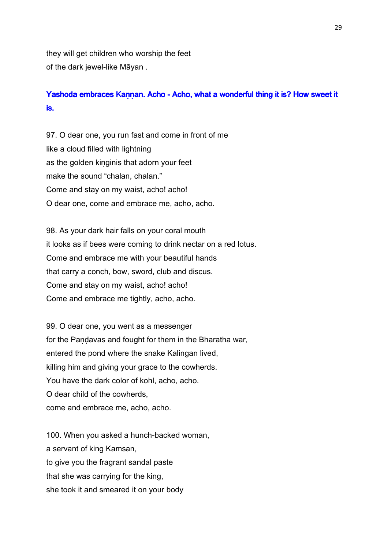they will get children who worship the feet of the dark jewel-like Māyan .

### Yashoda embraces Kannan. Acho - Acho, what a wonderful thing it is? How sweet it is.

97. O dear one, you run fast and come in front of me like a cloud filled with lightning as the golden kinginis that adorn your feet make the sound "chalan, chalan." Come and stay on my waist, acho! acho! O dear one, come and embrace me, acho, acho.

98. As your dark hair falls on your coral mouth it looks as if bees were coming to drink nectar on a red lotus. Come and embrace me with your beautiful hands that carry a conch, bow, sword, club and discus. Come and stay on my waist, acho! acho! Come and embrace me tightly, acho, acho.

99. O dear one, you went as a messenger for the Pandavas and fought for them in the Bharatha war, entered the pond where the snake Kalingan lived, killing him and giving your grace to the cowherds. You have the dark color of kohl, acho, acho. O dear child of the cowherds, come and embrace me, acho, acho.

100. When you asked a hunch-backed woman, a servant of king Kamsan, to give you the fragrant sandal paste that she was carrying for the king, she took it and smeared it on your body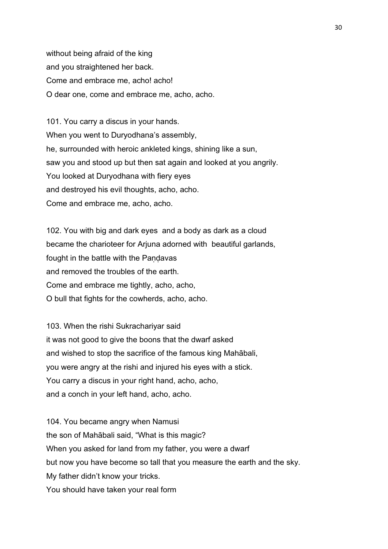without being afraid of the king and you straightened her back. Come and embrace me, acho! acho! O dear one, come and embrace me, acho, acho.

101. You carry a discus in your hands. When you went to Duryodhana's assembly, he, surrounded with heroic ankleted kings, shining like a sun, saw you and stood up but then sat again and looked at you angrily. You looked at Duryodhana with fiery eyes and destroyed his evil thoughts, acho, acho. Come and embrace me, acho, acho.

102. You with big and dark eyes and a body as dark as a cloud became the charioteer for Arjuna adorned with beautiful garlands, fought in the battle with the Pandavas and removed the troubles of the earth. Come and embrace me tightly, acho, acho, O bull that fights for the cowherds, acho, acho.

103. When the rishi Sukrachariyar said it was not good to give the boons that the dwarf asked and wished to stop the sacrifice of the famous king Mahābali, you were angry at the rishi and injured his eyes with a stick. You carry a discus in your right hand, acho, acho, and a conch in your left hand, acho, acho.

104. You became angry when Namusi the son of Mahābali said, "What is this magic? When you asked for land from my father, you were a dwarf but now you have become so tall that you measure the earth and the sky. My father didn't know your tricks. You should have taken your real form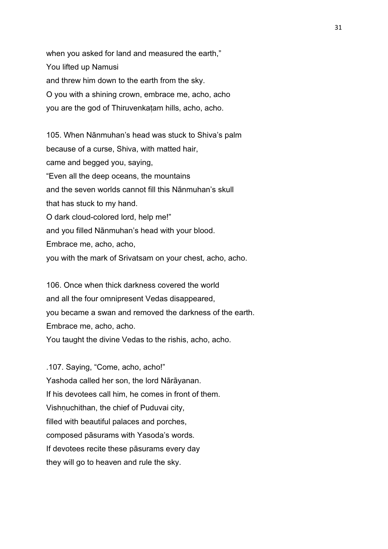when you asked for land and measured the earth," You lifted up Namusi and threw him down to the earth from the sky. O you with a shining crown, embrace me, acho, acho you are the god of Thiruvenkaṭam hills, acho, acho.

105. When Nānmuhan's head was stuck to Shiva's palm because of a curse, Shiva, with matted hair, came and begged you, saying, "Even all the deep oceans, the mountains and the seven worlds cannot fill this Nānmuhan's skull that has stuck to my hand. O dark cloud-colored lord, help me!" and you filled Nānmuhan's head with your blood. Embrace me, acho, acho, you with the mark of Srivatsam on your chest, acho, acho.

106. Once when thick darkness covered the world and all the four omnipresent Vedas disappeared, you became a swan and removed the darkness of the earth. Embrace me, acho, acho. You taught the divine Vedas to the rishis, acho, acho.

.107. Saying, "Come, acho, acho!" Yashoda called her son, the lord Nārāyanan. If his devotees call him, he comes in front of them. Vishnuchithan, the chief of Puduvai city, filled with beautiful palaces and porches, composed pāsurams with Yasoda's words. If devotees recite these pāsurams every day they will go to heaven and rule the sky.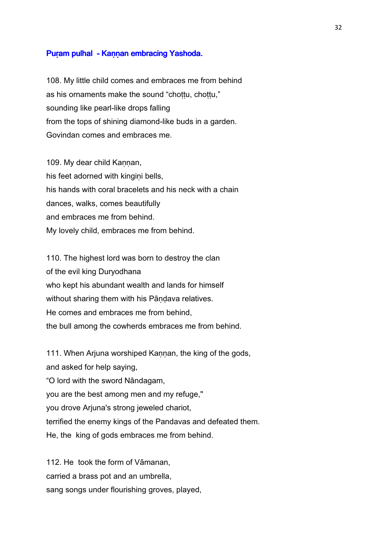#### Puram pulhal - Kannan embracing Yashoda.

108. My little child comes and embraces me from behind as his ornaments make the sound "chottu, chottu," sounding like pearl-like drops falling from the tops of shining diamond-like buds in a garden. Govindan comes and embraces me.

109. My dear child Kannan, his feet adorned with kingini bells, his hands with coral bracelets and his neck with a chain dances, walks, comes beautifully and embraces me from behind. My lovely child, embraces me from behind.

110. The highest lord was born to destroy the clan of the evil king Duryodhana who kept his abundant wealth and lands for himself without sharing them with his Pāndava relatives. He comes and embraces me from behind, the bull among the cowherds embraces me from behind.

111. When Ariuna worshiped Kannan, the king of the gods, and asked for help saying, "O lord with the sword Nāndagam, you are the best among men and my refuge," you drove Arjuna's strong jeweled chariot, terrified the enemy kings of the Pandavas and defeated them. He, the king of gods embraces me from behind.

112. He took the form of Vāmanan, carried a brass pot and an umbrella, sang songs under flourishing groves, played,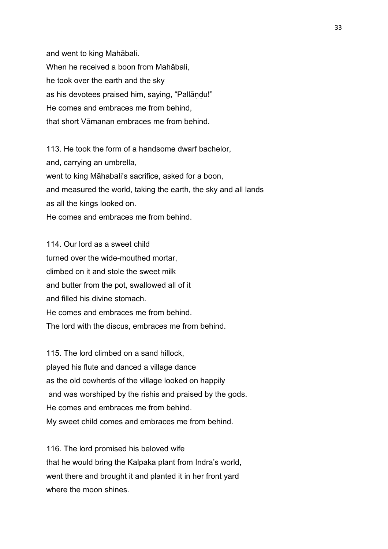and went to king Mahābali. When he received a boon from Mahābali, he took over the earth and the sky as his devotees praised him, saying, "Pallāṇḍu!" He comes and embraces me from behind, that short Vāmanan embraces me from behind.

113. He took the form of a handsome dwarf bachelor, and, carrying an umbrella, went to king Māhabali's sacrifice, asked for a boon, and measured the world, taking the earth, the sky and all lands as all the kings looked on. He comes and embraces me from behind.

114. Our lord as a sweet child turned over the wide-mouthed mortar, climbed on it and stole the sweet milk and butter from the pot, swallowed all of it and filled his divine stomach. He comes and embraces me from behind. The lord with the discus, embraces me from behind.

115. The lord climbed on a sand hillock, played his flute and danced a village dance as the old cowherds of the village looked on happily and was worshiped by the rishis and praised by the gods. He comes and embraces me from behind. My sweet child comes and embraces me from behind.

116. The lord promised his beloved wife that he would bring the Kalpaka plant from Indra's world, went there and brought it and planted it in her front yard where the moon shines.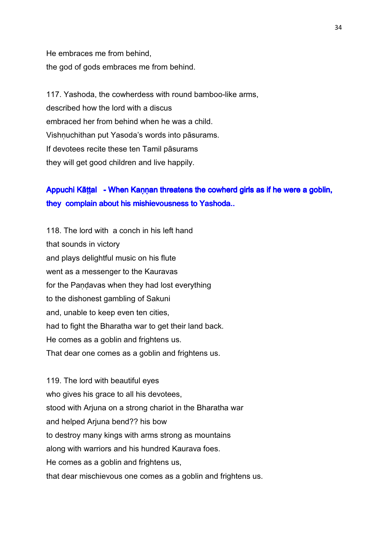He embraces me from behind, the god of gods embraces me from behind.

117. Yashoda, the cowherdess with round bamboo-like arms, described how the lord with a discus embraced her from behind when he was a child. Vishṇuchithan put Yasoda's words into pāsurams. If devotees recite these ten Tamil pāsurams they will get good children and live happily.

## Appuchi Kāṭṭal - When Kaṇṇan threatens the cowherd girls as if he were a goblin, they complain about his mishievousness to Yashoda..

118. The lord with a conch in his left hand that sounds in victory and plays delightful music on his flute went as a messenger to the Kauravas for the Pandavas when they had lost everything to the dishonest gambling of Sakuni and, unable to keep even ten cities, had to fight the Bharatha war to get their land back. He comes as a goblin and frightens us. That dear one comes as a goblin and frightens us.

119. The lord with beautiful eyes who gives his grace to all his devotees, stood with Arjuna on a strong chariot in the Bharatha war and helped Arjuna bend?? his bow to destroy many kings with arms strong as mountains along with warriors and his hundred Kaurava foes. He comes as a goblin and frightens us, that dear mischievous one comes as a goblin and frightens us.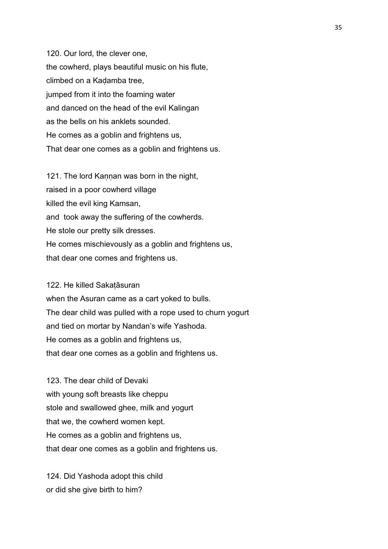120. Our lord, the clever one, the cowherd, plays beautiful music on his flute, climbed on a Kaḍamba tree, jumped from it into the foaming water and danced on the head of the evil Kalingan as the bells on his anklets sounded. He comes as a goblin and frightens us, That dear one comes as a goblin and frightens us.

121. The lord Kannan was born in the night, raised in a poor cowherd village killed the evil king Kamsan, and took away the suffering of the cowherds. He stole our pretty silk dresses. He comes mischievously as a goblin and frightens us, that dear one comes and frightens us.

122. He killed Sakaṭāsuran

when the Asuran came as a cart yoked to bulls. The dear child was pulled with a rope used to churn yogurt and tied on mortar by Nandan's wife Yashoda. He comes as a goblin and frightens us, that dear one comes as a goblin and frightens us.

123. The dear child of Devaki with young soft breasts like cheppu stole and swallowed ghee, milk and yogurt that we, the cowherd women kept. He comes as a goblin and frightens us, that dear one comes as a goblin and frightens us.

124. Did Yashoda adopt this child or did she give birth to him?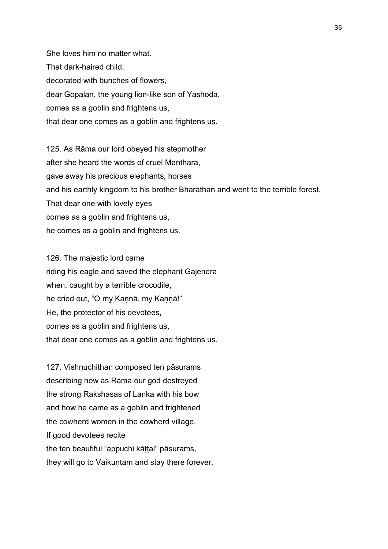She loves him no matter what. That dark-haired child, decorated with bunches of flowers, dear Gopalan, the young lion-like son of Yashoda, comes as a goblin and frightens us, that dear one comes as a goblin and frightens us.

125. As Rāma our lord obeyed his stepmother after she heard the words of cruel Manthara, gave away his precious elephants, horses and his earthly kingdom to his brother Bharathan and went to the terrible forest. That dear one with lovely eyes comes as a goblin and frightens us, he comes as a goblin and frightens us.

126. The majestic lord came riding his eagle and saved the elephant Gajendra when. caught by a terrible crocodile, he cried out, "O my Kannā, my Kannā!" He, the protector of his devotees, comes as a goblin and frightens us, that dear one comes as a goblin and frightens us.

127. Vishnuchithan composed ten pāsurams describing how as Rāma our god destroyed the strong Rakshasas of Lanka with his bow and how he came as a goblin and frightened the cowherd women in the cowherd village. If good devotees recite the ten beautiful "appuchi kāttal" pāsurams, they will go to Vaikuntam and stay there forever.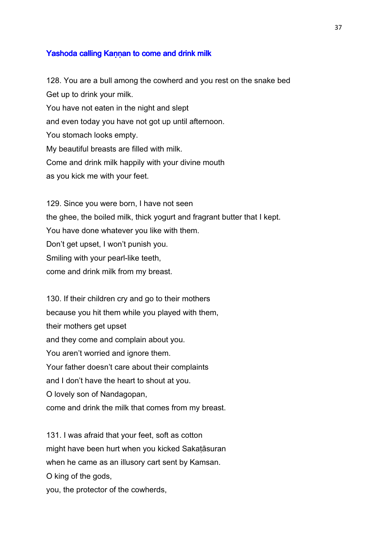## Yashoda calling Kannan to come and drink milk

128. You are a bull among the cowherd and you rest on the snake bed Get up to drink your milk. You have not eaten in the night and slept and even today you have not got up until afternoon. You stomach looks empty. My beautiful breasts are filled with milk. Come and drink milk happily with your divine mouth as you kick me with your feet.

129. Since you were born, I have not seen the ghee, the boiled milk, thick yogurt and fragrant butter that I kept. You have done whatever you like with them. Don't get upset, I won't punish you. Smiling with your pearl-like teeth, come and drink milk from my breast.

130. If their children cry and go to their mothers because you hit them while you played with them, their mothers get upset and they come and complain about you. You aren't worried and ignore them. Your father doesn't care about their complaints and I don't have the heart to shout at you. O lovely son of Nandagopan, come and drink the milk that comes from my breast.

131. I was afraid that your feet, soft as cotton might have been hurt when you kicked Sakaṭāsuran when he came as an illusory cart sent by Kamsan. O king of the gods, you, the protector of the cowherds,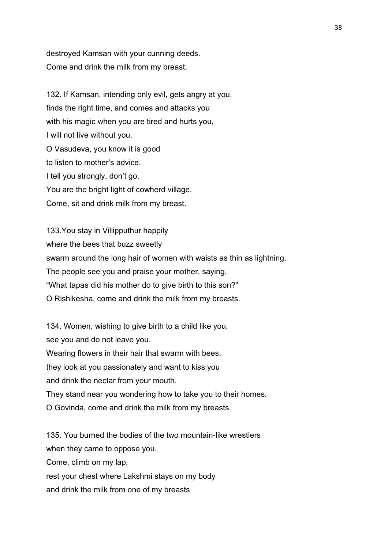destroyed Kamsan with your cunning deeds. Come and drink the milk from my breast.

132. If Kamsan, intending only evil, gets angry at you, finds the right time, and comes and attacks you with his magic when you are tired and hurts you, I will not live without you. O Vasudeva, you know it is good to listen to mother's advice. I tell you strongly, don't go. You are the bright light of cowherd village. Come, sit and drink milk from my breast.

133.You stay in Villipputhur happily where the bees that buzz sweetly swarm around the long hair of women with waists as thin as lightning. The people see you and praise your mother, saying, "What tapas did his mother do to give birth to this son?" O Rishikesha, come and drink the milk from my breasts.

134. Women, wishing to give birth to a child like you, see you and do not leave you. Wearing flowers in their hair that swarm with bees, they look at you passionately and want to kiss you and drink the nectar from your mouth. They stand near you wondering how to take you to their homes. O Govinda, come and drink the milk from my breasts.

135. You burned the bodies of the two mountain-like wrestlers when they came to oppose you. Come, climb on my lap, rest your chest where Lakshmi stays on my body and drink the milk from one of my breasts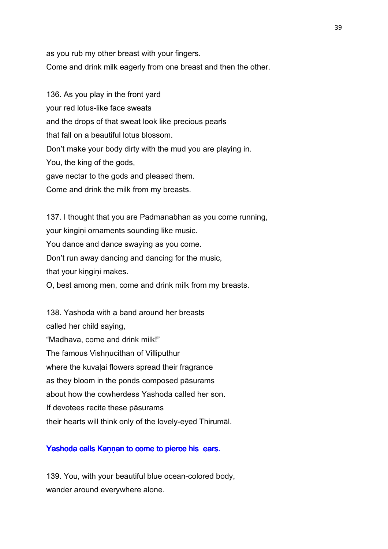as you rub my other breast with your fingers. Come and drink milk eagerly from one breast and then the other.

136. As you play in the front yard your red lotus-like face sweats and the drops of that sweat look like precious pearls that fall on a beautiful lotus blossom. Don't make your body dirty with the mud you are playing in. You, the king of the gods, gave nectar to the gods and pleased them. Come and drink the milk from my breasts.

137. I thought that you are Padmanabhan as you come running, your kingini ornaments sounding like music. You dance and dance swaying as you come. Don't run away dancing and dancing for the music, that your kingini makes. O, best among men, come and drink milk from my breasts.

138. Yashoda with a band around her breasts called her child saying, "Madhava, come and drink milk!" The famous Vishnucithan of Villiputhur where the kuvalai flowers spread their fragrance as they bloom in the ponds composed pāsurams about how the cowherdess Yashoda called her son. If devotees recite these pāsurams their hearts will think only of the lovely-eyed Thirumāl.

# Yashoda calls Kaṇṇan to come to pierce his ears.

139. You, with your beautiful blue ocean-colored body, wander around everywhere alone.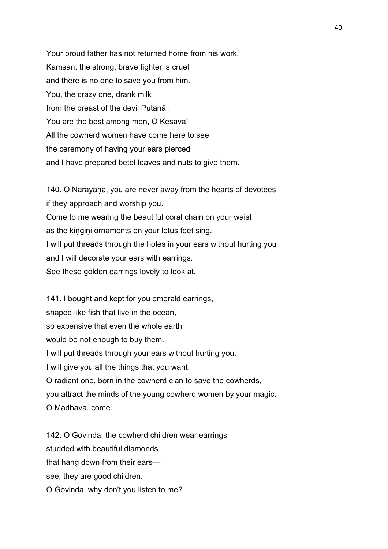Your proud father has not returned home from his work. Kamsan, the strong, brave fighter is cruel and there is no one to save you from him. You, the crazy one, drank milk from the breast of the devil Putanā.. You are the best among men, O Kesava! All the cowherd women have come here to see the ceremony of having your ears pierced and I have prepared betel leaves and nuts to give them.

140. O Nārāyanā, you are never away from the hearts of devotees if they approach and worship you. Come to me wearing the beautiful coral chain on your waist as the kingini ornaments on your lotus feet sing. I will put threads through the holes in your ears without hurting you and I will decorate your ears with earrings. See these golden earrings lovely to look at.

141. I bought and kept for you emerald earrings, shaped like fish that live in the ocean, so expensive that even the whole earth would be not enough to buy them. I will put threads through your ears without hurting you. I will give you all the things that you want. O radiant one, born in the cowherd clan to save the cowherds, you attract the minds of the young cowherd women by your magic. O Madhava, come.

142. O Govinda, the cowherd children wear earrings studded with beautiful diamonds that hang down from their ears see, they are good children. O Govinda, why don't you listen to me?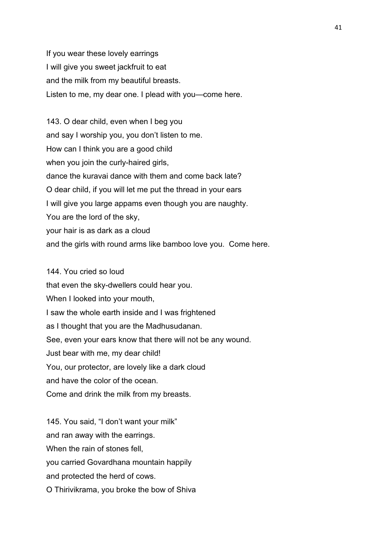If you wear these lovely earrings I will give you sweet jackfruit to eat and the milk from my beautiful breasts. Listen to me, my dear one. I plead with you—come here.

143. O dear child, even when I beg you and say I worship you, you don't listen to me. How can I think you are a good child when you join the curly-haired girls, dance the kuravai dance with them and come back late? O dear child, if you will let me put the thread in your ears I will give you large appams even though you are naughty. You are the lord of the sky, your hair is as dark as a cloud and the girls with round arms like bamboo love you. Come here.

144. You cried so loud that even the sky-dwellers could hear you. When I looked into your mouth, I saw the whole earth inside and I was frightened as I thought that you are the Madhusudanan. See, even your ears know that there will not be any wound. Just bear with me, my dear child! You, our protector, are lovely like a dark cloud and have the color of the ocean.

Come and drink the milk from my breasts.

145. You said, "I don't want your milk" and ran away with the earrings. When the rain of stones fell. you carried Govardhana mountain happily and protected the herd of cows. O Thirivikrama, you broke the bow of Shiva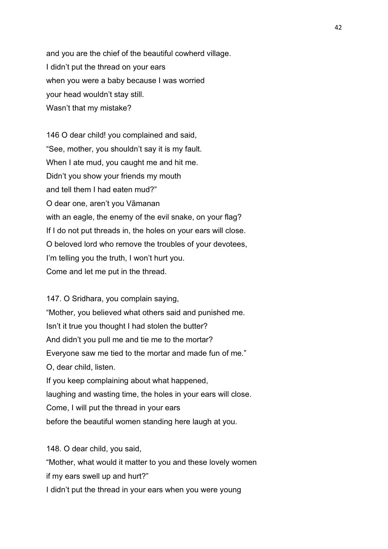and you are the chief of the beautiful cowherd village. I didn't put the thread on your ears when you were a baby because I was worried your head wouldn't stay still. Wasn't that my mistake?

146 O dear child! you complained and said, "See, mother, you shouldn't say it is my fault. When I ate mud, you caught me and hit me. Didn't you show your friends my mouth and tell them I had eaten mud?" O dear one, aren't you Vāmanan with an eagle, the enemy of the evil snake, on your flag? If I do not put threads in, the holes on your ears will close. O beloved lord who remove the troubles of your devotees, I'm telling you the truth, I won't hurt you. Come and let me put in the thread.

147. O Sridhara, you complain saying, "Mother, you believed what others said and punished me. Isn't it true you thought I had stolen the butter? And didn't you pull me and tie me to the mortar? Everyone saw me tied to the mortar and made fun of me." O, dear child, listen. If you keep complaining about what happened, laughing and wasting time, the holes in your ears will close. Come, I will put the thread in your ears before the beautiful women standing here laugh at you.

148. O dear child, you said, "Mother, what would it matter to you and these lovely women if my ears swell up and hurt?" I didn't put the thread in your ears when you were young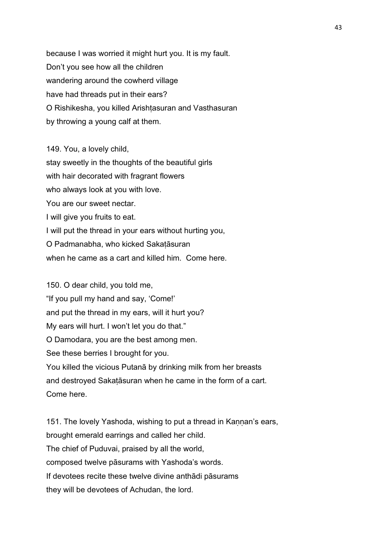because I was worried it might hurt you. It is my fault. Don't you see how all the children wandering around the cowherd village have had threads put in their ears? O Rishikesha, you killed Arishtasuran and Vasthasuran by throwing a young calf at them.

149. You, a lovely child, stay sweetly in the thoughts of the beautiful girls with hair decorated with fragrant flowers who always look at you with love. You are our sweet nectar. I will give you fruits to eat. I will put the thread in your ears without hurting you, O Padmanabha, who kicked Sakaṭāsuran when he came as a cart and killed him. Come here.

150. O dear child, you told me, "If you pull my hand and say, 'Come!' and put the thread in my ears, will it hurt you? My ears will hurt. I won't let you do that." O Damodara, you are the best among men. See these berries I brought for you. You killed the vicious Putanā by drinking milk from her breasts and destroyed Sakaṭāsuran when he came in the form of a cart. Come here.

151. The lovely Yashoda, wishing to put a thread in Kannan's ears, brought emerald earrings and called her child. The chief of Puduvai, praised by all the world, composed twelve pāsurams with Yashoda's words. If devotees recite these twelve divine anthādi pāsurams they will be devotees of Achudan, the lord.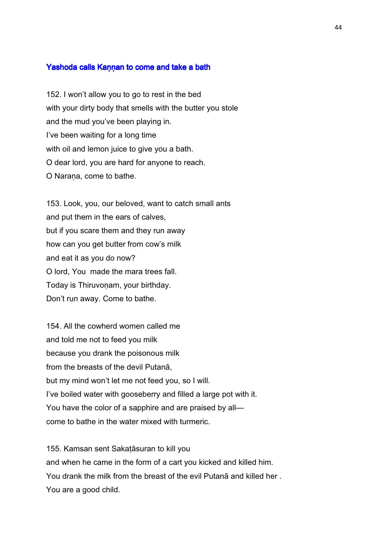#### Yashoda calls Kaṇṇan to come and take a bath

152. I won't allow you to go to rest in the bed with your dirty body that smells with the butter you stole and the mud you've been playing in. I've been waiting for a long time with oil and lemon juice to give you a bath. O dear lord, you are hard for anyone to reach. O Narana, come to bathe.

153. Look, you, our beloved, want to catch small ants and put them in the ears of calves, but if you scare them and they run away how can you get butter from cow's milk and eat it as you do now? O lord, You made the mara trees fall. Today is Thiruvonam, your birthday. Don't run away. Come to bathe.

154. All the cowherd women called me and told me not to feed you milk because you drank the poisonous milk from the breasts of the devil Putanā, but my mind won't let me not feed you, so I will. I've boiled water with gooseberry and filled a large pot with it. You have the color of a sapphire and are praised by all come to bathe in the water mixed with turmeric.

155. Kamsan sent Sakaṭāsuran to kill you and when he came in the form of a cart you kicked and killed him. You drank the milk from the breast of the evil Putanā and killed her . You are a good child.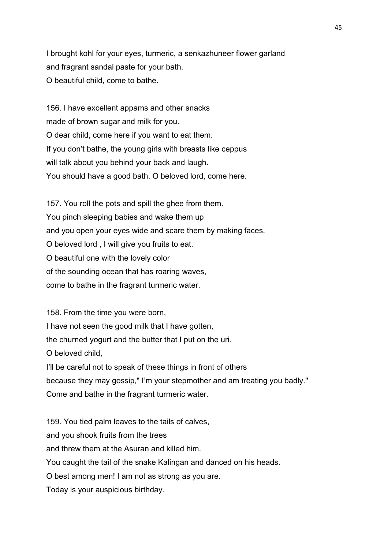I brought kohl for your eyes, turmeric, a senkazhuneer flower garland and fragrant sandal paste for your bath. O beautiful child, come to bathe.

156. I have excellent appams and other snacks made of brown sugar and milk for you. O dear child, come here if you want to eat them. If you don't bathe, the young girls with breasts like ceppus will talk about you behind your back and laugh. You should have a good bath. O beloved lord, come here.

157. You roll the pots and spill the ghee from them. You pinch sleeping babies and wake them up and you open your eyes wide and scare them by making faces. O beloved lord , I will give you fruits to eat. O beautiful one with the lovely color of the sounding ocean that has roaring waves, come to bathe in the fragrant turmeric water.

158. From the time you were born, I have not seen the good milk that I have gotten, the churned yogurt and the butter that I put on the uri. O beloved child, I'll be careful not to speak of these things in front of others because they may gossip," I'm your stepmother and am treating you badly." Come and bathe in the fragrant turmeric water.

159. You tied palm leaves to the tails of calves, and you shook fruits from the trees and threw them at the Asuran and killed him. You caught the tail of the snake Kalingan and danced on his heads. O best among men! I am not as strong as you are. Today is your auspicious birthday.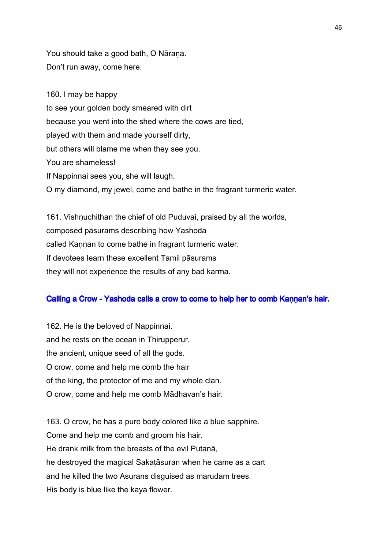You should take a good bath, O Nārana. Don't run away, come here.

160. I may be happy to see your golden body smeared with dirt because you went into the shed where the cows are tied, played with them and made yourself dirty, but others will blame me when they see you. You are shameless! If Nappinnai sees you, she will laugh. O my diamond, my jewel, come and bathe in the fragrant turmeric water.

161. Vishnuchithan the chief of old Puduvai, praised by all the worlds, composed pāsurams describing how Yashoda called Kannan to come bathe in fragrant turmeric water. If devotees learn these excellent Tamil pāsurams they will not experience the results of any bad karma.

## Calling a Crow - Yashoda calls a crow to come to help her to comb K annan's hair.

162. He is the beloved of Nappinnai. and he rests on the ocean in Thirupperur, the ancient, unique seed of all the gods. O crow, come and help me comb the hair of the king, the protector of me and my whole clan. O crow, come and help me comb Mādhavan's hair.

163. O crow, he has a pure body colored like a blue sapphire. Come and help me comb and groom his hair. He drank milk from the breasts of the evil Putanā, he destroyed the magical Sakaṭāsuran when he came as a cart and he killed the two Asurans disguised as marudam trees. His body is blue like the kaya flower.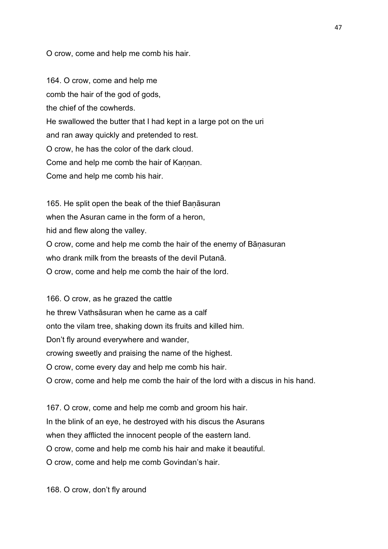O crow, come and help me comb his hair.

164. O crow, come and help me comb the hair of the god of gods, the chief of the cowherds. He swallowed the butter that I had kept in a large pot on the uri and ran away quickly and pretended to rest. O crow, he has the color of the dark cloud. Come and help me comb the hair of Kannan. Come and help me comb his hair.

165. He split open the beak of the thief Baṇāsuran when the Asuran came in the form of a heron, hid and flew along the valley. O crow, come and help me comb the hair of the enemy of Bāṇasuran who drank milk from the breasts of the devil Putanā. O crow, come and help me comb the hair of the lord.

166. O crow, as he grazed the cattle he threw Vathsāsuran when he came as a calf onto the vilam tree, shaking down its fruits and killed him. Don't fly around everywhere and wander, crowing sweetly and praising the name of the highest. O crow, come every day and help me comb his hair. O crow, come and help me comb the hair of the lord with a discus in his hand.

167. O crow, come and help me comb and groom his hair. In the blink of an eye, he destroyed with his discus the Asurans when they afflicted the innocent people of the eastern land. O crow, come and help me comb his hair and make it beautiful. O crow, come and help me comb Govindan's hair.

168. O crow, don't fly around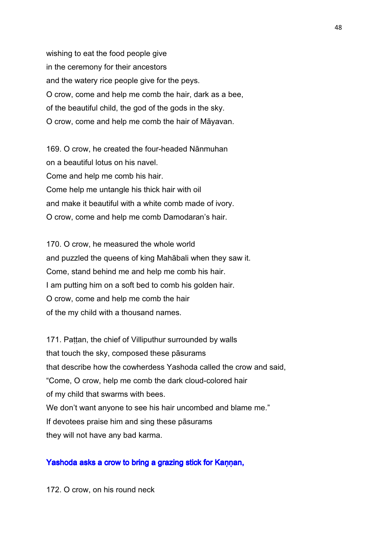wishing to eat the food people give in the ceremony for their ancestors and the watery rice people give for the peys. O crow, come and help me comb the hair, dark as a bee, of the beautiful child, the god of the gods in the sky. O crow, come and help me comb the hair of Māyavan.

169. O crow, he created the four-headed Nānmuhan on a beautiful lotus on his navel. Come and help me comb his hair. Come help me untangle his thick hair with oil and make it beautiful with a white comb made of ivory. O crow, come and help me comb Damodaran's hair.

170. O crow, he measured the whole world and puzzled the queens of king Mahābali when they saw it. Come, stand behind me and help me comb his hair. I am putting him on a soft bed to comb his golden hair. O crow, come and help me comb the hair of the my child with a thousand names.

171. Pattan, the chief of Villiputhur surrounded by walls that touch the sky, composed these pāsurams that describe how the cowherdess Yashoda called the crow and said, "Come, O crow, help me comb the dark cloud-colored hair of my child that swarms with bees. We don't want anyone to see his hair uncombed and blame me." If devotees praise him and sing these pāsurams they will not have any bad karma.

## Yashoda asks a crow to bring a grazing stick for Kannan,

172. O crow, on his round neck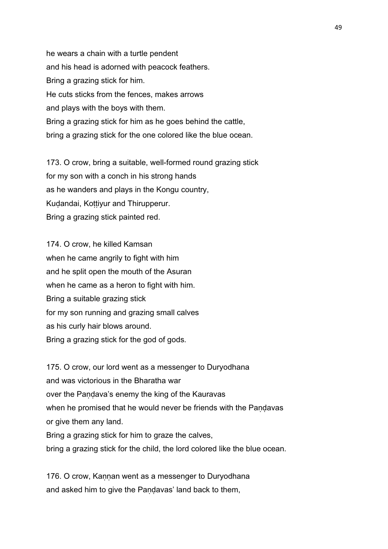he wears a chain with a turtle pendent and his head is adorned with peacock feathers. Bring a grazing stick for him. He cuts sticks from the fences, makes arrows and plays with the boys with them. Bring a grazing stick for him as he goes behind the cattle, bring a grazing stick for the one colored like the blue ocean.

173. O crow, bring a suitable, well-formed round grazing stick for my son with a conch in his strong hands as he wanders and plays in the Kongu country, Kudandai, Kottiyur and Thirupperur. Bring a grazing stick painted red.

174. O crow, he killed Kamsan when he came angrily to fight with him and he split open the mouth of the Asuran when he came as a heron to fight with him. Bring a suitable grazing stick for my son running and grazing small calves as his curly hair blows around. Bring a grazing stick for the god of gods.

175. O crow, our lord went as a messenger to Duryodhana and was victorious in the Bharatha war over the Pandava's enemy the king of the Kauravas when he promised that he would never be friends with the Pandavas or give them any land. Bring a grazing stick for him to graze the calves, bring a grazing stick for the child, the lord colored like the blue ocean.

176. O crow, Kannan went as a messenger to Duryodhana and asked him to give the Pandavas' land back to them,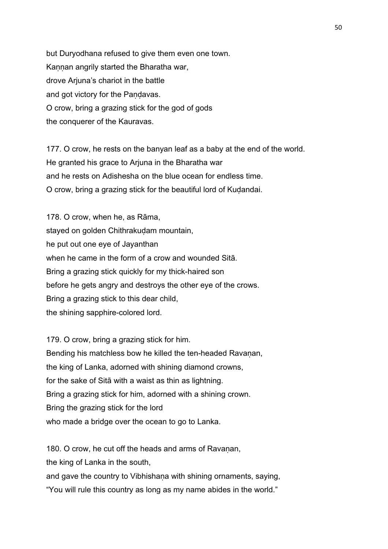but Duryodhana refused to give them even one town. Kaṇṇan angrily started the Bharatha war, drove Arjuna's chariot in the battle and got victory for the Pandavas. O crow, bring a grazing stick for the god of gods the conquerer of the Kauravas.

177. O crow, he rests on the banyan leaf as a baby at the end of the world. He granted his grace to Arjuna in the Bharatha war and he rests on Adishesha on the blue ocean for endless time. O crow, bring a grazing stick for the beautiful lord of Kudandai.

178. O crow, when he, as Rāma, stayed on golden Chithrakudam mountain, he put out one eye of Jayanthan when he came in the form of a crow and wounded Sitā. Bring a grazing stick quickly for my thick-haired son before he gets angry and destroys the other eye of the crows. Bring a grazing stick to this dear child, the shining sapphire-colored lord.

179. O crow, bring a grazing stick for him. Bending his matchless bow he killed the ten-headed Ravanan, the king of Lanka, adorned with shining diamond crowns, for the sake of Sitā with a waist as thin as lightning. Bring a grazing stick for him, adorned with a shining crown. Bring the grazing stick for the lord who made a bridge over the ocean to go to Lanka.

180. O crow, he cut off the heads and arms of Ravanan, the king of Lanka in the south, and gave the country to Vibhishana with shining ornaments, saying, "You will rule this country as long as my name abides in the world."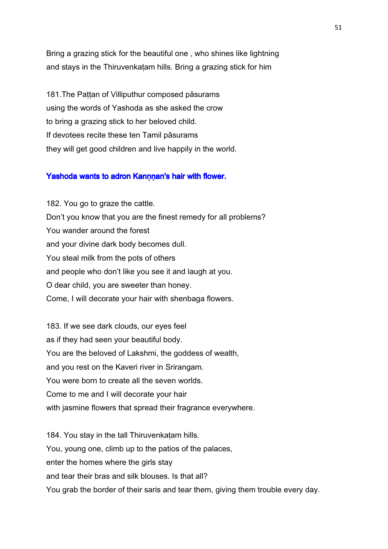Bring a grazing stick for the beautiful one , who shines like lightning and stays in the Thiruvenkaṭam hills. Bring a grazing stick for him

181. The Pattan of Villiputhur composed pāsurams using the words of Yashoda as she asked the crow to bring a grazing stick to her beloved child. If devotees recite these ten Tamil pāsurams they will get good children and live happily in the world.

# Yashoda wants to adron Kannnan's hair with flower.

182. You go to graze the cattle. Don't you know that you are the finest remedy for all problems? You wander around the forest and your divine dark body becomes dull. You steal milk from the pots of others and people who don't like you see it and laugh at you. O dear child, you are sweeter than honey. Come, I will decorate your hair with shenbaga flowers.

183. If we see dark clouds, our eyes feel as if they had seen your beautiful body. You are the beloved of Lakshmi, the goddess of wealth, and you rest on the Kaveri river in Srirangam. You were born to create all the seven worlds. Come to me and I will decorate your hair with jasmine flowers that spread their fragrance everywhere.

184. You stay in the tall Thiruvenkatam hills. You, young one, climb up to the patios of the palaces, enter the homes where the girls stay and tear their bras and silk blouses. Is that all? You grab the border of their saris and tear them, giving them trouble every day.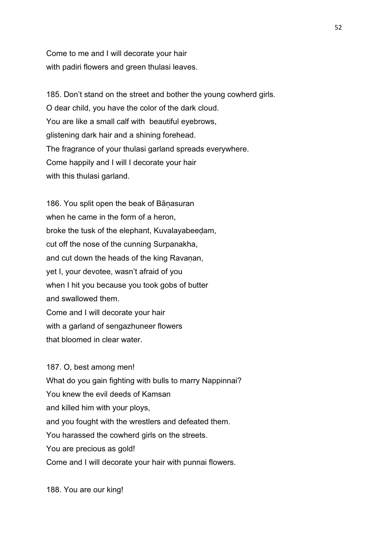Come to me and I will decorate your hair with padiri flowers and green thulasi leaves.

185. Don't stand on the street and bother the young cowherd girls. O dear child, you have the color of the dark cloud. You are like a small calf with beautiful eyebrows, glistening dark hair and a shining forehead. The fragrance of your thulasi garland spreads everywhere. Come happily and I will I decorate your hair with this thulasi garland.

186. You split open the beak of Bāṇasuran when he came in the form of a heron, broke the tusk of the elephant, Kuvalayabeeḍam, cut off the nose of the cunning Surpanakha, and cut down the heads of the king Ravanan, yet I, your devotee, wasn't afraid of you when I hit you because you took gobs of butter and swallowed them. Come and I will decorate your hair with a garland of sengazhuneer flowers that bloomed in clear water.

187. O, best among men! What do you gain fighting with bulls to marry Nappinnai? You knew the evil deeds of Kamsan and killed him with your ploys, and you fought with the wrestlers and defeated them. You harassed the cowherd girls on the streets. You are precious as gold! Come and I will decorate your hair with punnai flowers.

188. You are our king!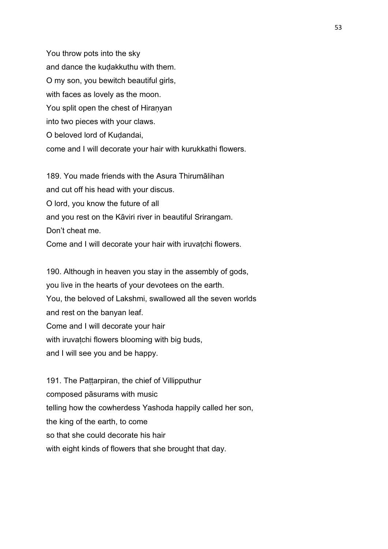You throw pots into the sky and dance the kuḍakkuthu with them. O my son, you bewitch beautiful girls, with faces as lovely as the moon. You split open the chest of Hiranyan into two pieces with your claws. O beloved lord of Kudandai, come and I will decorate your hair with kurukkathi flowers.

189. You made friends with the Asura Thirumālihan and cut off his head with your discus. O lord, you know the future of all and you rest on the Kāviri river in beautiful Srirangam. Don't cheat me.

Come and I will decorate your hair with iruvatchi flowers.

190. Although in heaven you stay in the assembly of gods, you live in the hearts of your devotees on the earth. You, the beloved of Lakshmi, swallowed all the seven worlds and rest on the banyan leaf. Come and I will decorate your hair with iruvatchi flowers blooming with big buds, and I will see you and be happy.

191. The Pattarpiran, the chief of Villipputhur composed pāsurams with music telling how the cowherdess Yashoda happily called her son, the king of the earth, to come so that she could decorate his hair with eight kinds of flowers that she brought that day.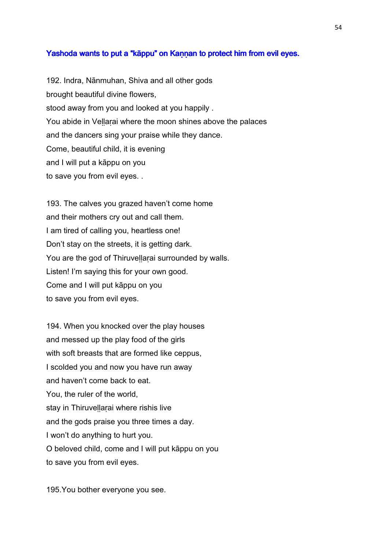## Yashoda wants to put a "kāppu" on Kannan to protect him from evil eyes.

192. Indra, Nānmuhan, Shiva and all other gods brought beautiful divine flowers, stood away from you and looked at you happily . You abide in Vellarai where the moon shines above the palaces and the dancers sing your praise while they dance. Come, beautiful child, it is evening and I will put a kāppu on you to save you from evil eyes. .

193. The calves you grazed haven't come home and their mothers cry out and call them. I am tired of calling you, heartless one! Don't stay on the streets, it is getting dark. You are the god of Thiruvellarai surrounded by walls. Listen! I'm saying this for your own good. Come and I will put kāppu on you to save you from evil eyes.

194. When you knocked over the play houses and messed up the play food of the girls with soft breasts that are formed like ceppus, I scolded you and now you have run away and haven't come back to eat. You, the ruler of the world, stay in Thiruvellarai where rishis live and the gods praise you three times a day. I won't do anything to hurt you. O beloved child, come and I will put kāppu on you to save you from evil eyes.

195.You bother everyone you see.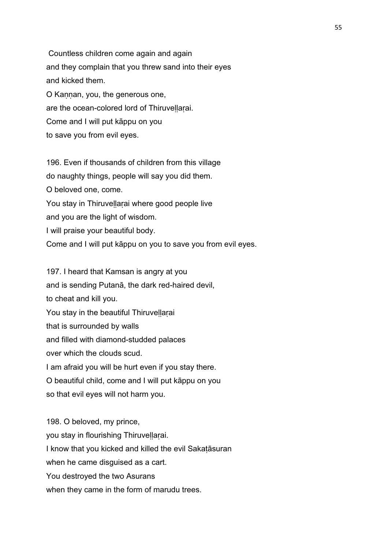Countless children come again and again and they complain that you threw sand into their eyes and kicked them. O Kannan, you, the generous one, are the ocean-colored lord of Thiruvellarai. Come and I will put kāppu on you to save you from evil eyes.

196. Even if thousands of children from this village do naughty things, people will say you did them. O beloved one, come. You stay in Thiruvellarai where good people live and you are the light of wisdom. I will praise your beautiful body. Come and I will put kāppu on you to save you from evil eyes.

197. I heard that Kamsan is angry at you and is sending Putanā, the dark red-haired devil, to cheat and kill you. You stay in the beautiful Thiruvellarai that is surrounded by walls and filled with diamond-studded palaces over which the clouds scud. I am afraid you will be hurt even if you stay there. O beautiful child, come and I will put kāppu on you so that evil eyes will not harm you.

198. O beloved, my prince, you stay in flourishing Thiruveḷḷaṛai. I know that you kicked and killed the evil Sakaṭāsuran when he came disquised as a cart. You destroyed the two Asurans when they came in the form of marudu trees.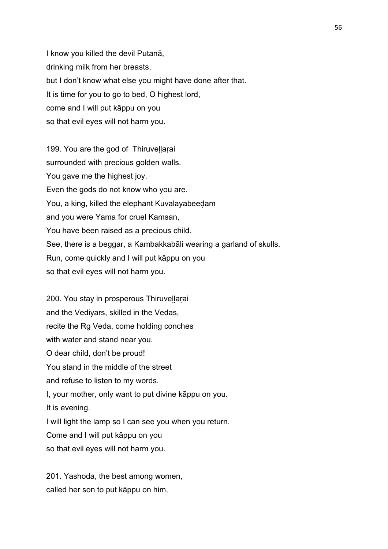I know you killed the devil Putanā, drinking milk from her breasts, but I don't know what else you might have done after that. It is time for you to go to bed, O highest lord, come and I will put kāppu on you so that evil eyes will not harm you.

199. You are the god of Thiruvellarai surrounded with precious golden walls. You gave me the highest joy. Even the gods do not know who you are. You, a king, killed the elephant Kuvalayabeeḍam and you were Yama for cruel Kamsan, You have been raised as a precious child. See, there is a beggar, a Kambakkabāli wearing a garland of skulls. Run, come quickly and I will put kāppu on you so that evil eyes will not harm you.

200. You stay in prosperous Thiruvellarai and the Vediyars, skilled in the Vedas, recite the Rg Veda, come holding conches with water and stand near you. O dear child, don't be proud! You stand in the middle of the street and refuse to listen to my words. I, your mother, only want to put divine kāppu on you. It is evening. I will light the lamp so I can see you when you return. Come and I will put kāppu on you so that evil eyes will not harm you.

201. Yashoda, the best among women, called her son to put kāppu on him,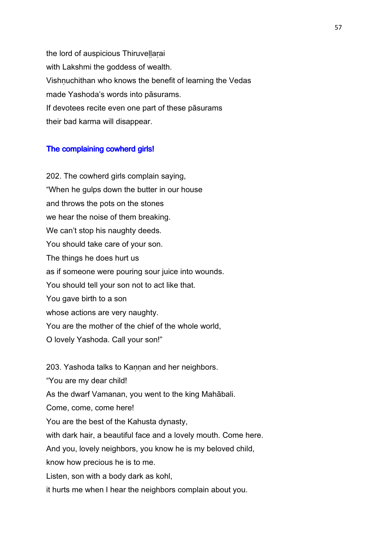the lord of auspicious Thiruvellarai with Lakshmi the goddess of wealth. Vishṇuchithan who knows the benefit of learning the Vedas made Yashoda's words into pāsurams. If devotees recite even one part of these pāsurams their bad karma will disappear.

#### The complaining cowherd girls!

202. The cowherd girls complain saying, "When he gulps down the butter in our house and throws the pots on the stones we hear the noise of them breaking. We can't stop his naughty deeds. You should take care of your son. The things he does hurt us as if someone were pouring sour juice into wounds. You should tell your son not to act like that. You gave birth to a son whose actions are very naughty. You are the mother of the chief of the whole world, O lovely Yashoda. Call your son!"

203. Yashoda talks to Kannan and her neighbors.

"You are my dear child!

As the dwarf Vamanan, you went to the king Mahābali.

Come, come, come here!

You are the best of the Kahusta dynasty,

with dark hair, a beautiful face and a lovely mouth. Come here.

And you, lovely neighbors, you know he is my beloved child,

know how precious he is to me.

Listen, son with a body dark as kohl,

it hurts me when I hear the neighbors complain about you.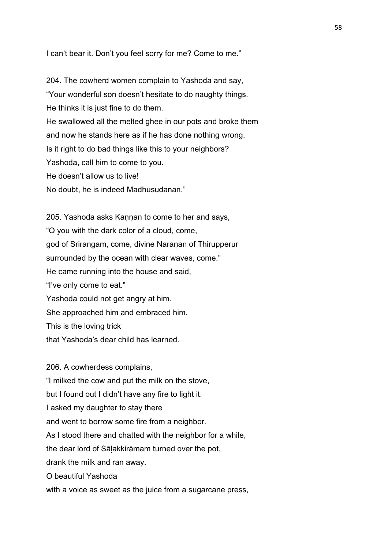I can't bear it. Don't you feel sorry for me? Come to me."

204. The cowherd women complain to Yashoda and say, "Your wonderful son doesn't hesitate to do naughty things. He thinks it is just fine to do them. He swallowed all the melted ghee in our pots and broke them and now he stands here as if he has done nothing wrong. Is it right to do bad things like this to your neighbors? Yashoda, call him to come to you. He doesn't allow us to live! No doubt, he is indeed Madhusudanan."

205. Yashoda asks Kannan to come to her and says, "O you with the dark color of a cloud, come, god of Srirangam, come, divine Naranan of Thirupperur surrounded by the ocean with clear waves, come." He came running into the house and said, "I've only come to eat." Yashoda could not get angry at him. She approached him and embraced him. This is the loving trick that Yashoda's dear child has learned.

206. A cowherdess complains, "I milked the cow and put the milk on the stove, but I found out I didn't have any fire to light it. I asked my daughter to stay there and went to borrow some fire from a neighbor. As I stood there and chatted with the neighbor for a while, the dear lord of Sāḷakkirāmam turned over the pot, drank the milk and ran away. O beautiful Yashoda

with a voice as sweet as the juice from a sugarcane press,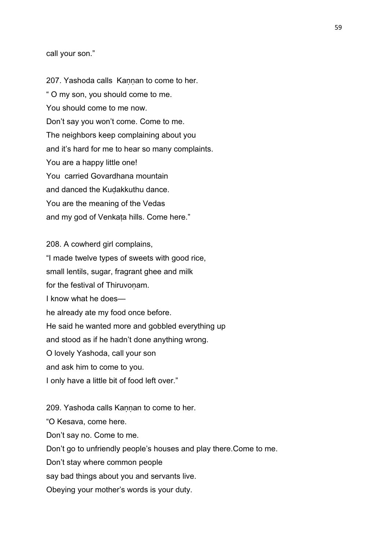## call your son."

207. Yashoda calls Kaṇṇan to come to her. " O my son, you should come to me. You should come to me now. Don't say you won't come. Come to me. The neighbors keep complaining about you and it's hard for me to hear so many complaints. You are a happy little one! You carried Govardhana mountain and danced the Kuḍakkuthu dance. You are the meaning of the Vedas and my god of Venkaṭa hills. Come here."

208. A cowherd girl complains, "I made twelve types of sweets with good rice, small lentils, sugar, fragrant ghee and milk for the festival of Thiruvonam. I know what he does he already ate my food once before. He said he wanted more and gobbled everything up and stood as if he hadn't done anything wrong. O lovely Yashoda, call your son and ask him to come to you. I only have a little bit of food left over." 209. Yashoda calls Kannan to come to her.

"O Kesava, come here. Don't say no. Come to me. Don't go to unfriendly people's houses and play there.Come to me. Don't stay where common people say bad things about you and servants live. Obeying your mother's words is your duty.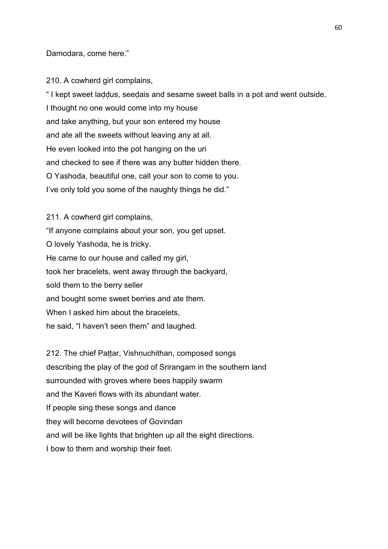Damodara, come here."

210. A cowherd girl complains,

" I kept sweet laḍḍus, seeḍais and sesame sweet balls in a pot and went outside. I thought no one would come into my house and take anything, but your son entered my house and ate all the sweets without leaving any at all. He even looked into the pot hanging on the uri and checked to see if there was any butter hidden there. O Yashoda, beautiful one, call your son to come to you. I've only told you some of the naughty things he did."

211. A cowherd girl complains, "If anyone complains about your son, you get upset. O lovely Yashoda, he is tricky. He came to our house and called my girl, took her bracelets, went away through the backyard, sold them to the berry seller and bought some sweet berries and ate them. When I asked him about the bracelets, he said, "I haven't seen them" and laughed.

212. The chief Pattar, Vishnuchithan, composed songs describing the play of the god of Srirangam in the southern land surrounded with groves where bees happily swarm and the Kaveri flows with its abundant water. If people sing these songs and dance they will become devotees of Govindan and will be like lights that brighten up all the eight directions. I bow to them and worship their feet.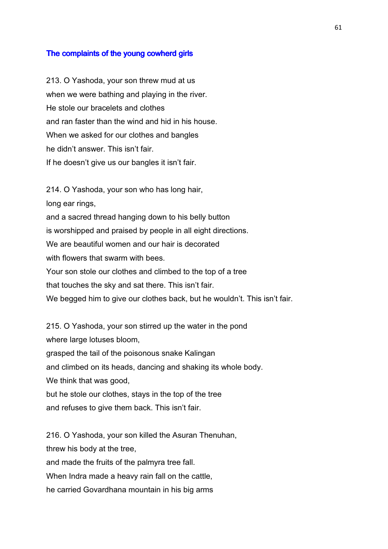## The complaints of the young cowherd girls

213. O Yashoda, your son threw mud at us when we were bathing and playing in the river. He stole our bracelets and clothes and ran faster than the wind and hid in his house. When we asked for our clothes and bangles he didn't answer. This isn't fair. If he doesn't give us our bangles it isn't fair.

214. O Yashoda, your son who has long hair, long ear rings, and a sacred thread hanging down to his belly button is worshipped and praised by people in all eight directions. We are beautiful women and our hair is decorated with flowers that swarm with bees. Your son stole our clothes and climbed to the top of a tree that touches the sky and sat there. This isn't fair. We begged him to give our clothes back, but he wouldn't. This isn't fair.

215. O Yashoda, your son stirred up the water in the pond where large lotuses bloom, grasped the tail of the poisonous snake Kalingan and climbed on its heads, dancing and shaking its whole body. We think that was good, but he stole our clothes, stays in the top of the tree and refuses to give them back. This isn't fair.

216. O Yashoda, your son killed the Asuran Thenuhan, threw his body at the tree, and made the fruits of the palmyra tree fall. When Indra made a heavy rain fall on the cattle, he carried Govardhana mountain in his big arms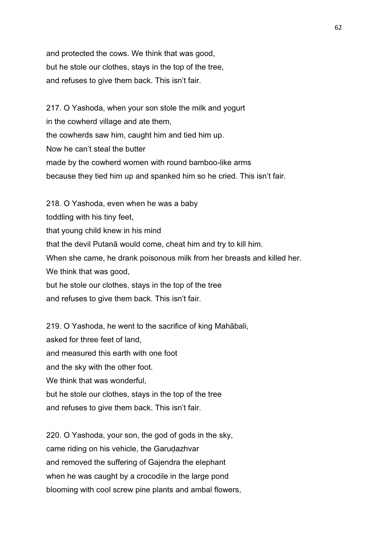and protected the cows. We think that was good, but he stole our clothes, stays in the top of the tree, and refuses to give them back. This isn't fair.

217. O Yashoda, when your son stole the milk and yogurt in the cowherd village and ate them, the cowherds saw him, caught him and tied him up. Now he can't steal the butter made by the cowherd women with round bamboo-like arms because they tied him up and spanked him so he cried. This isn't fair.

218. O Yashoda, even when he was a baby toddling with his tiny feet, that young child knew in his mind that the devil Putanā would come, cheat him and try to kill him. When she came, he drank poisonous milk from her breasts and killed her. We think that was good, but he stole our clothes, stays in the top of the tree and refuses to give them back. This isn't fair.

219. O Yashoda, he went to the sacrifice of king Mahābali, asked for three feet of land, and measured this earth with one foot and the sky with the other foot. We think that was wonderful, but he stole our clothes, stays in the top of the tree and refuses to give them back. This isn't fair.

220. O Yashoda, your son, the god of gods in the sky, came riding on his vehicle, the Garudazhvar and removed the suffering of Gajendra the elephant when he was caught by a crocodile in the large pond blooming with cool screw pine plants and ambal flowers,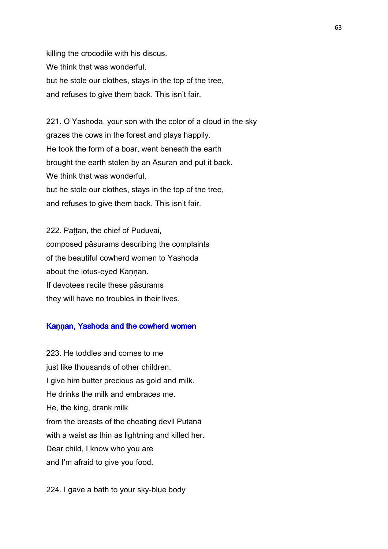killing the crocodile with his discus. We think that was wonderful, but he stole our clothes, stays in the top of the tree, and refuses to give them back. This isn't fair.

221. O Yashoda, your son with the color of a cloud in the sky grazes the cows in the forest and plays happily. He took the form of a boar, went beneath the earth brought the earth stolen by an Asuran and put it back. We think that was wonderful, but he stole our clothes, stays in the top of the tree, and refuses to give them back. This isn't fair.

222. Pattan, the chief of Puduvai, composed pāsurams describing the complaints of the beautiful cowherd women to Yashoda about the lotus-eyed Kannan. If devotees recite these pāsurams they will have no troubles in their lives.

## Kannan, Yashoda and the cowherd women

223. He toddles and comes to me just like thousands of other children. I give him butter precious as gold and milk. He drinks the milk and embraces me. He, the king, drank milk from the breasts of the cheating devil Putanā with a waist as thin as lightning and killed her. Dear child, I know who you are and I'm afraid to give you food.

224. I gave a bath to your sky-blue body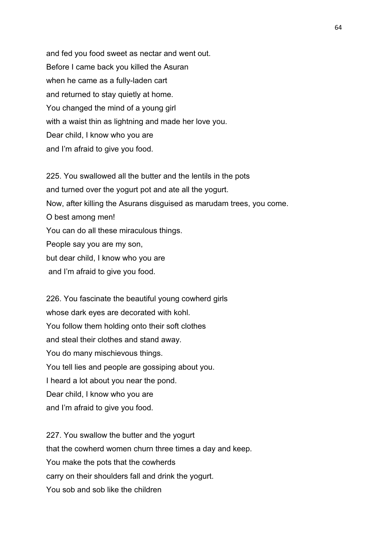and fed you food sweet as nectar and went out. Before I came back you killed the Asuran when he came as a fully-laden cart and returned to stay quietly at home. You changed the mind of a young girl with a waist thin as lightning and made her love you. Dear child, I know who you are and I'm afraid to give you food.

225. You swallowed all the butter and the lentils in the pots and turned over the yogurt pot and ate all the yogurt. Now, after killing the Asurans disguised as marudam trees, you come. O best among men! You can do all these miraculous things. People say you are my son, but dear child, I know who you are and I'm afraid to give you food.

226. You fascinate the beautiful young cowherd girls whose dark eyes are decorated with kohl. You follow them holding onto their soft clothes and steal their clothes and stand away. You do many mischievous things. You tell lies and people are gossiping about you. I heard a lot about you near the pond. Dear child, I know who you are and I'm afraid to give you food.

227. You swallow the butter and the yogurt that the cowherd women churn three times a day and keep. You make the pots that the cowherds carry on their shoulders fall and drink the yogurt. You sob and sob like the children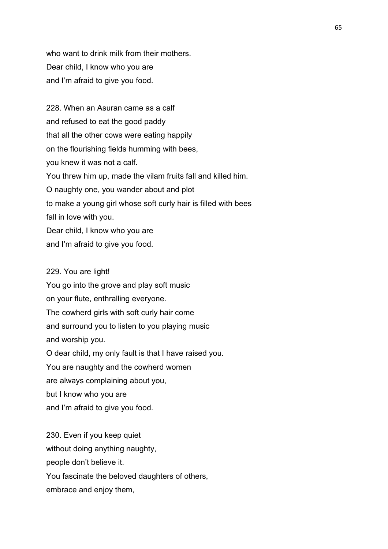who want to drink milk from their mothers. Dear child, I know who you are and I'm afraid to give you food.

228. When an Asuran came as a calf and refused to eat the good paddy that all the other cows were eating happily on the flourishing fields humming with bees, you knew it was not a calf. You threw him up, made the vilam fruits fall and killed him. O naughty one, you wander about and plot to make a young girl whose soft curly hair is filled with bees fall in love with you. Dear child, I know who you are and I'm afraid to give you food.

#### 229. You are light!

You go into the grove and play soft music on your flute, enthralling everyone. The cowherd girls with soft curly hair come and surround you to listen to you playing music and worship you. O dear child, my only fault is that I have raised you. You are naughty and the cowherd women

are always complaining about you,

but I know who you are

and I'm afraid to give you food.

230. Even if you keep quiet without doing anything naughty, people don't believe it. You fascinate the beloved daughters of others, embrace and enjoy them,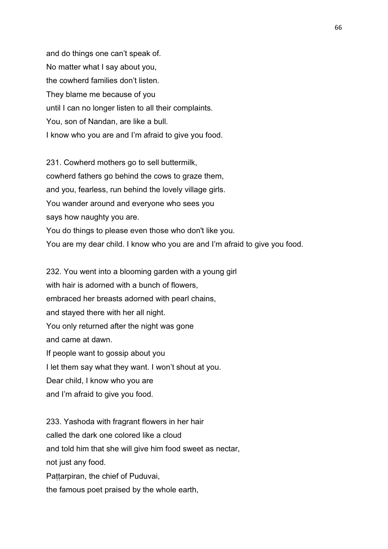and do things one can't speak of. No matter what I say about you, the cowherd families don't listen. They blame me because of you until I can no longer listen to all their complaints. You, son of Nandan, are like a bull. I know who you are and I'm afraid to give you food.

231. Cowherd mothers go to sell buttermilk, cowherd fathers go behind the cows to graze them, and you, fearless, run behind the lovely village girls. You wander around and everyone who sees you says how naughty you are. You do things to please even those who don't like you. You are my dear child. I know who you are and I'm afraid to give you food.

232. You went into a blooming garden with a young girl with hair is adorned with a bunch of flowers, embraced her breasts adorned with pearl chains, and stayed there with her all night. You only returned after the night was gone and came at dawn. If people want to gossip about you I let them say what they want. I won't shout at you. Dear child, I know who you are

and I'm afraid to give you food.

233. Yashoda with fragrant flowers in her hair called the dark one colored like a cloud and told him that she will give him food sweet as nectar, not just any food. Pattarpiran, the chief of Puduvai, the famous poet praised by the whole earth,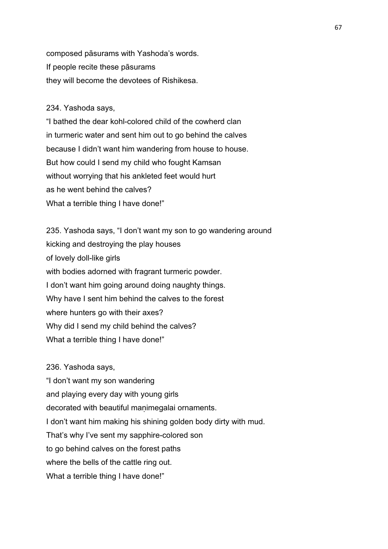composed pāsurams with Yashoda's words. If people recite these pāsurams they will become the devotees of Rishikesa.

#### 234. Yashoda says,

"I bathed the dear kohl-colored child of the cowherd clan in turmeric water and sent him out to go behind the calves because I didn't want him wandering from house to house. But how could I send my child who fought Kamsan without worrying that his ankleted feet would hurt as he went behind the calves? What a terrible thing I have done!"

235. Yashoda says, "I don't want my son to go wandering around kicking and destroying the play houses of lovely doll-like girls with bodies adorned with fragrant turmeric powder. I don't want him going around doing naughty things. Why have I sent him behind the calves to the forest where hunters go with their axes? Why did I send my child behind the calves? What a terrible thing I have done!"

236. Yashoda says, "I don't want my son wandering and playing every day with young girls decorated with beautiful manimegalai ornaments. I don't want him making his shining golden body dirty with mud. That's why I've sent my sapphire-colored son to go behind calves on the forest paths where the bells of the cattle ring out. What a terrible thing I have done!"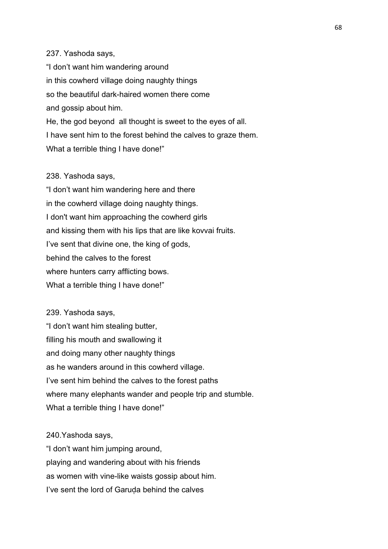#### 237. Yashoda says,

"I don't want him wandering around in this cowherd village doing naughty things so the beautiful dark-haired women there come and gossip about him. He, the god beyond all thought is sweet to the eyes of all. I have sent him to the forest behind the calves to graze them. What a terrible thing I have done!"

#### 238. Yashoda says,

"I don't want him wandering here and there in the cowherd village doing naughty things. I don't want him approaching the cowherd girls and kissing them with his lips that are like kovvai fruits. I've sent that divine one, the king of gods, behind the calves to the forest where hunters carry afflicting bows. What a terrible thing I have done!"

# 239. Yashoda says, "I don't want him stealing butter, filling his mouth and swallowing it and doing many other naughty things as he wanders around in this cowherd village. I've sent him behind the calves to the forest paths where many elephants wander and people trip and stumble. What a terrible thing I have done!"

240.Yashoda says, "I don't want him jumping around, playing and wandering about with his friends as women with vine-like waists gossip about him. I've sent the lord of Garuda behind the calves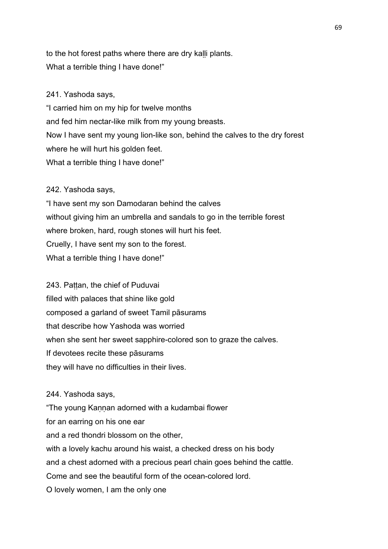to the hot forest paths where there are dry kalli plants. What a terrible thing I have done!"

## 241. Yashoda says,

"I carried him on my hip for twelve months and fed him nectar-like milk from my young breasts. Now I have sent my young lion-like son, behind the calves to the dry forest where he will hurt his golden feet. What a terrible thing I have done!"

## 242. Yashoda says,

"I have sent my son Damodaran behind the calves without giving him an umbrella and sandals to go in the terrible forest where broken, hard, rough stones will hurt his feet. Cruelly, I have sent my son to the forest. What a terrible thing I have done!"

243. Pattan, the chief of Puduvai filled with palaces that shine like gold composed a garland of sweet Tamil pāsurams that describe how Yashoda was worried when she sent her sweet sapphire-colored son to graze the calves. If devotees recite these pāsurams they will have no difficulties in their lives.

244. Yashoda says,

"The young Kannan adorned with a kudambai flower for an earring on his one ear and a red thondri blossom on the other, with a lovely kachu around his waist, a checked dress on his body and a chest adorned with a precious pearl chain goes behind the cattle. Come and see the beautiful form of the ocean-colored lord. O lovely women, I am the only one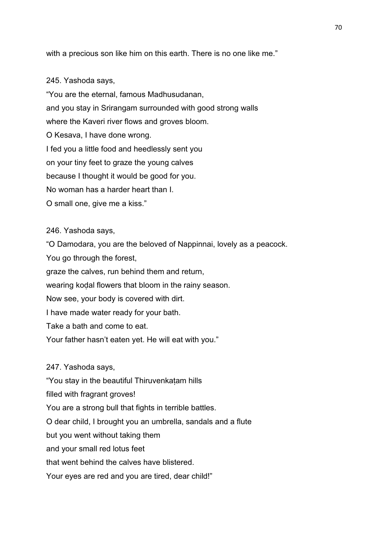with a precious son like him on this earth. There is no one like me."

#### 245. Yashoda says,

"You are the eternal, famous Madhusudanan, and you stay in Srirangam surrounded with good strong walls where the Kaveri river flows and groves bloom. O Kesava, I have done wrong. I fed you a little food and heedlessly sent you on your tiny feet to graze the young calves because I thought it would be good for you. No woman has a harder heart than I. O small one, give me a kiss."

246. Yashoda says,

"O Damodara, you are the beloved of Nappinnai, lovely as a peacock.

You go through the forest,

graze the calves, run behind them and return,

wearing koḍal flowers that bloom in the rainy season.

Now see, your body is covered with dirt.

I have made water ready for your bath.

Take a bath and come to eat.

Your father hasn't eaten yet. He will eat with you."

247. Yashoda says,

"You stay in the beautiful Thiruvenkaṭam hills

filled with fragrant groves!

You are a strong bull that fights in terrible battles.

O dear child, I brought you an umbrella, sandals and a flute

but you went without taking them

and your small red lotus feet

that went behind the calves have blistered.

Your eyes are red and you are tired, dear child!"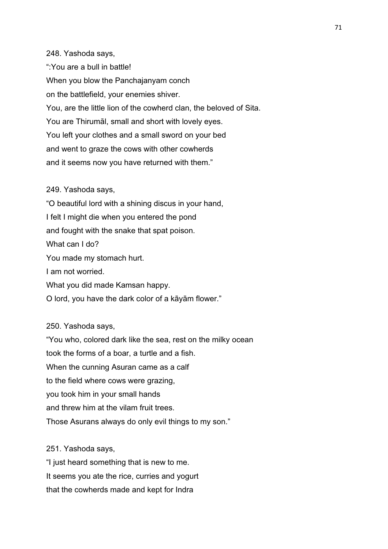248. Yashoda says, ":You are a bull in battle! When you blow the Panchajanyam conch on the battlefield, your enemies shiver. You, are the little lion of the cowherd clan, the beloved of Sita. You are Thirumāl, small and short with lovely eyes. You left your clothes and a small sword on your bed and went to graze the cows with other cowherds and it seems now you have returned with them."

#### 249. Yashoda says,

"O beautiful lord with a shining discus in your hand, I felt I might die when you entered the pond and fought with the snake that spat poison. What can I do? You made my stomach hurt. I am not worried. What you did made Kamsan happy. O lord, you have the dark color of a kāyām flower."

# 250. Yashoda says,

"You who, colored dark like the sea, rest on the milky ocean took the forms of a boar, a turtle and a fish. When the cunning Asuran came as a calf to the field where cows were grazing, you took him in your small hands and threw him at the vilam fruit trees. Those Asurans always do only evil things to my son."

## 251. Yashoda says,

"I just heard something that is new to me. It seems you ate the rice, curries and yogurt that the cowherds made and kept for Indra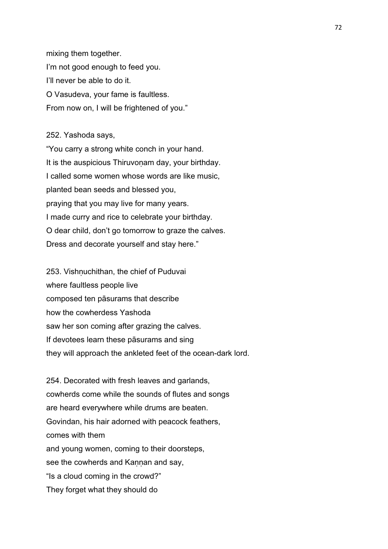mixing them together. I'm not good enough to feed you. I'll never be able to do it. O Vasudeva, your fame is faultless. From now on, I will be frightened of you."

252. Yashoda says,

"You carry a strong white conch in your hand. It is the auspicious Thiruvonam day, your birthday. I called some women whose words are like music, planted bean seeds and blessed you, praying that you may live for many years. I made curry and rice to celebrate your birthday. O dear child, don't go tomorrow to graze the calves. Dress and decorate yourself and stay here."

253. Vishnuchithan, the chief of Puduvai where faultless people live composed ten pāsurams that describe how the cowherdess Yashoda saw her son coming after grazing the calves. If devotees learn these pāsurams and sing they will approach the ankleted feet of the ocean-dark lord.

254. Decorated with fresh leaves and garlands, cowherds come while the sounds of flutes and songs are heard everywhere while drums are beaten. Govindan, his hair adorned with peacock feathers, comes with them and young women, coming to their doorsteps, see the cowherds and Kannan and say, "Is a cloud coming in the crowd?" They forget what they should do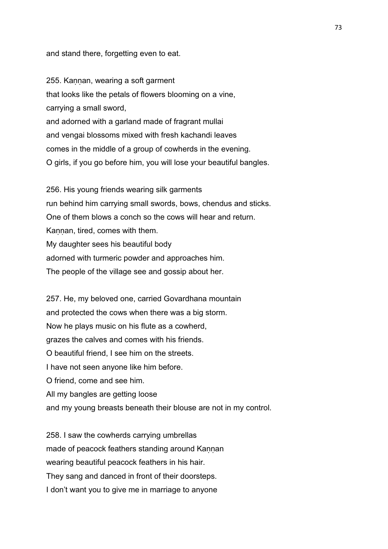and stand there, forgetting even to eat.

255. Kaṇṇan, wearing a soft garment that looks like the petals of flowers blooming on a vine, carrying a small sword, and adorned with a garland made of fragrant mullai and vengai blossoms mixed with fresh kachandi leaves comes in the middle of a group of cowherds in the evening. O girls, if you go before him, you will lose your beautiful bangles.

256. His young friends wearing silk garments run behind him carrying small swords, bows, chendus and sticks. One of them blows a conch so the cows will hear and return. Kannan, tired, comes with them. My daughter sees his beautiful body adorned with turmeric powder and approaches him. The people of the village see and gossip about her.

257. He, my beloved one, carried Govardhana mountain and protected the cows when there was a big storm. Now he plays music on his flute as a cowherd, grazes the calves and comes with his friends. O beautiful friend, I see him on the streets. I have not seen anyone like him before. O friend, come and see him. All my bangles are getting loose and my young breasts beneath their blouse are not in my control.

258. I saw the cowherds carrying umbrellas made of peacock feathers standing around Kannan wearing beautiful peacock feathers in his hair. They sang and danced in front of their doorsteps. I don't want you to give me in marriage to anyone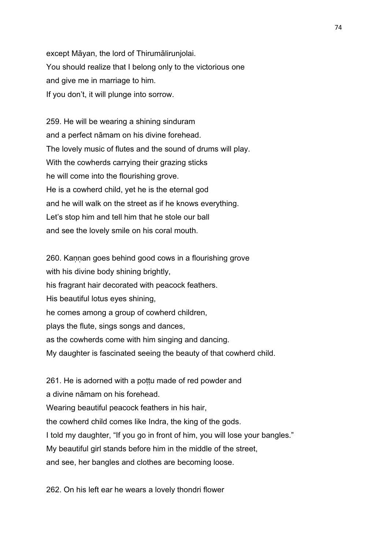except Māyan, the lord of Thirumālirunjolai. You should realize that I belong only to the victorious one and give me in marriage to him. If you don't, it will plunge into sorrow.

259. He will be wearing a shining sinduram and a perfect nāmam on his divine forehead. The lovely music of flutes and the sound of drums will play. With the cowherds carrying their grazing sticks he will come into the flourishing grove. He is a cowherd child, yet he is the eternal god and he will walk on the street as if he knows everything. Let's stop him and tell him that he stole our ball and see the lovely smile on his coral mouth.

260. Kannan goes behind good cows in a flourishing grove with his divine body shining brightly, his fragrant hair decorated with peacock feathers. His beautiful lotus eyes shining, he comes among a group of cowherd children, plays the flute, sings songs and dances, as the cowherds come with him singing and dancing. My daughter is fascinated seeing the beauty of that cowherd child.

261. He is adorned with a pottu made of red powder and a divine nāmam on his forehead. Wearing beautiful peacock feathers in his hair, the cowherd child comes like Indra, the king of the gods. I told my daughter, "If you go in front of him, you will lose your bangles." My beautiful girl stands before him in the middle of the street, and see, her bangles and clothes are becoming loose.

262. On his left ear he wears a lovely thondri flower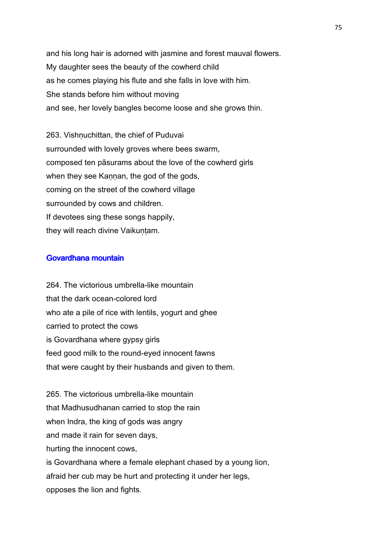and his long hair is adorned with jasmine and forest mauval flowers. My daughter sees the beauty of the cowherd child as he comes playing his flute and she falls in love with him. She stands before him without moving and see, her lovely bangles become loose and she grows thin.

263. Vishnuchittan, the chief of Puduvai surrounded with lovely groves where bees swarm, composed ten pāsurams about the love of the cowherd girls when they see Kannan, the god of the gods, coming on the street of the cowherd village surrounded by cows and children. If devotees sing these songs happily, they will reach divine Vaikuntam.

### Govardhana mountain

264. The victorious umbrella-like mountain that the dark ocean-colored lord who ate a pile of rice with lentils, yogurt and ghee carried to protect the cows is Govardhana where gypsy girls feed good milk to the round-eyed innocent fawns that were caught by their husbands and given to them.

265. The victorious umbrella-like mountain that Madhusudhanan carried to stop the rain when Indra, the king of gods was angry and made it rain for seven days, hurting the innocent cows, is Govardhana where a female elephant chased by a young lion, afraid her cub may be hurt and protecting it under her legs, opposes the lion and fights.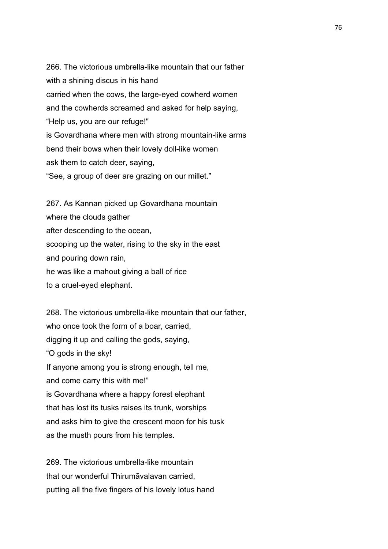266. The victorious umbrella-like mountain that our father with a shining discus in his hand carried when the cows, the large-eyed cowherd women and the cowherds screamed and asked for help saying, "Help us, you are our refuge!" is Govardhana where men with strong mountain-like arms bend their bows when their lovely doll-like women ask them to catch deer, saying, "See, a group of deer are grazing on our millet."

267. As Kannan picked up Govardhana mountain where the clouds gather after descending to the ocean, scooping up the water, rising to the sky in the east and pouring down rain, he was like a mahout giving a ball of rice to a cruel-eyed elephant.

268. The victorious umbrella-like mountain that our father, who once took the form of a boar, carried, digging it up and calling the gods, saying, "O gods in the sky! If anyone among you is strong enough, tell me, and come carry this with me!" is Govardhana where a happy forest elephant that has lost its tusks raises its trunk, worships and asks him to give the crescent moon for his tusk as the musth pours from his temples.

269. The victorious umbrella-like mountain that our wonderful Thirumāvalavan carried, putting all the five fingers of his lovely lotus hand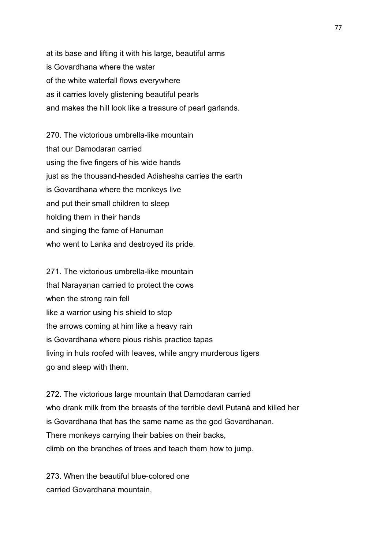at its base and lifting it with his large, beautiful arms is Govardhana where the water of the white waterfall flows everywhere as it carries lovely glistening beautiful pearls and makes the hill look like a treasure of pearl garlands.

270. The victorious umbrella-like mountain that our Damodaran carried using the five fingers of his wide hands just as the thousand-headed Adishesha carries the earth is Govardhana where the monkeys live and put their small children to sleep holding them in their hands and singing the fame of Hanuman who went to Lanka and destroyed its pride.

271. The victorious umbrella-like mountain that Narayanan carried to protect the cows when the strong rain fell like a warrior using his shield to stop the arrows coming at him like a heavy rain is Govardhana where pious rishis practice tapas living in huts roofed with leaves, while angry murderous tigers go and sleep with them.

272. The victorious large mountain that Damodaran carried who drank milk from the breasts of the terrible devil Putanā and killed her is Govardhana that has the same name as the god Govardhanan. There monkeys carrying their babies on their backs, climb on the branches of trees and teach them how to jump.

273. When the beautiful blue-colored one carried Govardhana mountain,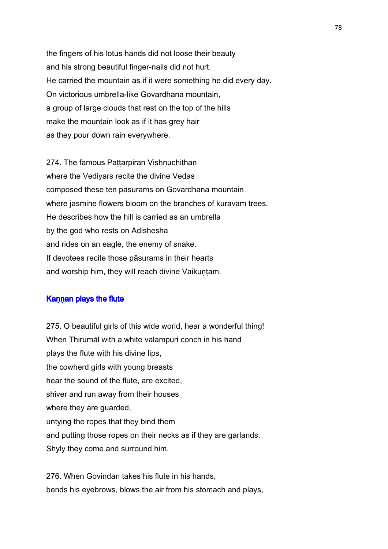the fingers of his lotus hands did not loose their beauty and his strong beautiful finger-nails did not hurt. He carried the mountain as if it were something he did every day. On victorious umbrella-like Govardhana mountain, a group of large clouds that rest on the top of the hills make the mountain look as if it has grey hair as they pour down rain everywhere.

274. The famous Pattarpiran Vishnuchithan where the Vediyars recite the divine Vedas composed these ten pāsurams on Govardhana mountain where jasmine flowers bloom on the branches of kuravam trees. He describes how the hill is carried as an umbrella by the god who rests on Adishesha and rides on an eagle, the enemy of snake. If devotees recite those pāsurams in their hearts and worship him, they will reach divine Vaikuntam.

## Kannan plays the flute

275. O beautiful girls of this wide world, hear a wonderful thing! When Thirumāl with a white valampuri conch in his hand plays the flute with his divine lips, the cowherd girls with young breasts hear the sound of the flute, are excited, shiver and run away from their houses where they are guarded, untying the ropes that they bind them and putting those ropes on their necks as if they are garlands. Shyly they come and surround him.

276. When Govindan takes his flute in his hands, bends his eyebrows, blows the air from his stomach and plays,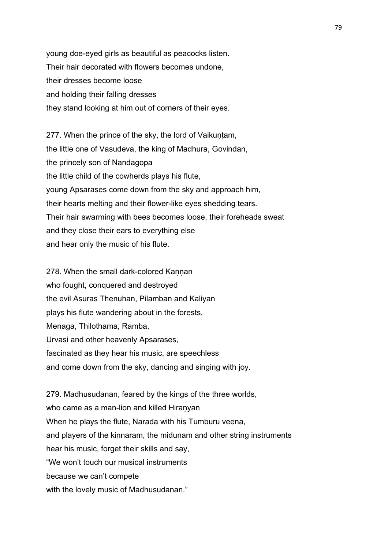young doe-eyed girls as beautiful as peacocks listen. Their hair decorated with flowers becomes undone, their dresses become loose and holding their falling dresses they stand looking at him out of corners of their eyes.

277. When the prince of the sky, the lord of Vaikuntam, the little one of Vasudeva, the king of Madhura, Govindan, the princely son of Nandagopa the little child of the cowherds plays his flute, young Apsarases come down from the sky and approach him, their hearts melting and their flower-like eyes shedding tears. Their hair swarming with bees becomes loose, their foreheads sweat and they close their ears to everything else and hear only the music of his flute.

278. When the small dark-colored Kannan who fought, conquered and destroyed the evil Asuras Thenuhan, Pilamban and Kaliyan plays his flute wandering about in the forests, Menaga, Thilothama, Ramba, Urvasi and other heavenly Apsarases, fascinated as they hear his music, are speechless and come down from the sky, dancing and singing with joy.

279. Madhusudanan, feared by the kings of the three worlds, who came as a man-lion and killed Hiranyan When he plays the flute, Narada with his Tumburu veena, and players of the kinnaram, the midunam and other string instruments hear his music, forget their skills and say, "We won't touch our musical instruments because we can't compete with the lovely music of Madhusudanan."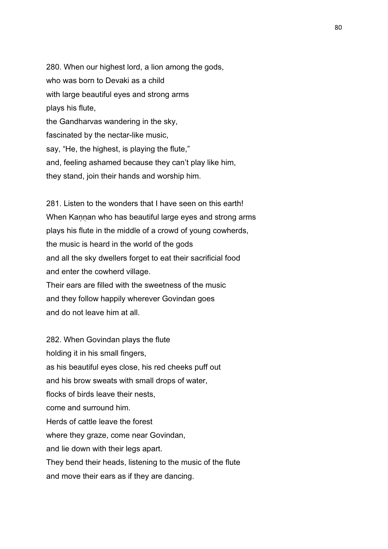280. When our highest lord, a lion among the gods, who was born to Devaki as a child with large beautiful eyes and strong arms plays his flute, the Gandharvas wandering in the sky, fascinated by the nectar-like music, say, "He, the highest, is playing the flute," and, feeling ashamed because they can't play like him, they stand, join their hands and worship him.

281. Listen to the wonders that I have seen on this earth! When Kannan who has beautiful large eyes and strong arms plays his flute in the middle of a crowd of young cowherds, the music is heard in the world of the gods and all the sky dwellers forget to eat their sacrificial food and enter the cowherd village. Their ears are filled with the sweetness of the music and they follow happily wherever Govindan goes and do not leave him at all.

282. When Govindan plays the flute holding it in his small fingers, as his beautiful eyes close, his red cheeks puff out and his brow sweats with small drops of water, flocks of birds leave their nests, come and surround him. Herds of cattle leave the forest where they graze, come near Govindan, and lie down with their legs apart. They bend their heads, listening to the music of the flute and move their ears as if they are dancing.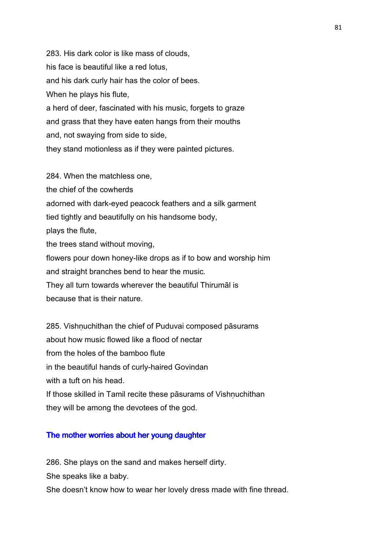283. His dark color is like mass of clouds, his face is beautiful like a red lotus, and his dark curly hair has the color of bees. When he plays his flute, a herd of deer, fascinated with his music, forgets to graze and grass that they have eaten hangs from their mouths and, not swaying from side to side, they stand motionless as if they were painted pictures.

284. When the matchless one, the chief of the cowherds adorned with dark-eyed peacock feathers and a silk garment tied tightly and beautifully on his handsome body, plays the flute, the trees stand without moving, flowers pour down honey-like drops as if to bow and worship him and straight branches bend to hear the music. They all turn towards wherever the beautiful Thirumāl is because that is their nature.

285. Vishnuchithan the chief of Puduvai composed pāsurams about how music flowed like a flood of nectar from the holes of the bamboo flute in the beautiful hands of curly-haired Govindan with a tuft on his head. If those skilled in Tamil recite these pāsurams of Vishnuchithan they will be among the devotees of the god.

#### The mother worries about her young daughter

286. She plays on the sand and makes herself dirty.

She speaks like a baby.

She doesn't know how to wear her lovely dress made with fine thread.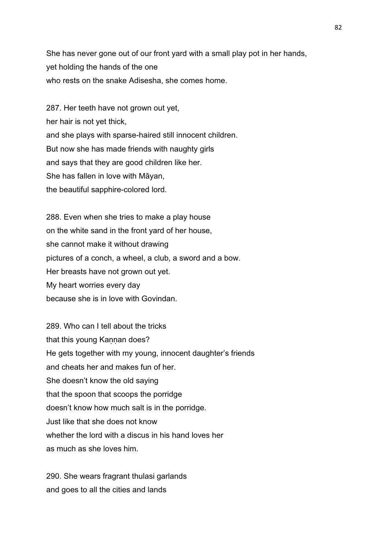She has never gone out of our front yard with a small play pot in her hands, yet holding the hands of the one who rests on the snake Adisesha, she comes home.

287. Her teeth have not grown out yet, her hair is not yet thick, and she plays with sparse-haired still innocent children. But now she has made friends with naughty girls and says that they are good children like her. She has fallen in love with Māyan, the beautiful sapphire-colored lord.

288. Even when she tries to make a play house on the white sand in the front yard of her house, she cannot make it without drawing pictures of a conch, a wheel, a club, a sword and a bow. Her breasts have not grown out yet. My heart worries every day because she is in love with Govindan.

289. Who can I tell about the tricks that this young Kannan does? He gets together with my young, innocent daughter's friends and cheats her and makes fun of her. She doesn't know the old saying that the spoon that scoops the porridge doesn't know how much salt is in the porridge. Just like that she does not know whether the lord with a discus in his hand loves her as much as she loves him.

290. She wears fragrant thulasi garlands and goes to all the cities and lands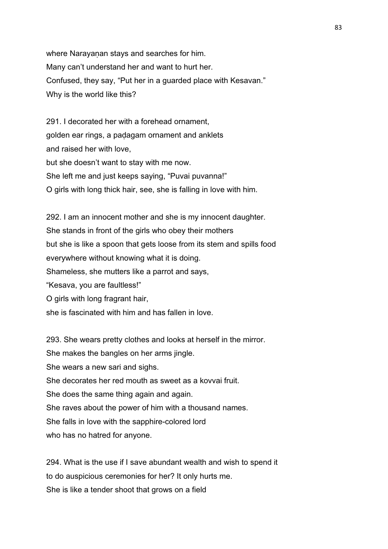where Narayanan stays and searches for him. Many can't understand her and want to hurt her. Confused, they say, "Put her in a guarded place with Kesavan." Why is the world like this?

291. I decorated her with a forehead ornament, golden ear rings, a paḍagam ornament and anklets and raised her with love, but she doesn't want to stay with me now. She left me and just keeps saying, "Puvai puvanna!" O girls with long thick hair, see, she is falling in love with him.

292. I am an innocent mother and she is my innocent daughter. She stands in front of the girls who obey their mothers but she is like a spoon that gets loose from its stem and spills food everywhere without knowing what it is doing. Shameless, she mutters like a parrot and says, "Kesava, you are faultless!" O girls with long fragrant hair, she is fascinated with him and has fallen in love.

293. She wears pretty clothes and looks at herself in the mirror. She makes the bangles on her arms jingle. She wears a new sari and sighs. She decorates her red mouth as sweet as a kovvai fruit. She does the same thing again and again. She raves about the power of him with a thousand names. She falls in love with the sapphire-colored lord who has no hatred for anyone.

294. What is the use if I save abundant wealth and wish to spend it to do auspicious ceremonies for her? It only hurts me. She is like a tender shoot that grows on a field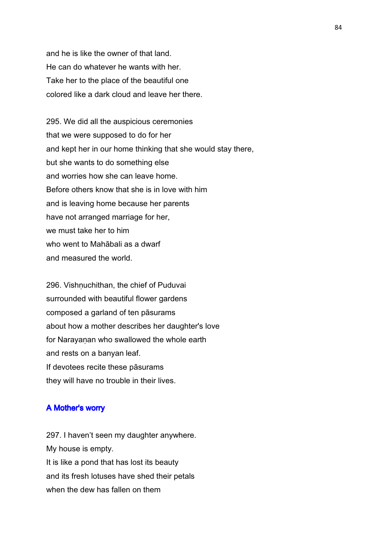and he is like the owner of that land. He can do whatever he wants with her. Take her to the place of the beautiful one colored like a dark cloud and leave her there.

295. We did all the auspicious ceremonies that we were supposed to do for her and kept her in our home thinking that she would stay there, but she wants to do something else and worries how she can leave home. Before others know that she is in love with him and is leaving home because her parents have not arranged marriage for her, we must take her to him who went to Mahābali as a dwarf and measured the world.

296. Vishnuchithan, the chief of Puduvai surrounded with beautiful flower gardens composed a garland of ten pāsurams about how a mother describes her daughter's love for Narayanan who swallowed the whole earth and rests on a banyan leaf. If devotees recite these pāsurams they will have no trouble in their lives.

#### A Mother's worry

297. I haven't seen my daughter anywhere. My house is empty. It is like a pond that has lost its beauty and its fresh lotuses have shed their petals when the dew has fallen on them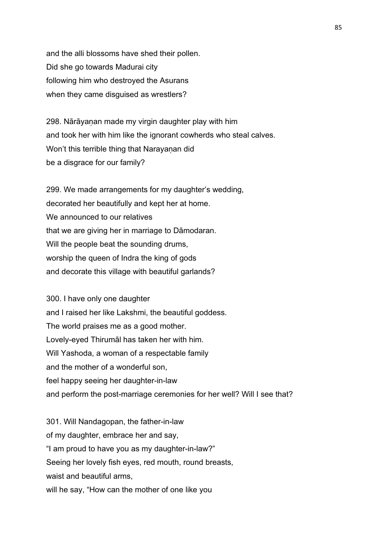and the alli blossoms have shed their pollen. Did she go towards Madurai city following him who destroyed the Asurans when they came disguised as wrestlers?

298. Nārāyanan made my virgin daughter play with him and took her with him like the ignorant cowherds who steal calves. Won't this terrible thing that Narayanan did be a disgrace for our family?

299. We made arrangements for my daughter's wedding, decorated her beautifully and kept her at home. We announced to our relatives that we are giving her in marriage to Dāmodaran. Will the people beat the sounding drums, worship the queen of Indra the king of gods and decorate this village with beautiful garlands?

300. I have only one daughter and I raised her like Lakshmi, the beautiful goddess. The world praises me as a good mother. Lovely-eyed Thirumāl has taken her with him. Will Yashoda, a woman of a respectable family and the mother of a wonderful son, feel happy seeing her daughter-in-law and perform the post-marriage ceremonies for her well? Will I see that?

301. Will Nandagopan, the father-in-law of my daughter, embrace her and say, "I am proud to have you as my daughter-in-law?" Seeing her lovely fish eyes, red mouth, round breasts, waist and beautiful arms, will he say, "How can the mother of one like you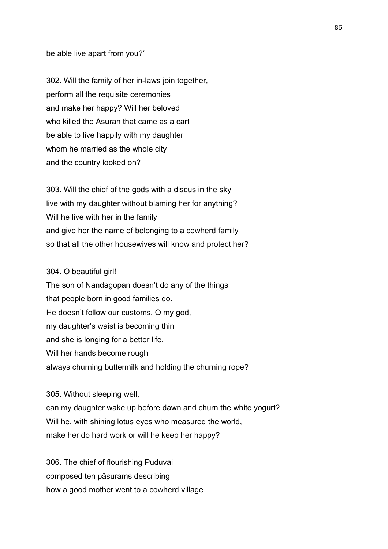#### be able live apart from you?"

302. Will the family of her in-laws join together, perform all the requisite ceremonies and make her happy? Will her beloved who killed the Asuran that came as a cart be able to live happily with my daughter whom he married as the whole city and the country looked on?

303. Will the chief of the gods with a discus in the sky live with my daughter without blaming her for anything? Will he live with her in the family and give her the name of belonging to a cowherd family so that all the other housewives will know and protect her?

#### 304. O beautiful girl!

The son of Nandagopan doesn't do any of the things that people born in good families do. He doesn't follow our customs. O my god, my daughter's waist is becoming thin and she is longing for a better life. Will her hands become rough always churning buttermilk and holding the churning rope?

305. Without sleeping well,

can my daughter wake up before dawn and churn the white yogurt? Will he, with shining lotus eyes who measured the world, make her do hard work or will he keep her happy?

306. The chief of flourishing Puduvai composed ten pāsurams describing how a good mother went to a cowherd village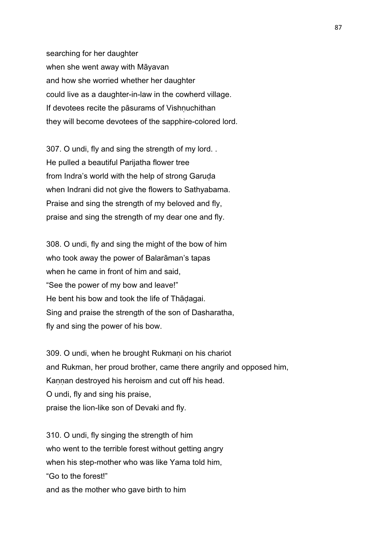searching for her daughter when she went away with Māyavan and how she worried whether her daughter could live as a daughter-in-law in the cowherd village. If devotees recite the pāsurams of Vishnuchithan they will become devotees of the sapphire-colored lord.

307. O undi, fly and sing the strength of my lord. . He pulled a beautiful Parijatha flower tree from Indra's world with the help of strong Garuda when Indrani did not give the flowers to Sathyabama. Praise and sing the strength of my beloved and fly, praise and sing the strength of my dear one and fly.

308. O undi, fly and sing the might of the bow of him who took away the power of Balarāman's tapas when he came in front of him and said, "See the power of my bow and leave!" He bent his bow and took the life of Thāḍagai. Sing and praise the strength of the son of Dasharatha, fly and sing the power of his bow.

309. O undi, when he brought Rukmani on his chariot and Rukman, her proud brother, came there angrily and opposed him, Kannan destroyed his heroism and cut off his head. O undi, fly and sing his praise, praise the lion-like son of Devaki and fly.

310. O undi, fly singing the strength of him who went to the terrible forest without getting angry when his step-mother who was like Yama told him, "Go to the forest!" and as the mother who gave birth to him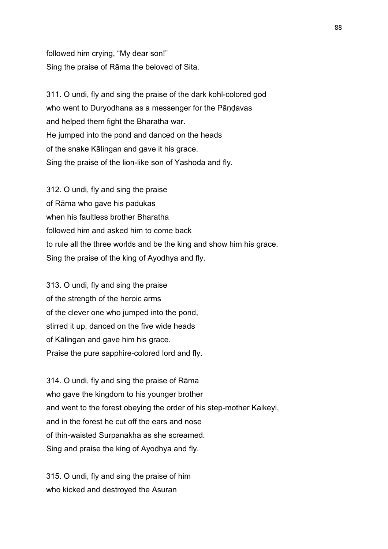followed him crying, "My dear son!" Sing the praise of Rāma the beloved of Sita.

311. O undi, fly and sing the praise of the dark kohl-colored god who went to Duryodhana as a messenger for the Pāndavas and helped them fight the Bharatha war. He jumped into the pond and danced on the heads of the snake Kālingan and gave it his grace. Sing the praise of the lion-like son of Yashoda and fly.

312. O undi, fly and sing the praise of Rāma who gave his padukas when his faultless brother Bharatha followed him and asked him to come back to rule all the three worlds and be the king and show him his grace. Sing the praise of the king of Ayodhya and fly.

313. O undi, fly and sing the praise of the strength of the heroic arms of the clever one who jumped into the pond, stirred it up, danced on the five wide heads of Kālingan and gave him his grace. Praise the pure sapphire-colored lord and fly.

314. O undi, fly and sing the praise of Rāma who gave the kingdom to his younger brother and went to the forest obeying the order of his step-mother Kaikeyi, and in the forest he cut off the ears and nose of thin-waisted Surpanakha as she screamed. Sing and praise the king of Ayodhya and fly.

315. O undi, fly and sing the praise of him who kicked and destroyed the Asuran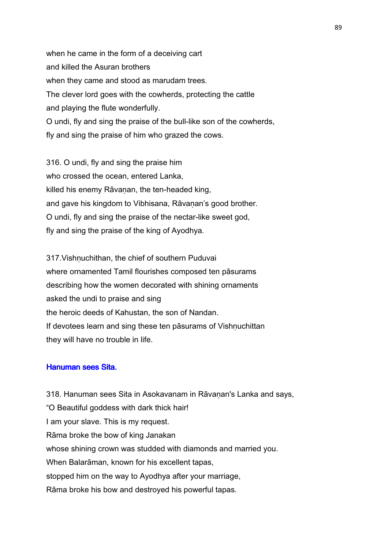when he came in the form of a deceiving cart and killed the Asuran brothers when they came and stood as marudam trees. The clever lord goes with the cowherds, protecting the cattle and playing the flute wonderfully. O undi, fly and sing the praise of the bull-like son of the cowherds, fly and sing the praise of him who grazed the cows.

316. O undi, fly and sing the praise him who crossed the ocean, entered Lanka, killed his enemy Rāvanan, the ten-headed king, and gave his kingdom to Vibhisana, Rāvanan's good brother. O undi, fly and sing the praise of the nectar-like sweet god, fly and sing the praise of the king of Ayodhya.

317. Vishnuchithan, the chief of southern Puduvai where ornamented Tamil flourishes composed ten pāsurams describing how the women decorated with shining ornaments asked the undi to praise and sing the heroic deeds of Kahustan, the son of Nandan. If devotees learn and sing these ten pāsurams of Vishnuchittan they will have no trouble in life.

## Hanuman sees Sita.

318. Hanuman sees Sita in Asokavanam in Rāvaṇan's Lanka and says, "O Beautiful goddess with dark thick hair! I am your slave. This is my request. Rāma broke the bow of king Janakan whose shining crown was studded with diamonds and married you. When Balarāman, known for his excellent tapas, stopped him on the way to Ayodhya after your marriage, Rāma broke his bow and destroyed his powerful tapas.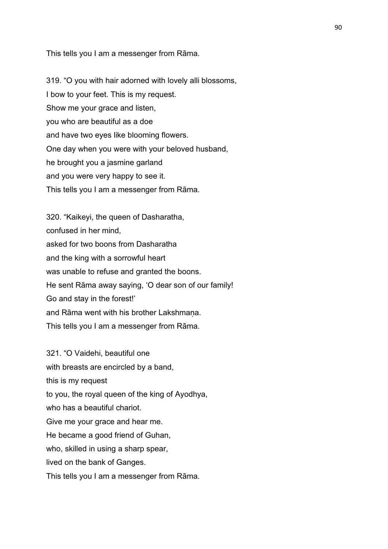This tells you I am a messenger from Rāma.

319. "O you with hair adorned with lovely alli blossoms, I bow to your feet. This is my request. Show me your grace and listen, you who are beautiful as a doe and have two eyes like blooming flowers. One day when you were with your beloved husband, he brought you a jasmine garland and you were very happy to see it. This tells you I am a messenger from Rāma.

320. "Kaikeyi, the queen of Dasharatha, confused in her mind, asked for two boons from Dasharatha and the king with a sorrowful heart was unable to refuse and granted the boons. He sent Rāma away saying, 'O dear son of our family! Go and stay in the forest!' and Rāma went with his brother Lakshmana. This tells you I am a messenger from Rāma.

321. "O Vaidehi, beautiful one with breasts are encircled by a band, this is my request to you, the royal queen of the king of Ayodhya, who has a beautiful chariot. Give me your grace and hear me. He became a good friend of Guhan, who, skilled in using a sharp spear, lived on the bank of Ganges.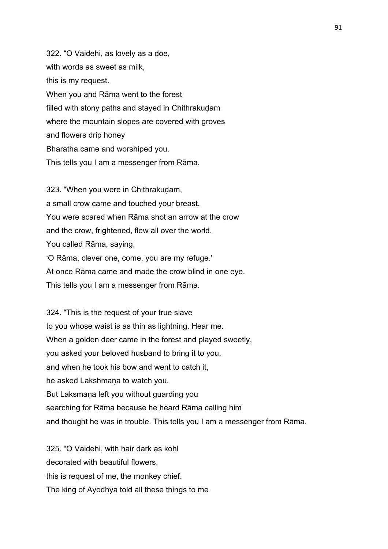322. "O Vaidehi, as lovely as a doe, with words as sweet as milk, this is my request. When you and Rāma went to the forest filled with stony paths and stayed in Chithrakudam where the mountain slopes are covered with groves and flowers drip honey Bharatha came and worshiped you. This tells you I am a messenger from Rāma.

323. "When you were in Chithrakudam, a small crow came and touched your breast. You were scared when Rāma shot an arrow at the crow and the crow, frightened, flew all over the world. You called Rāma, saying, 'O Rāma, clever one, come, you are my refuge.' At once Rāma came and made the crow blind in one eye. This tells you I am a messenger from Rāma.

324. "This is the request of your true slave to you whose waist is as thin as lightning. Hear me. When a golden deer came in the forest and played sweetly, you asked your beloved husband to bring it to you, and when he took his bow and went to catch it, he asked Lakshmana to watch you. But Laksmaṇa left you without guarding you searching for Rāma because he heard Rāma calling him and thought he was in trouble. This tells you I am a messenger from Rāma.

325. "O Vaidehi, with hair dark as kohl decorated with beautiful flowers, this is request of me, the monkey chief. The king of Ayodhya told all these things to me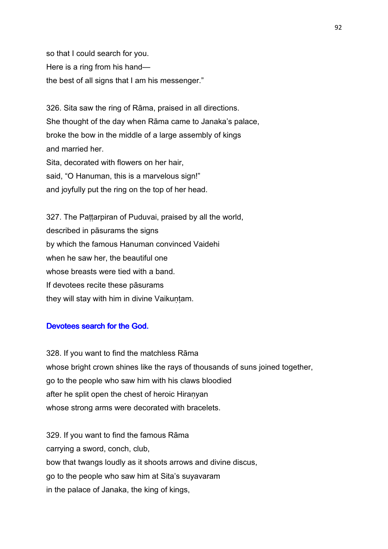so that I could search for you. Here is a ring from his hand the best of all signs that I am his messenger."

326. Sita saw the ring of Rāma, praised in all directions. She thought of the day when Rāma came to Janaka's palace, broke the bow in the middle of a large assembly of kings and married her. Sita, decorated with flowers on her hair, said, "O Hanuman, this is a marvelous sign!" and joyfully put the ring on the top of her head.

327. The Pattarpiran of Puduvai, praised by all the world, described in pāsurams the signs by which the famous Hanuman convinced Vaidehi when he saw her, the beautiful one whose breasts were tied with a band. If devotees recite these pāsurams they will stay with him in divine Vaikuntam.

## Devotees search for the God.

328. If you want to find the matchless Rāma whose bright crown shines like the rays of thousands of suns joined together, go to the people who saw him with his claws bloodied after he split open the chest of heroic Hiranyan whose strong arms were decorated with bracelets.

329. If you want to find the famous Rāma carrying a sword, conch, club, bow that twangs loudly as it shoots arrows and divine discus, go to the people who saw him at Sita's suyavaram in the palace of Janaka, the king of kings,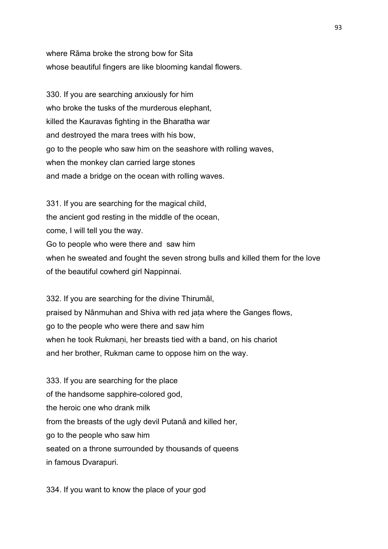where Rāma broke the strong bow for Sita whose beautiful fingers are like blooming kandal flowers.

330. If you are searching anxiously for him who broke the tusks of the murderous elephant, killed the Kauravas fighting in the Bharatha war and destroyed the mara trees with his bow, go to the people who saw him on the seashore with rolling waves, when the monkey clan carried large stones and made a bridge on the ocean with rolling waves.

331. If you are searching for the magical child, the ancient god resting in the middle of the ocean, come, I will tell you the way. Go to people who were there and saw him when he sweated and fought the seven strong bulls and killed them for the love of the beautiful cowherd girl Nappinnai.

332. If you are searching for the divine Thirumāl, praised by Nānmuhan and Shiva with red jaṭa where the Ganges flows, go to the people who were there and saw him when he took Rukmani, her breasts tied with a band, on his chariot and her brother, Rukman came to oppose him on the way.

333. If you are searching for the place of the handsome sapphire-colored god, the heroic one who drank milk from the breasts of the ugly devil Putanā and killed her, go to the people who saw him seated on a throne surrounded by thousands of queens in famous Dvarapuri.

334. If you want to know the place of your god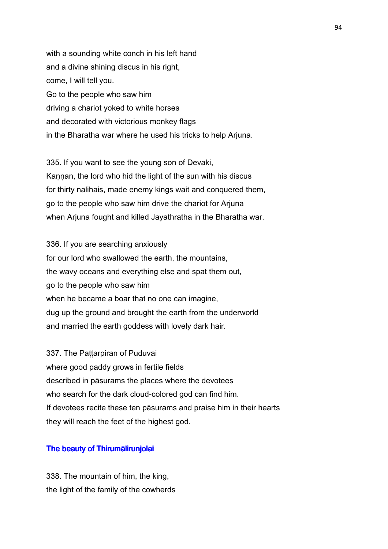with a sounding white conch in his left hand and a divine shining discus in his right, come, I will tell you. Go to the people who saw him driving a chariot yoked to white horses and decorated with victorious monkey flags in the Bharatha war where he used his tricks to help Arjuna.

335. If you want to see the young son of Devaki, Kannan, the lord who hid the light of the sun with his discus for thirty nalihais, made enemy kings wait and conquered them, go to the people who saw him drive the chariot for Arjuna when Arjuna fought and killed Jayathratha in the Bharatha war.

336. If you are searching anxiously for our lord who swallowed the earth, the mountains, the wavy oceans and everything else and spat them out, go to the people who saw him when he became a boar that no one can imagine, dug up the ground and brought the earth from the underworld and married the earth goddess with lovely dark hair.

337. The Pattarpiran of Puduvai where good paddy grows in fertile fields described in pāsurams the places where the devotees who search for the dark cloud-colored god can find him. If devotees recite these ten pāsurams and praise him in their hearts they will reach the feet of the highest god.

## The beauty of Thirumālirunjolai

338. The mountain of him, the king, the light of the family of the cowherds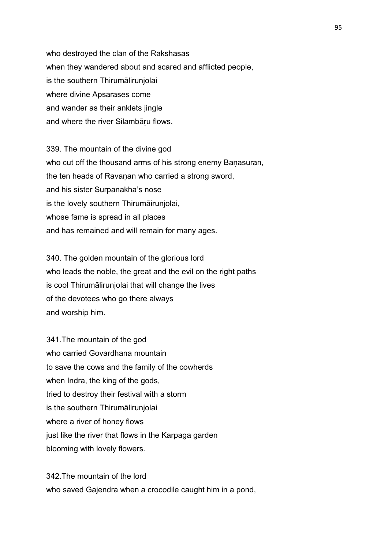who destroyed the clan of the Rakshasas when they wandered about and scared and afflicted people, is the southern Thirumālirunjolai where divine Apsarases come and wander as their anklets jingle and where the river Silambāru flows.

339. The mountain of the divine god who cut off the thousand arms of his strong enemy Banasuran, the ten heads of Ravanan who carried a strong sword, and his sister Surpanakha's nose is the lovely southern Thirumāirunjolai, whose fame is spread in all places and has remained and will remain for many ages.

340. The golden mountain of the glorious lord who leads the noble, the great and the evil on the right paths is cool Thirumālirunjolai that will change the lives of the devotees who go there always and worship him.

341.The mountain of the god who carried Govardhana mountain to save the cows and the family of the cowherds when Indra, the king of the gods, tried to destroy their festival with a storm is the southern Thirumālirunjolai where a river of honey flows just like the river that flows in the Karpaga garden blooming with lovely flowers.

342.The mountain of the lord who saved Gajendra when a crocodile caught him in a pond,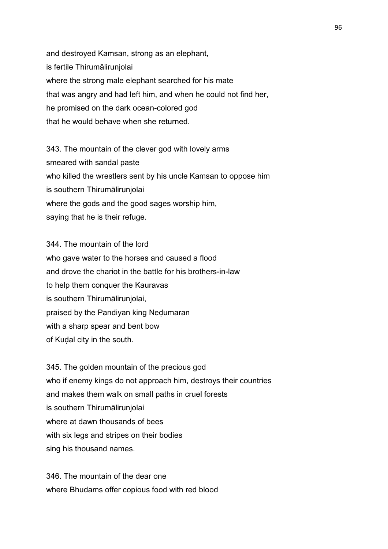and destroyed Kamsan, strong as an elephant, is fertile Thirumālirunjolai where the strong male elephant searched for his mate that was angry and had left him, and when he could not find her, he promised on the dark ocean-colored god that he would behave when she returned.

343. The mountain of the clever god with lovely arms smeared with sandal paste who killed the wrestlers sent by his uncle Kamsan to oppose him is southern Thirumālirunjolai where the gods and the good sages worship him, saying that he is their refuge.

344. The mountain of the lord who gave water to the horses and caused a flood and drove the chariot in the battle for his brothers-in-law to help them conquer the Kauravas is southern Thirumālirunjolai, praised by the Pandiyan king Neḍumaran with a sharp spear and bent bow of Kuḍal city in the south.

345. The golden mountain of the precious god who if enemy kings do not approach him, destroys their countries and makes them walk on small paths in cruel forests is southern Thirumālirunjolai where at dawn thousands of bees with six legs and stripes on their bodies sing his thousand names.

346. The mountain of the dear one where Bhudams offer copious food with red blood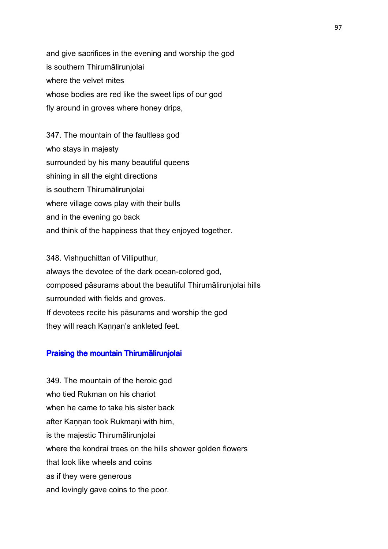and give sacrifices in the evening and worship the god is southern Thirumālirunjolai where the velvet mites whose bodies are red like the sweet lips of our god fly around in groves where honey drips,

347. The mountain of the faultless god who stays in majesty surrounded by his many beautiful queens shining in all the eight directions is southern Thirumālirunjolai where village cows play with their bulls and in the evening go back and think of the happiness that they enjoyed together.

348. Vishnuchittan of Villiputhur, always the devotee of the dark ocean-colored god, composed pāsurams about the beautiful Thirumālirunjolai hills surrounded with fields and groves. If devotees recite his pāsurams and worship the god they will reach Kaṇṇan's ankleted feet.

### Praising the mountain Thirumālirunjolai

349. The mountain of the heroic god who tied Rukman on his chariot when he came to take his sister back after Kannan took Rukmani with him, is the majestic Thirumālirunjolai where the kondrai trees on the hills shower golden flowers that look like wheels and coins as if they were generous and lovingly gave coins to the poor.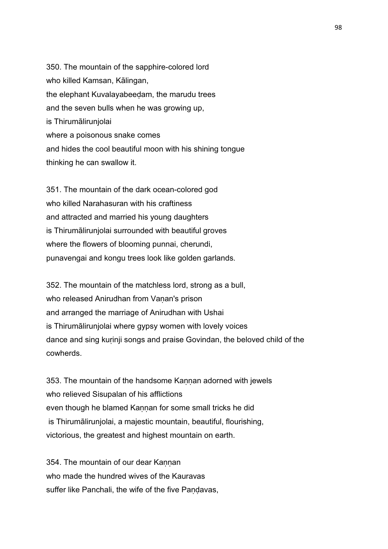350. The mountain of the sapphire-colored lord who killed Kamsan, Kālingan, the elephant Kuvalayabeeḍam, the marudu trees and the seven bulls when he was growing up, is Thirumālirunjolai where a poisonous snake comes and hides the cool beautiful moon with his shining tongue thinking he can swallow it.

351. The mountain of the dark ocean-colored god who killed Narahasuran with his craftiness and attracted and married his young daughters is Thirumālirunjolai surrounded with beautiful groves where the flowers of blooming punnai, cherundi, punavengai and kongu trees look like golden garlands.

352. The mountain of the matchless lord, strong as a bull, who released Anirudhan from Vanan's prison and arranged the marriage of Anirudhan with Ushai is Thirumālirunjolai where gypsy women with lovely voices dance and sing kurinji songs and praise Govindan, the beloved child of the cowherds.

353. The mountain of the handsome Kannan adorned with jewels who relieved Sisupalan of his afflictions even though he blamed Kannan for some small tricks he did is Thirumālirunjolai, a majestic mountain, beautiful, flourishing, victorious, the greatest and highest mountain on earth.

354. The mountain of our dear Kannan who made the hundred wives of the Kauravas suffer like Panchali, the wife of the five Pandavas,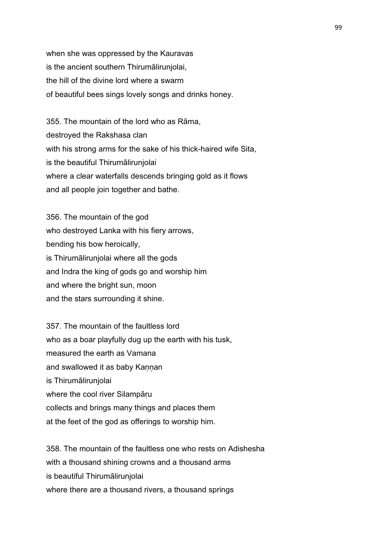when she was oppressed by the Kauravas is the ancient southern Thirumālirunjolai, the hill of the divine lord where a swarm of beautiful bees sings lovely songs and drinks honey.

355. The mountain of the lord who as Rāma, destroyed the Rakshasa clan with his strong arms for the sake of his thick-haired wife Sita, is the beautiful Thirumālirunjolai where a clear waterfalls descends bringing gold as it flows and all people join together and bathe.

356. The mountain of the god who destroyed Lanka with his fiery arrows, bending his bow heroically, is Thirumālirunjolai where all the gods and Indra the king of gods go and worship him and where the bright sun, moon and the stars surrounding it shine.

357. The mountain of the faultless lord who as a boar playfully dug up the earth with his tusk, measured the earth as Vamana and swallowed it as baby Kannan is Thirumālirunjolai where the cool river Silampāṛu collects and brings many things and places them at the feet of the god as offerings to worship him.

358. The mountain of the faultless one who rests on Adishesha with a thousand shining crowns and a thousand arms is beautiful Thirumālirunjolai where there are a thousand rivers, a thousand springs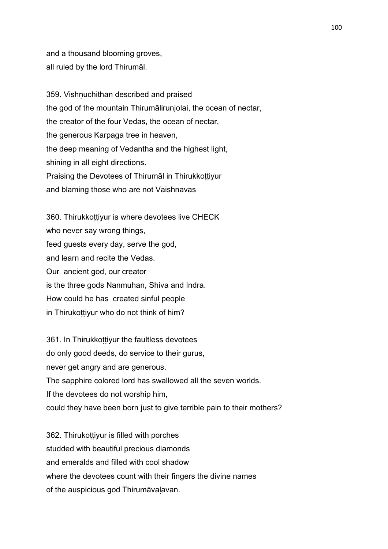and a thousand blooming groves, all ruled by the lord Thirumāl.

359. Vishnuchithan described and praised the god of the mountain Thirumālirunjolai, the ocean of nectar, the creator of the four Vedas, the ocean of nectar, the generous Karpaga tree in heaven, the deep meaning of Vedantha and the highest light, shining in all eight directions. Praising the Devotees of Thirumāl in Thirukkottiyur and blaming those who are not Vaishnavas

360. Thirukkottiyur is where devotees live CHECK who never say wrong things, feed guests every day, serve the god, and learn and recite the Vedas. Our ancient god, our creator is the three gods Nanmuhan, Shiva and Indra. How could he has created sinful people in Thirukoṭṭiyur who do not think of him?

361. In Thirukkottiyur the faultless devotees do only good deeds, do service to their gurus, never get angry and are generous. The sapphire colored lord has swallowed all the seven worlds. If the devotees do not worship him, could they have been born just to give terrible pain to their mothers?

362. Thirukoṭṭiyur is filled with porches studded with beautiful precious diamonds and emeralds and filled with cool shadow where the devotees count with their fingers the divine names of the auspicious god Thirumāvaḷavan.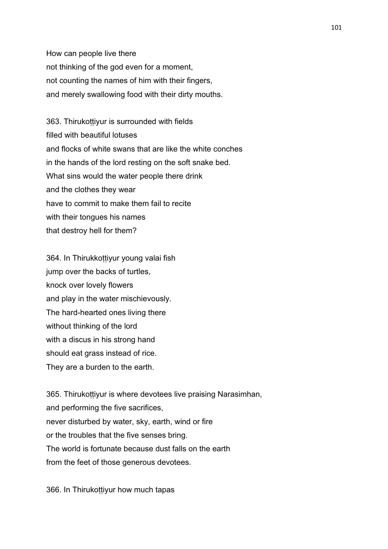How can people live there not thinking of the god even for a moment, not counting the names of him with their fingers, and merely swallowing food with their dirty mouths.

363. Thirukottiyur is surrounded with fields filled with beautiful lotuses and flocks of white swans that are like the white conches in the hands of the lord resting on the soft snake bed. What sins would the water people there drink and the clothes they wear have to commit to make them fail to recite with their tongues his names that destroy hell for them?

364. In Thirukkottiyur young valai fish jump over the backs of turtles, knock over lovely flowers and play in the water mischievously. The hard-hearted ones living there without thinking of the lord with a discus in his strong hand should eat grass instead of rice. They are a burden to the earth.

365. Thirukottiyur is where devotees live praising Narasimhan, and performing the five sacrifices, never disturbed by water, sky, earth, wind or fire or the troubles that the five senses bring. The world is fortunate because dust falls on the earth from the feet of those generous devotees.

366. In Thirukottiyur how much tapas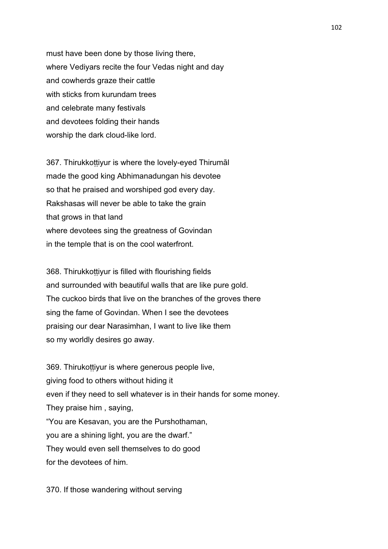must have been done by those living there, where Vediyars recite the four Vedas night and day and cowherds graze their cattle with sticks from kurundam trees and celebrate many festivals and devotees folding their hands worship the dark cloud-like lord.

367. Thirukkottiyur is where the lovely-eyed Thirumal made the good king Abhimanadungan his devotee so that he praised and worshiped god every day. Rakshasas will never be able to take the grain that grows in that land where devotees sing the greatness of Govindan in the temple that is on the cool waterfront.

368. Thirukkottiyur is filled with flourishing fields and surrounded with beautiful walls that are like pure gold. The cuckoo birds that live on the branches of the groves there sing the fame of Govindan. When I see the devotees praising our dear Narasimhan, I want to live like them so my worldly desires go away.

369. Thirukottiyur is where generous people live, giving food to others without hiding it even if they need to sell whatever is in their hands for some money. They praise him , saying, "You are Kesavan, you are the Purshothaman, you are a shining light, you are the dwarf." They would even sell themselves to do good for the devotees of him.

370. If those wandering without serving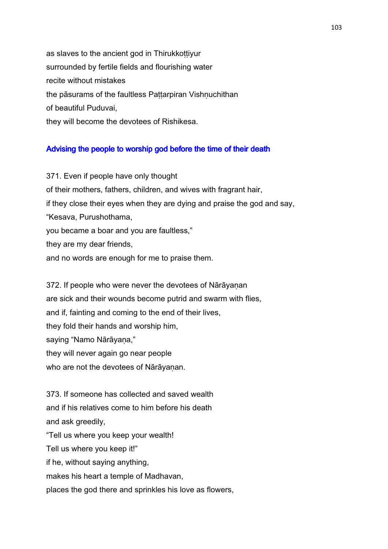as slaves to the ancient god in Thirukkottiyur surrounded by fertile fields and flourishing water recite without mistakes the pāsurams of the faultless Pattarpiran Vishnuchithan of beautiful Puduvai, they will become the devotees of Rishikesa.

### Advising the people to worship god before the time of their death

371. Even if people have only thought of their mothers, fathers, children, and wives with fragrant hair, if they close their eyes when they are dying and praise the god and say, "Kesava, Purushothama, you became a boar and you are faultless," they are my dear friends, and no words are enough for me to praise them.

372. If people who were never the devotees of Nārāyanan are sick and their wounds become putrid and swarm with flies, and if, fainting and coming to the end of their lives, they fold their hands and worship him, saying "Namo Nārāyana," they will never again go near people who are not the devotees of Nārāyanan.

373. If someone has collected and saved wealth and if his relatives come to him before his death and ask greedily, "Tell us where you keep your wealth! Tell us where you keep it!" if he, without saying anything, makes his heart a temple of Madhavan, places the god there and sprinkles his love as flowers,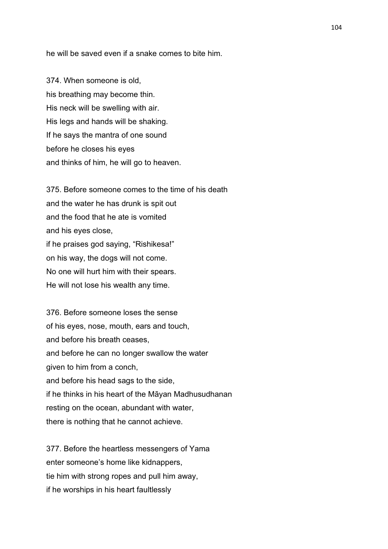he will be saved even if a snake comes to bite him.

374. When someone is old, his breathing may become thin. His neck will be swelling with air. His legs and hands will be shaking. If he says the mantra of one sound before he closes his eyes and thinks of him, he will go to heaven.

375. Before someone comes to the time of his death and the water he has drunk is spit out and the food that he ate is vomited and his eyes close, if he praises god saying, "Rishikesa!" on his way, the dogs will not come. No one will hurt him with their spears. He will not lose his wealth any time.

376. Before someone loses the sense of his eyes, nose, mouth, ears and touch, and before his breath ceases, and before he can no longer swallow the water given to him from a conch, and before his head sags to the side, if he thinks in his heart of the Māyan Madhusudhanan resting on the ocean, abundant with water, there is nothing that he cannot achieve.

377. Before the heartless messengers of Yama enter someone's home like kidnappers, tie him with strong ropes and pull him away, if he worships in his heart faultlessly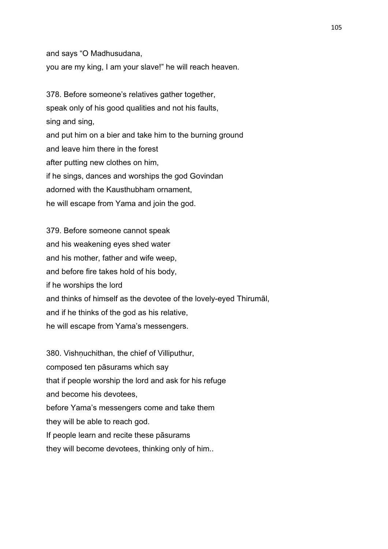and says "O Madhusudana,

you are my king, I am your slave!" he will reach heaven.

378. Before someone's relatives gather together, speak only of his good qualities and not his faults, sing and sing, and put him on a bier and take him to the burning ground and leave him there in the forest after putting new clothes on him, if he sings, dances and worships the god Govindan adorned with the Kausthubham ornament, he will escape from Yama and join the god.

379. Before someone cannot speak and his weakening eyes shed water and his mother, father and wife weep, and before fire takes hold of his body, if he worships the lord and thinks of himself as the devotee of the lovely-eyed Thirumāl, and if he thinks of the god as his relative, he will escape from Yama's messengers.

380. Vishnuchithan, the chief of Villiputhur, composed ten pāsurams which say that if people worship the lord and ask for his refuge and become his devotees, before Yama's messengers come and take them they will be able to reach god. If people learn and recite these pāsurams they will become devotees, thinking only of him..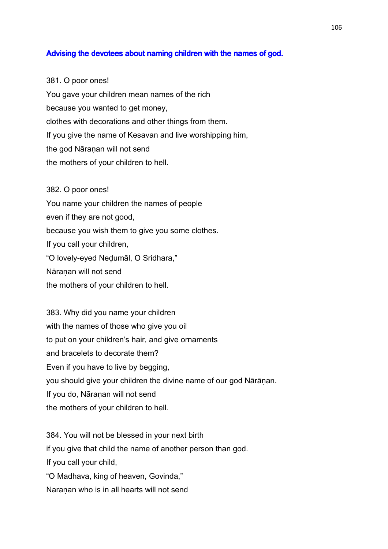# Advising the devotees about naming children with the names of god.

381. O poor ones! You gave your children mean names of the rich because you wanted to get money, clothes with decorations and other things from them. If you give the name of Kesavan and live worshipping him, the god Nāraṇan will not send

the mothers of your children to hell.

382. O poor ones! You name your children the names of people even if they are not good, because you wish them to give you some clothes. If you call your children, "O lovely-eyed Neḍumāl, O Sridhara," Nāraṇan will not send the mothers of your children to hell.

383. Why did you name your children with the names of those who give you oil to put on your children's hair, and give ornaments and bracelets to decorate them? Even if you have to live by begging, you should give your children the divine name of our god Nārāṇan. If you do, Nāranan will not send the mothers of your children to hell.

384. You will not be blessed in your next birth if you give that child the name of another person than god. If you call your child, "O Madhava, king of heaven, Govinda," Naranan who is in all hearts will not send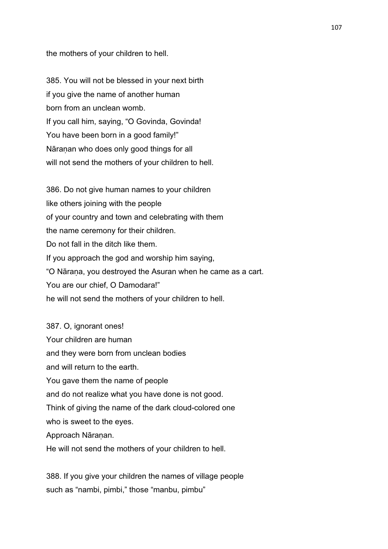the mothers of your children to hell.

385. You will not be blessed in your next birth if you give the name of another human born from an unclean womb. If you call him, saying, "O Govinda, Govinda! You have been born in a good family!" Nāraṇan who does only good things for all will not send the mothers of your children to hell.

386. Do not give human names to your children like others joining with the people of your country and town and celebrating with them the name ceremony for their children. Do not fall in the ditch like them. If you approach the god and worship him saying, "O Nāraṇa, you destroyed the Asuran when he came as a cart. You are our chief, O Damodara!" he will not send the mothers of your children to hell.

387. O, ignorant ones! Your children are human and they were born from unclean bodies and will return to the earth. You gave them the name of people and do not realize what you have done is not good. Think of giving the name of the dark cloud-colored one who is sweet to the eyes. Approach Nāraṇan. He will not send the mothers of your children to hell.

388. If you give your children the names of village people such as "nambi, pimbi," those "manbu, pimbu"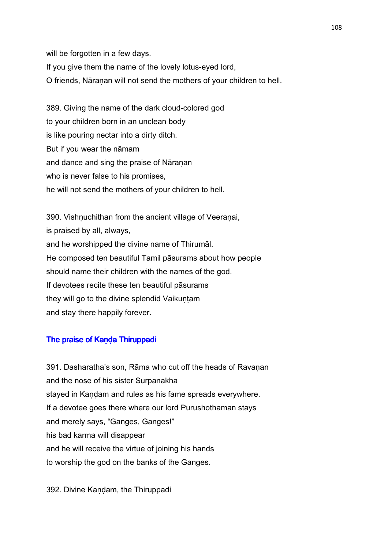will be forgotten in a few days.

If you give them the name of the lovely lotus-eyed lord,

O friends, Nāraṇan will not send the mothers of your children to hell.

389. Giving the name of the dark cloud-colored god to your children born in an unclean body is like pouring nectar into a dirty ditch. But if you wear the nāmam and dance and sing the praise of Nāranan who is never false to his promises, he will not send the mothers of your children to hell.

390. Vishnuchithan from the ancient village of Veeranai, is praised by all, always, and he worshipped the divine name of Thirumāl. He composed ten beautiful Tamil pāsurams about how people should name their children with the names of the god. If devotees recite these ten beautiful pāsurams they will go to the divine splendid Vaikuntam and stay there happily forever.

# The praise of Kanda Thiruppadi

391. Dasharatha's son, Rāma who cut off the heads of Ravanan and the nose of his sister Surpanakha stayed in Kandam and rules as his fame spreads everywhere. If a devotee goes there where our lord Purushothaman stays and merely says, "Ganges, Ganges!" his bad karma will disappear and he will receive the virtue of joining his hands to worship the god on the banks of the Ganges.

392. Divine Kaṇḍam, the Thiruppadi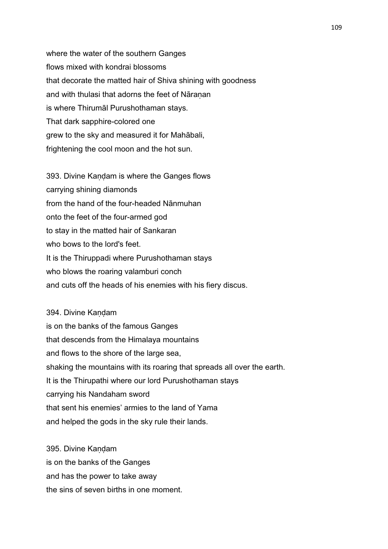where the water of the southern Ganges flows mixed with kondrai blossoms that decorate the matted hair of Shiva shining with goodness and with thulasi that adorns the feet of Nāranan is where Thirumāl Purushothaman stays. That dark sapphire-colored one grew to the sky and measured it for Mahābali, frightening the cool moon and the hot sun.

393. Divine Kandam is where the Ganges flows carrying shining diamonds from the hand of the four-headed Nānmuhan onto the feet of the four-armed god to stay in the matted hair of Sankaran who bows to the lord's feet. It is the Thiruppadi where Purushothaman stays who blows the roaring valamburi conch and cuts off the heads of his enemies with his fiery discus.

394. Divine Kandam is on the banks of the famous Ganges that descends from the Himalaya mountains and flows to the shore of the large sea, shaking the mountains with its roaring that spreads all over the earth. It is the Thirupathi where our lord Purushothaman stays carrying his Nandaham sword that sent his enemies' armies to the land of Yama and helped the gods in the sky rule their lands.

395. Divine Kandam is on the banks of the Ganges and has the power to take away the sins of seven births in one moment.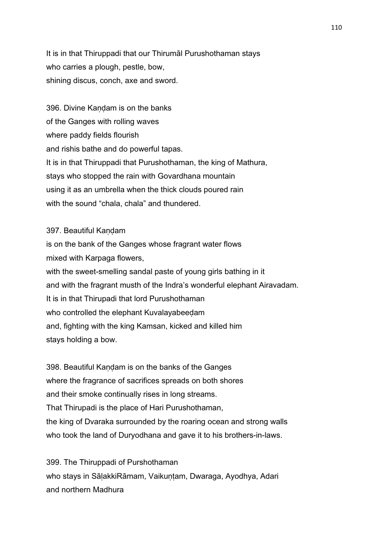It is in that Thiruppadi that our Thirumāl Purushothaman stays who carries a plough, pestle, bow, shining discus, conch, axe and sword.

396. Divine Kaṇḍam is on the banks of the Ganges with rolling waves where paddy fields flourish and rishis bathe and do powerful tapas. It is in that Thiruppadi that Purushothaman, the king of Mathura, stays who stopped the rain with Govardhana mountain using it as an umbrella when the thick clouds poured rain with the sound "chala, chala" and thundered.

### 397. Beautiful Kandam

is on the bank of the Ganges whose fragrant water flows mixed with Karpaga flowers, with the sweet-smelling sandal paste of young girls bathing in it and with the fragrant musth of the Indra's wonderful elephant Airavadam. It is in that Thirupadi that lord Purushothaman who controlled the elephant Kuvalayabeedam and, fighting with the king Kamsan, kicked and killed him stays holding a bow.

398. Beautiful Kandam is on the banks of the Ganges where the fragrance of sacrifices spreads on both shores and their smoke continually rises in long streams. That Thirupadi is the place of Hari Purushothaman, the king of Dvaraka surrounded by the roaring ocean and strong walls who took the land of Duryodhana and gave it to his brothers-in-laws.

399. The Thiruppadi of Purshothaman who stays in SālakkiRāmam, Vaikuntam, Dwaraga, Ayodhya, Adari and northern Madhura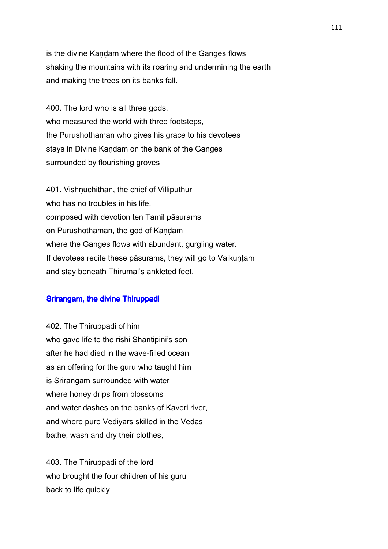is the divine Kandam where the flood of the Ganges flows shaking the mountains with its roaring and undermining the earth and making the trees on its banks fall.

400. The lord who is all three gods, who measured the world with three footsteps, the Purushothaman who gives his grace to his devotees stays in Divine Kaṇḍam on the bank of the Ganges surrounded by flourishing groves

401. Vishnuchithan, the chief of Villiputhur who has no troubles in his life. composed with devotion ten Tamil pāsurams on Purushothaman, the god of Kaṇḍam where the Ganges flows with abundant, gurgling water. If devotees recite these pāsurams, they will go to Vaikuntam and stay beneath Thirumāl's ankleted feet.

### Srirangam, the divine Thiruppadi

402. The Thiruppadi of him who gave life to the rishi Shantipini's son after he had died in the wave-filled ocean as an offering for the guru who taught him is Srirangam surrounded with water where honey drips from blossoms and water dashes on the banks of Kaveri river, and where pure Vediyars skilled in the Vedas bathe, wash and dry their clothes,

403. The Thiruppadi of the lord who brought the four children of his guru back to life quickly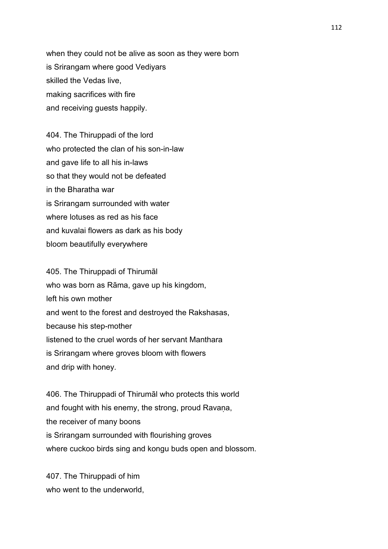when they could not be alive as soon as they were born is Srirangam where good Vediyars skilled the Vedas live, making sacrifices with fire and receiving guests happily.

404. The Thiruppadi of the lord who protected the clan of his son-in-law and gave life to all his in-laws so that they would not be defeated in the Bharatha war is Srirangam surrounded with water where lotuses as red as his face and kuvalai flowers as dark as his body bloom beautifully everywhere

405. The Thiruppadi of Thirumāl who was born as Rāma, gave up his kingdom, left his own mother and went to the forest and destroyed the Rakshasas, because his step-mother listened to the cruel words of her servant Manthara is Srirangam where groves bloom with flowers and drip with honey.

406. The Thiruppadi of Thirumāl who protects this world and fought with his enemy, the strong, proud Ravana, the receiver of many boons is Srirangam surrounded with flourishing groves where cuckoo birds sing and kongu buds open and blossom.

407. The Thiruppadi of him who went to the underworld.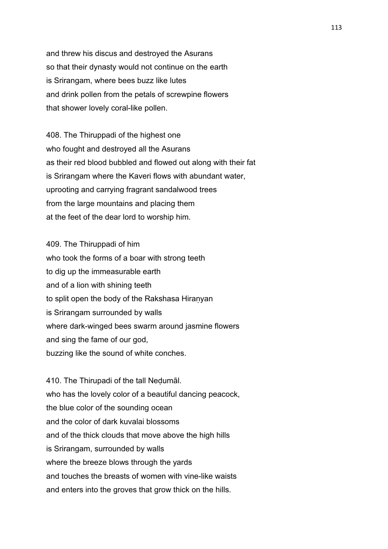and threw his discus and destroyed the Asurans so that their dynasty would not continue on the earth is Srirangam, where bees buzz like lutes and drink pollen from the petals of screwpine flowers that shower lovely coral-like pollen.

408. The Thiruppadi of the highest one who fought and destroyed all the Asurans as their red blood bubbled and flowed out along with their fat is Srirangam where the Kaveri flows with abundant water, uprooting and carrying fragrant sandalwood trees from the large mountains and placing them at the feet of the dear lord to worship him.

409. The Thiruppadi of him who took the forms of a boar with strong teeth to dig up the immeasurable earth and of a lion with shining teeth to split open the body of the Rakshasa Hiranyan is Srirangam surrounded by walls where dark-winged bees swarm around jasmine flowers and sing the fame of our god, buzzing like the sound of white conches.

410. The Thirupadi of the tall Neḍumāl. who has the lovely color of a beautiful dancing peacock, the blue color of the sounding ocean and the color of dark kuvalai blossoms and of the thick clouds that move above the high hills is Srirangam, surrounded by walls where the breeze blows through the yards and touches the breasts of women with vine-like waists and enters into the groves that grow thick on the hills.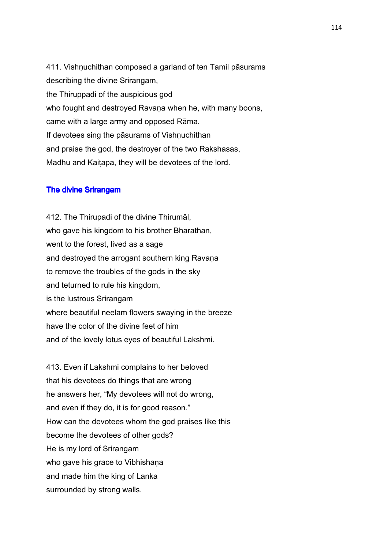411. Vishṇuchithan composed a garland of ten Tamil pāsurams describing the divine Srirangam, the Thiruppadi of the auspicious god who fought and destroyed Ravana when he, with many boons, came with a large army and opposed Rāma. If devotees sing the pāsurams of Vishnuchithan and praise the god, the destroyer of the two Rakshasas, Madhu and Kaiṭapa, they will be devotees of the lord.

#### The divine Srirangam

412. The Thirupadi of the divine Thirumāl, who gave his kingdom to his brother Bharathan, went to the forest, lived as a sage and destroyed the arrogant southern king Ravana to remove the troubles of the gods in the sky and teturned to rule his kingdom, is the lustrous Srirangam where beautiful neelam flowers swaying in the breeze have the color of the divine feet of him and of the lovely lotus eyes of beautiful Lakshmi.

413. Even if Lakshmi complains to her beloved that his devotees do things that are wrong he answers her, "My devotees will not do wrong, and even if they do, it is for good reason." How can the devotees whom the god praises like this become the devotees of other gods? He is my lord of Srirangam who gave his grace to Vibhishana and made him the king of Lanka surrounded by strong walls.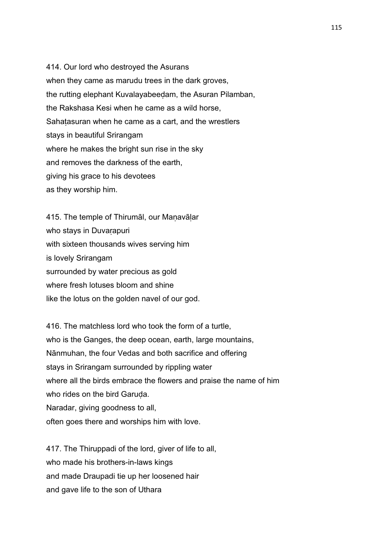414. Our lord who destroyed the Asurans when they came as marudu trees in the dark groves, the rutting elephant Kuvalayabeeḍam, the Asuran Pilamban, the Rakshasa Kesi when he came as a wild horse, Sahatasuran when he came as a cart, and the wrestlers stays in beautiful Srirangam where he makes the bright sun rise in the sky and removes the darkness of the earth, giving his grace to his devotees as they worship him.

415. The temple of Thirumāl, our Manavālar who stays in Duvarapuri with sixteen thousands wives serving him is lovely Srirangam surrounded by water precious as gold where fresh lotuses bloom and shine like the lotus on the golden navel of our god.

416. The matchless lord who took the form of a turtle, who is the Ganges, the deep ocean, earth, large mountains, Nānmuhan, the four Vedas and both sacrifice and offering stays in Srirangam surrounded by rippling water where all the birds embrace the flowers and praise the name of him who rides on the bird Garuda. Naradar, giving goodness to all, often goes there and worships him with love.

417. The Thiruppadi of the lord, giver of life to all, who made his brothers-in-laws kings and made Draupadi tie up her loosened hair and gave life to the son of Uthara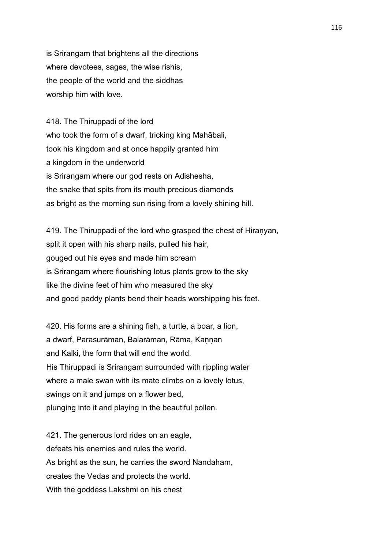is Srirangam that brightens all the directions where devotees, sages, the wise rishis, the people of the world and the siddhas worship him with love.

418. The Thiruppadi of the lord who took the form of a dwarf, tricking king Mahābali, took his kingdom and at once happily granted him a kingdom in the underworld is Srirangam where our god rests on Adishesha, the snake that spits from its mouth precious diamonds as bright as the morning sun rising from a lovely shining hill.

419. The Thiruppadi of the lord who grasped the chest of Hiraṇyan, split it open with his sharp nails, pulled his hair, gouged out his eyes and made him scream is Srirangam where flourishing lotus plants grow to the sky like the divine feet of him who measured the sky and good paddy plants bend their heads worshipping his feet.

420. His forms are a shining fish, a turtle, a boar, a lion, a dwarf, Parasurāman, Balarāman, Rāma, Kannan and Kalki, the form that will end the world. His Thiruppadi is Srirangam surrounded with rippling water where a male swan with its mate climbs on a lovely lotus, swings on it and jumps on a flower bed, plunging into it and playing in the beautiful pollen.

421. The generous lord rides on an eagle, defeats his enemies and rules the world. As bright as the sun, he carries the sword Nandaham, creates the Vedas and protects the world. With the goddess Lakshmi on his chest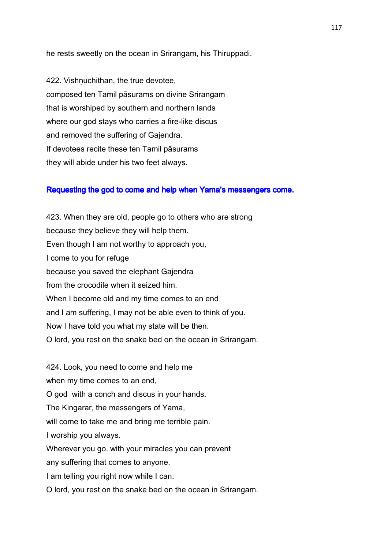he rests sweetly on the ocean in Srirangam, his Thiruppadi.

422. Vishnuchithan, the true devotee, composed ten Tamil pāsurams on divine Srirangam that is worshiped by southern and northern lands where our god stays who carries a fire-like discus and removed the suffering of Gajendra. If devotees recite these ten Tamil pāsurams they will abide under his two feet always.

### Requesting the god to come and help when Yama's messengers come.

423. When they are old, people go to others who are strong because they believe they will help them. Even though I am not worthy to approach you, I come to you for refuge because you saved the elephant Gajendra from the crocodile when it seized him. When I become old and my time comes to an end and I am suffering, I may not be able even to think of you. Now I have told you what my state will be then. O lord, you rest on the snake bed on the ocean in Srirangam.

424. Look, you need to come and help me when my time comes to an end, O god with a conch and discus in your hands. The Kingarar, the messengers of Yama, will come to take me and bring me terrible pain. I worship you always. Wherever you go, with your miracles you can prevent any suffering that comes to anyone. I am telling you right now while I can. O lord, you rest on the snake bed on the ocean in Srirangam.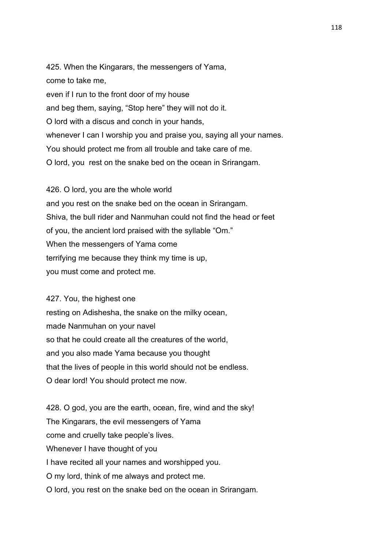425. When the Kingarars, the messengers of Yama, come to take me, even if I run to the front door of my house and beg them, saying, "Stop here" they will not do it. O lord with a discus and conch in your hands, whenever I can I worship you and praise you, saying all your names. You should protect me from all trouble and take care of me. O lord, you rest on the snake bed on the ocean in Srirangam.

426. O lord, you are the whole world and you rest on the snake bed on the ocean in Srirangam. Shiva, the bull rider and Nanmuhan could not find the head or feet of you, the ancient lord praised with the syllable "Om." When the messengers of Yama come terrifying me because they think my time is up, you must come and protect me.

427. You, the highest one resting on Adishesha, the snake on the milky ocean, made Nanmuhan on your navel so that he could create all the creatures of the world, and you also made Yama because you thought that the lives of people in this world should not be endless. O dear lord! You should protect me now.

428. O god, you are the earth, ocean, fire, wind and the sky! The Kingarars, the evil messengers of Yama come and cruelly take people's lives. Whenever I have thought of you I have recited all your names and worshipped you. O my lord, think of me always and protect me. O lord, you rest on the snake bed on the ocean in Srirangam.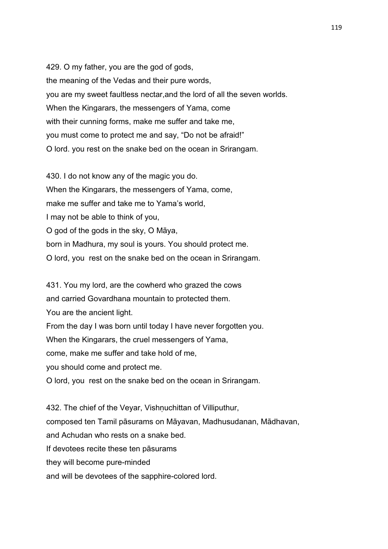429. O my father, you are the god of gods, the meaning of the Vedas and their pure words, you are my sweet faultless nectar,and the lord of all the seven worlds. When the Kingarars, the messengers of Yama, come with their cunning forms, make me suffer and take me, you must come to protect me and say, "Do not be afraid!" O lord. you rest on the snake bed on the ocean in Srirangam.

430. I do not know any of the magic you do. When the Kingarars, the messengers of Yama, come, make me suffer and take me to Yama's world, I may not be able to think of you, O god of the gods in the sky, O Māya, born in Madhura, my soul is yours. You should protect me. O lord, you rest on the snake bed on the ocean in Srirangam.

431. You my lord, are the cowherd who grazed the cows and carried Govardhana mountain to protected them. You are the ancient light. From the day I was born until today I have never forgotten you. When the Kingarars, the cruel messengers of Yama, come, make me suffer and take hold of me, you should come and protect me. O lord, you rest on the snake bed on the ocean in Srirangam.

432. The chief of the Veyar, Vishnuchittan of Villiputhur, composed ten Tamil pāsurams on Māyavan, Madhusudanan, Mādhavan, and Achudan who rests on a snake bed. If devotees recite these ten pāsurams they will become pure-minded

and will be devotees of the sapphire-colored lord.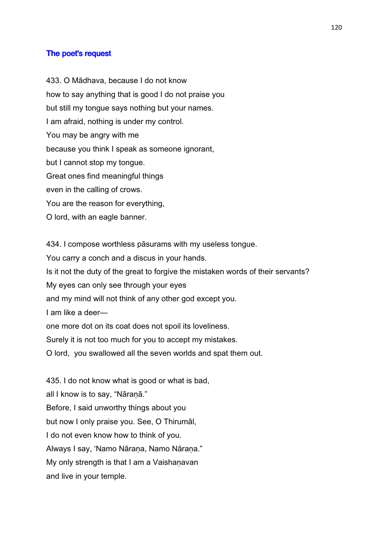### The poet's request

433. O Mādhava, because I do not know how to say anything that is good I do not praise you but still my tongue says nothing but your names. I am afraid, nothing is under my control. You may be angry with me because you think I speak as someone ignorant, but I cannot stop my tongue. Great ones find meaningful things even in the calling of crows. You are the reason for everything, O lord, with an eagle banner.

434. I compose worthless pāsurams with my useless tongue. You carry a conch and a discus in your hands. Is it not the duty of the great to forgive the mistaken words of their servants? My eyes can only see through your eyes and my mind will not think of any other god except you. I am like a deer one more dot on its coat does not spoil its loveliness. Surely it is not too much for you to accept my mistakes. O lord, you swallowed all the seven worlds and spat them out.

435. I do not know what is good or what is bad, all I know is to say, "Nāraṇā." Before, I said unworthy things about you but now I only praise you. See, O Thirumāl, I do not even know how to think of you. Always I say, 'Namo Nāraṇa, Namo Nāraṇa." My only strength is that I am a Vaishanavan and live in your temple.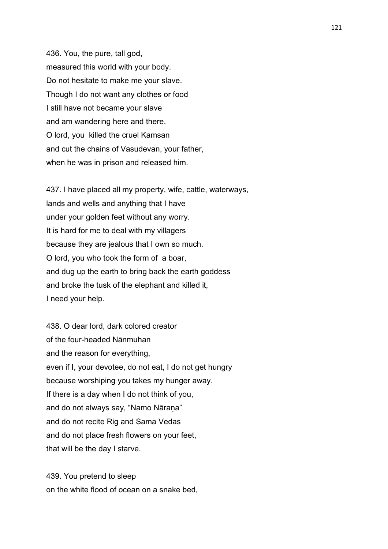436. You, the pure, tall god, measured this world with your body. Do not hesitate to make me your slave. Though I do not want any clothes or food I still have not became your slave and am wandering here and there. O lord, you killed the cruel Kamsan and cut the chains of Vasudevan, your father, when he was in prison and released him.

437. I have placed all my property, wife, cattle, waterways, lands and wells and anything that I have under your golden feet without any worry. It is hard for me to deal with my villagers because they are jealous that I own so much. O lord, you who took the form of a boar, and dug up the earth to bring back the earth goddess and broke the tusk of the elephant and killed it, I need your help.

438. O dear lord, dark colored creator of the four-headed Nānmuhan and the reason for everything, even if I, your devotee, do not eat, I do not get hungry because worshiping you takes my hunger away. If there is a day when I do not think of you, and do not always say, "Namo Nārana" and do not recite Rig and Sama Vedas and do not place fresh flowers on your feet, that will be the day I starve.

439. You pretend to sleep on the white flood of ocean on a snake bed,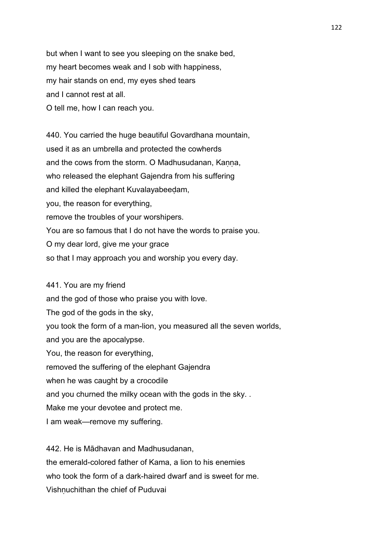but when I want to see you sleeping on the snake bed, my heart becomes weak and I sob with happiness, my hair stands on end, my eyes shed tears and I cannot rest at all. O tell me, how I can reach you.

440. You carried the huge beautiful Govardhana mountain, used it as an umbrella and protected the cowherds and the cows from the storm. O Madhusudanan, Kanna, who released the elephant Gajendra from his suffering and killed the elephant Kuvalayabeeḍam, you, the reason for everything, remove the troubles of your worshipers. You are so famous that I do not have the words to praise you. O my dear lord, give me your grace so that I may approach you and worship you every day.

441. You are my friend and the god of those who praise you with love. The god of the gods in the sky, you took the form of a man-lion, you measured all the seven worlds, and you are the apocalypse. You, the reason for everything, removed the suffering of the elephant Gajendra when he was caught by a crocodile and you churned the milky ocean with the gods in the sky. . Make me your devotee and protect me. I am weak—remove my suffering.

442. He is Mādhavan and Madhusudanan, the emerald-colored father of Kama, a lion to his enemies who took the form of a dark-haired dwarf and is sweet for me. Vishnuchithan the chief of Puduvai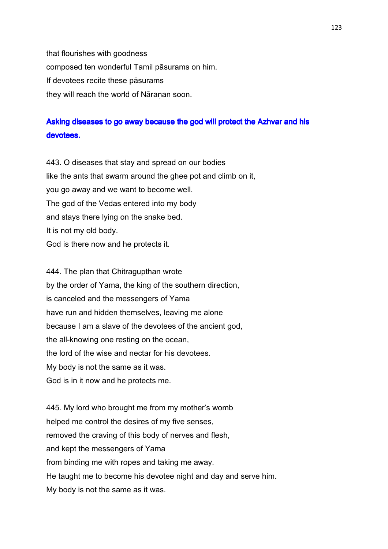that flourishes with goodness composed ten wonderful Tamil pāsurams on him. If devotees recite these pāsurams they will reach the world of Nāranan soon.

# Asking diseases to go away because the god will protect the Azhvar and his devotees.

443. O diseases that stay and spread on our bodies like the ants that swarm around the ghee pot and climb on it, you go away and we want to become well. The god of the Vedas entered into my body and stays there lying on the snake bed. It is not my old body. God is there now and he protects it.

444. The plan that Chitragupthan wrote by the order of Yama, the king of the southern direction, is canceled and the messengers of Yama have run and hidden themselves, leaving me alone because I am a slave of the devotees of the ancient god, the all-knowing one resting on the ocean, the lord of the wise and nectar for his devotees. My body is not the same as it was. God is in it now and he protects me.

445. My lord who brought me from my mother's womb helped me control the desires of my five senses, removed the craving of this body of nerves and flesh, and kept the messengers of Yama from binding me with ropes and taking me away. He taught me to become his devotee night and day and serve him. My body is not the same as it was.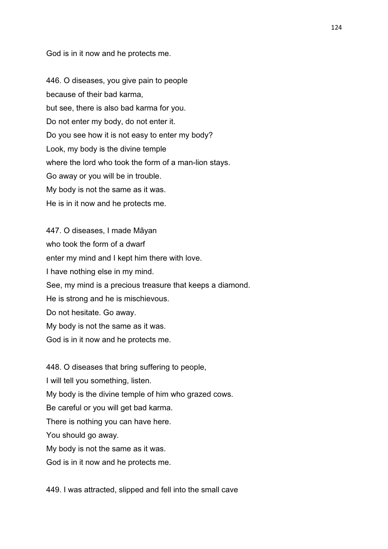God is in it now and he protects me.

446. O diseases, you give pain to people because of their bad karma, but see, there is also bad karma for you. Do not enter my body, do not enter it. Do you see how it is not easy to enter my body? Look, my body is the divine temple where the lord who took the form of a man-lion stays. Go away or you will be in trouble. My body is not the same as it was. He is in it now and he protects me.

447. O diseases, I made Māyan who took the form of a dwarf enter my mind and I kept him there with love. I have nothing else in my mind. See, my mind is a precious treasure that keeps a diamond. He is strong and he is mischievous. Do not hesitate. Go away. My body is not the same as it was. God is in it now and he protects me.

448. O diseases that bring suffering to people, I will tell you something, listen. My body is the divine temple of him who grazed cows. Be careful or you will get bad karma. There is nothing you can have here. You should go away. My body is not the same as it was. God is in it now and he protects me.

449. I was attracted, slipped and fell into the small cave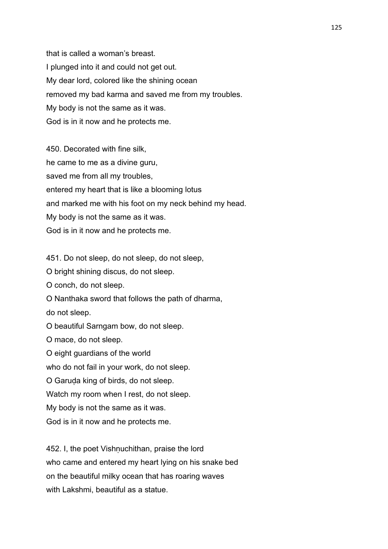that is called a woman's breast. I plunged into it and could not get out. My dear lord, colored like the shining ocean removed my bad karma and saved me from my troubles. My body is not the same as it was. God is in it now and he protects me.

450. Decorated with fine silk, he came to me as a divine guru, saved me from all my troubles, entered my heart that is like a blooming lotus and marked me with his foot on my neck behind my head. My body is not the same as it was. God is in it now and he protects me.

451. Do not sleep, do not sleep, do not sleep,

O bright shining discus, do not sleep.

O conch, do not sleep.

O Nanthaka sword that follows the path of dharma,

do not sleep.

O beautiful Sarngam bow, do not sleep.

O mace, do not sleep.

O eight guardians of the world

who do not fail in your work, do not sleep.

O Garuḍa king of birds, do not sleep.

Watch my room when I rest, do not sleep.

My body is not the same as it was.

God is in it now and he protects me.

452. I, the poet Vishnuchithan, praise the lord who came and entered my heart lying on his snake bed on the beautiful milky ocean that has roaring waves with Lakshmi, beautiful as a statue.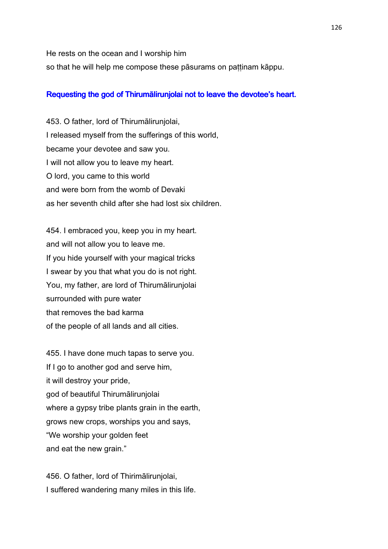He rests on the ocean and I worship him so that he will help me compose these pāsurams on paṭṭinam kāppu.

### Requesting the god of Thirumālirunjolai not to leave the devotee's heart.

453. O father, lord of Thirumālirunjolai, I released myself from the sufferings of this world, became your devotee and saw you. I will not allow you to leave my heart. O lord, you came to this world and were born from the womb of Devaki as her seventh child after she had lost six children.

454. I embraced you, keep you in my heart. and will not allow you to leave me. If you hide yourself with your magical tricks I swear by you that what you do is not right. You, my father, are lord of Thirumālirunjolai surrounded with pure water that removes the bad karma of the people of all lands and all cities.

455. I have done much tapas to serve you. If I go to another god and serve him, it will destroy your pride, god of beautiful Thirumālirunjolai where a gypsy tribe plants grain in the earth, grows new crops, worships you and says, "We worship your golden feet and eat the new grain."

456. O father, lord of Thirimālirunjolai, I suffered wandering many miles in this life.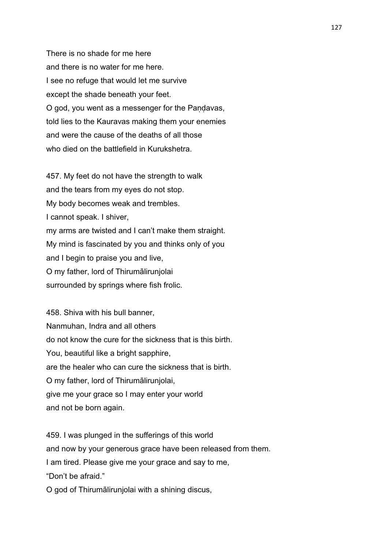There is no shade for me here and there is no water for me here. I see no refuge that would let me survive except the shade beneath your feet. O god, you went as a messenger for the Pandavas, told lies to the Kauravas making them your enemies and were the cause of the deaths of all those who died on the battlefield in Kurukshetra.

457. My feet do not have the strength to walk and the tears from my eyes do not stop. My body becomes weak and trembles. I cannot speak. I shiver, my arms are twisted and I can't make them straight. My mind is fascinated by you and thinks only of you and I begin to praise you and live, O my father, lord of Thirumālirunjolai surrounded by springs where fish frolic.

458. Shiva with his bull banner, Nanmuhan, Indra and all others do not know the cure for the sickness that is this birth. You, beautiful like a bright sapphire, are the healer who can cure the sickness that is birth. O my father, lord of Thirumālirunjolai, give me your grace so I may enter your world and not be born again.

459. I was plunged in the sufferings of this world and now by your generous grace have been released from them. I am tired. Please give me your grace and say to me, "Don't be afraid."

O god of Thirumālirunjolai with a shining discus,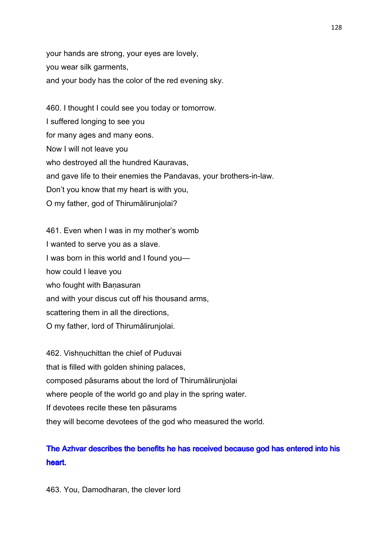your hands are strong, your eyes are lovely, you wear silk garments, and your body has the color of the red evening sky.

460. I thought I could see you today or tomorrow. I suffered longing to see you for many ages and many eons. Now I will not leave you who destroyed all the hundred Kauravas, and gave life to their enemies the Pandavas, your brothers-in-law. Don't you know that my heart is with you, O my father, god of Thirumālirunjolai?

461. Even when I was in my mother's womb I wanted to serve you as a slave. I was born in this world and I found you how could I leave you who fought with Banasuran and with your discus cut off his thousand arms, scattering them in all the directions, O my father, lord of Thirumālirunjolai.

462. Vishnuchittan the chief of Puduvai that is filled with golden shining palaces, composed pāsurams about the lord of Thirumālirunjolai where people of the world go and play in the spring water. If devotees recite these ten pāsurams they will become devotees of the god who measured the world.

# The Azhvar describes the benefits he has received because god has entered into his heart.

463. You, Damodharan, the clever lord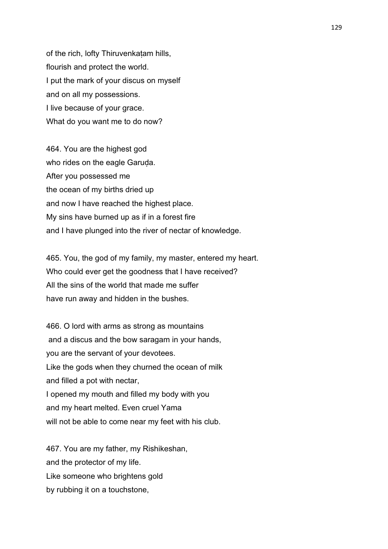of the rich, lofty Thiruvenkaṭam hills, flourish and protect the world. I put the mark of your discus on myself and on all my possessions. I live because of your grace. What do you want me to do now?

464. You are the highest god who rides on the eagle Garuda. After you possessed me the ocean of my births dried up and now I have reached the highest place. My sins have burned up as if in a forest fire and I have plunged into the river of nectar of knowledge.

465. You, the god of my family, my master, entered my heart. Who could ever get the goodness that I have received? All the sins of the world that made me suffer have run away and hidden in the bushes.

466. O lord with arms as strong as mountains and a discus and the bow saragam in your hands, you are the servant of your devotees. Like the gods when they churned the ocean of milk and filled a pot with nectar, I opened my mouth and filled my body with you and my heart melted. Even cruel Yama will not be able to come near my feet with his club.

467. You are my father, my Rishikeshan, and the protector of my life. Like someone who brightens gold by rubbing it on a touchstone,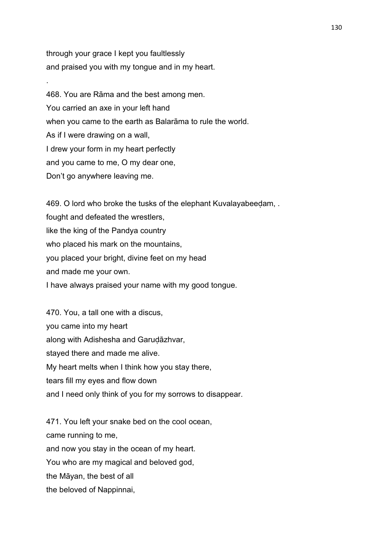through your grace I kept you faultlessly and praised you with my tongue and in my heart.

.

468. You are Rāma and the best among men. You carried an axe in your left hand when you came to the earth as Balarāma to rule the world. As if I were drawing on a wall, I drew your form in my heart perfectly and you came to me, O my dear one, Don't go anywhere leaving me.

469. O lord who broke the tusks of the elephant Kuvalayabeedam, . fought and defeated the wrestlers, like the king of the Pandya country who placed his mark on the mountains, you placed your bright, divine feet on my head and made me your own. I have always praised your name with my good tongue.

470. You, a tall one with a discus, you came into my heart along with Adishesha and Garudāzhvar, stayed there and made me alive. My heart melts when I think how you stay there, tears fill my eyes and flow down and I need only think of you for my sorrows to disappear.

471. You left your snake bed on the cool ocean, came running to me, and now you stay in the ocean of my heart. You who are my magical and beloved god, the Māyan, the best of all the beloved of Nappinnai,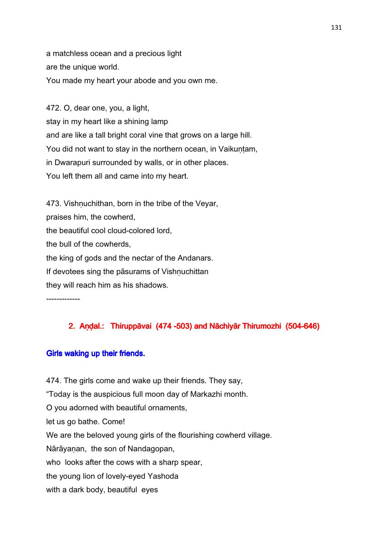a matchless ocean and a precious light are the unique world. You made my heart your abode and you own me.

472. O, dear one, you, a light, stay in my heart like a shining lamp and are like a tall bright coral vine that grows on a large hill. You did not want to stay in the northern ocean, in Vaikuṇṭam, in Dwarapuri surrounded by walls, or in other places. You left them all and came into my heart.

473. Vishnuchithan, born in the tribe of the Veyar, praises him, the cowherd, the beautiful cool cloud-colored lord, the bull of the cowherds, the king of gods and the nectar of the Andanars. If devotees sing the pāsurams of Vishnuchittan they will reach him as his shadows.

-------------

# 2. Andal.: Thiruppāvai (474 -503) and Nāchiyār Thirumozhi (504-646)

### Girls waking up their friends.

474. The girls come and wake up their friends. They say, "Today is the auspicious full moon day of Markazhi month. O you adorned with beautiful ornaments, let us go bathe. Come! We are the beloved young girls of the flourishing cowherd village. Nārāyanan, the son of Nandagopan, who looks after the cows with a sharp spear, the young lion of lovely-eyed Yashoda with a dark body, beautiful eyes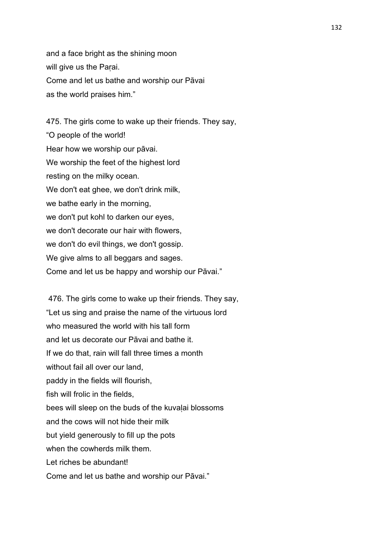and a face bright as the shining moon will give us the Paṛai. Come and let us bathe and worship our Pāvai as the world praises him."

475. The girls come to wake up their friends. They say, "O people of the world! Hear how we worship our pāvai. We worship the feet of the highest lord resting on the milky ocean. We don't eat ghee, we don't drink milk, we bathe early in the morning, we don't put kohl to darken our eyes, we don't decorate our hair with flowers, we don't do evil things, we don't gossip. We give alms to all beggars and sages. Come and let us be happy and worship our Pāvai."

 476. The girls come to wake up their friends. They say, "Let us sing and praise the name of the virtuous lord who measured the world with his tall form and let us decorate our Pāvai and bathe it. If we do that, rain will fall three times a month without fail all over our land, paddy in the fields will flourish, fish will frolic in the fields, bees will sleep on the buds of the kuvalai blossoms and the cows will not hide their milk but yield generously to fill up the pots when the cowherds milk them. Let riches be abundant! Come and let us bathe and worship our Pāvai."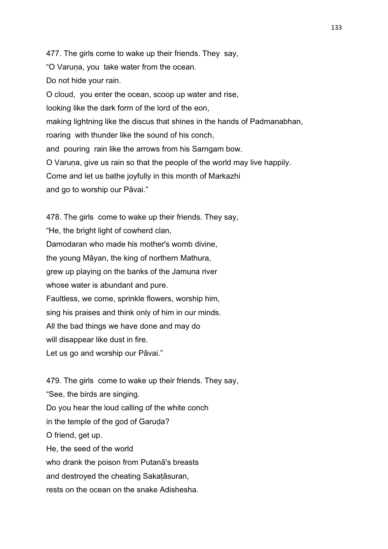477. The girls come to wake up their friends. They say, "O Varuṇa, you take water from the ocean. Do not hide your rain. O cloud, you enter the ocean, scoop up water and rise, looking like the dark form of the lord of the eon, making lightning like the discus that shines in the hands of Padmanabhan, roaring with thunder like the sound of his conch, and pouring rain like the arrows from his Sarngam bow. O Varuṇa, give us rain so that the people of the world may live happily. Come and let us bathe joyfully in this month of Markazhi and go to worship our Pāvai."

478. The girls come to wake up their friends. They say, "He, the bright light of cowherd clan, Damodaran who made his mother's womb divine, the young Māyan, the king of northern Mathura, grew up playing on the banks of the Jamuna river whose water is abundant and pure. Faultless, we come, sprinkle flowers, worship him, sing his praises and think only of him in our minds. All the bad things we have done and may do will disappear like dust in fire. Let us go and worship our Pāvai."

479. The girls come to wake up their friends. They say, "See, the birds are singing. Do you hear the loud calling of the white conch in the temple of the god of Garuda? O friend, get up. He, the seed of the world who drank the poison from Putanā's breasts and destroyed the cheating Sakaṭāsuran, rests on the ocean on the snake Adishesha.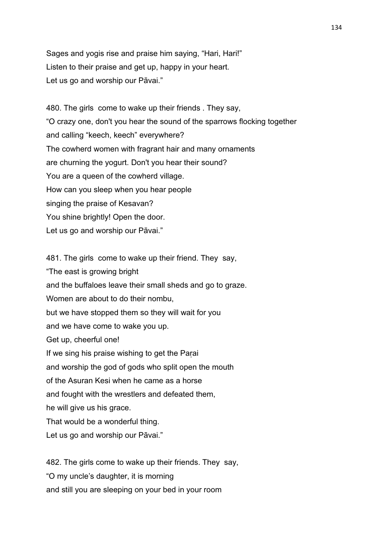Sages and yogis rise and praise him saying, "Hari, Hari!" Listen to their praise and get up, happy in your heart. Let us go and worship our Pāvai."

480. The girls come to wake up their friends . They say, "O crazy one, don't you hear the sound of the sparrows flocking together and calling "keech, keech" everywhere? The cowherd women with fragrant hair and many ornaments are churning the yogurt. Don't you hear their sound? You are a queen of the cowherd village. How can you sleep when you hear people singing the praise of Kesavan? You shine brightly! Open the door. Let us go and worship our Pāvai."

481. The girls come to wake up their friend. They say, "The east is growing bright and the buffaloes leave their small sheds and go to graze. Women are about to do their nombu, but we have stopped them so they will wait for you and we have come to wake you up. Get up, cheerful one! If we sing his praise wishing to get the Parai and worship the god of gods who split open the mouth of the Asuran Kesi when he came as a horse and fought with the wrestlers and defeated them, he will give us his grace. That would be a wonderful thing. Let us go and worship our Pāvai."

482. The girls come to wake up their friends. They say, "O my uncle's daughter, it is morning and still you are sleeping on your bed in your room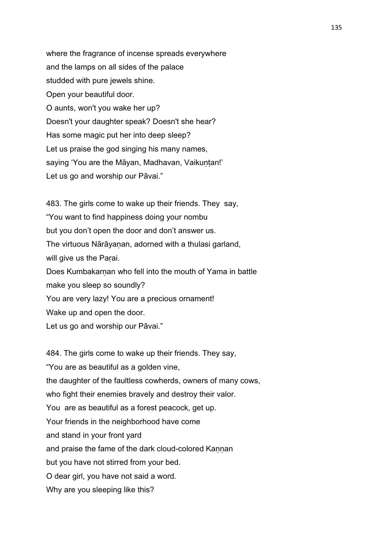where the fragrance of incense spreads everywhere and the lamps on all sides of the palace studded with pure jewels shine. Open your beautiful door. O aunts, won't you wake her up? Doesn't your daughter speak? Doesn't she hear? Has some magic put her into deep sleep? Let us praise the god singing his many names, saying 'You are the Māyan, Madhavan, Vaikuntan!' Let us go and worship our Pāvai."

483. The girls come to wake up their friends. They say, "You want to find happiness doing your nombu but you don't open the door and don't answer us. The virtuous Nārāyanan, adorned with a thulasi garland, will give us the Parai. Does Kumbakarnan who fell into the mouth of Yama in battle make you sleep so soundly? You are very lazy! You are a precious ornament! Wake up and open the door. Let us go and worship our Pāvai."

484. The girls come to wake up their friends. They say, "You are as beautiful as a golden vine, the daughter of the faultless cowherds, owners of many cows, who fight their enemies bravely and destroy their valor. You are as beautiful as a forest peacock, get up. Your friends in the neighborhood have come and stand in your front yard and praise the fame of the dark cloud-colored Kannan but you have not stirred from your bed. O dear girl, you have not said a word. Why are you sleeping like this?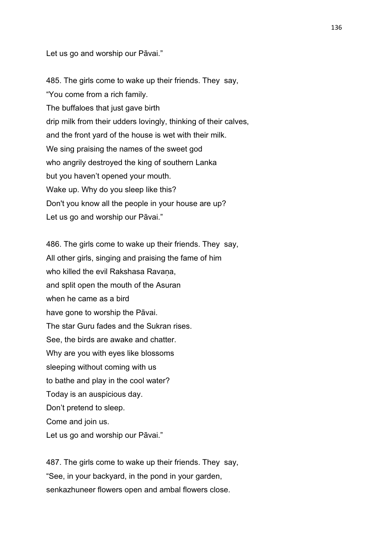Let us go and worship our Pāvai."

485. The girls come to wake up their friends. They say, "You come from a rich family. The buffaloes that just gave birth drip milk from their udders lovingly, thinking of their calves, and the front yard of the house is wet with their milk. We sing praising the names of the sweet god who angrily destroyed the king of southern Lanka but you haven't opened your mouth. Wake up. Why do you sleep like this? Don't you know all the people in your house are up? Let us go and worship our Pāvai."

486. The girls come to wake up their friends. They say, All other girls, singing and praising the fame of him who killed the evil Rakshasa Ravana, and split open the mouth of the Asuran when he came as a bird have gone to worship the Pāvai. The star Guru fades and the Sukran rises. See, the birds are awake and chatter. Why are you with eyes like blossoms sleeping without coming with us to bathe and play in the cool water? Today is an auspicious day. Don't pretend to sleep. Come and join us. Let us go and worship our Pāvai."

487. The girls come to wake up their friends. They say, "See, in your backyard, in the pond in your garden, senkazhuneer flowers open and ambal flowers close.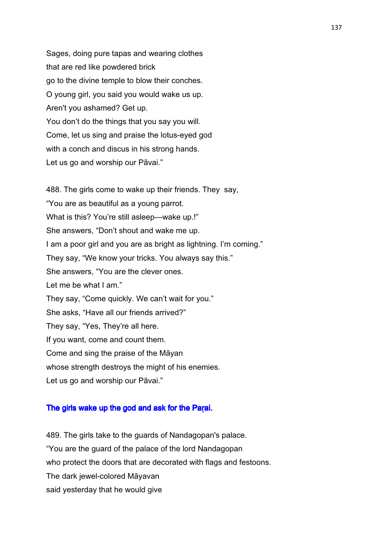Sages, doing pure tapas and wearing clothes that are red like powdered brick go to the divine temple to blow their conches. O young girl, you said you would wake us up. Aren't you ashamed? Get up. You don't do the things that you say you will. Come, let us sing and praise the lotus-eyed god with a conch and discus in his strong hands. Let us go and worship our Pāvai."

488. The girls come to wake up their friends. They say, "You are as beautiful as a young parrot. What is this? You're still asleep—wake up.!" She answers, "Don't shout and wake me up. I am a poor girl and you are as bright as lightning. I'm coming." They say, "We know your tricks. You always say this." She answers, "You are the clever ones. Let me be what I am." They say, "Come quickly. We can't wait for you." She asks, "Have all our friends arrived?" They say, "Yes, They're all here. If you want, come and count them. Come and sing the praise of the Māyan whose strength destroys the might of his enemies. Let us go and worship our Pāvai."

### The girls wake up the god and ask for the Parai.

489. The girls take to the guards of Nandagopan's palace. "You are the guard of the palace of the lord Nandagopan who protect the doors that are decorated with flags and festoons. The dark jewel-colored Māyavan said yesterday that he would give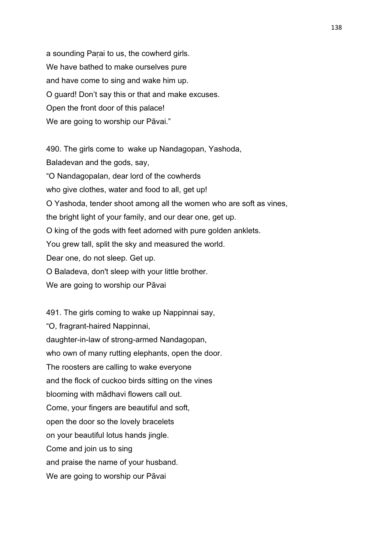a sounding Parai to us, the cowherd girls. We have bathed to make ourselves pure and have come to sing and wake him up. O guard! Don't say this or that and make excuses. Open the front door of this palace! We are going to worship our Pāvai."

490. The girls come to wake up Nandagopan, Yashoda, Baladevan and the gods, say, "O Nandagopalan, dear lord of the cowherds who give clothes, water and food to all, get up! O Yashoda, tender shoot among all the women who are soft as vines, the bright light of your family, and our dear one, get up. O king of the gods with feet adorned with pure golden anklets. You grew tall, split the sky and measured the world. Dear one, do not sleep. Get up. O Baladeva, don't sleep with your little brother. We are going to worship our Pāvai

491. The girls coming to wake up Nappinnai say, "O, fragrant-haired Nappinnai, daughter-in-law of strong-armed Nandagopan, who own of many rutting elephants, open the door. The roosters are calling to wake everyone and the flock of cuckoo birds sitting on the vines blooming with mādhavi flowers call out. Come, your fingers are beautiful and soft, open the door so the lovely bracelets on your beautiful lotus hands jingle. Come and join us to sing and praise the name of your husband. We are going to worship our Pāvai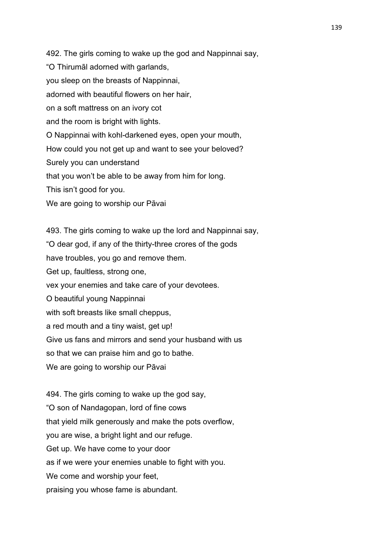492. The girls coming to wake up the god and Nappinnai say, "O Thirumāl adorned with garlands, you sleep on the breasts of Nappinnai, adorned with beautiful flowers on her hair, on a soft mattress on an ivory cot and the room is bright with lights. O Nappinnai with kohl-darkened eyes, open your mouth, How could you not get up and want to see your beloved? Surely you can understand that you won't be able to be away from him for long. This isn't good for you. We are going to worship our Pāvai

493. The girls coming to wake up the lord and Nappinnai say, "O dear god, if any of the thirty-three crores of the gods have troubles, you go and remove them. Get up, faultless, strong one, vex your enemies and take care of your devotees. O beautiful young Nappinnai with soft breasts like small cheppus, a red mouth and a tiny waist, get up! Give us fans and mirrors and send your husband with us so that we can praise him and go to bathe. We are going to worship our Pāvai

494. The girls coming to wake up the god say, "O son of Nandagopan, lord of fine cows that yield milk generously and make the pots overflow, you are wise, a bright light and our refuge. Get up. We have come to your door as if we were your enemies unable to fight with you. We come and worship your feet. praising you whose fame is abundant.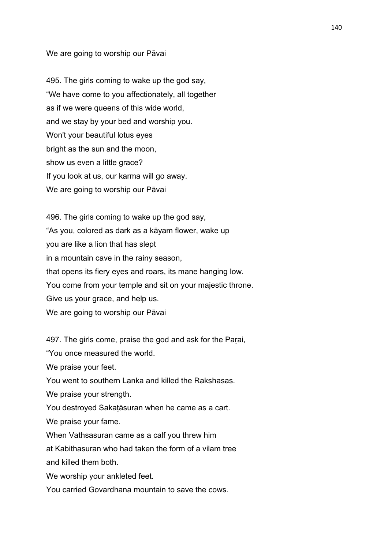### We are going to worship our Pāvai

495. The girls coming to wake up the god say, "We have come to you affectionately, all together as if we were queens of this wide world, and we stay by your bed and worship you. Won't your beautiful lotus eyes bright as the sun and the moon, show us even a little grace? If you look at us, our karma will go away. We are going to worship our Pāvai

496. The girls coming to wake up the god say, "As you, colored as dark as a kāyam flower, wake up you are like a lion that has slept in a mountain cave in the rainy season, that opens its fiery eyes and roars, its mane hanging low. You come from your temple and sit on your majestic throne. Give us your grace, and help us. We are going to worship our Pāvai

497. The girls come, praise the god and ask for the Parai,

"You once measured the world.

We praise your feet.

You went to southern Lanka and killed the Rakshasas.

We praise your strength.

You destroyed Sakaṭāsuran when he came as a cart.

We praise your fame.

When Vathsasuran came as a calf you threw him

at Kabithasuran who had taken the form of a vilam tree and killed them both.

We worship your ankleted feet.

You carried Govardhana mountain to save the cows.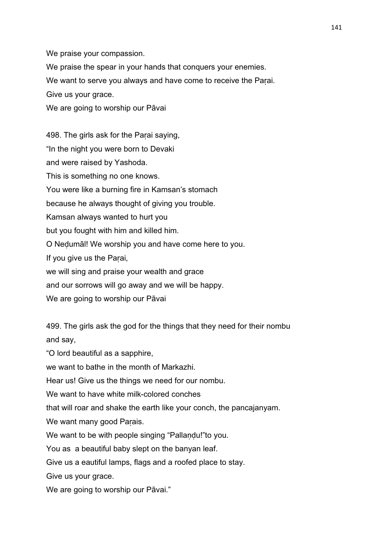We praise your compassion.

We praise the spear in your hands that conquers your enemies.

We want to serve you always and have come to receive the Paṛai.

Give us your grace.

We are going to worship our Pāvai

498. The girls ask for the Paṛai saying, "In the night you were born to Devaki and were raised by Yashoda. This is something no one knows. You were like a burning fire in Kamsan's stomach because he always thought of giving you trouble. Kamsan always wanted to hurt you but you fought with him and killed him. O Neḍumāl! We worship you and have come here to you. If you give us the Paṛai, we will sing and praise your wealth and grace and our sorrows will go away and we will be happy. We are going to worship our Pāvai

499. The girls ask the god for the things that they need for their nombu and say,

"O lord beautiful as a sapphire,

we want to bathe in the month of Markazhi.

Hear us! Give us the things we need for our nombu.

We want to have white milk-colored conches

that will roar and shake the earth like your conch, the pancajanyam.

We want many good Parais.

We want to be with people singing "Pallandu!"to you.

You as a beautiful baby slept on the banyan leaf.

Give us a eautiful lamps, flags and a roofed place to stay.

Give us your grace.

We are going to worship our Pāvai."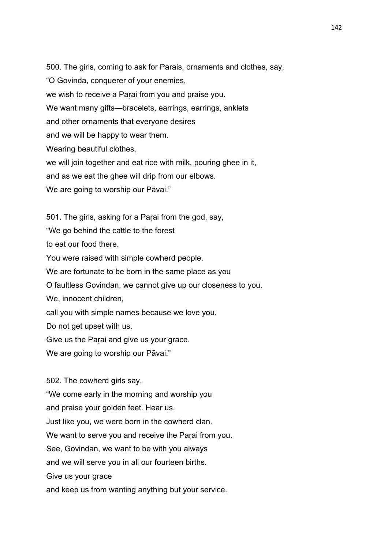500. The girls, coming to ask for Parais, ornaments and clothes, say, "O Govinda, conquerer of your enemies, we wish to receive a Parai from you and praise you. We want many gifts—bracelets, earrings, earrings, anklets and other ornaments that everyone desires and we will be happy to wear them. Wearing beautiful clothes, we will join together and eat rice with milk, pouring ghee in it, and as we eat the ghee will drip from our elbows. We are going to worship our Pāvai."

501. The girls, asking for a Parai from the god, say,

"We go behind the cattle to the forest

to eat our food there.

You were raised with simple cowherd people.

We are fortunate to be born in the same place as you

O faultless Govindan, we cannot give up our closeness to you.

We, innocent children,

call you with simple names because we love you.

Do not get upset with us.

Give us the Parai and give us your grace.

We are going to worship our Pāvai."

502. The cowherd girls say,

"We come early in the morning and worship you

and praise your golden feet. Hear us.

Just like you, we were born in the cowherd clan.

We want to serve you and receive the Parai from you.

See, Govindan, we want to be with you always

and we will serve you in all our fourteen births.

Give us your grace

and keep us from wanting anything but your service.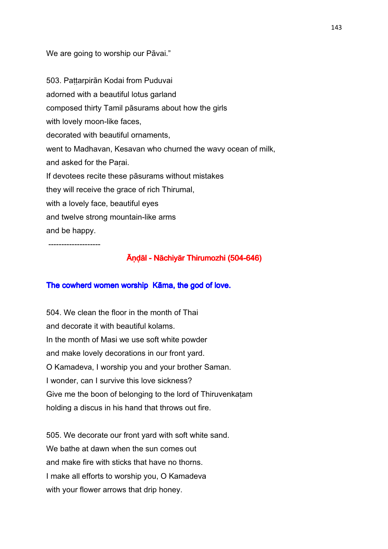We are going to worship our Pāvai."

503. Paṭṭarpirān Kodai from Puduvai adorned with a beautiful lotus garland composed thirty Tamil pāsurams about how the girls with lovely moon-like faces. decorated with beautiful ornaments, went to Madhavan, Kesavan who churned the wavy ocean of milk, and asked for the Paṛai. If devotees recite these pāsurams without mistakes they will receive the grace of rich Thirumal, with a lovely face, beautiful eyes and twelve strong mountain-like arms and be happy.

--------------------

## Āṇḍāl -Nāchiyār Thirumozhi Nāchiyār ThirumozhiThirumozhi(504-646)

### The cowherd women worship Kāma, the god of love.

504. We clean the floor in the month of Thai and decorate it with beautiful kolams. In the month of Masi we use soft white powder and make lovely decorations in our front yard. O Kamadeva, I worship you and your brother Saman. I wonder, can I survive this love sickness? Give me the boon of belonging to the lord of Thiruvenkaṭam holding a discus in his hand that throws out fire.

505. We decorate our front yard with soft white sand. We bathe at dawn when the sun comes out and make fire with sticks that have no thorns. I make all efforts to worship you, O Kamadeva with your flower arrows that drip honey.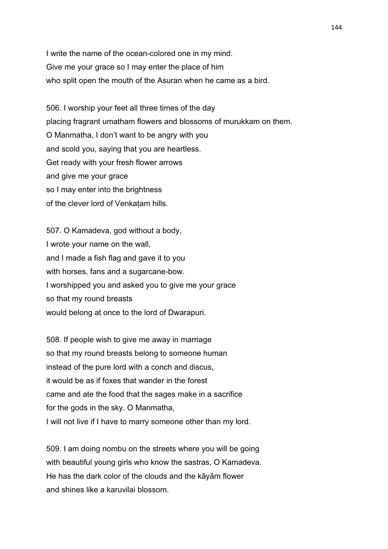I write the name of the ocean-colored one in my mind. Give me your grace so I may enter the place of him who split open the mouth of the Asuran when he came as a bird.

506. I worship your feet all three times of the day placing fragrant umatham flowers and blossoms of murukkam on them. O Manmatha, I don't want to be angry with you and scold you, saying that you are heartless. Get ready with your fresh flower arrows and give me your grace so I may enter into the brightness of the clever lord of Venkatam hills.

507. O Kamadeva, god without a body, I wrote your name on the wall, and I made a fish flag and gave it to you with horses, fans and a sugarcane-bow. I worshipped you and asked you to give me your grace so that my round breasts would belong at once to the lord of Dwarapuri.

508. If people wish to give me away in marriage so that my round breasts belong to someone human instead of the pure lord with a conch and discus, it would be as if foxes that wander in the forest came and ate the food that the sages make in a sacrifice for the gods in the sky. O Manmatha, I will not live if I have to marry someone other than my lord.

509. I am doing nombu on the streets where you will be going with beautiful young girls who know the sastras, O Kamadeva. He has the dark color of the clouds and the kāyām flower and shines like a karuvilai blossom.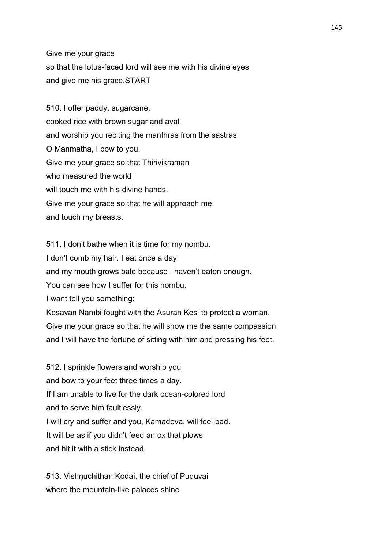Give me your grace so that the lotus-faced lord will see me with his divine eyes and give me his grace.START

510. I offer paddy, sugarcane, cooked rice with brown sugar and aval and worship you reciting the manthras from the sastras. O Manmatha, I bow to you. Give me your grace so that Thirivikraman who measured the world will touch me with his divine hands. Give me your grace so that he will approach me and touch my breasts.

511. I don't bathe when it is time for my nombu. I don't comb my hair. I eat once a day and my mouth grows pale because I haven't eaten enough. You can see how I suffer for this nombu. I want tell you something: Kesavan Nambi fought with the Asuran Kesi to protect a woman. Give me your grace so that he will show me the same compassion and I will have the fortune of sitting with him and pressing his feet.

512. I sprinkle flowers and worship you and bow to your feet three times a day. If I am unable to live for the dark ocean-colored lord and to serve him faultlessly, I will cry and suffer and you, Kamadeva, will feel bad. It will be as if you didn't feed an ox that plows and hit it with a stick instead.

513. Vishnuchithan Kodai, the chief of Puduvai where the mountain-like palaces shine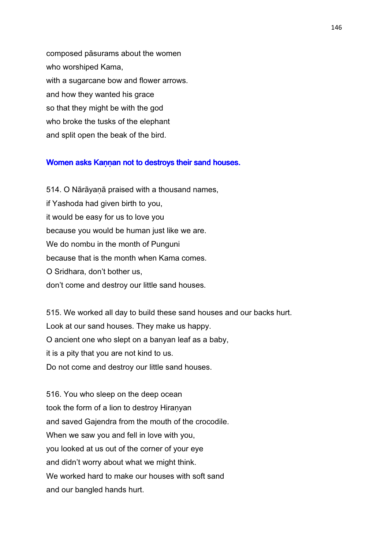composed pāsurams about the women who worshiped Kama, with a sugarcane bow and flower arrows. and how they wanted his grace so that they might be with the god who broke the tusks of the elephant and split open the beak of the bird.

# Women asks Kannan not to destroys their sand houses.

514. O Nārāyaṇā praised with a thousand names, if Yashoda had given birth to you, it would be easy for us to love you because you would be human just like we are. We do nombu in the month of Punguni because that is the month when Kama comes. O Sridhara, don't bother us, don't come and destroy our little sand houses.

515. We worked all day to build these sand houses and our backs hurt. Look at our sand houses. They make us happy. O ancient one who slept on a banyan leaf as a baby, it is a pity that you are not kind to us. Do not come and destroy our little sand houses.

516. You who sleep on the deep ocean took the form of a lion to destroy Hiranyan and saved Gajendra from the mouth of the crocodile. When we saw you and fell in love with you, you looked at us out of the corner of your eye and didn't worry about what we might think. We worked hard to make our houses with soft sand and our bangled hands hurt.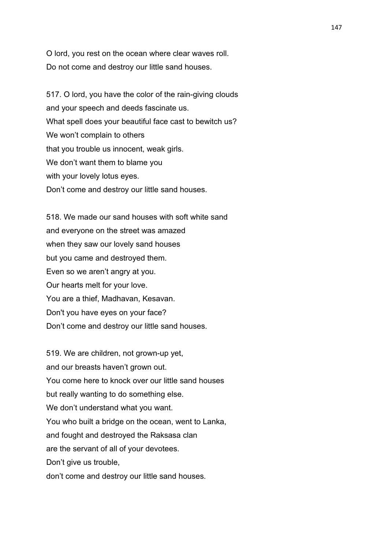O lord, you rest on the ocean where clear waves roll. Do not come and destroy our little sand houses.

517. O lord, you have the color of the rain-giving clouds and your speech and deeds fascinate us. What spell does your beautiful face cast to bewitch us? We won't complain to others that you trouble us innocent, weak girls. We don't want them to blame you with your lovely lotus eyes. Don't come and destroy our little sand houses.

518. We made our sand houses with soft white sand and everyone on the street was amazed when they saw our lovely sand houses but you came and destroyed them. Even so we aren't angry at you. Our hearts melt for your love. You are a thief, Madhavan, Kesavan. Don't you have eyes on your face? Don't come and destroy our little sand houses.

519. We are children, not grown-up yet, and our breasts haven't grown out. You come here to knock over our little sand houses but really wanting to do something else. We don't understand what you want. You who built a bridge on the ocean, went to Lanka, and fought and destroyed the Raksasa clan are the servant of all of your devotees. Don't give us trouble. don't come and destroy our little sand houses.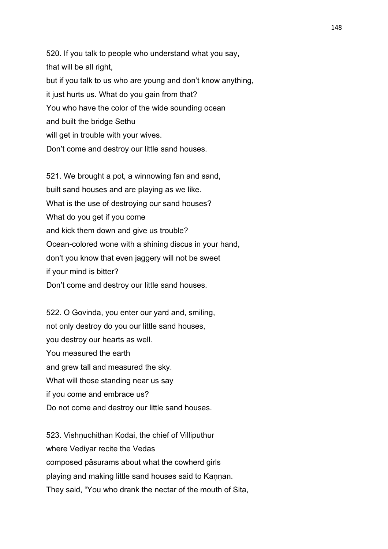520. If you talk to people who understand what you say, that will be all right, but if you talk to us who are young and don't know anything, it just hurts us. What do you gain from that? You who have the color of the wide sounding ocean and built the bridge Sethu will get in trouble with your wives. Don't come and destroy our little sand houses.

521. We brought a pot, a winnowing fan and sand, built sand houses and are playing as we like. What is the use of destroying our sand houses? What do you get if you come and kick them down and give us trouble? Ocean-colored wone with a shining discus in your hand, don't you know that even jaggery will not be sweet if your mind is bitter? Don't come and destroy our little sand houses.

522. O Govinda, you enter our yard and, smiling, not only destroy do you our little sand houses, you destroy our hearts as well. You measured the earth and grew tall and measured the sky. What will those standing near us say if you come and embrace us? Do not come and destroy our little sand houses.

523. Vishṇuchithan Kodai, the chief of Villiputhur where Vediyar recite the Vedas composed pāsurams about what the cowherd girls playing and making little sand houses said to Kannan. They said, "You who drank the nectar of the mouth of Sita,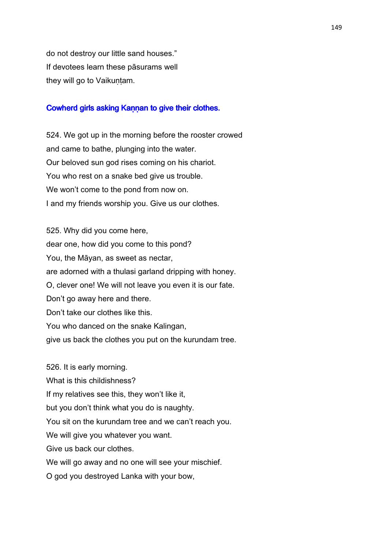do not destroy our little sand houses." If devotees learn these pāsurams well they will go to Vaikuṇṭam.

### Cowherd girls asking Kannan to give their clothes.

524. We got up in the morning before the rooster crowed and came to bathe, plunging into the water. Our beloved sun god rises coming on his chariot. You who rest on a snake bed give us trouble. We won't come to the pond from now on. I and my friends worship you. Give us our clothes.

525. Why did you come here, dear one, how did you come to this pond? You, the Māyan, as sweet as nectar, are adorned with a thulasi garland dripping with honey. O, clever one! We will not leave you even it is our fate. Don't go away here and there. Don't take our clothes like this. You who danced on the snake Kalingan, give us back the clothes you put on the kurundam tree.

526. It is early morning. What is this childishness? If my relatives see this, they won't like it, but you don't think what you do is naughty. You sit on the kurundam tree and we can't reach you. We will give you whatever you want. Give us back our clothes. We will go away and no one will see your mischief. O god you destroyed Lanka with your bow,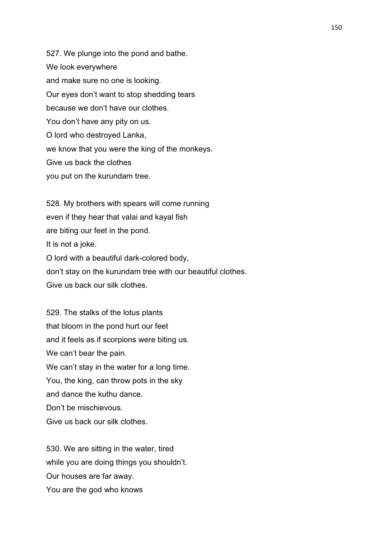527. We plunge into the pond and bathe. We look everywhere and make sure no one is looking. Our eyes don't want to stop shedding tears because we don't have our clothes. You don't have any pity on us. O lord who destroyed Lanka, we know that you were the king of the monkeys. Give us back the clothes you put on the kurundam tree.

528. My brothers with spears will come running even if they hear that valai and kayal fish are biting our feet in the pond. It is not a joke. O lord with a beautiful dark-colored body, don't stay on the kurundam tree with our beautiful clothes. Give us back our silk clothes.

529. The stalks of the lotus plants that bloom in the pond hurt our feet and it feels as if scorpions were biting us. We can't bear the pain. We can't stay in the water for a long time. You, the king, can throw pots in the sky and dance the kuthu dance. Don't be mischievous. Give us back our silk clothes.

530. We are sitting in the water, tired while you are doing things you shouldn't. Our houses are far away. You are the god who knows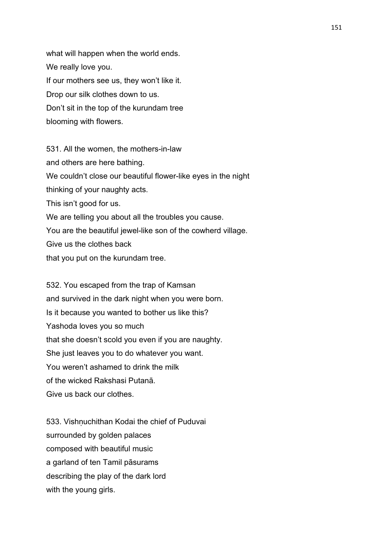what will happen when the world ends. We really love you. If our mothers see us, they won't like it. Drop our silk clothes down to us. Don't sit in the top of the kurundam tree blooming with flowers.

531. All the women, the mothers-in-law and others are here bathing. We couldn't close our beautiful flower-like eyes in the night thinking of your naughty acts. This isn't good for us. We are telling you about all the troubles you cause. You are the beautiful jewel-like son of the cowherd village. Give us the clothes back that you put on the kurundam tree.

532. You escaped from the trap of Kamsan and survived in the dark night when you were born. Is it because you wanted to bother us like this? Yashoda loves you so much that she doesn't scold you even if you are naughty. She just leaves you to do whatever you want. You weren't ashamed to drink the milk of the wicked Rakshasi Putanā. Give us back our clothes.

533. Vishnuchithan Kodai the chief of Puduvai surrounded by golden palaces composed with beautiful music a garland of ten Tamil pāsurams describing the play of the dark lord with the young girls.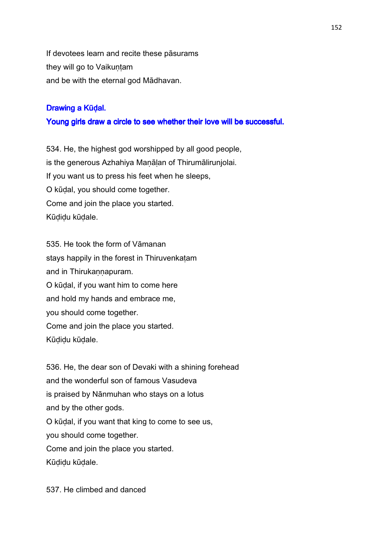If devotees learn and recite these pāsurams they will go to Vaikuṇṭam and be with the eternal god Mādhavan.

# Drawing a Kūḍal.

# Young girls draw a circle to see whether their love will be successful.

534. He, the highest god worshipped by all good people, is the generous Azhahiya Maṇāḷan of Thirumālirunjolai. If you want us to press his feet when he sleeps, O kūḍal, you should come together. Come and join the place you started. Kūḍiḍu kūḍale.

535. He took the form of Vāmanan stays happily in the forest in Thiruvenkatam and in Thirukannapuram. O kūḍal, if you want him to come here and hold my hands and embrace me, you should come together. Come and join the place you started. Kūḍiḍu kūḍale.

536. He, the dear son of Devaki with a shining forehead and the wonderful son of famous Vasudeva is praised by Nānmuhan who stays on a lotus and by the other gods. O kūḍal, if you want that king to come to see us, you should come together. Come and join the place you started. Kūḍiḍu kūḍale.

537. He climbed and danced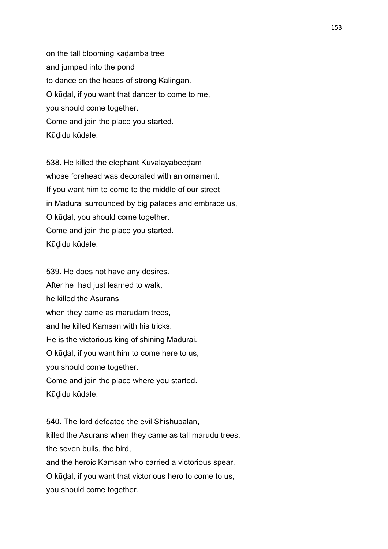on the tall blooming kaḍamba tree and jumped into the pond to dance on the heads of strong Kālingan. O kūḍal, if you want that dancer to come to me, you should come together. Come and join the place you started. Kūḍiḍu kūḍale.

538. He killed the elephant Kuvalayābeeḍam whose forehead was decorated with an ornament. If you want him to come to the middle of our street in Madurai surrounded by big palaces and embrace us, O kūḍal, you should come together. Come and join the place you started. Kūḍiḍu kūḍale.

539. He does not have any desires. After he had just learned to walk, he killed the Asurans when they came as marudam trees, and he killed Kamsan with his tricks. He is the victorious king of shining Madurai. O kūḍal, if you want him to come here to us, you should come together. Come and join the place where you started. Kūḍiḍu kūḍale.

540. The lord defeated the evil Shishupālan, killed the Asurans when they came as tall marudu trees, the seven bulls, the bird, and the heroic Kamsan who carried a victorious spear. O kūḍal, if you want that victorious hero to come to us, you should come together.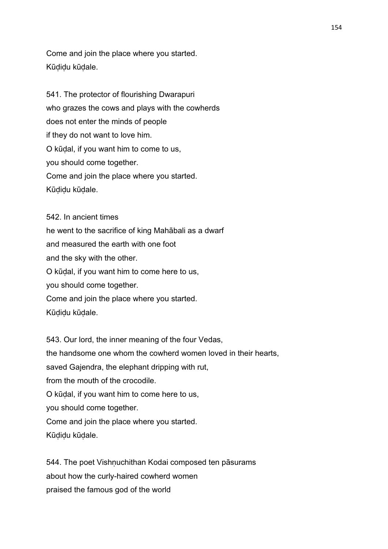Come and join the place where you started. Kūḍiḍu kūḍale.

541. The protector of flourishing Dwarapuri who grazes the cows and plays with the cowherds does not enter the minds of people if they do not want to love him. O kūḍal, if you want him to come to us, you should come together. Come and join the place where you started. Kūḍiḍu kūḍale.

542. In ancient times he went to the sacrifice of king Mahābali as a dwarf and measured the earth with one foot and the sky with the other. O kūḍal, if you want him to come here to us, you should come together. Come and join the place where you started. Kūḍiḍu kūḍale.

543. Our lord, the inner meaning of the four Vedas, the handsome one whom the cowherd women loved in their hearts, saved Gajendra, the elephant dripping with rut, from the mouth of the crocodile. O kūḍal, if you want him to come here to us, you should come together. Come and join the place where you started. Kūḍiḍu kūḍale.

544. The poet Vishnuchithan Kodai composed ten pāsurams about how the curly-haired cowherd women praised the famous god of the world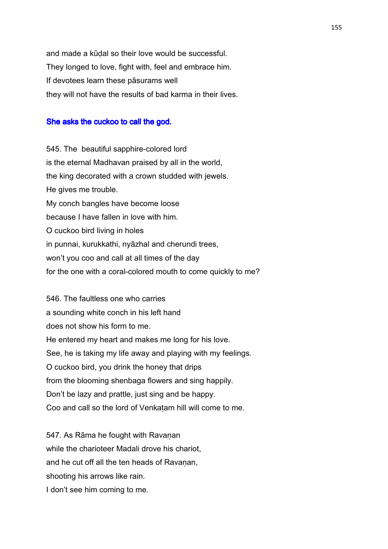and made a kūḍal so their love would be successful. They longed to love, fight with, feel and embrace him. If devotees learn these pāsurams well they will not have the results of bad karma in their lives.

### She asks the cuckoo to call the god.

545. The beautiful sapphire-colored lord is the eternal Madhavan praised by all in the world, the king decorated with a crown studded with jewels. He gives me trouble. My conch bangles have become loose because I have fallen in love with him. O cuckoo bird living in holes in punnai, kurukkathi, nyāzhal and cherundi trees, won't you coo and call at all times of the day for the one with a coral-colored mouth to come quickly to me?

546. The faultless one who carries a sounding white conch in his left hand does not show his form to me. He entered my heart and makes me long for his love. See, he is taking my life away and playing with my feelings. O cuckoo bird, you drink the honey that drips from the blooming shenbaga flowers and sing happily. Don't be lazy and prattle, just sing and be happy. Coo and call so the lord of Venkaṭam hill will come to me.

547. As Rāma he fought with Ravaṇan while the charioteer Madali drove his chariot, and he cut off all the ten heads of Ravanan. shooting his arrows like rain. I don't see him coming to me.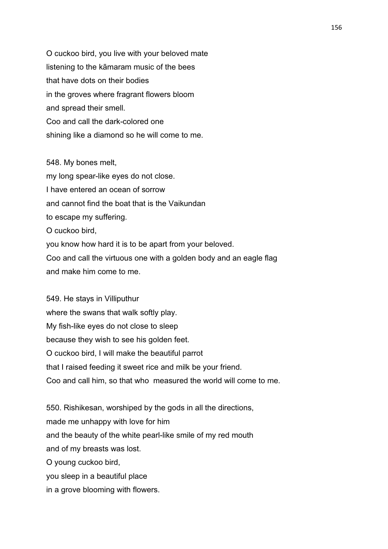O cuckoo bird, you live with your beloved mate listening to the kāmaram music of the bees that have dots on their bodies in the groves where fragrant flowers bloom and spread their smell. Coo and call the dark-colored one shining like a diamond so he will come to me.

548. My bones melt, my long spear-like eyes do not close. I have entered an ocean of sorrow and cannot find the boat that is the Vaikundan to escape my suffering. O cuckoo bird, you know how hard it is to be apart from your beloved. Coo and call the virtuous one with a golden body and an eagle flag and make him come to me.

549. He stays in Villiputhur where the swans that walk softly play. My fish-like eyes do not close to sleep because they wish to see his golden feet. O cuckoo bird, I will make the beautiful parrot that I raised feeding it sweet rice and milk be your friend. Coo and call him, so that who measured the world will come to me.

550. Rishikesan, worshiped by the gods in all the directions, made me unhappy with love for him and the beauty of the white pearl-like smile of my red mouth and of my breasts was lost. O young cuckoo bird, you sleep in a beautiful place in a grove blooming with flowers.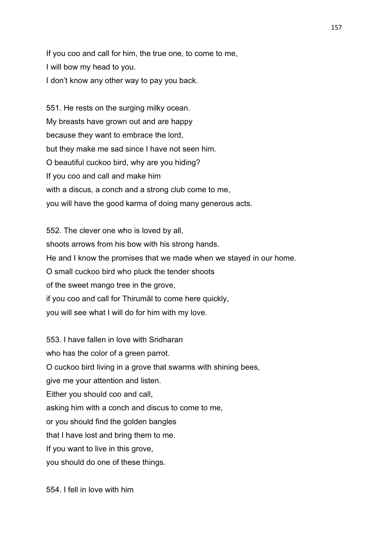If you coo and call for him, the true one, to come to me, I will bow my head to you. I don't know any other way to pay you back.

551. He rests on the surging milky ocean. My breasts have grown out and are happy because they want to embrace the lord, but they make me sad since I have not seen him. O beautiful cuckoo bird, why are you hiding? If you coo and call and make him with a discus, a conch and a strong club come to me, you will have the good karma of doing many generous acts.

552. The clever one who is loved by all, shoots arrows from his bow with his strong hands. He and I know the promises that we made when we stayed in our home. O small cuckoo bird who pluck the tender shoots of the sweet mango tree in the grove, if you coo and call for Thirumāl to come here quickly, you will see what I will do for him with my love.

553. I have fallen in love with Sridharan who has the color of a green parrot. O cuckoo bird living in a grove that swarms with shining bees, give me your attention and listen. Either you should coo and call, asking him with a conch and discus to come to me, or you should find the golden bangles that I have lost and bring them to me. If you want to live in this grove, you should do one of these things.

554. I fell in love with him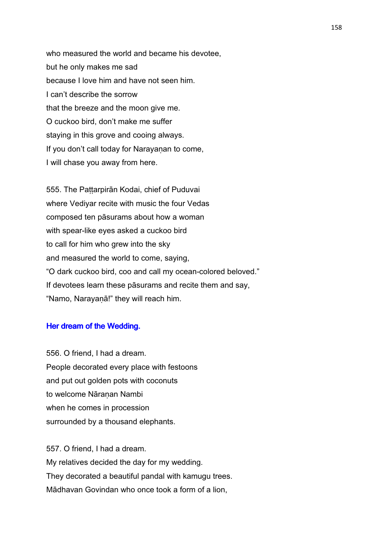who measured the world and became his devotee, but he only makes me sad because I love him and have not seen him. I can't describe the sorrow that the breeze and the moon give me. O cuckoo bird, don't make me suffer staying in this grove and cooing always. If you don't call today for Narayaṇan to come, I will chase you away from here.

555. The Paṭṭarpirān Kodai, chief of Puduvai where Vediyar recite with music the four Vedas composed ten pāsurams about how a woman with spear-like eyes asked a cuckoo bird to call for him who grew into the sky and measured the world to come, saying, "O dark cuckoo bird, coo and call my ocean-colored beloved." If devotees learn these pāsurams and recite them and say, "Namo, Narayaṇā!" they will reach him.

# Her dream of the Wedding.

556. O friend, I had a dream. People decorated every place with festoons and put out golden pots with coconuts to welcome Nāranan Nambi when he comes in procession surrounded by a thousand elephants.

557. O friend, I had a dream. My relatives decided the day for my wedding. They decorated a beautiful pandal with kamugu trees. Mādhavan Govindan who once took a form of a lion,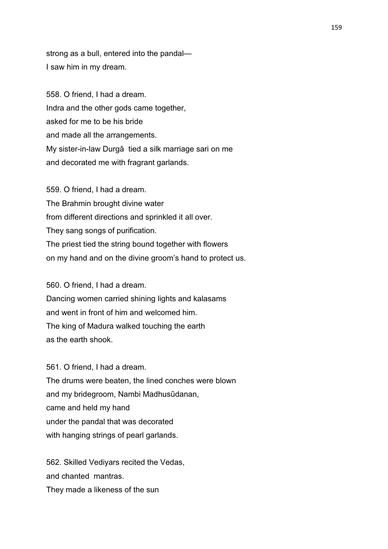strong as a bull, entered into the pandal— I saw him in my dream.

558. O friend, I had a dream. Indra and the other gods came together, asked for me to be his bride and made all the arrangements. My sister-in-law Durgā tied a silk marriage sari on me and decorated me with fragrant garlands.

559. O friend, I had a dream. The Brahmin brought divine water from different directions and sprinkled it all over. They sang songs of purification. The priest tied the string bound together with flowers on my hand and on the divine groom's hand to protect us.

560. O friend, I had a dream.

Dancing women carried shining lights and kalasams and went in front of him and welcomed him. The king of Madura walked touching the earth as the earth shook.

561. O friend, I had a dream. The drums were beaten, the lined conches were blown and my bridegroom, Nambi Madhusūdanan, came and held my hand under the pandal that was decorated with hanging strings of pearl garlands.

562. Skilled Vediyars recited the Vedas, and chanted mantras. They made a likeness of the sun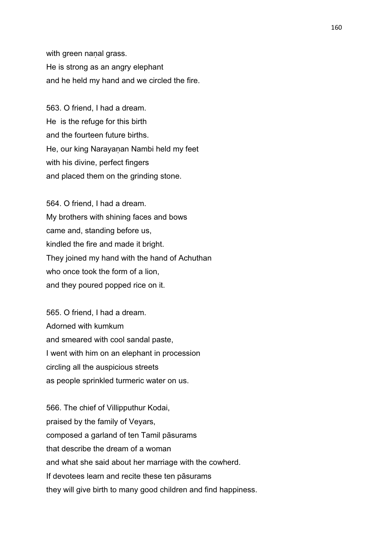with green nanal grass. He is strong as an angry elephant and he held my hand and we circled the fire.

563. O friend, I had a dream. He is the refuge for this birth and the fourteen future births. He, our king Narayaṇan Nambi held my feet with his divine, perfect fingers and placed them on the grinding stone.

564. O friend, I had a dream. My brothers with shining faces and bows came and, standing before us, kindled the fire and made it bright. They joined my hand with the hand of Achuthan who once took the form of a lion, and they poured popped rice on it.

565. O friend, I had a dream. Adorned with kumkum and smeared with cool sandal paste, I went with him on an elephant in procession circling all the auspicious streets as people sprinkled turmeric water on us.

566. The chief of Villipputhur Kodai, praised by the family of Veyars, composed a garland of ten Tamil pāsurams that describe the dream of a woman and what she said about her marriage with the cowherd. If devotees learn and recite these ten pāsurams they will give birth to many good children and find happiness.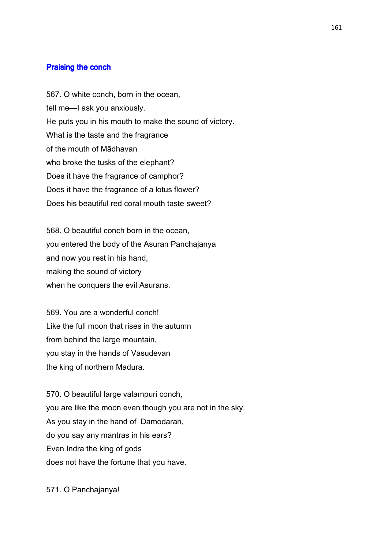### Praising the conch

567. O white conch, born in the ocean, tell me—I ask you anxiously. He puts you in his mouth to make the sound of victory. What is the taste and the fragrance of the mouth of Mādhavan who broke the tusks of the elephant? Does it have the fragrance of camphor? Does it have the fragrance of a lotus flower? Does his beautiful red coral mouth taste sweet?

568. O beautiful conch born in the ocean, you entered the body of the Asuran Panchajanya and now you rest in his hand, making the sound of victory when he conquers the evil Asurans.

569. You are a wonderful conch! Like the full moon that rises in the autumn from behind the large mountain, you stay in the hands of Vasudevan the king of northern Madura.

570. O beautiful large valampuri conch, you are like the moon even though you are not in the sky. As you stay in the hand of Damodaran, do you say any mantras in his ears? Even Indra the king of gods does not have the fortune that you have.

571. O Panchajanya!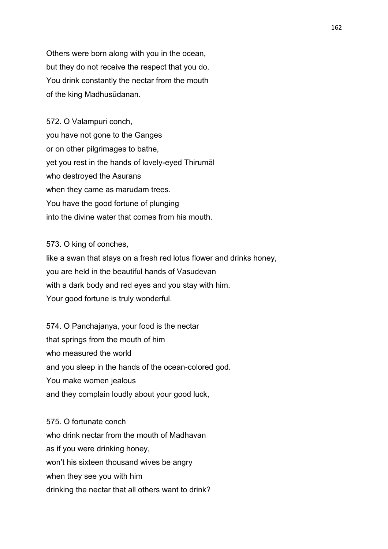Others were born along with you in the ocean, but they do not receive the respect that you do. You drink constantly the nectar from the mouth of the king Madhusūdanan.

572. O Valampuri conch, you have not gone to the Ganges or on other pilgrimages to bathe, yet you rest in the hands of lovely-eyed Thirumāl who destroyed the Asurans when they came as marudam trees. You have the good fortune of plunging into the divine water that comes from his mouth.

573. O king of conches, like a swan that stays on a fresh red lotus flower and drinks honey, you are held in the beautiful hands of Vasudevan with a dark body and red eyes and you stay with him. Your good fortune is truly wonderful.

574. O Panchajanya, your food is the nectar that springs from the mouth of him who measured the world and you sleep in the hands of the ocean-colored god. You make women jealous and they complain loudly about your good luck,

575. O fortunate conch who drink nectar from the mouth of Madhavan as if you were drinking honey, won't his sixteen thousand wives be angry when they see you with him drinking the nectar that all others want to drink?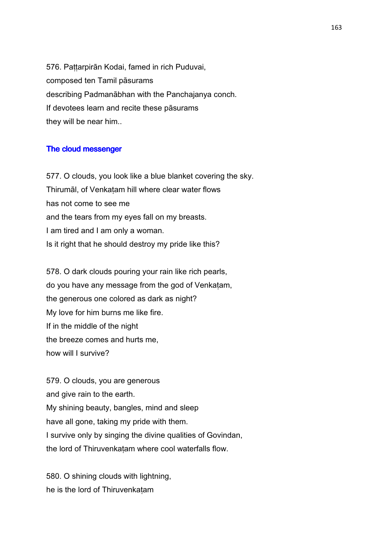576. Paṭṭarpirān Kodai, famed in rich Puduvai, composed ten Tamil pāsurams describing Padmanābhan with the Panchajanya conch. If devotees learn and recite these pāsurams they will be near him..

#### The cloud messenger

577. O clouds, you look like a blue blanket covering the sky. Thirumāl, of Venkaṭam hill where clear water flows has not come to see me and the tears from my eyes fall on my breasts. I am tired and I am only a woman. Is it right that he should destroy my pride like this?

578. O dark clouds pouring your rain like rich pearls, do you have any message from the god of Venkaṭam, the generous one colored as dark as night? My love for him burns me like fire. If in the middle of the night the breeze comes and hurts me, how will I survive?

579. O clouds, you are generous and give rain to the earth. My shining beauty, bangles, mind and sleep have all gone, taking my pride with them. I survive only by singing the divine qualities of Govindan, the lord of Thiruvenkatam where cool waterfalls flow.

580. O shining clouds with lightning, he is the lord of Thiruvenkaṭam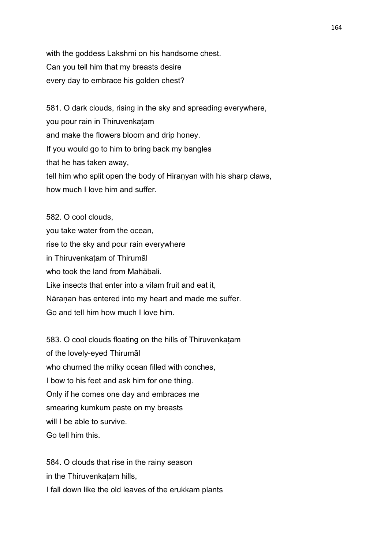with the goddess Lakshmi on his handsome chest. Can you tell him that my breasts desire every day to embrace his golden chest?

581. O dark clouds, rising in the sky and spreading everywhere, you pour rain in Thiruvenkaṭam and make the flowers bloom and drip honey. If you would go to him to bring back my bangles that he has taken away, tell him who split open the body of Hiranyan with his sharp claws, how much I love him and suffer.

582. O cool clouds, you take water from the ocean, rise to the sky and pour rain everywhere in Thiruvenkaṭam of Thirumāl who took the land from Mahābali. Like insects that enter into a vilam fruit and eat it, Nāranan has entered into my heart and made me suffer. Go and tell him how much I love him.

583. O cool clouds floating on the hills of Thiruvenkatam of the lovely-eyed Thirumāl who churned the milky ocean filled with conches, I bow to his feet and ask him for one thing. Only if he comes one day and embraces me smearing kumkum paste on my breasts will I be able to survive. Go tell him this.

584. O clouds that rise in the rainy season in the Thiruvenkatam hills. I fall down like the old leaves of the erukkam plants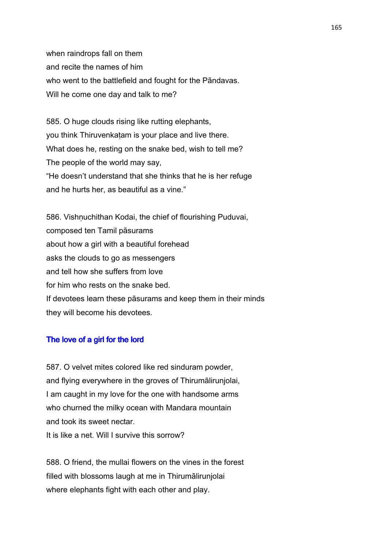when raindrops fall on them and recite the names of him who went to the battlefield and fought for the Pāndavas. Will he come one day and talk to me?

585. O huge clouds rising like rutting elephants, you think Thiruvenkaṭam is your place and live there. What does he, resting on the snake bed, wish to tell me? The people of the world may say, "He doesn't understand that she thinks that he is her refuge and he hurts her, as beautiful as a vine."

586. Vishnuchithan Kodai, the chief of flourishing Puduvai, composed ten Tamil pāsurams about how a girl with a beautiful forehead asks the clouds to go as messengers and tell how she suffers from love for him who rests on the snake bed. If devotees learn these pāsurams and keep them in their minds they will become his devotees.

# The love of a girl for the lord

587. O velvet mites colored like red sinduram powder, and flying everywhere in the groves of Thirumālirunjolai, I am caught in my love for the one with handsome arms who churned the milky ocean with Mandara mountain and took its sweet nectar. It is like a net. Will I survive this sorrow?

588. O friend, the mullai flowers on the vines in the forest filled with blossoms laugh at me in Thirumālirunjolai where elephants fight with each other and play.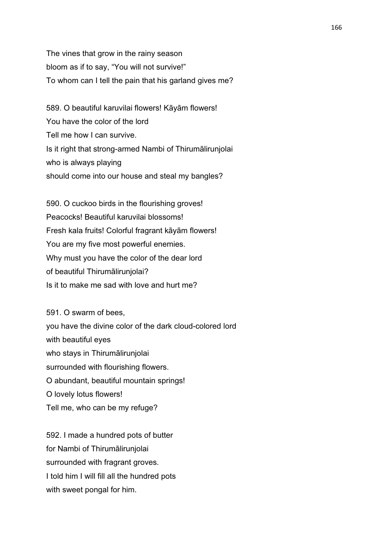The vines that grow in the rainy season bloom as if to say, "You will not survive!" To whom can I tell the pain that his garland gives me?

589. O beautiful karuvilai flowers! Kāyām flowers! You have the color of the lord Tell me how I can survive. Is it right that strong-armed Nambi of Thirumālirunjolai who is always playing should come into our house and steal my bangles?

590. O cuckoo birds in the flourishing groves! Peacocks! Beautiful karuvilai blossoms! Fresh kala fruits! Colorful fragrant kāyām flowers! You are my five most powerful enemies. Why must you have the color of the dear lord of beautiful Thirumālirunjolai? Is it to make me sad with love and hurt me?

591. O swarm of bees, you have the divine color of the dark cloud-colored lord with beautiful eyes who stays in Thirumālirunjolai surrounded with flourishing flowers. O abundant, beautiful mountain springs! O lovely lotus flowers! Tell me, who can be my refuge?

592. I made a hundred pots of butter for Nambi of Thirumālirunjolai surrounded with fragrant groves. I told him I will fill all the hundred pots with sweet pongal for him.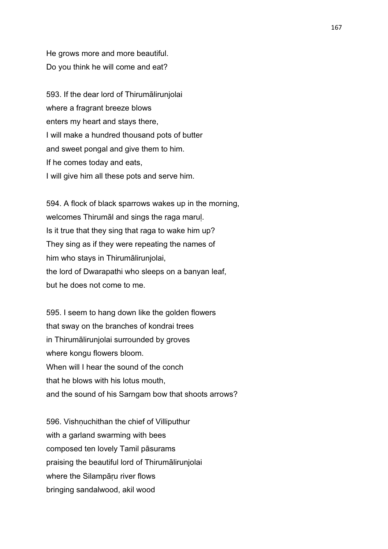He grows more and more beautiful. Do you think he will come and eat?

593. If the dear lord of Thirumālirunjolai where a fragrant breeze blows enters my heart and stays there, I will make a hundred thousand pots of butter and sweet pongal and give them to him. If he comes today and eats, I will give him all these pots and serve him.

594. A flock of black sparrows wakes up in the morning, welcomes Thirumāl and sings the raga marul. Is it true that they sing that raga to wake him up? They sing as if they were repeating the names of him who stays in Thirumālirunjolai, the lord of Dwarapathi who sleeps on a banyan leaf, but he does not come to me.

595. I seem to hang down like the golden flowers that sway on the branches of kondrai trees in Thirumālirunjolai surrounded by groves where kongu flowers bloom. When will I hear the sound of the conch that he blows with his lotus mouth, and the sound of his Sarngam bow that shoots arrows?

596. Vishnuchithan the chief of Villiputhur with a garland swarming with bees composed ten lovely Tamil pāsurams praising the beautiful lord of Thirumālirunjolai where the Silampāru river flows bringing sandalwood, akil wood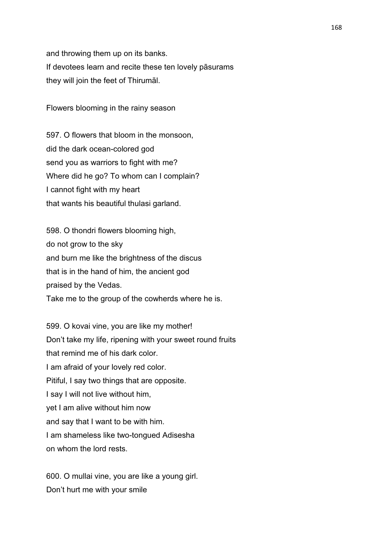and throwing them up on its banks. If devotees learn and recite these ten lovely pāsurams they will join the feet of Thirumāl.

Flowers blooming in the rainy season

597. O flowers that bloom in the monsoon, did the dark ocean-colored god send you as warriors to fight with me? Where did he go? To whom can I complain? I cannot fight with my heart that wants his beautiful thulasi garland.

598. O thondri flowers blooming high, do not grow to the sky and burn me like the brightness of the discus that is in the hand of him, the ancient god praised by the Vedas. Take me to the group of the cowherds where he is.

599. O kovai vine, you are like my mother! Don't take my life, ripening with your sweet round fruits that remind me of his dark color. I am afraid of your lovely red color. Pitiful, I say two things that are opposite. I say I will not live without him, yet I am alive without him now and say that I want to be with him. I am shameless like two-tongued Adisesha on whom the lord rests.

600. O mullai vine, you are like a young girl. Don't hurt me with your smile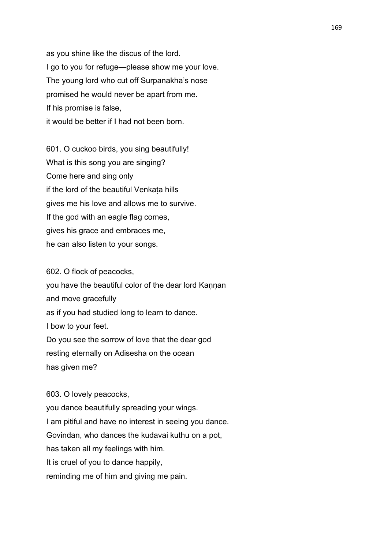as you shine like the discus of the lord. I go to you for refuge—please show me your love. The young lord who cut off Surpanakha's nose promised he would never be apart from me. If his promise is false, it would be better if I had not been born.

601. O cuckoo birds, you sing beautifully! What is this song you are singing? Come here and sing only if the lord of the beautiful Venkaṭa hills gives me his love and allows me to survive. If the god with an eagle flag comes, gives his grace and embraces me, he can also listen to your songs.

602. O flock of peacocks, you have the beautiful color of the dear lord Kannan and move gracefully as if you had studied long to learn to dance. I bow to your feet. Do you see the sorrow of love that the dear god resting eternally on Adisesha on the ocean has given me?

603. O lovely peacocks, you dance beautifully spreading your wings. I am pitiful and have no interest in seeing you dance. Govindan, who dances the kudavai kuthu on a pot, has taken all my feelings with him. It is cruel of you to dance happily, reminding me of him and giving me pain.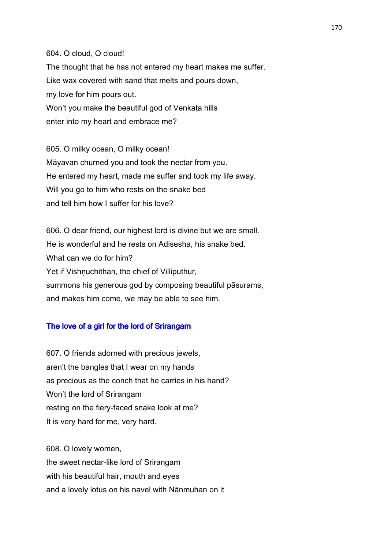604. O cloud, O cloud! The thought that he has not entered my heart makes me suffer. Like wax covered with sand that melts and pours down, my love for him pours out. Won't you make the beautiful god of Venkata hills enter into my heart and embrace me?

605. O milky ocean, O milky ocean! Māyavan churned you and took the nectar from you. He entered my heart, made me suffer and took my life away. Will you go to him who rests on the snake bed and tell him how I suffer for his love?

606. O dear friend, our highest lord is divine but we are small. He is wonderful and he rests on Adisesha, his snake bed. What can we do for him? Yet if Vishnuchithan, the chief of Villiputhur, summons his generous god by composing beautiful pāsurams, and makes him come, we may be able to see him.

# The love of a girl for the lord of Srirangam

607. O friends adorned with precious jewels, aren't the bangles that I wear on my hands as precious as the conch that he carries in his hand? Won't the lord of Srirangam resting on the fiery-faced snake look at me? It is very hard for me, very hard.

608. O lovely women, the sweet nectar-like lord of Srirangam with his beautiful hair, mouth and eyes and a lovely lotus on his navel with Nānmuhan on it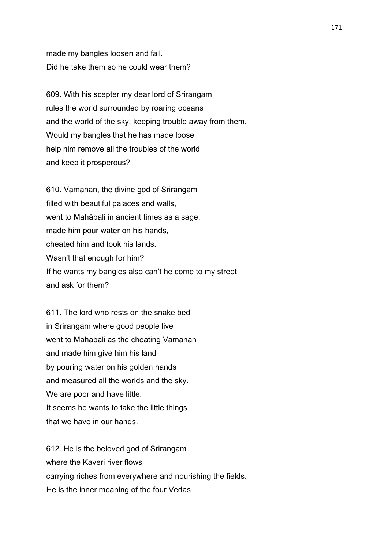made my bangles loosen and fall. Did he take them so he could wear them?

609. With his scepter my dear lord of Srirangam rules the world surrounded by roaring oceans and the world of the sky, keeping trouble away from them. Would my bangles that he has made loose help him remove all the troubles of the world and keep it prosperous?

610. Vamanan, the divine god of Srirangam filled with beautiful palaces and walls, went to Mahābali in ancient times as a sage, made him pour water on his hands, cheated him and took his lands. Wasn't that enough for him? If he wants my bangles also can't he come to my street and ask for them?

611. The lord who rests on the snake bed in Srirangam where good people live went to Mahābali as the cheating Vāmanan and made him give him his land by pouring water on his golden hands and measured all the worlds and the sky. We are poor and have little. It seems he wants to take the little things that we have in our hands.

612. He is the beloved god of Srirangam where the Kaveri river flows carrying riches from everywhere and nourishing the fields. He is the inner meaning of the four Vedas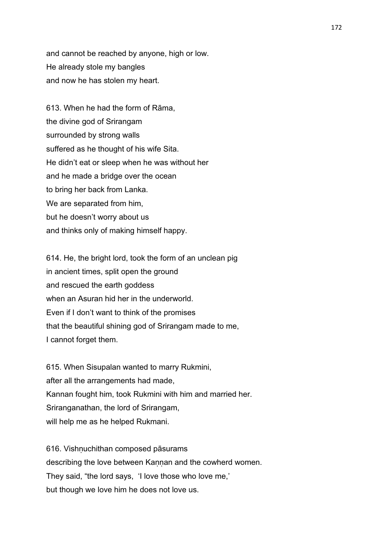and cannot be reached by anyone, high or low. He already stole my bangles and now he has stolen my heart.

613. When he had the form of Rāma, the divine god of Srirangam surrounded by strong walls suffered as he thought of his wife Sita. He didn't eat or sleep when he was without her and he made a bridge over the ocean to bring her back from Lanka. We are separated from him, but he doesn't worry about us and thinks only of making himself happy.

614. He, the bright lord, took the form of an unclean pig in ancient times, split open the ground and rescued the earth goddess when an Asuran hid her in the underworld. Even if I don't want to think of the promises that the beautiful shining god of Srirangam made to me, I cannot forget them.

615. When Sisupalan wanted to marry Rukmini, after all the arrangements had made, Kannan fought him, took Rukmini with him and married her. Sriranganathan, the lord of Srirangam, will help me as he helped Rukmani.

616. Vishnuchithan composed pāsurams describing the love between Kannan and the cowherd women. They said, "the lord says, 'I love those who love me,' but though we love him he does not love us.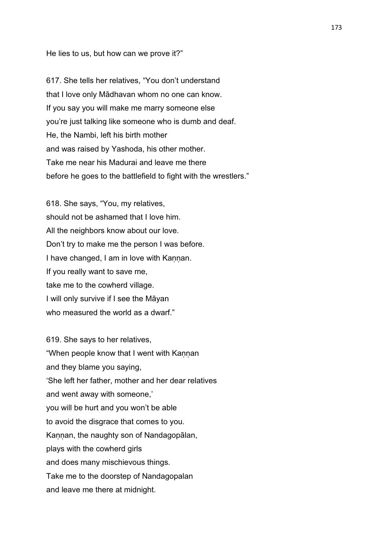### He lies to us, but how can we prove it?"

617. She tells her relatives, "You don't understand that I love only Mādhavan whom no one can know. If you say you will make me marry someone else you're just talking like someone who is dumb and deaf. He, the Nambi, left his birth mother and was raised by Yashoda, his other mother. Take me near his Madurai and leave me there before he goes to the battlefield to fight with the wrestlers."

618. She says, "You, my relatives, should not be ashamed that I love him. All the neighbors know about our love. Don't try to make me the person I was before. I have changed, I am in love with Kannan. If you really want to save me, take me to the cowherd village. I will only survive if I see the Māyan who measured the world as a dwarf."

619. She says to her relatives, "When people know that I went with Kannan and they blame you saying, 'She left her father, mother and her dear relatives and went away with someone,' you will be hurt and you won't be able to avoid the disgrace that comes to you. Kannan, the naughty son of Nandagopālan, plays with the cowherd girls and does many mischievous things. Take me to the doorstep of Nandagopalan and leave me there at midnight.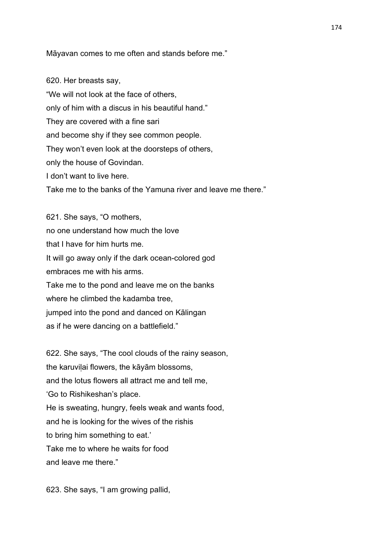Māyavan comes to me often and stands before me."

620. Her breasts say, "We will not look at the face of others, only of him with a discus in his beautiful hand." They are covered with a fine sari and become shy if they see common people. They won't even look at the doorsteps of others, only the house of Govindan. I don't want to live here. Take me to the banks of the Yamuna river and leave me there."

621. She says, "O mothers, no one understand how much the love that I have for him hurts me. It will go away only if the dark ocean-colored god embraces me with his arms. Take me to the pond and leave me on the banks where he climbed the kadamba tree, jumped into the pond and danced on Kālingan as if he were dancing on a battlefield."

622. She says, "The cool clouds of the rainy season, the karuvilai flowers, the kāyām blossoms, and the lotus flowers all attract me and tell me, 'Go to Rishikeshan's place. He is sweating, hungry, feels weak and wants food, and he is looking for the wives of the rishis to bring him something to eat.' Take me to where he waits for food and leave me there."

623. She says, "I am growing pallid,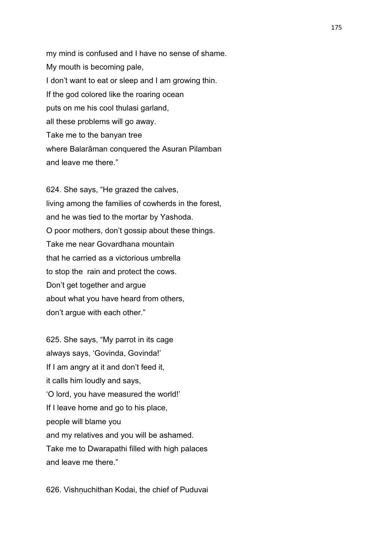my mind is confused and I have no sense of shame. My mouth is becoming pale, I don't want to eat or sleep and I am growing thin. If the god colored like the roaring ocean puts on me his cool thulasi garland, all these problems will go away. Take me to the banyan tree where Balarāman conquered the Asuran Pilamban and leave me there."

624. She says, "He grazed the calves, living among the families of cowherds in the forest, and he was tied to the mortar by Yashoda. O poor mothers, don't gossip about these things. Take me near Govardhana mountain that he carried as a victorious umbrella to stop the rain and protect the cows. Don't get together and argue about what you have heard from others, don't argue with each other."

625. She says, "My parrot in its cage always says, 'Govinda, Govinda!' If I am angry at it and don't feed it, it calls him loudly and says, 'O lord, you have measured the world!' If I leave home and go to his place, people will blame you and my relatives and you will be ashamed. Take me to Dwarapathi filled with high palaces and leave me there."

626. Vishṇuchithan Kodai, the chief of Puduvai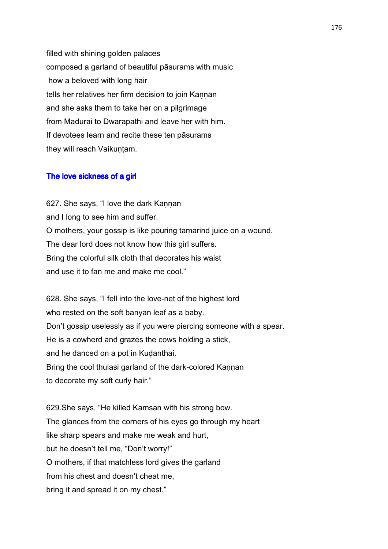filled with shining golden palaces composed a garland of beautiful pāsurams with music how a beloved with long hair tells her relatives her firm decision to join Kannan and she asks them to take her on a pilgrimage from Madurai to Dwarapathi and leave her with him. If devotees learn and recite these ten pāsurams they will reach Vaikuṇṭam.

# The love sickness of a girl

627. She says, "I love the dark Kannan and I long to see him and suffer. O mothers, your gossip is like pouring tamarind juice on a wound. The dear lord does not know how this girl suffers. Bring the colorful silk cloth that decorates his waist and use it to fan me and make me cool."

628. She says, "I fell into the love-net of the highest lord who rested on the soft banyan leaf as a baby. Don't gossip uselessly as if you were piercing someone with a spear. He is a cowherd and grazes the cows holding a stick, and he danced on a pot in Kudanthai. Bring the cool thulasi garland of the dark-colored Kannan to decorate my soft curly hair."

629.She says, "He killed Kamsan with his strong bow. The glances from the corners of his eyes go through my heart like sharp spears and make me weak and hurt, but he doesn't tell me, "Don't worry!" O mothers, if that matchless lord gives the garland from his chest and doesn't cheat me, bring it and spread it on my chest."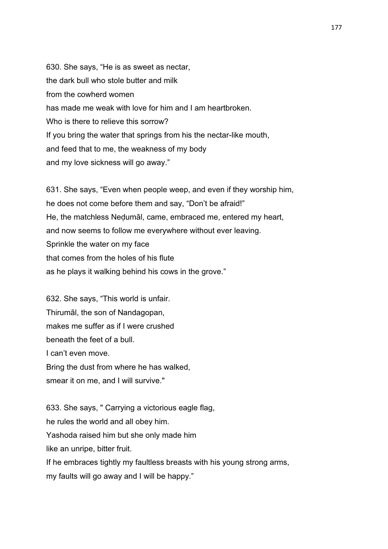630. She says, "He is as sweet as nectar, the dark bull who stole butter and milk from the cowherd women has made me weak with love for him and I am heartbroken. Who is there to relieve this sorrow? If you bring the water that springs from his the nectar-like mouth, and feed that to me, the weakness of my body and my love sickness will go away."

631. She says, "Even when people weep, and even if they worship him, he does not come before them and say, "Don't be afraid!" He, the matchless Neḍumāl, came, embraced me, entered my heart, and now seems to follow me everywhere without ever leaving. Sprinkle the water on my face that comes from the holes of his flute as he plays it walking behind his cows in the grove."

632. She says, "This world is unfair. Thirumāl, the son of Nandagopan, makes me suffer as if I were crushed beneath the feet of a bull. I can't even move. Bring the dust from where he has walked, smear it on me, and I will survive."

633. She says, " Carrying a victorious eagle flag, he rules the world and all obey him. Yashoda raised him but she only made him like an unripe, bitter fruit. If he embraces tightly my faultless breasts with his young strong arms, my faults will go away and I will be happy."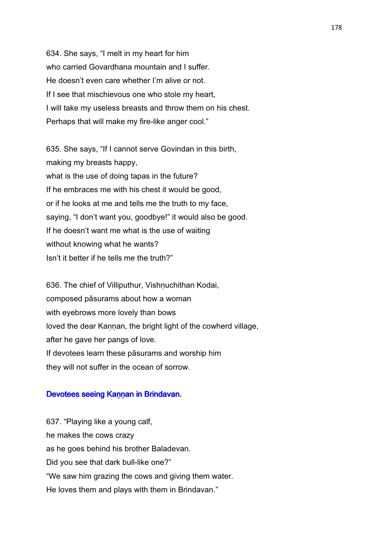634. She says, "I melt in my heart for him who carried Govardhana mountain and I suffer. He doesn't even care whether I'm alive or not. If I see that mischievous one who stole my heart, I will take my useless breasts and throw them on his chest. Perhaps that will make my fire-like anger cool."

635. She says, "If I cannot serve Govindan in this birth, making my breasts happy, what is the use of doing tapas in the future? If he embraces me with his chest it would be good, or if he looks at me and tells me the truth to my face, saying, "I don't want you, goodbye!" it would also be good. If he doesn't want me what is the use of waiting without knowing what he wants? Isn't it better if he tells me the truth?"

636. The chief of Villiputhur, Vishnuchithan Kodai, composed pāsurams about how a woman with eyebrows more lovely than bows loved the dear Kannan, the bright light of the cowherd village, after he gave her pangs of love. If devotees learn these pāsurams and worship him they will not suffer in the ocean of sorrow.

#### Devotees seeing Kannan in Brindavan.

637. "Playing like a young calf, he makes the cows crazy as he goes behind his brother Baladevan. Did you see that dark bull-like one?" "We saw him grazing the cows and giving them water. He loves them and plays with them in Brindavan."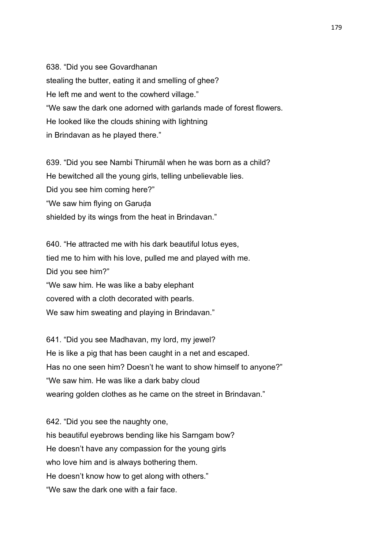638. "Did you see Govardhanan stealing the butter, eating it and smelling of ghee? He left me and went to the cowherd village." "We saw the dark one adorned with garlands made of forest flowers. He looked like the clouds shining with lightning in Brindavan as he played there."

639. "Did you see Nambi Thirumāl when he was born as a child? He bewitched all the young girls, telling unbelievable lies. Did you see him coming here?" "We saw him flying on Garuḍa shielded by its wings from the heat in Brindavan."

640. "He attracted me with his dark beautiful lotus eyes, tied me to him with his love, pulled me and played with me. Did you see him?" "We saw him. He was like a baby elephant covered with a cloth decorated with pearls. We saw him sweating and playing in Brindavan."

641. "Did you see Madhavan, my lord, my jewel? He is like a pig that has been caught in a net and escaped. Has no one seen him? Doesn't he want to show himself to anyone?" "We saw him. He was like a dark baby cloud wearing golden clothes as he came on the street in Brindavan."

642. "Did you see the naughty one, his beautiful eyebrows bending like his Sarngam bow? He doesn't have any compassion for the young girls who love him and is always bothering them. He doesn't know how to get along with others." "We saw the dark one with a fair face.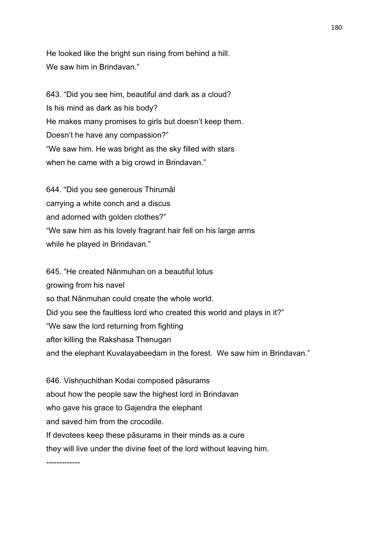He looked like the bright sun rising from behind a hill. We saw him in Brindavan."

643. "Did you see him, beautiful and dark as a cloud? Is his mind as dark as his body? He makes many promises to girls but doesn't keep them. Doesn't he have any compassion?" "We saw him. He was bright as the sky filled with stars when he came with a big crowd in Brindavan."

644. "Did you see generous Thirumāl carrying a white conch and a discus and adorned with golden clothes?" "We saw him as his lovely fragrant hair fell on his large arms while he played in Brindavan."

645. "He created Nānmuhan on a beautiful lotus growing from his navel so that Nānmuhan could create the whole world. Did you see the faultless lord who created this world and plays in it?" "We saw the lord returning from fighting after killing the Rakshasa Thenugan and the elephant Kuvalayabeedam in the forest. We saw him in Brindavan."

646. Vishṇuchithan Kodai composed pāsurams about how the people saw the highest lord in Brindavan who gave his grace to Gajendra the elephant and saved him from the crocodile. If devotees keep these pāsurams in their minds as a cure they will live under the divine feet of the lord without leaving him.

-------------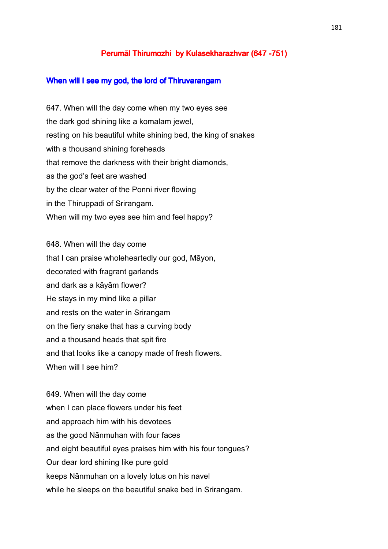## Perumāl Thirumozhi by Kulasekharazhvar (647 -751)

#### When will I see my god, the lord of Thiruvarangam

647. When will the day come when my two eyes see the dark god shining like a komalam jewel, resting on his beautiful white shining bed, the king of snakes with a thousand shining foreheads that remove the darkness with their bright diamonds, as the god's feet are washed by the clear water of the Ponni river flowing in the Thiruppadi of Srirangam. When will my two eyes see him and feel happy?

648. When will the day come that I can praise wholeheartedly our god, Māyon, decorated with fragrant garlands and dark as a kāyām flower? He stays in my mind like a pillar and rests on the water in Srirangam on the fiery snake that has a curving body and a thousand heads that spit fire and that looks like a canopy made of fresh flowers. When will I see him?

649. When will the day come when I can place flowers under his feet and approach him with his devotees as the good Nānmuhan with four faces and eight beautiful eyes praises him with his four tongues? Our dear lord shining like pure gold keeps Nānmuhan on a lovely lotus on his navel while he sleeps on the beautiful snake bed in Srirangam.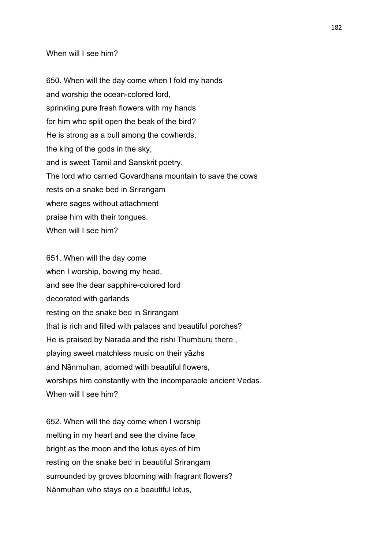## When will I see him?

650. When will the day come when I fold my hands and worship the ocean-colored lord, sprinkling pure fresh flowers with my hands for him who split open the beak of the bird? He is strong as a bull among the cowherds, the king of the gods in the sky, and is sweet Tamil and Sanskrit poetry. The lord who carried Govardhana mountain to save the cows rests on a snake bed in Srirangam where sages without attachment praise him with their tongues. When will I see him?

651. When will the day come when I worship, bowing my head, and see the dear sapphire-colored lord decorated with garlands resting on the snake bed in Srirangam that is rich and filled with palaces and beautiful porches? He is praised by Narada and the rishi Thumburu there , playing sweet matchless music on their yāzhs and Nānmuhan, adorned with beautiful flowers, worships him constantly with the incomparable ancient Vedas. When will I see him?

652. When will the day come when I worship melting in my heart and see the divine face bright as the moon and the lotus eyes of him resting on the snake bed in beautiful Srirangam surrounded by groves blooming with fragrant flowers? Nānmuhan who stays on a beautiful lotus,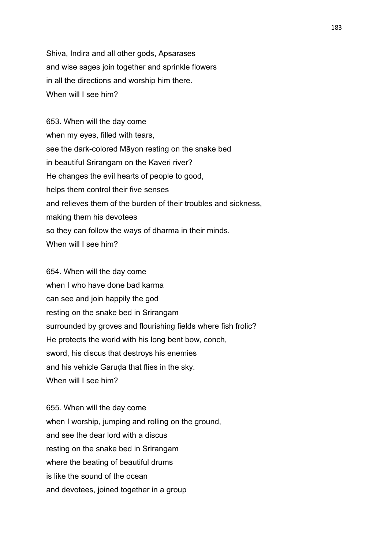Shiva, Indira and all other gods, Apsarases and wise sages join together and sprinkle flowers in all the directions and worship him there. When will I see him?

653. When will the day come when my eyes, filled with tears, see the dark-colored Māyon resting on the snake bed in beautiful Srirangam on the Kaveri river? He changes the evil hearts of people to good, helps them control their five senses and relieves them of the burden of their troubles and sickness, making them his devotees so they can follow the ways of dharma in their minds. When will I see him?

654. When will the day come when I who have done bad karma can see and join happily the god resting on the snake bed in Srirangam surrounded by groves and flourishing fields where fish frolic? He protects the world with his long bent bow, conch, sword, his discus that destroys his enemies and his vehicle Garuda that flies in the sky. When will I see him?

655. When will the day come when I worship, jumping and rolling on the ground, and see the dear lord with a discus resting on the snake bed in Srirangam where the beating of beautiful drums is like the sound of the ocean and devotees, joined together in a group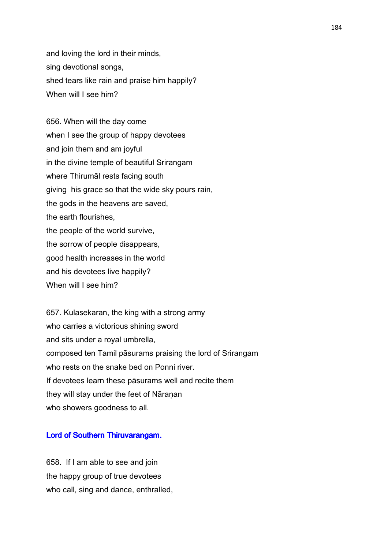and loving the lord in their minds, sing devotional songs, shed tears like rain and praise him happily? When will I see him?

656. When will the day come when I see the group of happy devotees and join them and am joyful in the divine temple of beautiful Srirangam where Thirumāl rests facing south giving his grace so that the wide sky pours rain, the gods in the heavens are saved, the earth flourishes, the people of the world survive, the sorrow of people disappears, good health increases in the world and his devotees live happily? When will I see him?

657. Kulasekaran, the king with a strong army who carries a victorious shining sword and sits under a royal umbrella, composed ten Tamil pāsurams praising the lord of Srirangam who rests on the snake bed on Ponni river. If devotees learn these pāsurams well and recite them they will stay under the feet of Nāranan who showers goodness to all.

## Lord of Southern Thiruvarangam.

658. If I am able to see and join the happy group of true devotees who call, sing and dance, enthralled,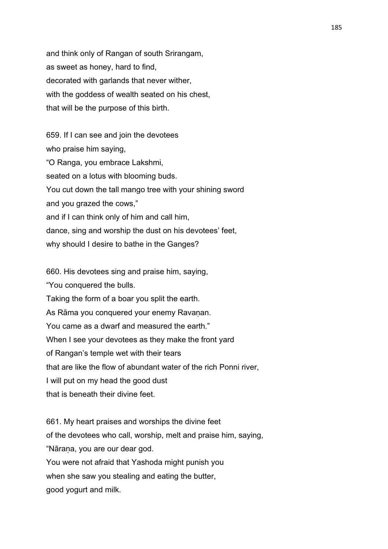and think only of Rangan of south Srirangam, as sweet as honey, hard to find, decorated with garlands that never wither, with the goddess of wealth seated on his chest, that will be the purpose of this birth.

659. If I can see and join the devotees who praise him saying, "O Ranga, you embrace Lakshmi, seated on a lotus with blooming buds. You cut down the tall mango tree with your shining sword and you grazed the cows," and if I can think only of him and call him, dance, sing and worship the dust on his devotees' feet, why should I desire to bathe in the Ganges?

660. His devotees sing and praise him, saying, "You conquered the bulls. Taking the form of a boar you split the earth. As Rāma you conquered your enemy Ravanan. You came as a dwarf and measured the earth." When I see your devotees as they make the front yard of Rangan's temple wet with their tears that are like the flow of abundant water of the rich Ponni river, I will put on my head the good dust that is beneath their divine feet.

661. My heart praises and worships the divine feet of the devotees who call, worship, melt and praise him, saying, "Nāraṇa, you are our dear god. You were not afraid that Yashoda might punish you when she saw you stealing and eating the butter, good yogurt and milk.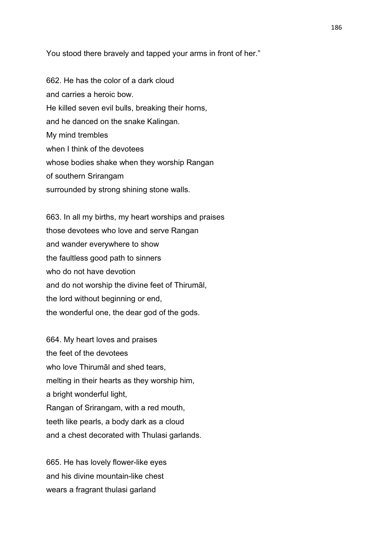You stood there bravely and tapped your arms in front of her."

662. He has the color of a dark cloud and carries a heroic bow. He killed seven evil bulls, breaking their horns, and he danced on the snake Kalingan. My mind trembles when I think of the devotees whose bodies shake when they worship Rangan of southern Srirangam surrounded by strong shining stone walls.

663. In all my births, my heart worships and praises those devotees who love and serve Rangan and wander everywhere to show the faultless good path to sinners who do not have devotion and do not worship the divine feet of Thirumāl, the lord without beginning or end, the wonderful one, the dear god of the gods.

664. My heart loves and praises the feet of the devotees who love Thirumāl and shed tears, melting in their hearts as they worship him, a bright wonderful light, Rangan of Srirangam, with a red mouth, teeth like pearls, a body dark as a cloud and a chest decorated with Thulasi garlands.

665. He has lovely flower-like eyes and his divine mountain-like chest wears a fragrant thulasi garland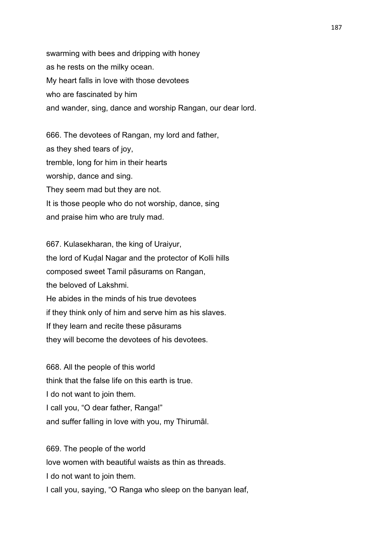swarming with bees and dripping with honey as he rests on the milky ocean. My heart falls in love with those devotees who are fascinated by him and wander, sing, dance and worship Rangan, our dear lord.

666. The devotees of Rangan, my lord and father, as they shed tears of joy, tremble, long for him in their hearts worship, dance and sing. They seem mad but they are not. It is those people who do not worship, dance, sing and praise him who are truly mad.

667. Kulasekharan, the king of Uraiyur, the lord of Kuḍal Nagar and the protector of Kolli hills composed sweet Tamil pāsurams on Rangan, the beloved of Lakshmi. He abides in the minds of his true devotees if they think only of him and serve him as his slaves. If they learn and recite these pāsurams they will become the devotees of his devotees.

668. All the people of this world think that the false life on this earth is true. I do not want to join them. I call you, "O dear father, Ranga!" and suffer falling in love with you, my Thirumāl.

669. The people of the world love women with beautiful waists as thin as threads. I do not want to join them. I call you, saying, "O Ranga who sleep on the banyan leaf,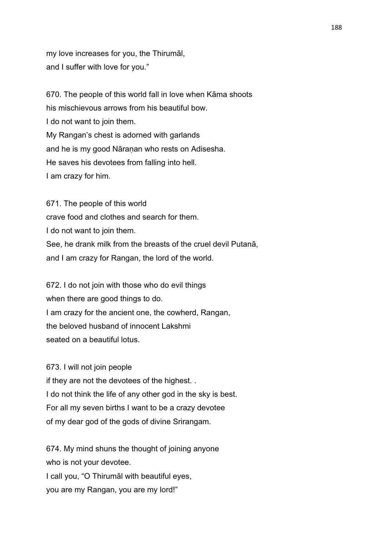my love increases for you, the Thirumāl, and I suffer with love for you."

670. The people of this world fall in love when Kāma shoots his mischievous arrows from his beautiful bow. I do not want to join them. My Rangan's chest is adorned with garlands and he is my good Nāraṇan who rests on Adisesha. He saves his devotees from falling into hell. I am crazy for him.

671. The people of this world crave food and clothes and search for them. I do not want to join them. See, he drank milk from the breasts of the cruel devil Putanā, and I am crazy for Rangan, the lord of the world.

672. I do not join with those who do evil things when there are good things to do. I am crazy for the ancient one, the cowherd, Rangan, the beloved husband of innocent Lakshmi seated on a beautiful lotus.

## 673. I will not join people

if they are not the devotees of the highest. . I do not think the life of any other god in the sky is best. For all my seven births I want to be a crazy devotee of my dear god of the gods of divine Srirangam.

674. My mind shuns the thought of joining anyone who is not your devotee. I call you, "O Thirumāl with beautiful eyes, you are my Rangan, you are my lord!"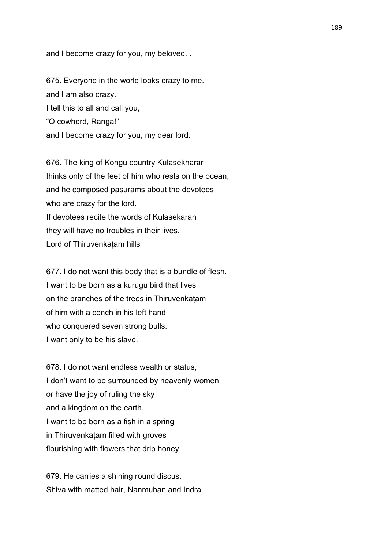and I become crazy for you, my beloved. .

675. Everyone in the world looks crazy to me. and I am also crazy. I tell this to all and call you, "O cowherd, Ranga!" and I become crazy for you, my dear lord.

676. The king of Kongu country Kulasekharar thinks only of the feet of him who rests on the ocean, and he composed pāsurams about the devotees who are crazy for the lord. If devotees recite the words of Kulasekaran they will have no troubles in their lives. Lord of Thiruvenkaṭam hills

677. I do not want this body that is a bundle of flesh. I want to be born as a kurugu bird that lives on the branches of the trees in Thiruvenkaṭam of him with a conch in his left hand who conquered seven strong bulls. I want only to be his slave.

678. I do not want endless wealth or status, I don't want to be surrounded by heavenly women or have the joy of ruling the sky and a kingdom on the earth. I want to be born as a fish in a spring in Thiruvenkaṭam filled with groves flourishing with flowers that drip honey.

679. He carries a shining round discus. Shiva with matted hair, Nanmuhan and Indra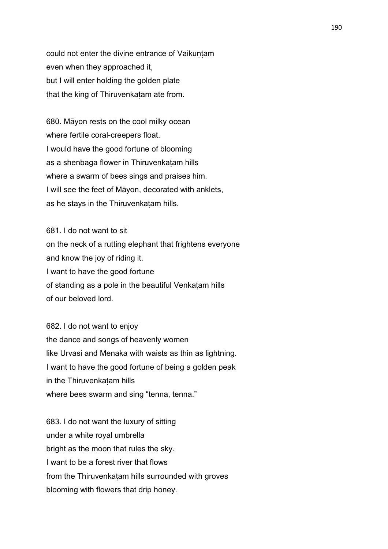could not enter the divine entrance of Vaikuntam even when they approached it, but I will enter holding the golden plate that the king of Thiruvenkatam ate from.

680. Māyon rests on the cool milky ocean where fertile coral-creepers float. I would have the good fortune of blooming as a shenbaga flower in Thiruvenkatam hills where a swarm of bees sings and praises him. I will see the feet of Māyon, decorated with anklets, as he stays in the Thiruvenkatam hills.

681. I do not want to sit on the neck of a rutting elephant that frightens everyone and know the joy of riding it. I want to have the good fortune of standing as a pole in the beautiful Venkaṭam hills of our beloved lord.

682. I do not want to enjoy the dance and songs of heavenly women like Urvasi and Menaka with waists as thin as lightning. I want to have the good fortune of being a golden peak in the Thiruvenkatam hills where bees swarm and sing "tenna, tenna."

683. I do not want the luxury of sitting under a white royal umbrella bright as the moon that rules the sky. I want to be a forest river that flows from the Thiruvenkatam hills surrounded with groves blooming with flowers that drip honey.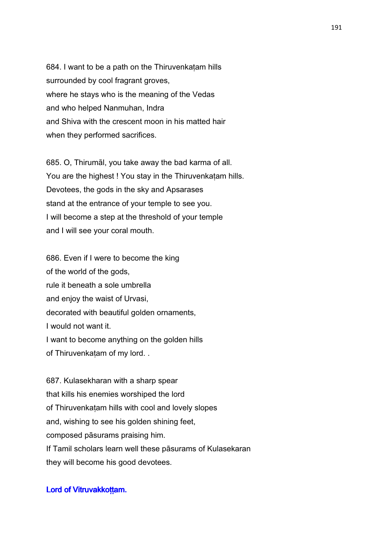684. I want to be a path on the Thiruvenkaṭam hills surrounded by cool fragrant groves, where he stays who is the meaning of the Vedas and who helped Nanmuhan, Indra and Shiva with the crescent moon in his matted hair when they performed sacrifices.

685. O, Thirumāl, you take away the bad karma of all. You are the highest ! You stay in the Thiruvenkatam hills. Devotees, the gods in the sky and Apsarases stand at the entrance of your temple to see you. I will become a step at the threshold of your temple and I will see your coral mouth.

686. Even if I were to become the king of the world of the gods, rule it beneath a sole umbrella and enjoy the waist of Urvasi, decorated with beautiful golden ornaments, I would not want it. I want to become anything on the golden hills of Thiruvenkaṭam of my lord. .

687. Kulasekharan with a sharp spear that kills his enemies worshiped the lord of Thiruvenkaṭam hills with cool and lovely slopes and, wishing to see his golden shining feet, composed pāsurams praising him. If Tamil scholars learn well these pāsurams of Kulasekaran they will become his good devotees.

## Lord of Vitruvakkottam.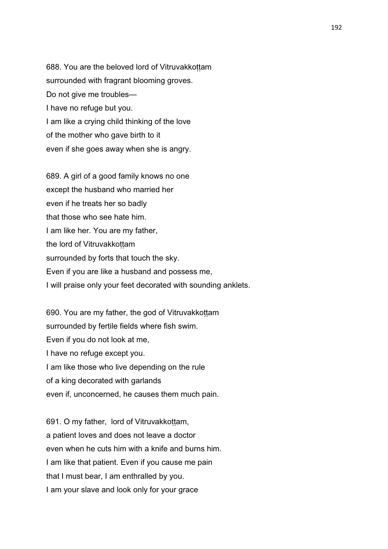688. You are the beloved lord of Vitruvakkottam surrounded with fragrant blooming groves. Do not give me troubles— I have no refuge but you. I am like a crying child thinking of the love of the mother who gave birth to it even if she goes away when she is angry.

689. A girl of a good family knows no one except the husband who married her even if he treats her so badly that those who see hate him. I am like her. You are my father, the lord of Vitruvakkottam surrounded by forts that touch the sky. Even if you are like a husband and possess me, I will praise only your feet decorated with sounding anklets.

690. You are my father, the god of Vitruvakkoṭṭam surrounded by fertile fields where fish swim. Even if you do not look at me, I have no refuge except you. I am like those who live depending on the rule of a king decorated with garlands even if, unconcerned, he causes them much pain.

691. O my father, lord of Vitruvakkottam, a patient loves and does not leave a doctor even when he cuts him with a knife and burns him. I am like that patient. Even if you cause me pain that I must bear, I am enthralled by you. I am your slave and look only for your grace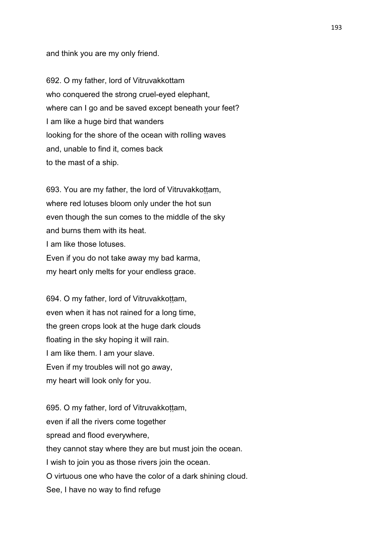and think you are my only friend.

692. O my father, lord of Vitruvakkottam who conquered the strong cruel-eyed elephant, where can I go and be saved except beneath your feet? I am like a huge bird that wanders looking for the shore of the ocean with rolling waves and, unable to find it, comes back to the mast of a ship.

693. You are my father, the lord of Vitruvakkottam, where red lotuses bloom only under the hot sun even though the sun comes to the middle of the sky and burns them with its heat. I am like those lotuses. Even if you do not take away my bad karma, my heart only melts for your endless grace.

694. O my father, lord of Vitruvakkottam, even when it has not rained for a long time, the green crops look at the huge dark clouds floating in the sky hoping it will rain. I am like them. I am your slave. Even if my troubles will not go away, my heart will look only for you.

695. O my father, lord of Vitruvakkottam, even if all the rivers come together spread and flood everywhere, they cannot stay where they are but must join the ocean. I wish to join you as those rivers join the ocean. O virtuous one who have the color of a dark shining cloud. See, I have no way to find refuge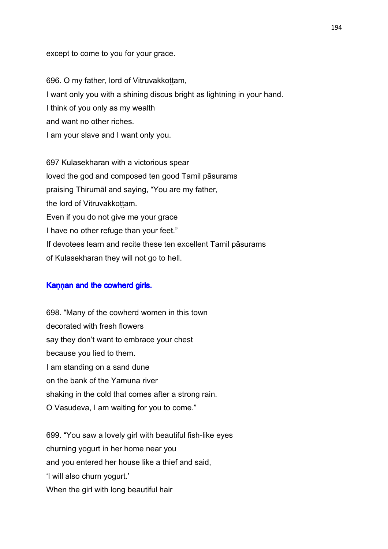except to come to you for your grace.

696. O my father, lord of Vitruvakkoṭṭam, I want only you with a shining discus bright as lightning in your hand. I think of you only as my wealth and want no other riches. I am your slave and I want only you.

697 Kulasekharan with a victorious spear loved the god and composed ten good Tamil pāsurams praising Thirumāl and saying, "You are my father, the lord of Vitruvakkottam. Even if you do not give me your grace I have no other refuge than your feet." If devotees learn and recite these ten excellent Tamil pāsurams of Kulasekharan they will not go to hell.

# Kannan and the cowherd girls.

698. "Many of the cowherd women in this town decorated with fresh flowers say they don't want to embrace your chest because you lied to them. I am standing on a sand dune on the bank of the Yamuna river shaking in the cold that comes after a strong rain. O Vasudeva, I am waiting for you to come."

699. "You saw a lovely girl with beautiful fish-like eyes churning yogurt in her home near you and you entered her house like a thief and said, 'I will also churn yogurt.' When the girl with long beautiful hair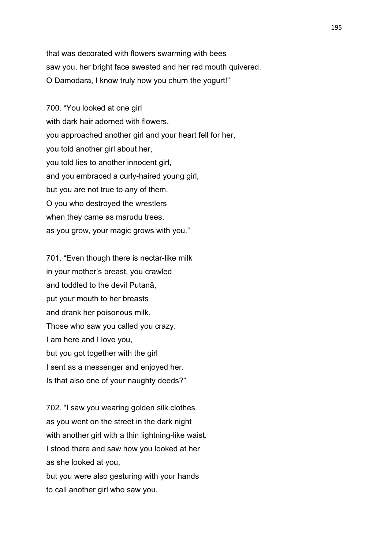that was decorated with flowers swarming with bees saw you, her bright face sweated and her red mouth quivered. O Damodara, I know truly how you churn the yogurt!"

700. "You looked at one girl with dark hair adorned with flowers. you approached another girl and your heart fell for her, you told another girl about her, you told lies to another innocent girl, and you embraced a curly-haired young girl, but you are not true to any of them. O you who destroyed the wrestlers when they came as marudu trees, as you grow, your magic grows with you."

701. "Even though there is nectar-like milk in your mother's breast, you crawled and toddled to the devil Putanā, put your mouth to her breasts and drank her poisonous milk. Those who saw you called you crazy. I am here and I love you, but you got together with the girl I sent as a messenger and enjoyed her. Is that also one of your naughty deeds?"

702. "I saw you wearing golden silk clothes as you went on the street in the dark night with another girl with a thin lightning-like waist. I stood there and saw how you looked at her as she looked at you,

but you were also gesturing with your hands to call another girl who saw you.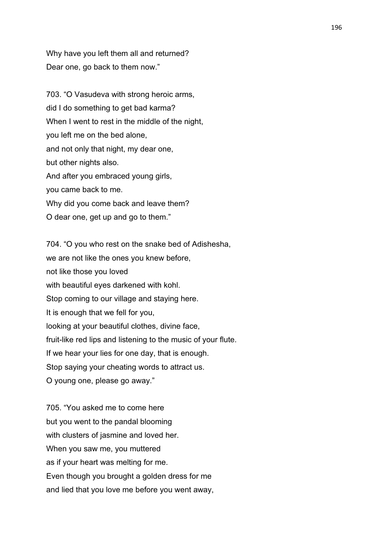Why have you left them all and returned? Dear one, go back to them now."

703. "O Vasudeva with strong heroic arms, did I do something to get bad karma? When I went to rest in the middle of the night, you left me on the bed alone, and not only that night, my dear one, but other nights also. And after you embraced young girls, you came back to me. Why did you come back and leave them? O dear one, get up and go to them."

704. "O you who rest on the snake bed of Adishesha, we are not like the ones you knew before, not like those you loved with beautiful eyes darkened with kohl. Stop coming to our village and staying here. It is enough that we fell for you, looking at your beautiful clothes, divine face, fruit-like red lips and listening to the music of your flute. If we hear your lies for one day, that is enough. Stop saying your cheating words to attract us. O young one, please go away."

705. "You asked me to come here but you went to the pandal blooming with clusters of jasmine and loved her. When you saw me, you muttered as if your heart was melting for me. Even though you brought a golden dress for me and lied that you love me before you went away,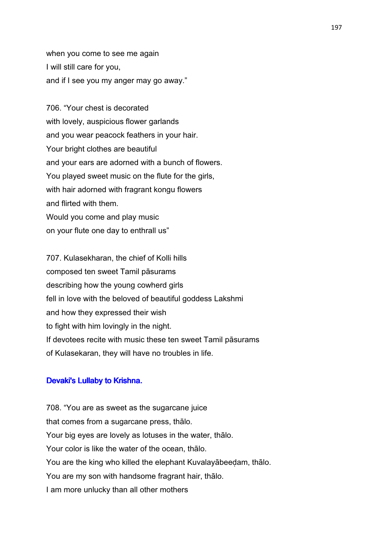when you come to see me again I will still care for you, and if I see you my anger may go away."

706. "Your chest is decorated with lovely, auspicious flower garlands and you wear peacock feathers in your hair. Your bright clothes are beautiful and your ears are adorned with a bunch of flowers. You played sweet music on the flute for the girls, with hair adorned with fragrant kongu flowers and flirted with them. Would you come and play music on your flute one day to enthrall us"

707. Kulasekharan, the chief of Kolli hills composed ten sweet Tamil pāsurams describing how the young cowherd girls fell in love with the beloved of beautiful goddess Lakshmi and how they expressed their wish to fight with him lovingly in the night. If devotees recite with music these ten sweet Tamil pāsurams of Kulasekaran, they will have no troubles in life.

#### Devaki's Lullaby to Krishna.

708. "You are as sweet as the sugarcane juice that comes from a sugarcane press, thālo. Your big eyes are lovely as lotuses in the water, thālo. Your color is like the water of the ocean, thālo. You are the king who killed the elephant Kuvalayābeeḍam, thālo. You are my son with handsome fragrant hair, thālo. I am more unlucky than all other mothers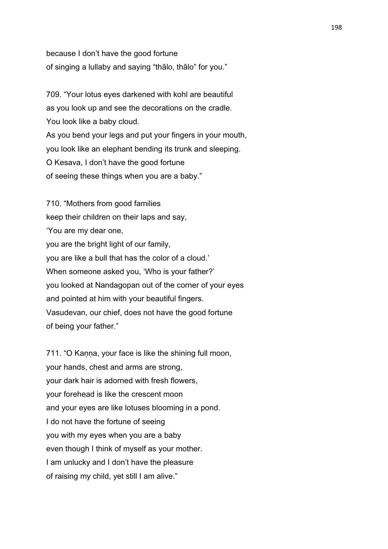because I don't have the good fortune of singing a lullaby and saying "thālo, thālo" for you."

709. "Your lotus eyes darkened with kohl are beautiful as you look up and see the decorations on the cradle. You look like a baby cloud. As you bend your legs and put your fingers in your mouth, you look like an elephant bending its trunk and sleeping. O Kesava, I don't have the good fortune of seeing these things when you are a baby."

710. "Mothers from good families keep their children on their laps and say, 'You are my dear one, you are the bright light of our family, you are like a bull that has the color of a cloud.' When someone asked you, 'Who is your father?' you looked at Nandagopan out of the corner of your eyes and pointed at him with your beautiful fingers. Vasudevan, our chief, does not have the good fortune of being your father."

711. "O Kanna, your face is like the shining full moon, your hands, chest and arms are strong, your dark hair is adorned with fresh flowers, your forehead is like the crescent moon and your eyes are like lotuses blooming in a pond. I do not have the fortune of seeing you with my eyes when you are a baby even though I think of myself as your mother. I am unlucky and I don't have the pleasure of raising my child, yet still I am alive."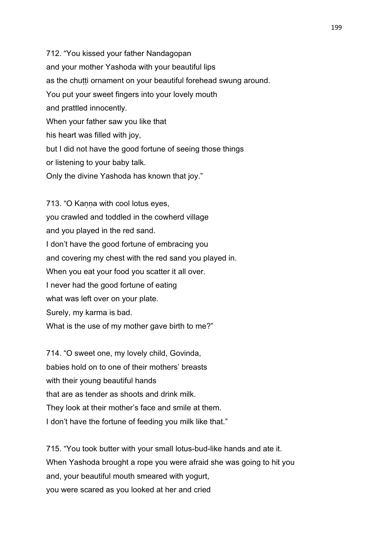712. "You kissed your father Nandagopan and your mother Yashoda with your beautiful lips as the chutti ornament on your beautiful forehead swung around. You put your sweet fingers into your lovely mouth and prattled innocently. When your father saw you like that his heart was filled with joy, but I did not have the good fortune of seeing those things or listening to your baby talk. Only the divine Yashoda has known that joy."

713. "O Kanna with cool lotus eyes, you crawled and toddled in the cowherd village and you played in the red sand. I don't have the good fortune of embracing you and covering my chest with the red sand you played in. When you eat your food you scatter it all over. I never had the good fortune of eating what was left over on your plate. Surely, my karma is bad. What is the use of my mother gave birth to me?"

714. "O sweet one, my lovely child, Govinda, babies hold on to one of their mothers' breasts with their young beautiful hands that are as tender as shoots and drink milk. They look at their mother's face and smile at them. I don't have the fortune of feeding you milk like that."

715. "You took butter with your small lotus-bud-like hands and ate it. When Yashoda brought a rope you were afraid she was going to hit you and, your beautiful mouth smeared with yogurt, you were scared as you looked at her and cried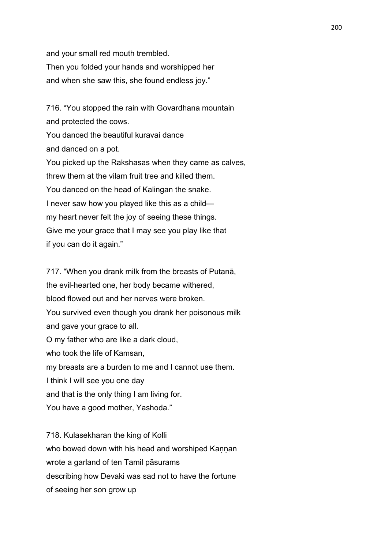and your small red mouth trembled. Then you folded your hands and worshipped her and when she saw this, she found endless joy."

716. "You stopped the rain with Govardhana mountain and protected the cows. You danced the beautiful kuravai dance and danced on a pot. You picked up the Rakshasas when they came as calves, threw them at the vilam fruit tree and killed them. You danced on the head of Kalingan the snake. I never saw how you played like this as a child my heart never felt the joy of seeing these things. Give me your grace that I may see you play like that if you can do it again."

717. "When you drank milk from the breasts of Putanā, the evil-hearted one, her body became withered, blood flowed out and her nerves were broken. You survived even though you drank her poisonous milk and gave your grace to all. O my father who are like a dark cloud, who took the life of Kamsan, my breasts are a burden to me and I cannot use them. I think I will see you one day and that is the only thing I am living for. You have a good mother, Yashoda."

718. Kulasekharan the king of Kolli who bowed down with his head and worshiped Kannan wrote a garland of ten Tamil pāsurams describing how Devaki was sad not to have the fortune of seeing her son grow up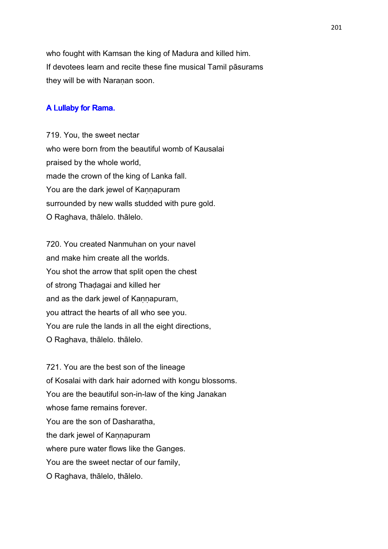who fought with Kamsan the king of Madura and killed him. If devotees learn and recite these fine musical Tamil pāsurams they will be with Naraṇan soon.

# A Lullaby for Rama.

719. You, the sweet nectar who were born from the beautiful womb of Kausalai praised by the whole world, made the crown of the king of Lanka fall. You are the dark jewel of Kannapuram surrounded by new walls studded with pure gold. O Raghava, thālelo. thālelo.

720. You created Nanmuhan on your navel and make him create all the worlds. You shot the arrow that split open the chest of strong Thaḍagai and killed her and as the dark jewel of Kannapuram, you attract the hearts of all who see you. You are rule the lands in all the eight directions, O Raghava, thālelo. thālelo.

721. You are the best son of the lineage of Kosalai with dark hair adorned with kongu blossoms. You are the beautiful son-in-law of the king Janakan whose fame remains forever. You are the son of Dasharatha, the dark jewel of Kannapuram where pure water flows like the Ganges. You are the sweet nectar of our family, O Raghava, thālelo, thālelo.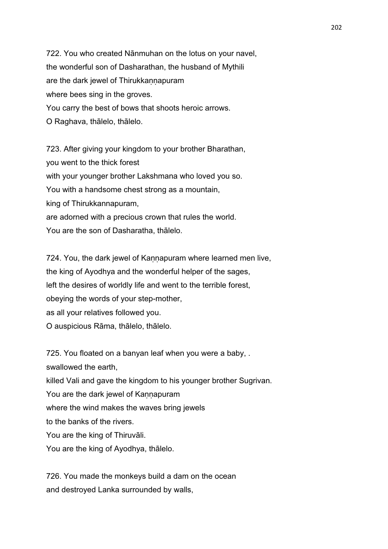722. You who created Nānmuhan on the lotus on your navel, the wonderful son of Dasharathan, the husband of Mythili are the dark jewel of Thirukkaṇṇapuram where bees sing in the groves. You carry the best of bows that shoots heroic arrows. O Raghava, thālelo, thālelo.

723. After giving your kingdom to your brother Bharathan, you went to the thick forest with your younger brother Lakshmana who loved you so. You with a handsome chest strong as a mountain, king of Thirukkannapuram, are adorned with a precious crown that rules the world. You are the son of Dasharatha, thālelo.

724. You, the dark jewel of Kannapuram where learned men live, the king of Ayodhya and the wonderful helper of the sages, left the desires of worldly life and went to the terrible forest, obeying the words of your step-mother, as all your relatives followed you. O auspicious Rāma, thālelo, thālelo.

725. You floated on a banyan leaf when you were a baby, . swallowed the earth, killed Vali and gave the kingdom to his younger brother Sugrivan. You are the dark jewel of Kannapuram where the wind makes the waves bring jewels to the banks of the rivers. You are the king of Thiruvāli. You are the king of Ayodhya, thālelo.

726. You made the monkeys build a dam on the ocean and destroyed Lanka surrounded by walls,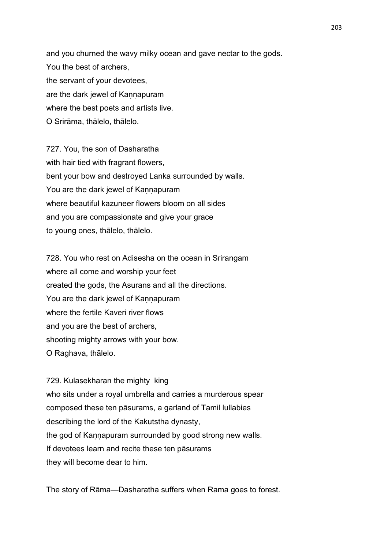and you churned the wavy milky ocean and gave nectar to the gods. You the best of archers, the servant of your devotees, are the dark jewel of Kannapuram where the best poets and artists live. O Srirāma, thālelo, thālelo.

727. You, the son of Dasharatha with hair tied with fragrant flowers, bent your bow and destroyed Lanka surrounded by walls. You are the dark jewel of Kannapuram where beautiful kazuneer flowers bloom on all sides and you are compassionate and give your grace to young ones, thālelo, thālelo.

728. You who rest on Adisesha on the ocean in Srirangam where all come and worship your feet created the gods, the Asurans and all the directions. You are the dark jewel of Kannapuram where the fertile Kaveri river flows and you are the best of archers, shooting mighty arrows with your bow. O Raghava, thālelo.

729. Kulasekharan the mighty king who sits under a royal umbrella and carries a murderous spear composed these ten pāsurams, a garland of Tamil lullabies describing the lord of the Kakutstha dynasty, the god of Kaṇṇapuram surrounded by good strong new walls. If devotees learn and recite these ten pāsurams they will become dear to him.

The story of Rāma—Dasharatha suffers when Rama goes to forest.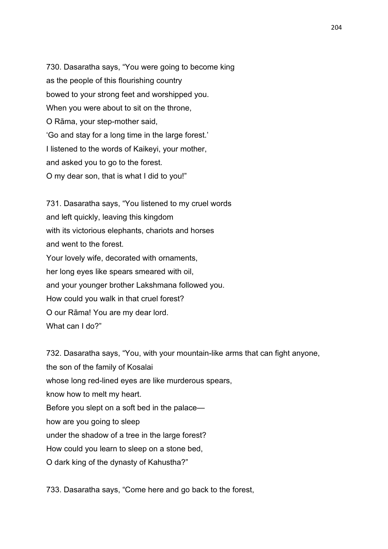730. Dasaratha says, "You were going to become king as the people of this flourishing country bowed to your strong feet and worshipped you. When you were about to sit on the throne, O Rāma, your step-mother said, 'Go and stay for a long time in the large forest.' I listened to the words of Kaikeyi, your mother, and asked you to go to the forest. O my dear son, that is what I did to you!"

731. Dasaratha says, "You listened to my cruel words and left quickly, leaving this kingdom with its victorious elephants, chariots and horses and went to the forest. Your lovely wife, decorated with ornaments, her long eyes like spears smeared with oil, and your younger brother Lakshmana followed you. How could you walk in that cruel forest? O our Rāma! You are my dear lord. What can I do?"

732. Dasaratha says, "You, with your mountain-like arms that can fight anyone, the son of the family of Kosalai whose long red-lined eyes are like murderous spears, know how to melt my heart. Before you slept on a soft bed in the palace how are you going to sleep under the shadow of a tree in the large forest? How could you learn to sleep on a stone bed, O dark king of the dynasty of Kahustha?"

733. Dasaratha says, "Come here and go back to the forest,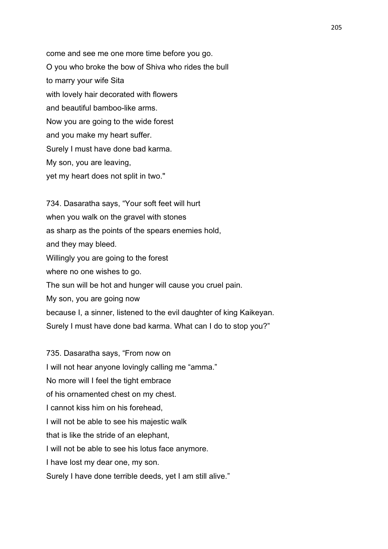come and see me one more time before you go. O you who broke the bow of Shiva who rides the bull to marry your wife Sita with lovely hair decorated with flowers and beautiful bamboo-like arms. Now you are going to the wide forest and you make my heart suffer. Surely I must have done bad karma. My son, you are leaving, yet my heart does not split in two."

734. Dasaratha says, "Your soft feet will hurt when you walk on the gravel with stones as sharp as the points of the spears enemies hold, and they may bleed. Willingly you are going to the forest where no one wishes to go. The sun will be hot and hunger will cause you cruel pain. My son, you are going now because I, a sinner, listened to the evil daughter of king Kaikeyan. Surely I must have done bad karma. What can I do to stop you?"

735. Dasaratha says, "From now on I will not hear anyone lovingly calling me "amma." No more will I feel the tight embrace of his ornamented chest on my chest. I cannot kiss him on his forehead, I will not be able to see his majestic walk that is like the stride of an elephant, I will not be able to see his lotus face anymore. I have lost my dear one, my son. Surely I have done terrible deeds, yet I am still alive." 205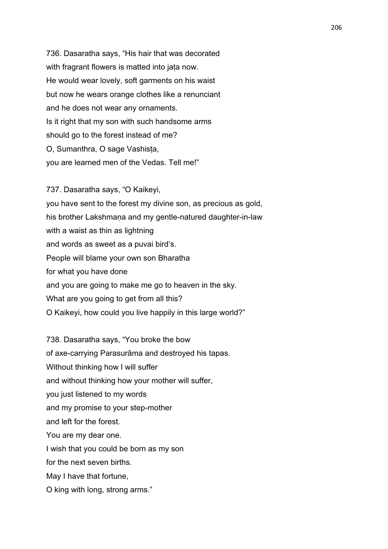736. Dasaratha says, "His hair that was decorated with fragrant flowers is matted into jata now. He would wear lovely, soft garments on his waist but now he wears orange clothes like a renunciant and he does not wear any ornaments. Is it right that my son with such handsome arms should go to the forest instead of me? O, Sumanthra, O sage Vashisṭa, you are learned men of the Vedas. Tell me!"

737. Dasaratha says, "O Kaikeyi, you have sent to the forest my divine son, as precious as gold, his brother Lakshmaṇa and my gentle-natured daughter-in-law with a waist as thin as lightning and words as sweet as a puvai bird's. People will blame your own son Bharatha for what you have done and you are going to make me go to heaven in the sky. What are you going to get from all this? O Kaikeyi, how could you live happily in this large world?"

738. Dasaratha says, "You broke the bow of axe-carrying Parasurāma and destroyed his tapas. Without thinking how I will suffer and without thinking how your mother will suffer, you just listened to my words and my promise to your step-mother and left for the forest. You are my dear one. I wish that you could be born as my son for the next seven births. May I have that fortune, O king with long, strong arms."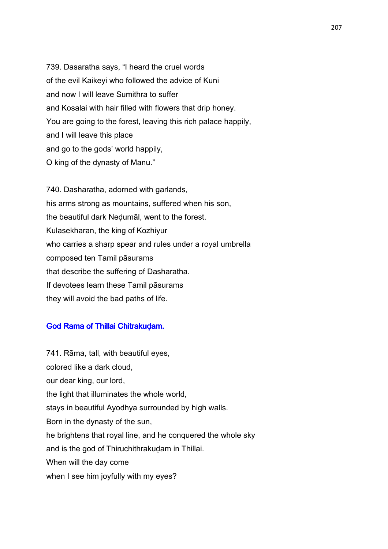739. Dasaratha says, "I heard the cruel words of the evil Kaikeyi who followed the advice of Kuni and now I will leave Sumithra to suffer and Kosalai with hair filled with flowers that drip honey. You are going to the forest, leaving this rich palace happily, and I will leave this place and go to the gods' world happily, O king of the dynasty of Manu."

740. Dasharatha, adorned with garlands, his arms strong as mountains, suffered when his son, the beautiful dark Neḍumāl, went to the forest. Kulasekharan, the king of Kozhiyur who carries a sharp spear and rules under a royal umbrella composed ten Tamil pāsurams that describe the suffering of Dasharatha. If devotees learn these Tamil pāsurams they will avoid the bad paths of life.

## God Rama of Thillai Chitrakuḍam.

741. Rāma, tall, with beautiful eyes, colored like a dark cloud, our dear king, our lord, the light that illuminates the whole world, stays in beautiful Ayodhya surrounded by high walls. Born in the dynasty of the sun, he brightens that royal line, and he conquered the whole sky and is the god of Thiruchithrakudam in Thillai. When will the day come when I see him joyfully with my eyes?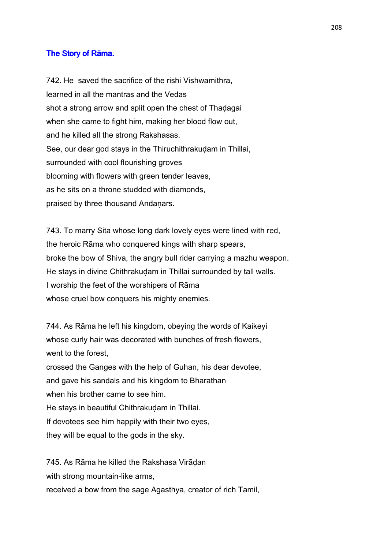# The Story of Rāma.

742. He saved the sacrifice of the rishi Vishwamithra, learned in all the mantras and the Vedas shot a strong arrow and split open the chest of Thadagai when she came to fight him, making her blood flow out, and he killed all the strong Rakshasas. See, our dear god stays in the Thiruchithrakuḍam in Thillai, surrounded with cool flourishing groves blooming with flowers with green tender leaves, as he sits on a throne studded with diamonds, praised by three thousand Andanars.

743. To marry Sita whose long dark lovely eyes were lined with red, the heroic Rāma who conquered kings with sharp spears, broke the bow of Shiva, the angry bull rider carrying a mazhu weapon. He stays in divine Chithrakudam in Thillai surrounded by tall walls. I worship the feet of the worshipers of Rāma whose cruel bow conquers his mighty enemies.

744. As Rāma he left his kingdom, obeying the words of Kaikeyi whose curly hair was decorated with bunches of fresh flowers, went to the forest, crossed the Ganges with the help of Guhan, his dear devotee, and gave his sandals and his kingdom to Bharathan when his brother came to see him. He stays in beautiful Chithrakudam in Thillai. If devotees see him happily with their two eyes, they will be equal to the gods in the sky.

745. As Rāma he killed the Rakshasa Virāḍan with strong mountain-like arms. received a bow from the sage Agasthya, creator of rich Tamil,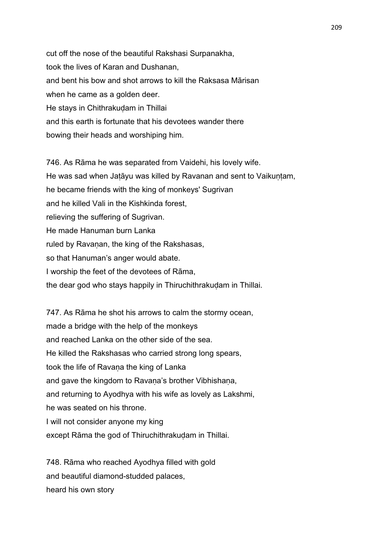cut off the nose of the beautiful Rakshasi Surpanakha, took the lives of Karan and Dushanan, and bent his bow and shot arrows to kill the Raksasa Mārisan when he came as a golden deer. He stays in Chithrakuḍam in Thillai and this earth is fortunate that his devotees wander there bowing their heads and worshiping him.

746. As Rāma he was separated from Vaidehi, his lovely wife. He was sad when Jatāyu was killed by Ravanan and sent to Vaikuntam, he became friends with the king of monkeys' Sugrivan and he killed Vali in the Kishkinda forest, relieving the suffering of Sugrivan. He made Hanuman burn Lanka ruled by Ravanan, the king of the Rakshasas, so that Hanuman's anger would abate. I worship the feet of the devotees of Rāma, the dear god who stays happily in Thiruchithrakudam in Thillai.

747. As Rāma he shot his arrows to calm the stormy ocean, made a bridge with the help of the monkeys and reached Lanka on the other side of the sea. He killed the Rakshasas who carried strong long spears, took the life of Ravana the king of Lanka and gave the kingdom to Ravana's brother Vibhishana, and returning to Ayodhya with his wife as lovely as Lakshmi, he was seated on his throne. I will not consider anyone my king except Rāma the god of Thiruchithrakuḍam in Thillai.

748. Rāma who reached Ayodhya filled with gold and beautiful diamond-studded palaces, heard his own story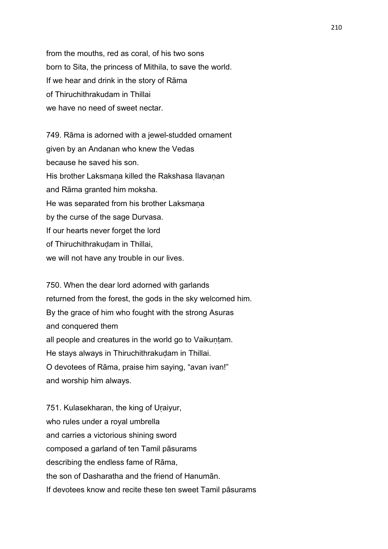from the mouths, red as coral, of his two sons born to Sita, the princess of Mithila, to save the world. If we hear and drink in the story of Rāma of Thiruchithrakudam in Thillai we have no need of sweet nectar.

749. Rāma is adorned with a jewel-studded ornament given by an Andanan who knew the Vedas because he saved his son. His brother Laksmana killed the Rakshasa Ilavanan and Rāma granted him moksha. He was separated from his brother Laksmana by the curse of the sage Durvasa. If our hearts never forget the lord of Thiruchithrakuḍam in Thillai, we will not have any trouble in our lives.

750. When the dear lord adorned with garlands returned from the forest, the gods in the sky welcomed him. By the grace of him who fought with the strong Asuras and conquered them all people and creatures in the world go to Vaikuntam. He stays always in Thiruchithrakudam in Thillai. O devotees of Rāma, praise him saying, "avan ivan!" and worship him always.

751. Kulasekharan, the king of Uraiyur, who rules under a royal umbrella and carries a victorious shining sword composed a garland of ten Tamil pāsurams describing the endless fame of Rāma, the son of Dasharatha and the friend of Hanumān. If devotees know and recite these ten sweet Tamil pāsurams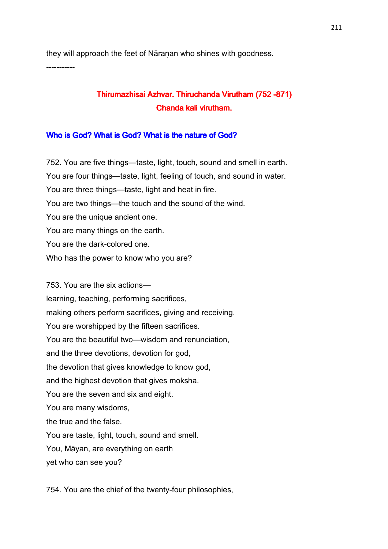they will approach the feet of Nāraṇan who shines with goodness. -----------

# Thirumazhisai Azhvar. Thiruchanda Virutham (752 -871) Chanda kali virutham.

# Who is God? What is God? What is the nature of God?

752. You are five things—taste, light, touch, sound and smell in earth. You are four things—taste, light, feeling of touch, and sound in water. You are three things—taste, light and heat in fire. You are two things—the touch and the sound of the wind. You are the unique ancient one. You are many things on the earth. You are the dark-colored one. Who has the power to know who you are?

753. You are the six actions learning, teaching, performing sacrifices, making others perform sacrifices, giving and receiving. You are worshipped by the fifteen sacrifices. You are the beautiful two—wisdom and renunciation, and the three devotions, devotion for god, the devotion that gives knowledge to know god, and the highest devotion that gives moksha. You are the seven and six and eight. You are many wisdoms, the true and the false. You are taste, light, touch, sound and smell. You, Māyan, are everything on earth yet who can see you?

754. You are the chief of the twenty-four philosophies,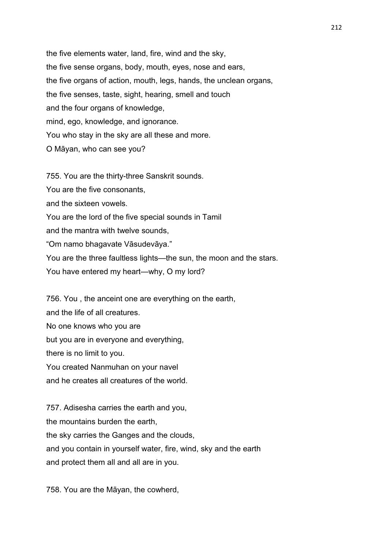the five elements water, land, fire, wind and the sky, the five sense organs, body, mouth, eyes, nose and ears, the five organs of action, mouth, legs, hands, the unclean organs, the five senses, taste, sight, hearing, smell and touch and the four organs of knowledge, mind, ego, knowledge, and ignorance. You who stay in the sky are all these and more. O Māyan, who can see you?

755. You are the thirty-three Sanskrit sounds.

You are the five consonants,

and the sixteen vowels.

You are the lord of the five special sounds in Tamil

and the mantra with twelve sounds,

"Om namo bhagavate Vāsudevāya."

You are the three faultless lights—the sun, the moon and the stars.

You have entered my heart—why, O my lord?

756. You , the anceint one are everything on the earth,

and the life of all creatures.

No one knows who you are

but you are in everyone and everything,

there is no limit to you.

You created Nanmuhan on your navel

and he creates all creatures of the world.

757. Adisesha carries the earth and you, the mountains burden the earth, the sky carries the Ganges and the clouds, and you contain in yourself water, fire, wind, sky and the earth and protect them all and all are in you.

758. You are the Māyan, the cowherd,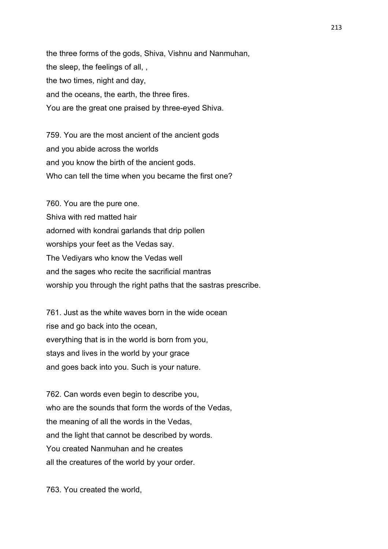the three forms of the gods, Shiva, Vishnu and Nanmuhan, the sleep, the feelings of all, , the two times, night and day, and the oceans, the earth, the three fires. You are the great one praised by three-eyed Shiva.

759. You are the most ancient of the ancient gods and you abide across the worlds and you know the birth of the ancient gods. Who can tell the time when you became the first one?

760. You are the pure one. Shiva with red matted hair adorned with kondrai garlands that drip pollen worships your feet as the Vedas say. The Vediyars who know the Vedas well and the sages who recite the sacrificial mantras worship you through the right paths that the sastras prescribe.

761. Just as the white waves born in the wide ocean rise and go back into the ocean, everything that is in the world is born from you, stays and lives in the world by your grace and goes back into you. Such is your nature.

762. Can words even begin to describe you, who are the sounds that form the words of the Vedas, the meaning of all the words in the Vedas, and the light that cannot be described by words. You created Nanmuhan and he creates all the creatures of the world by your order.

763. You created the world,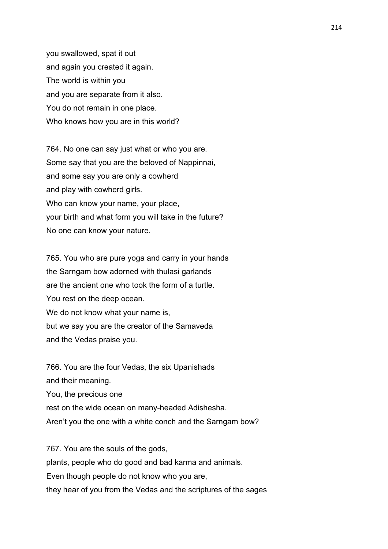you swallowed, spat it out and again you created it again. The world is within you and you are separate from it also. You do not remain in one place. Who knows how you are in this world?

764. No one can say just what or who you are. Some say that you are the beloved of Nappinnai, and some say you are only a cowherd and play with cowherd girls. Who can know your name, your place, your birth and what form you will take in the future? No one can know your nature.

765. You who are pure yoga and carry in your hands the Sarngam bow adorned with thulasi garlands are the ancient one who took the form of a turtle. You rest on the deep ocean. We do not know what your name is, but we say you are the creator of the Samaveda and the Vedas praise you.

766. You are the four Vedas, the six Upanishads and their meaning. You, the precious one rest on the wide ocean on many-headed Adishesha. Aren't you the one with a white conch and the Sarngam bow?

767. You are the souls of the gods, plants, people who do good and bad karma and animals. Even though people do not know who you are, they hear of you from the Vedas and the scriptures of the sages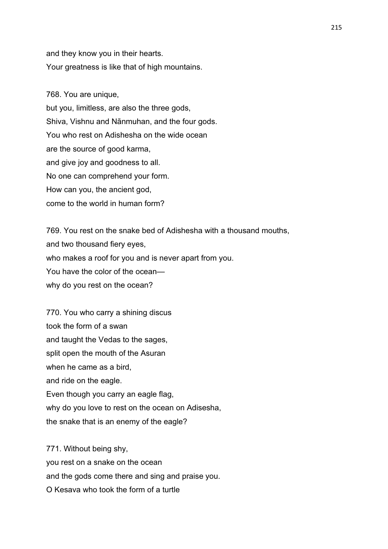and they know you in their hearts. Your greatness is like that of high mountains.

768. You are unique, but you, limitless, are also the three gods, Shiva, Vishnu and Nānmuhan, and the four gods. You who rest on Adishesha on the wide ocean are the source of good karma, and give joy and goodness to all. No one can comprehend your form. How can you, the ancient god, come to the world in human form?

769. You rest on the snake bed of Adishesha with a thousand mouths, and two thousand fiery eyes, who makes a roof for you and is never apart from you. You have the color of the ocean why do you rest on the ocean?

770. You who carry a shining discus took the form of a swan and taught the Vedas to the sages, split open the mouth of the Asuran when he came as a bird, and ride on the eagle. Even though you carry an eagle flag, why do you love to rest on the ocean on Adisesha, the snake that is an enemy of the eagle?

771. Without being shy, you rest on a snake on the ocean and the gods come there and sing and praise you. O Kesava who took the form of a turtle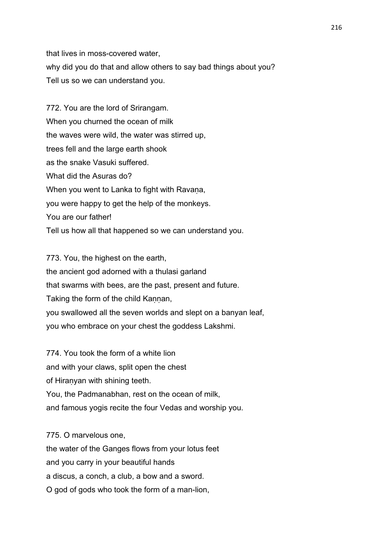that lives in moss-covered water, why did you do that and allow others to say bad things about you? Tell us so we can understand you.

772. You are the lord of Srirangam. When you churned the ocean of milk the waves were wild, the water was stirred up, trees fell and the large earth shook as the snake Vasuki suffered. What did the Asuras do? When you went to Lanka to fight with Ravaṇa, you were happy to get the help of the monkeys. You are our father! Tell us how all that happened so we can understand you.

773. You, the highest on the earth, the ancient god adorned with a thulasi garland that swarms with bees, are the past, present and future. Taking the form of the child Kannan, you swallowed all the seven worlds and slept on a banyan leaf, you who embrace on your chest the goddess Lakshmi.

774. You took the form of a white lion and with your claws, split open the chest of Hiranyan with shining teeth. You, the Padmanabhan, rest on the ocean of milk, and famous yogis recite the four Vedas and worship you.

775. O marvelous one, the water of the Ganges flows from your lotus feet and you carry in your beautiful hands a discus, a conch, a club, a bow and a sword. O god of gods who took the form of a man-lion,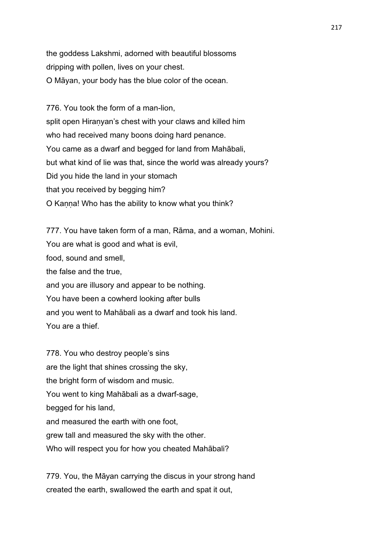the goddess Lakshmi, adorned with beautiful blossoms dripping with pollen, lives on your chest. O Māyan, your body has the blue color of the ocean.

776. You took the form of a man-lion, split open Hiranyan's chest with your claws and killed him who had received many boons doing hard penance. You came as a dwarf and begged for land from Mahābali, but what kind of lie was that, since the world was already yours? Did you hide the land in your stomach that you received by begging him? O Kanna! Who has the ability to know what you think?

777. You have taken form of a man, Rāma, and a woman, Mohini. You are what is good and what is evil, food, sound and smell, the false and the true, and you are illusory and appear to be nothing. You have been a cowherd looking after bulls and you went to Mahābali as a dwarf and took his land. You are a thief.

778. You who destroy people's sins are the light that shines crossing the sky, the bright form of wisdom and music. You went to king Mahābali as a dwarf-sage, begged for his land, and measured the earth with one foot, grew tall and measured the sky with the other. Who will respect you for how you cheated Mahābali?

779. You, the Māyan carrying the discus in your strong hand created the earth, swallowed the earth and spat it out,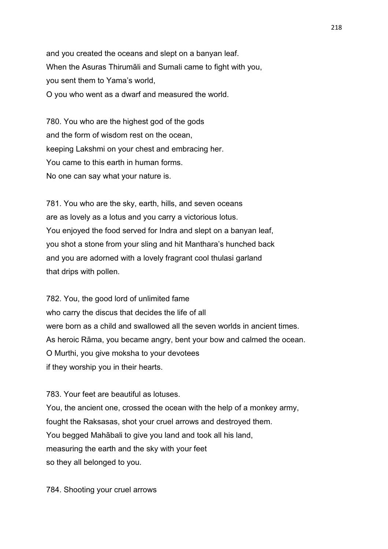and you created the oceans and slept on a banyan leaf. When the Asuras Thirumāli and Sumali came to fight with you, you sent them to Yama's world, O you who went as a dwarf and measured the world.

780. You who are the highest god of the gods and the form of wisdom rest on the ocean, keeping Lakshmi on your chest and embracing her. You came to this earth in human forms. No one can say what your nature is.

781. You who are the sky, earth, hills, and seven oceans are as lovely as a lotus and you carry a victorious lotus. You enjoyed the food served for Indra and slept on a banyan leaf, you shot a stone from your sling and hit Manthara's hunched back and you are adorned with a lovely fragrant cool thulasi garland that drips with pollen.

782. You, the good lord of unlimited fame who carry the discus that decides the life of all were born as a child and swallowed all the seven worlds in ancient times. As heroic Rāma, you became angry, bent your bow and calmed the ocean. O Murthi, you give moksha to your devotees if they worship you in their hearts.

783. Your feet are beautiful as lotuses.

You, the ancient one, crossed the ocean with the help of a monkey army, fought the Raksasas, shot your cruel arrows and destroyed them. You begged Mahābali to give you land and took all his land, measuring the earth and the sky with your feet so they all belonged to you.

784. Shooting your cruel arrows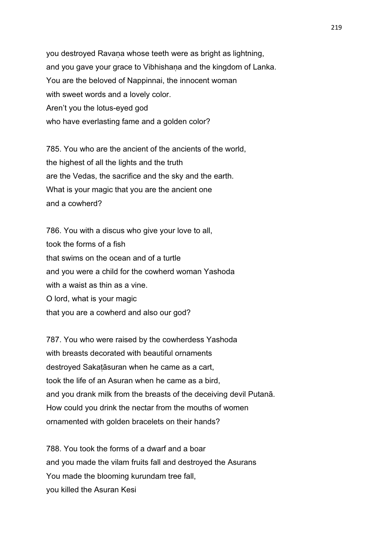you destroyed Ravana whose teeth were as bright as lightning, and you gave your grace to Vibhishaṇa and the kingdom of Lanka. You are the beloved of Nappinnai, the innocent woman with sweet words and a lovely color. Aren't you the lotus-eyed god who have everlasting fame and a golden color?

785. You who are the ancient of the ancients of the world, the highest of all the lights and the truth are the Vedas, the sacrifice and the sky and the earth. What is your magic that you are the ancient one and a cowherd?

786. You with a discus who give your love to all, took the forms of a fish that swims on the ocean and of a turtle and you were a child for the cowherd woman Yashoda with a waist as thin as a vine. O lord, what is your magic that you are a cowherd and also our god?

787. You who were raised by the cowherdess Yashoda with breasts decorated with beautiful ornaments destroyed Sakaṭāsuran when he came as a cart, took the life of an Asuran when he came as a bird, and you drank milk from the breasts of the deceiving devil Putanā. How could you drink the nectar from the mouths of women ornamented with golden bracelets on their hands?

788. You took the forms of a dwarf and a boar and you made the vilam fruits fall and destroyed the Asurans You made the blooming kurundam tree fall, you killed the Asuran Kesi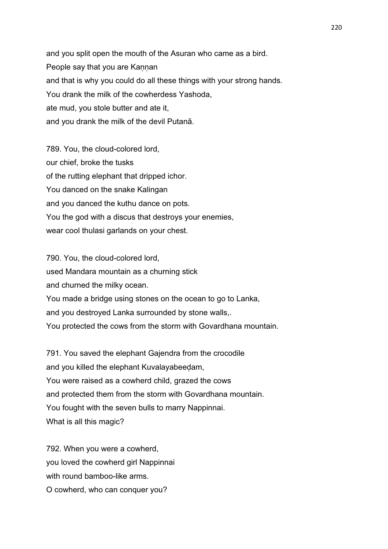and you split open the mouth of the Asuran who came as a bird. People say that you are Kaṇṇan and that is why you could do all these things with your strong hands. You drank the milk of the cowherdess Yashoda, ate mud, you stole butter and ate it, and you drank the milk of the devil Putanā.

789. You, the cloud-colored lord, our chief, broke the tusks of the rutting elephant that dripped ichor. You danced on the snake Kalingan and you danced the kuthu dance on pots. You the god with a discus that destroys your enemies, wear cool thulasi garlands on your chest.

790. You, the cloud-colored lord, used Mandara mountain as a churning stick and churned the milky ocean. You made a bridge using stones on the ocean to go to Lanka, and you destroyed Lanka surrounded by stone walls,. You protected the cows from the storm with Govardhana mountain.

791. You saved the elephant Gajendra from the crocodile and you killed the elephant Kuvalayabeeḍam, You were raised as a cowherd child, grazed the cows and protected them from the storm with Govardhana mountain. You fought with the seven bulls to marry Nappinnai. What is all this magic?

792. When you were a cowherd, you loved the cowherd girl Nappinnai with round bamboo-like arms. O cowherd, who can conquer you?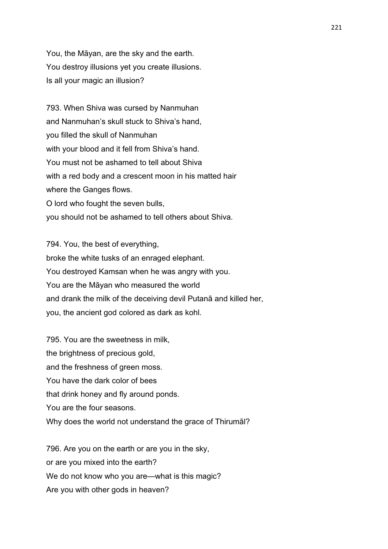You, the Māyan, are the sky and the earth. You destroy illusions yet you create illusions. Is all your magic an illusion?

793. When Shiva was cursed by Nanmuhan and Nanmuhan's skull stuck to Shiva's hand, you filled the skull of Nanmuhan with your blood and it fell from Shiva's hand. You must not be ashamed to tell about Shiva with a red body and a crescent moon in his matted hair where the Ganges flows. O lord who fought the seven bulls, you should not be ashamed to tell others about Shiva.

794. You, the best of everything, broke the white tusks of an enraged elephant. You destroyed Kamsan when he was angry with you. You are the Māyan who measured the world and drank the milk of the deceiving devil Putanā and killed her, you, the ancient god colored as dark as kohl.

795. You are the sweetness in milk, the brightness of precious gold, and the freshness of green moss. You have the dark color of bees that drink honey and fly around ponds. You are the four seasons. Why does the world not understand the grace of Thirumāl?

796. Are you on the earth or are you in the sky, or are you mixed into the earth? We do not know who you are—what is this magic? Are you with other gods in heaven?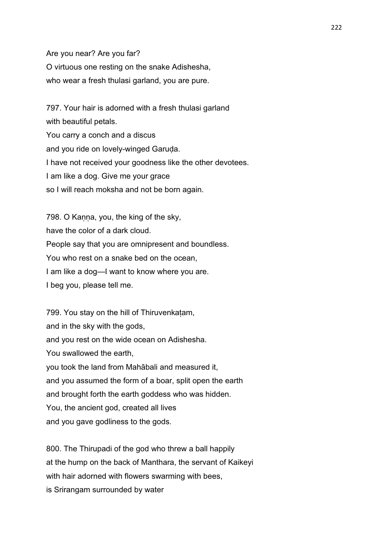Are you near? Are you far? O virtuous one resting on the snake Adishesha, who wear a fresh thulasi garland, you are pure.

797. Your hair is adorned with a fresh thulasi garland with beautiful petals. You carry a conch and a discus and you ride on lovely-winged Garuda. I have not received your goodness like the other devotees. I am like a dog. Give me your grace so I will reach moksha and not be born again.

798. O Kanna, you, the king of the sky, have the color of a dark cloud. People say that you are omnipresent and boundless. You who rest on a snake bed on the ocean, I am like a dog—I want to know where you are. I beg you, please tell me.

799. You stay on the hill of Thiruvenkaṭam, and in the sky with the gods, and you rest on the wide ocean on Adishesha. You swallowed the earth, you took the land from Mahābali and measured it, and you assumed the form of a boar, split open the earth and brought forth the earth goddess who was hidden. You, the ancient god, created all lives and you gave godliness to the gods.

800. The Thirupadi of the god who threw a ball happily at the hump on the back of Manthara, the servant of Kaikeyi with hair adorned with flowers swarming with bees. is Srirangam surrounded by water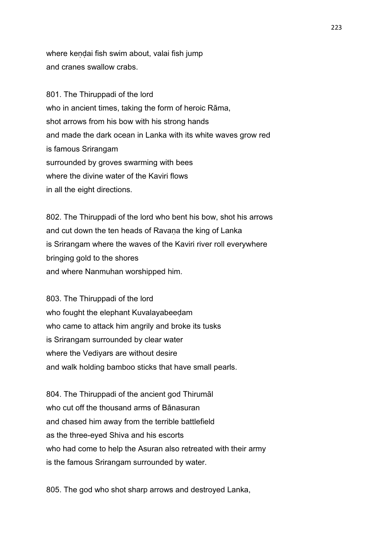where kendai fish swim about, valai fish jump and cranes swallow crabs.

801. The Thiruppadi of the lord who in ancient times, taking the form of heroic Rāma, shot arrows from his bow with his strong hands and made the dark ocean in Lanka with its white waves grow red is famous Srirangam surrounded by groves swarming with bees where the divine water of the Kaviri flows in all the eight directions.

802. The Thiruppadi of the lord who bent his bow, shot his arrows and cut down the ten heads of Ravaṇa the king of Lanka is Srirangam where the waves of the Kaviri river roll everywhere bringing gold to the shores and where Nanmuhan worshipped him.

803. The Thiruppadi of the lord who fought the elephant Kuvalayabeedam who came to attack him angrily and broke its tusks is Srirangam surrounded by clear water where the Vediyars are without desire and walk holding bamboo sticks that have small pearls.

804. The Thiruppadi of the ancient god Thirumāl who cut off the thousand arms of Bānasuran and chased him away from the terrible battlefield as the three-eyed Shiva and his escorts who had come to help the Asuran also retreated with their army is the famous Srirangam surrounded by water.

805. The god who shot sharp arrows and destroyed Lanka,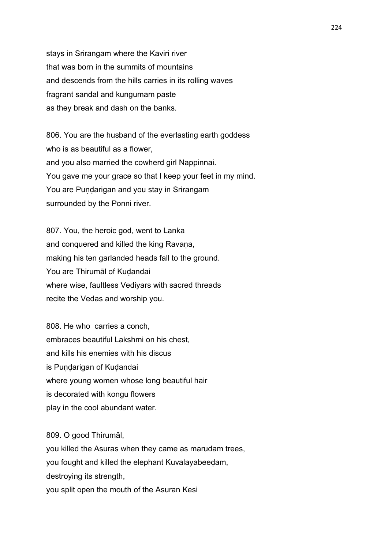stays in Srirangam where the Kaviri river that was born in the summits of mountains and descends from the hills carries in its rolling waves fragrant sandal and kungumam paste as they break and dash on the banks.

806. You are the husband of the everlasting earth goddess who is as beautiful as a flower, and you also married the cowherd girl Nappinnai. You gave me your grace so that I keep your feet in my mind. You are Pundarigan and you stay in Srirangam surrounded by the Ponni river.

807. You, the heroic god, went to Lanka and conquered and killed the king Ravana, making his ten garlanded heads fall to the ground. You are Thirumāl of Kudandai where wise, faultless Vediyars with sacred threads recite the Vedas and worship you.

808. He who carries a conch, embraces beautiful Lakshmi on his chest, and kills his enemies with his discus is Pundarigan of Kudandai where young women whose long beautiful hair is decorated with kongu flowers play in the cool abundant water.

809. O good Thirumāl,

you killed the Asuras when they came as marudam trees, you fought and killed the elephant Kuvalayabeeḍam, destroying its strength, you split open the mouth of the Asuran Kesi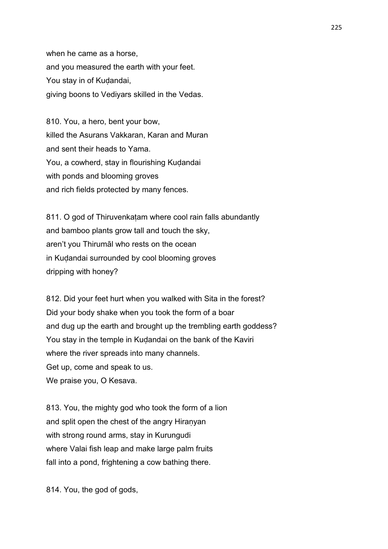when he came as a horse, and you measured the earth with your feet. You stay in of Kuḍandai, giving boons to Vediyars skilled in the Vedas.

810. You, a hero, bent your bow, killed the Asurans Vakkaran, Karan and Muran and sent their heads to Yama. You, a cowherd, stay in flourishing Kudandai with ponds and blooming groves and rich fields protected by many fences.

811. O god of Thiruvenkatam where cool rain falls abundantly and bamboo plants grow tall and touch the sky, aren't you Thirumāl who rests on the ocean in Kuḍandai surrounded by cool blooming groves dripping with honey?

812. Did your feet hurt when you walked with Sita in the forest? Did your body shake when you took the form of a boar and dug up the earth and brought up the trembling earth goddess? You stay in the temple in Kudandai on the bank of the Kaviri where the river spreads into many channels. Get up, come and speak to us. We praise you, O Kesava.

813. You, the mighty god who took the form of a lion and split open the chest of the angry Hiranyan with strong round arms, stay in Kurungudi where Valai fish leap and make large palm fruits fall into a pond, frightening a cow bathing there.

814. You, the god of gods,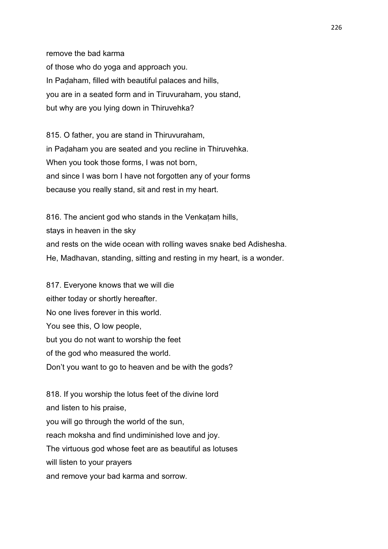remove the bad karma of those who do yoga and approach you. In Paḍaham, filled with beautiful palaces and hills, you are in a seated form and in Tiruvuraham, you stand, but why are you lying down in Thiruvehka?

815. O father, you are stand in Thiruvuraham, in Paḍaham you are seated and you recline in Thiruvehka. When you took those forms, I was not born, and since I was born I have not forgotten any of your forms because you really stand, sit and rest in my heart.

816. The ancient god who stands in the Venkatam hills, stays in heaven in the sky and rests on the wide ocean with rolling waves snake bed Adishesha. He, Madhavan, standing, sitting and resting in my heart, is a wonder.

817. Everyone knows that we will die either today or shortly hereafter. No one lives forever in this world. You see this, O low people, but you do not want to worship the feet of the god who measured the world. Don't you want to go to heaven and be with the gods?

818. If you worship the lotus feet of the divine lord and listen to his praise, you will go through the world of the sun, reach moksha and find undiminished love and joy. The virtuous god whose feet are as beautiful as lotuses will listen to your prayers and remove your bad karma and sorrow.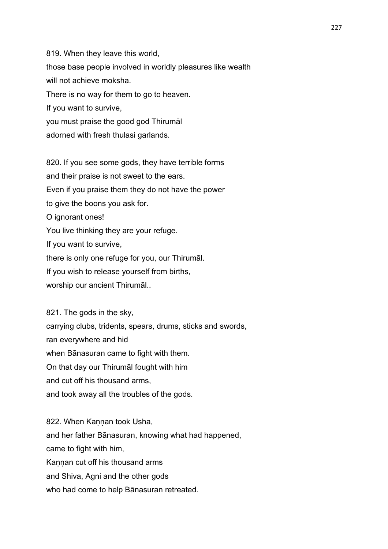819. When they leave this world, those base people involved in worldly pleasures like wealth will not achieve moksha. There is no way for them to go to heaven. If you want to survive, you must praise the good god Thirumāl adorned with fresh thulasi garlands.

820. If you see some gods, they have terrible forms and their praise is not sweet to the ears. Even if you praise them they do not have the power to give the boons you ask for. O ignorant ones! You live thinking they are your refuge. If you want to survive, there is only one refuge for you, our Thirumāl. If you wish to release yourself from births, worship our ancient Thirumāl..

821. The gods in the sky, carrying clubs, tridents, spears, drums, sticks and swords, ran everywhere and hid when Bānasuran came to fight with them. On that day our Thirumāl fought with him and cut off his thousand arms, and took away all the troubles of the gods.

822. When Kannan took Usha, and her father Bānasuran, knowing what had happened, came to fight with him, Kannan cut off his thousand arms and Shiva, Agni and the other gods who had come to help Bānasuran retreated.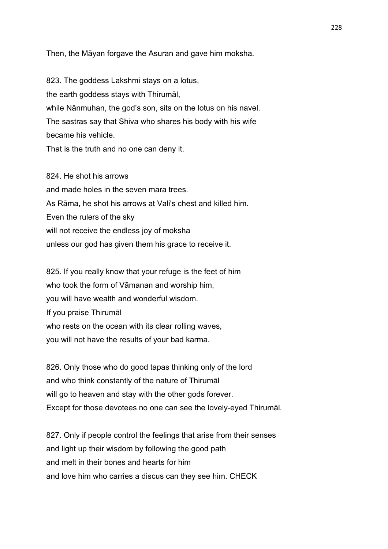Then, the Māyan forgave the Asuran and gave him moksha.

823. The goddess Lakshmi stays on a lotus, the earth goddess stays with Thirumāl, while Nānmuhan, the god's son, sits on the lotus on his navel. The sastras say that Shiva who shares his body with his wife became his vehicle. That is the truth and no one can deny it.

824. He shot his arrows and made holes in the seven mara trees. As Rāma, he shot his arrows at Vali's chest and killed him. Even the rulers of the sky will not receive the endless joy of moksha unless our god has given them his grace to receive it.

825. If you really know that your refuge is the feet of him who took the form of Vāmanan and worship him, you will have wealth and wonderful wisdom. If you praise Thirumāl who rests on the ocean with its clear rolling waves, you will not have the results of your bad karma.

826. Only those who do good tapas thinking only of the lord and who think constantly of the nature of Thirumāl will go to heaven and stay with the other gods forever. Except for those devotees no one can see the lovely-eyed Thirumāl.

827. Only if people control the feelings that arise from their senses and light up their wisdom by following the good path and melt in their bones and hearts for him and love him who carries a discus can they see him. CHECK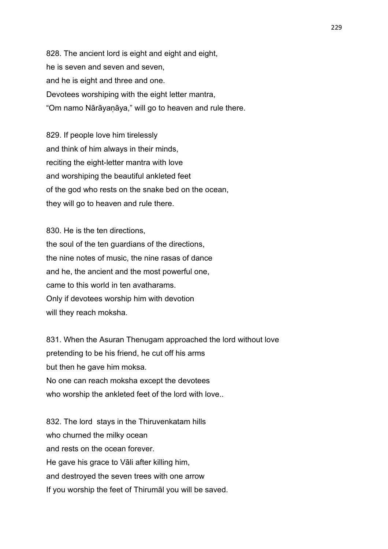828. The ancient lord is eight and eight and eight, he is seven and seven and seven, and he is eight and three and one. Devotees worshiping with the eight letter mantra, "Om namo Nārāyaṇāya," will go to heaven and rule there.

829. If people love him tirelessly and think of him always in their minds, reciting the eight-letter mantra with love and worshiping the beautiful ankleted feet of the god who rests on the snake bed on the ocean, they will go to heaven and rule there.

830. He is the ten directions, the soul of the ten guardians of the directions, the nine notes of music, the nine rasas of dance and he, the ancient and the most powerful one, came to this world in ten avatharams. Only if devotees worship him with devotion will they reach moksha.

831. When the Asuran Thenugam approached the lord without love pretending to be his friend, he cut off his arms but then he gave him moksa. No one can reach moksha except the devotees who worship the ankleted feet of the lord with love..

832. The lord stays in the Thiruvenkatam hills who churned the milky ocean and rests on the ocean forever. He gave his grace to Vāli after killing him, and destroyed the seven trees with one arrow If you worship the feet of Thirumāl you will be saved.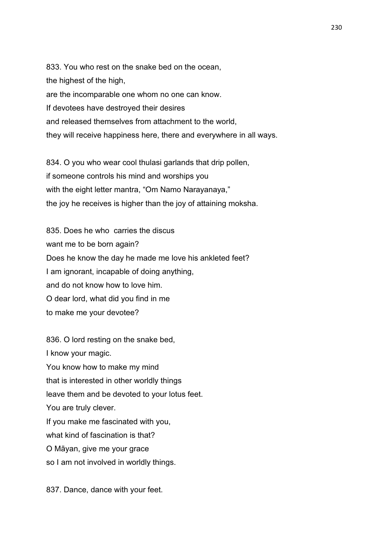833. You who rest on the snake bed on the ocean, the highest of the high, are the incomparable one whom no one can know. If devotees have destroyed their desires and released themselves from attachment to the world, they will receive happiness here, there and everywhere in all ways.

834. O you who wear cool thulasi garlands that drip pollen, if someone controls his mind and worships you with the eight letter mantra, "Om Namo Narayanaya," the joy he receives is higher than the joy of attaining moksha.

835. Does he who carries the discus want me to be born again? Does he know the day he made me love his ankleted feet? I am ignorant, incapable of doing anything, and do not know how to love him. O dear lord, what did you find in me to make me your devotee?

836. O lord resting on the snake bed, I know your magic. You know how to make my mind that is interested in other worldly things leave them and be devoted to your lotus feet. You are truly clever. If you make me fascinated with you, what kind of fascination is that? O Māyan, give me your grace so I am not involved in worldly things.

837. Dance, dance with your feet.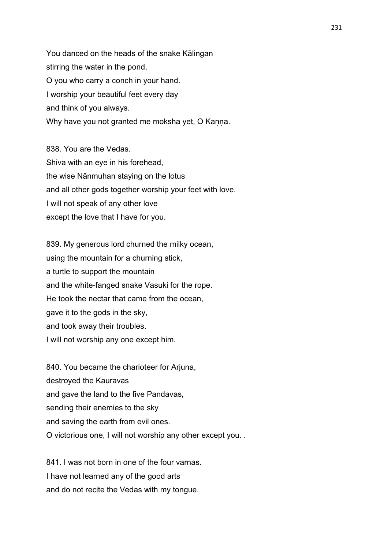You danced on the heads of the snake Kālingan stirring the water in the pond, O you who carry a conch in your hand. I worship your beautiful feet every day and think of you always. Why have you not granted me moksha yet, O Kanna.

838. You are the Vedas. Shiva with an eye in his forehead, the wise Nānmuhan staying on the lotus and all other gods together worship your feet with love. I will not speak of any other love except the love that I have for you.

839. My generous lord churned the milky ocean, using the mountain for a churning stick, a turtle to support the mountain and the white-fanged snake Vasuki for the rope. He took the nectar that came from the ocean, gave it to the gods in the sky, and took away their troubles. I will not worship any one except him.

840. You became the charioteer for Arjuna, destroyed the Kauravas and gave the land to the five Pandavas, sending their enemies to the sky and saving the earth from evil ones. O victorious one, I will not worship any other except you. .

841. I was not born in one of the four varnas. I have not learned any of the good arts and do not recite the Vedas with my tongue.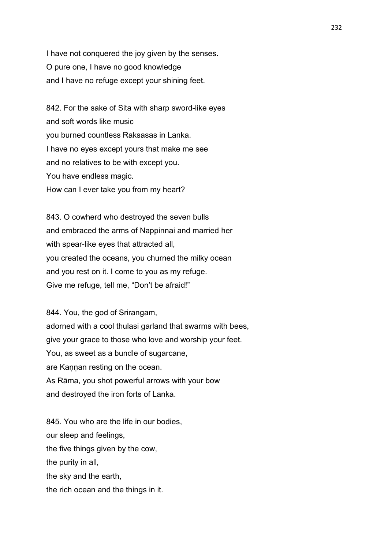I have not conquered the joy given by the senses. O pure one, I have no good knowledge and I have no refuge except your shining feet.

842. For the sake of Sita with sharp sword-like eyes and soft words like music you burned countless Raksasas in Lanka. I have no eyes except yours that make me see and no relatives to be with except you. You have endless magic. How can I ever take you from my heart?

843. O cowherd who destroyed the seven bulls and embraced the arms of Nappinnai and married her with spear-like eyes that attracted all, you created the oceans, you churned the milky ocean and you rest on it. I come to you as my refuge. Give me refuge, tell me, "Don't be afraid!"

844. You, the god of Srirangam, adorned with a cool thulasi garland that swarms with bees, give your grace to those who love and worship your feet. You, as sweet as a bundle of sugarcane, are Kannan resting on the ocean. As Rāma, you shot powerful arrows with your bow and destroyed the iron forts of Lanka.

845. You who are the life in our bodies, our sleep and feelings, the five things given by the cow, the purity in all, the sky and the earth, the rich ocean and the things in it.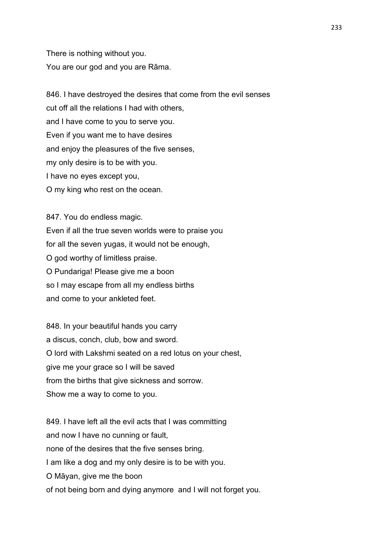There is nothing without you. You are our god and you are Rāma.

846. I have destroyed the desires that come from the evil senses cut off all the relations I had with others, and I have come to you to serve you. Even if you want me to have desires and enjoy the pleasures of the five senses, my only desire is to be with you. I have no eyes except you, O my king who rest on the ocean.

847. You do endless magic. Even if all the true seven worlds were to praise you for all the seven yugas, it would not be enough, O god worthy of limitless praise. O Pundariga! Please give me a boon so I may escape from all my endless births and come to your ankleted feet.

848. In your beautiful hands you carry a discus, conch, club, bow and sword. O lord with Lakshmi seated on a red lotus on your chest, give me your grace so I will be saved from the births that give sickness and sorrow. Show me a way to come to you.

849. I have left all the evil acts that I was committing and now I have no cunning or fault, none of the desires that the five senses bring. I am like a dog and my only desire is to be with you. O Māyan, give me the boon of not being born and dying anymore and I will not forget you.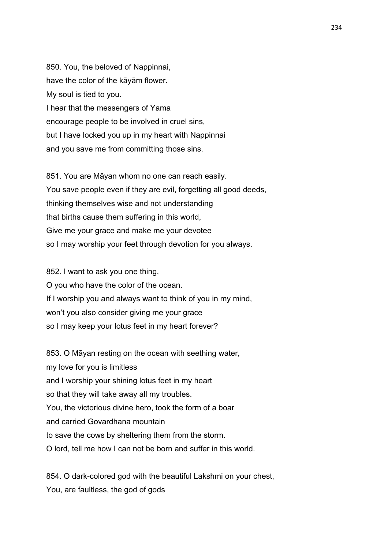850. You, the beloved of Nappinnai, have the color of the kāyām flower. My soul is tied to you. I hear that the messengers of Yama encourage people to be involved in cruel sins, but I have locked you up in my heart with Nappinnai and you save me from committing those sins.

851. You are Māyan whom no one can reach easily. You save people even if they are evil, forgetting all good deeds, thinking themselves wise and not understanding that births cause them suffering in this world, Give me your grace and make me your devotee so I may worship your feet through devotion for you always.

852. I want to ask you one thing, O you who have the color of the ocean. If I worship you and always want to think of you in my mind, won't you also consider giving me your grace so I may keep your lotus feet in my heart forever?

853. O Māyan resting on the ocean with seething water, my love for you is limitless and I worship your shining lotus feet in my heart so that they will take away all my troubles. You, the victorious divine hero, took the form of a boar and carried Govardhana mountain to save the cows by sheltering them from the storm. O lord, tell me how I can not be born and suffer in this world.

854. O dark-colored god with the beautiful Lakshmi on your chest, You, are faultless, the god of gods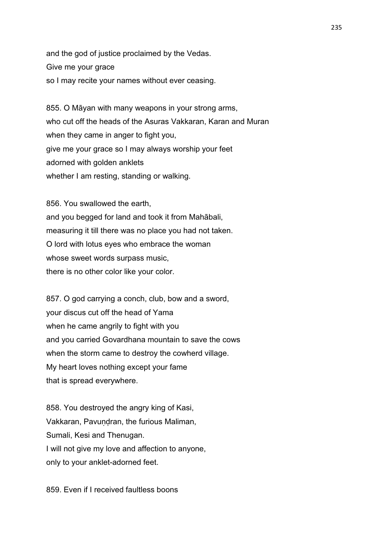and the god of justice proclaimed by the Vedas. Give me your grace so I may recite your names without ever ceasing.

855. O Māyan with many weapons in your strong arms, who cut off the heads of the Asuras Vakkaran, Karan and Muran when they came in anger to fight you, give me your grace so I may always worship your feet adorned with golden anklets whether I am resting, standing or walking.

856. You swallowed the earth, and you begged for land and took it from Mahābali, measuring it till there was no place you had not taken. O lord with lotus eyes who embrace the woman whose sweet words surpass music, there is no other color like your color.

857. O god carrying a conch, club, bow and a sword, your discus cut off the head of Yama when he came angrily to fight with you and you carried Govardhana mountain to save the cows when the storm came to destroy the cowherd village. My heart loves nothing except your fame that is spread everywhere.

858. You destroyed the angry king of Kasi, Vakkaran, Pavundran, the furious Maliman, Sumali, Kesi and Thenugan. I will not give my love and affection to anyone, only to your anklet-adorned feet.

859. Even if I received faultless boons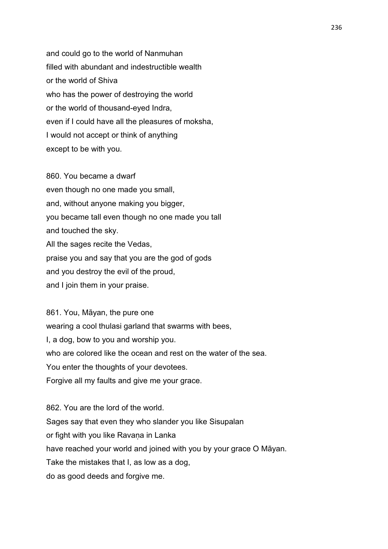and could go to the world of Nanmuhan filled with abundant and indestructible wealth or the world of Shiva who has the power of destroying the world or the world of thousand-eyed Indra, even if I could have all the pleasures of moksha, I would not accept or think of anything except to be with you.

860. You became a dwarf even though no one made you small, and, without anyone making you bigger, you became tall even though no one made you tall and touched the sky. All the sages recite the Vedas, praise you and say that you are the god of gods and you destroy the evil of the proud, and I join them in your praise.

861. You, Māyan, the pure one wearing a cool thulasi garland that swarms with bees, I, a dog, bow to you and worship you. who are colored like the ocean and rest on the water of the sea. You enter the thoughts of your devotees. Forgive all my faults and give me your grace.

862. You are the lord of the world. Sages say that even they who slander you like Sisupalan or fight with you like Ravaṇa in Lanka have reached your world and joined with you by your grace O Māyan. Take the mistakes that I, as low as a dog, do as good deeds and forgive me.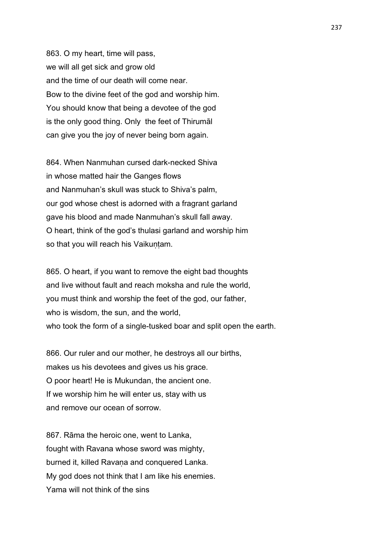863. O my heart, time will pass, we will all get sick and grow old and the time of our death will come near. Bow to the divine feet of the god and worship him. You should know that being a devotee of the god is the only good thing. Only the feet of Thirumāl can give you the joy of never being born again.

864. When Nanmuhan cursed dark-necked Shiva in whose matted hair the Ganges flows and Nanmuhan's skull was stuck to Shiva's palm, our god whose chest is adorned with a fragrant garland gave his blood and made Nanmuhan's skull fall away. O heart, think of the god's thulasi garland and worship him so that you will reach his Vaikuntam.

865. O heart, if you want to remove the eight bad thoughts and live without fault and reach moksha and rule the world, you must think and worship the feet of the god, our father, who is wisdom, the sun, and the world, who took the form of a single-tusked boar and split open the earth.

866. Our ruler and our mother, he destroys all our births, makes us his devotees and gives us his grace. O poor heart! He is Mukundan, the ancient one. If we worship him he will enter us, stay with us and remove our ocean of sorrow.

867. Rāma the heroic one, went to Lanka, fought with Ravana whose sword was mighty, burned it, killed Ravana and conquered Lanka. My god does not think that I am like his enemies. Yama will not think of the sins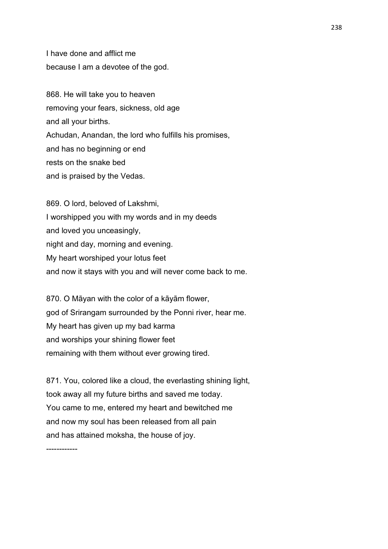I have done and afflict me because I am a devotee of the god.

868. He will take you to heaven removing your fears, sickness, old age and all your births. Achudan, Anandan, the lord who fulfills his promises, and has no beginning or end rests on the snake bed and is praised by the Vedas.

869. O lord, beloved of Lakshmi, I worshipped you with my words and in my deeds and loved you unceasingly, night and day, morning and evening. My heart worshiped your lotus feet and now it stays with you and will never come back to me.

870. O Māyan with the color of a kāyām flower, god of Srirangam surrounded by the Ponni river, hear me. My heart has given up my bad karma and worships your shining flower feet remaining with them without ever growing tired.

871. You, colored like a cloud, the everlasting shining light, took away all my future births and saved me today. You came to me, entered my heart and bewitched me and now my soul has been released from all pain and has attained moksha, the house of joy.

------------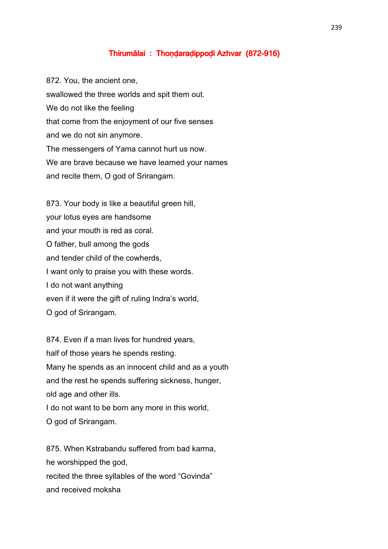## Thirumālai : Thondaradippodi Azhvar (872-916)

872. You, the ancient one, swallowed the three worlds and spit them out. We do not like the feeling that come from the enjoyment of our five senses and we do not sin anymore. The messengers of Yama cannot hurt us now. We are brave because we have learned your names and recite them, O god of Srirangam.

873. Your body is like a beautiful green hill, your lotus eyes are handsome and your mouth is red as coral. O father, bull among the gods and tender child of the cowherds, I want only to praise you with these words. I do not want anything even if it were the gift of ruling Indra's world, O god of Srirangam.

874. Even if a man lives for hundred years, half of those years he spends resting. Many he spends as an innocent child and as a youth and the rest he spends suffering sickness, hunger, old age and other ills.

I do not want to be born any more in this world, O god of Srirangam.

875. When Kstrabandu suffered from bad karma, he worshipped the god, recited the three syllables of the word "Govinda" and received moksha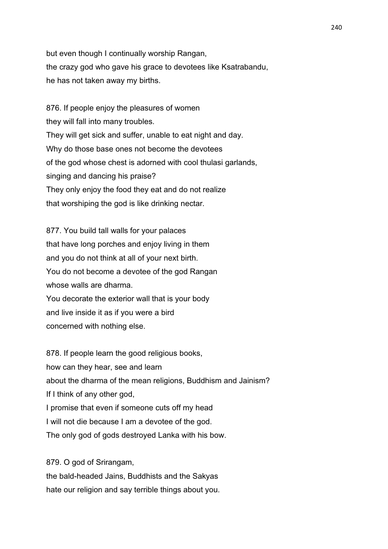but even though I continually worship Rangan, the crazy god who gave his grace to devotees like Ksatrabandu, he has not taken away my births.

876. If people enjoy the pleasures of women they will fall into many troubles. They will get sick and suffer, unable to eat night and day. Why do those base ones not become the devotees of the god whose chest is adorned with cool thulasi garlands, singing and dancing his praise? They only enjoy the food they eat and do not realize that worshiping the god is like drinking nectar.

877. You build tall walls for your palaces that have long porches and enjoy living in them and you do not think at all of your next birth. You do not become a devotee of the god Rangan whose walls are dharma. You decorate the exterior wall that is your body and live inside it as if you were a bird concerned with nothing else.

878. If people learn the good religious books, how can they hear, see and learn about the dharma of the mean religions, Buddhism and Jainism? If I think of any other god, I promise that even if someone cuts off my head I will not die because I am a devotee of the god. The only god of gods destroyed Lanka with his bow.

the bald-headed Jains, Buddhists and the Sakyas hate our religion and say terrible things about you.

879. O god of Srirangam,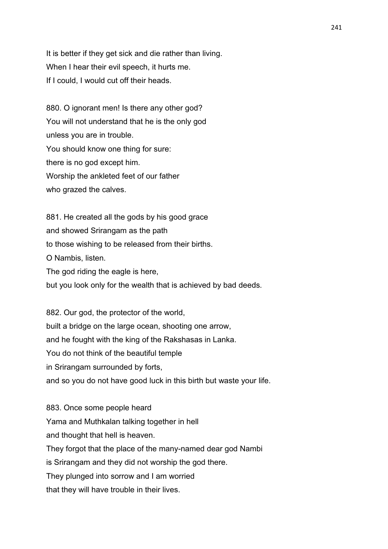It is better if they get sick and die rather than living. When I hear their evil speech, it hurts me. If I could, I would cut off their heads.

880. O ignorant men! Is there any other god? You will not understand that he is the only god unless you are in trouble. You should know one thing for sure: there is no god except him. Worship the ankleted feet of our father who grazed the calves.

881. He created all the gods by his good grace and showed Srirangam as the path to those wishing to be released from their births. O Nambis, listen. The god riding the eagle is here, but you look only for the wealth that is achieved by bad deeds.

882. Our god, the protector of the world, built a bridge on the large ocean, shooting one arrow, and he fought with the king of the Rakshasas in Lanka. You do not think of the beautiful temple in Srirangam surrounded by forts, and so you do not have good luck in this birth but waste your life.

883. Once some people heard Yama and Muthkalan talking together in hell and thought that hell is heaven. They forgot that the place of the many-named dear god Nambi is Srirangam and they did not worship the god there. They plunged into sorrow and I am worried that they will have trouble in their lives.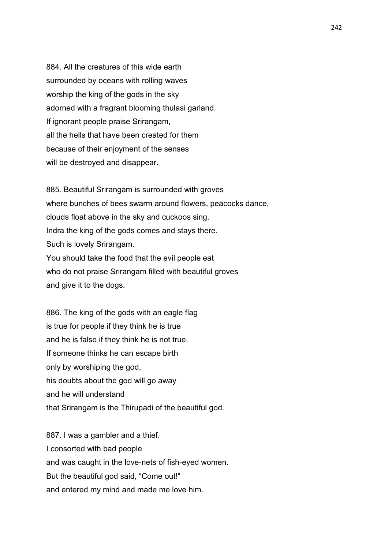884. All the creatures of this wide earth surrounded by oceans with rolling waves worship the king of the gods in the sky adorned with a fragrant blooming thulasi garland. If ignorant people praise Srirangam, all the hells that have been created for them because of their enjoyment of the senses will be destroyed and disappear.

885. Beautiful Srirangam is surrounded with groves where bunches of bees swarm around flowers, peacocks dance, clouds float above in the sky and cuckoos sing. Indra the king of the gods comes and stays there. Such is lovely Srirangam. You should take the food that the evil people eat who do not praise Srirangam filled with beautiful groves and give it to the dogs.

886. The king of the gods with an eagle flag is true for people if they think he is true and he is false if they think he is not true. If someone thinks he can escape birth only by worshiping the god, his doubts about the god will go away and he will understand that Srirangam is the Thirupadi of the beautiful god.

887. I was a gambler and a thief. I consorted with bad people and was caught in the love-nets of fish-eyed women. But the beautiful god said, "Come out!" and entered my mind and made me love him.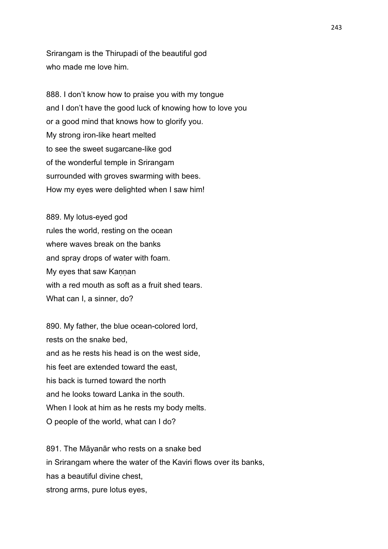Srirangam is the Thirupadi of the beautiful god who made me love him.

888. I don't know how to praise you with my tongue and I don't have the good luck of knowing how to love you or a good mind that knows how to glorify you. My strong iron-like heart melted to see the sweet sugarcane-like god of the wonderful temple in Srirangam surrounded with groves swarming with bees. How my eyes were delighted when I saw him!

889. My lotus-eyed god rules the world, resting on the ocean where waves break on the banks and spray drops of water with foam. My eyes that saw Kannan with a red mouth as soft as a fruit shed tears. What can I, a sinner, do?

890. My father, the blue ocean-colored lord, rests on the snake bed, and as he rests his head is on the west side, his feet are extended toward the east, his back is turned toward the north and he looks toward Lanka in the south. When I look at him as he rests my body melts. O people of the world, what can I do?

891. The Māyanār who rests on a snake bed in Srirangam where the water of the Kaviri flows over its banks, has a beautiful divine chest, strong arms, pure lotus eyes,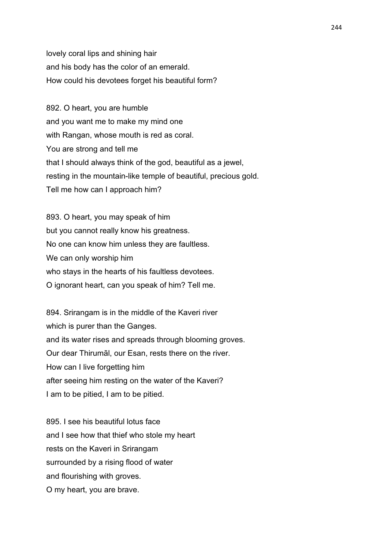lovely coral lips and shining hair and his body has the color of an emerald. How could his devotees forget his beautiful form?

892. O heart, you are humble and you want me to make my mind one with Rangan, whose mouth is red as coral. You are strong and tell me that I should always think of the god, beautiful as a jewel, resting in the mountain-like temple of beautiful, precious gold. Tell me how can I approach him?

893. O heart, you may speak of him but you cannot really know his greatness. No one can know him unless they are faultless. We can only worship him who stays in the hearts of his faultless devotees. O ignorant heart, can you speak of him? Tell me.

894. Srirangam is in the middle of the Kaveri river which is purer than the Ganges. and its water rises and spreads through blooming groves. Our dear Thirumāl, our Esan, rests there on the river. How can I live forgetting him after seeing him resting on the water of the Kaveri? I am to be pitied, I am to be pitied.

895. I see his beautiful lotus face and I see how that thief who stole my heart rests on the Kaveri in Srirangam surrounded by a rising flood of water and flourishing with groves. O my heart, you are brave.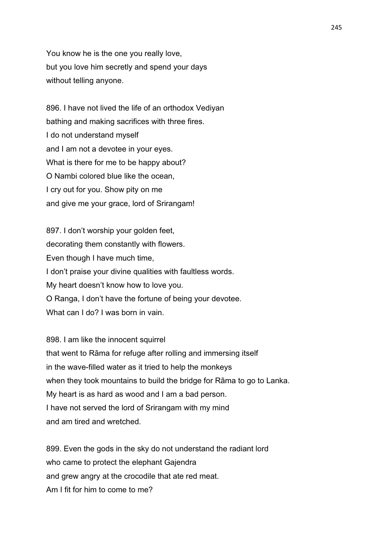You know he is the one you really love, but you love him secretly and spend your days without telling anyone.

896. I have not lived the life of an orthodox Vediyan bathing and making sacrifices with three fires. I do not understand myself and I am not a devotee in your eyes. What is there for me to be happy about? O Nambi colored blue like the ocean, I cry out for you. Show pity on me and give me your grace, lord of Srirangam!

897. I don't worship your golden feet, decorating them constantly with flowers. Even though I have much time, I don't praise your divine qualities with faultless words. My heart doesn't know how to love you. O Ranga, I don't have the fortune of being your devotee. What can I do? I was born in vain.

898. I am like the innocent squirrel that went to Rāma for refuge after rolling and immersing itself in the wave-filled water as it tried to help the monkeys when they took mountains to build the bridge for Rāma to go to Lanka. My heart is as hard as wood and I am a bad person. I have not served the lord of Srirangam with my mind and am tired and wretched.

899. Even the gods in the sky do not understand the radiant lord who came to protect the elephant Gajendra and grew angry at the crocodile that ate red meat. Am I fit for him to come to me?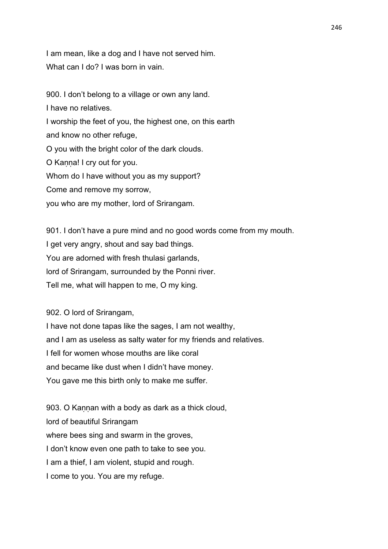I am mean, like a dog and I have not served him. What can I do? I was born in vain.

900. I don't belong to a village or own any land. I have no relatives. I worship the feet of you, the highest one, on this earth and know no other refuge, O you with the bright color of the dark clouds. O Kanna! I cry out for you. Whom do I have without you as my support? Come and remove my sorrow, you who are my mother, lord of Srirangam.

901. I don't have a pure mind and no good words come from my mouth. I get very angry, shout and say bad things. You are adorned with fresh thulasi garlands, lord of Srirangam, surrounded by the Ponni river. Tell me, what will happen to me, O my king.

902. O lord of Srirangam,

I have not done tapas like the sages, I am not wealthy, and I am as useless as salty water for my friends and relatives. I fell for women whose mouths are like coral and became like dust when I didn't have money. You gave me this birth only to make me suffer.

903. O Kannan with a body as dark as a thick cloud, lord of beautiful Srirangam where bees sing and swarm in the groves, I don't know even one path to take to see you. I am a thief, I am violent, stupid and rough. I come to you. You are my refuge.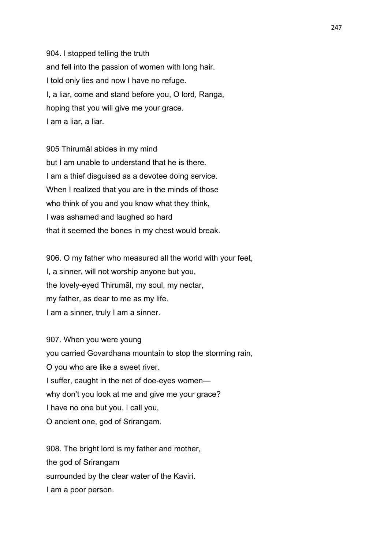904. I stopped telling the truth and fell into the passion of women with long hair. I told only lies and now I have no refuge. I, a liar, come and stand before you, O lord, Ranga, hoping that you will give me your grace. I am a liar, a liar.

905 Thirumāl abides in my mind but I am unable to understand that he is there. I am a thief disguised as a devotee doing service. When I realized that you are in the minds of those who think of you and you know what they think, I was ashamed and laughed so hard that it seemed the bones in my chest would break.

906. O my father who measured all the world with your feet, I, a sinner, will not worship anyone but you, the lovely-eyed Thirumāl, my soul, my nectar, my father, as dear to me as my life. I am a sinner, truly I am a sinner.

907. When you were young you carried Govardhana mountain to stop the storming rain, O you who are like a sweet river. I suffer, caught in the net of doe-eyes women why don't you look at me and give me your grace? I have no one but you. I call you, O ancient one, god of Srirangam.

908. The bright lord is my father and mother, the god of Srirangam surrounded by the clear water of the Kaviri. I am a poor person.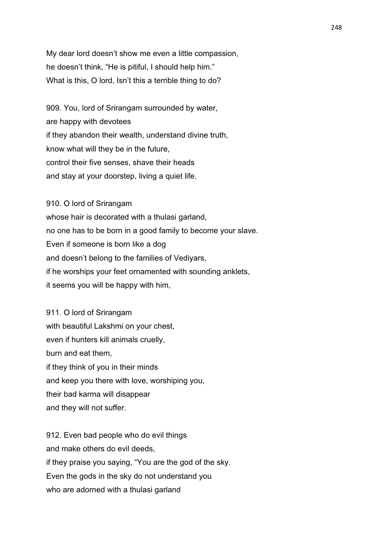My dear lord doesn't show me even a little compassion, he doesn't think, "He is pitiful, I should help him." What is this, O lord, Isn't this a terrible thing to do?

909. You, lord of Srirangam surrounded by water, are happy with devotees if they abandon their wealth, understand divine truth, know what will they be in the future, control their five senses, shave their heads and stay at your doorstep, living a quiet life.

910. O lord of Srirangam whose hair is decorated with a thulasi garland, no one has to be born in a good family to become your slave. Even if someone is born like a dog and doesn't belong to the families of Vediyars, if he worships your feet ornamented with sounding anklets, it seems you will be happy with him,

911. O lord of Srirangam with beautiful Lakshmi on your chest, even if hunters kill animals cruelly, burn and eat them, if they think of you in their minds and keep you there with love, worshiping you, their bad karma will disappear and they will not suffer.

912. Even bad people who do evil things and make others do evil deeds, if they praise you saying, "You are the god of the sky. Even the gods in the sky do not understand you who are adorned with a thulasi garland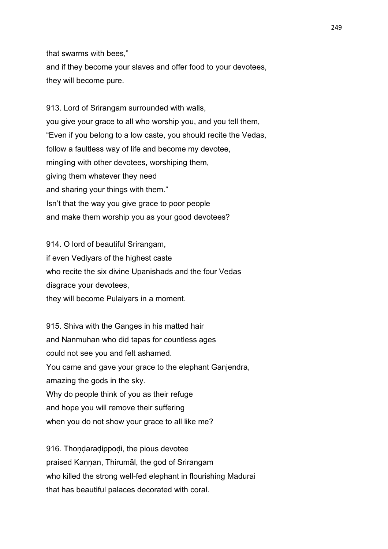that swarms with bees,"

and if they become your slaves and offer food to your devotees, they will become pure.

913. Lord of Srirangam surrounded with walls, you give your grace to all who worship you, and you tell them, "Even if you belong to a low caste, you should recite the Vedas, follow a faultless way of life and become my devotee, mingling with other devotees, worshiping them, giving them whatever they need and sharing your things with them." Isn't that the way you give grace to poor people and make them worship you as your good devotees?

914. O lord of beautiful Srirangam, if even Vediyars of the highest caste who recite the six divine Upanishads and the four Vedas disgrace your devotees, they will become Pulaiyars in a moment.

915. Shiva with the Ganges in his matted hair and Nanmuhan who did tapas for countless ages could not see you and felt ashamed. You came and gave your grace to the elephant Ganjendra, amazing the gods in the sky. Why do people think of you as their refuge and hope you will remove their suffering when you do not show your grace to all like me?

916. Thondaradippodi, the pious devotee praised Kannan, Thirumāl, the god of Srirangam who killed the strong well-fed elephant in flourishing Madurai that has beautiful palaces decorated with coral.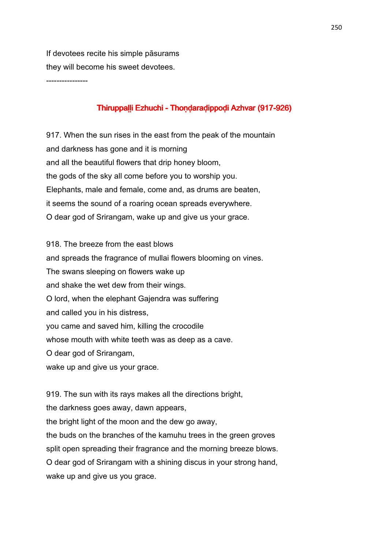If devotees recite his simple pāsurams they will become his sweet devotees.

----------------

## Thiruppaḷḷi Ezhuchi - Thoṇḍaraḍippoḍi Azhvar (917-926)

917. When the sun rises in the east from the peak of the mountain and darkness has gone and it is morning and all the beautiful flowers that drip honey bloom, the gods of the sky all come before you to worship you. Elephants, male and female, come and, as drums are beaten, it seems the sound of a roaring ocean spreads everywhere. O dear god of Srirangam, wake up and give us your grace.

918. The breeze from the east blows and spreads the fragrance of mullai flowers blooming on vines. The swans sleeping on flowers wake up and shake the wet dew from their wings. O lord, when the elephant Gajendra was suffering and called you in his distress, you came and saved him, killing the crocodile whose mouth with white teeth was as deep as a cave. O dear god of Srirangam, wake up and give us your grace.

919. The sun with its rays makes all the directions bright, the darkness goes away, dawn appears, the bright light of the moon and the dew go away, the buds on the branches of the kamuhu trees in the green groves split open spreading their fragrance and the morning breeze blows. O dear god of Srirangam with a shining discus in your strong hand, wake up and give us you grace.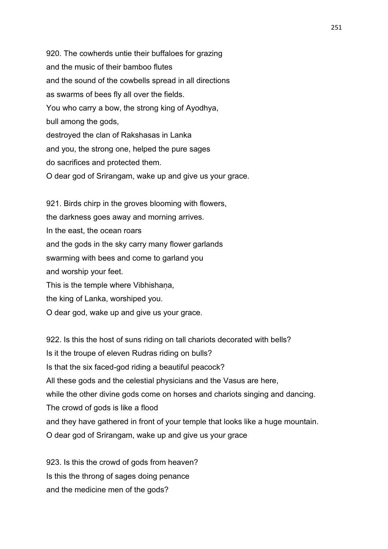920. The cowherds untie their buffaloes for grazing and the music of their bamboo flutes and the sound of the cowbells spread in all directions as swarms of bees fly all over the fields. You who carry a bow, the strong king of Ayodhya, bull among the gods, destroyed the clan of Rakshasas in Lanka and you, the strong one, helped the pure sages do sacrifices and protected them. O dear god of Srirangam, wake up and give us your grace.

921. Birds chirp in the groves blooming with flowers, the darkness goes away and morning arrives. In the east, the ocean roars and the gods in the sky carry many flower garlands swarming with bees and come to garland you and worship your feet. This is the temple where Vibhishana, the king of Lanka, worshiped you. O dear god, wake up and give us your grace.

922. Is this the host of suns riding on tall chariots decorated with bells? Is it the troupe of eleven Rudras riding on bulls? Is that the six faced-god riding a beautiful peacock? All these gods and the celestial physicians and the Vasus are here, while the other divine gods come on horses and chariots singing and dancing. The crowd of gods is like a flood and they have gathered in front of your temple that looks like a huge mountain. O dear god of Srirangam, wake up and give us your grace

923. Is this the crowd of gods from heaven? Is this the throng of sages doing penance and the medicine men of the gods?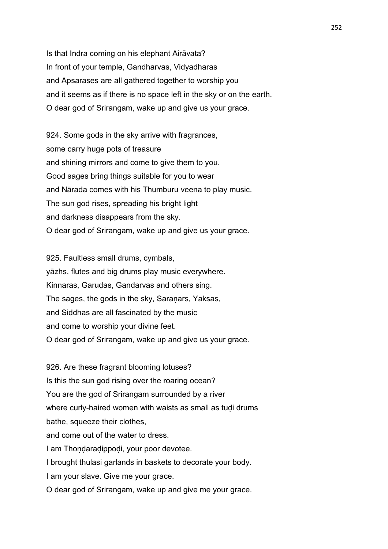Is that Indra coming on his elephant Airāvata? In front of your temple, Gandharvas, Vidyadharas and Apsarases are all gathered together to worship you and it seems as if there is no space left in the sky or on the earth. O dear god of Srirangam, wake up and give us your grace.

924. Some gods in the sky arrive with fragrances, some carry huge pots of treasure and shining mirrors and come to give them to you. Good sages bring things suitable for you to wear and Nārada comes with his Thumburu veena to play music. The sun god rises, spreading his bright light and darkness disappears from the sky. O dear god of Srirangam, wake up and give us your grace.

925. Faultless small drums, cymbals, yāzhs, flutes and big drums play music everywhere. Kinnaras, Garuḍas, Gandarvas and others sing. The sages, the gods in the sky, Saranars, Yaksas, and Siddhas are all fascinated by the music and come to worship your divine feet. O dear god of Srirangam, wake up and give us your grace.

926. Are these fragrant blooming lotuses? Is this the sun god rising over the roaring ocean? You are the god of Srirangam surrounded by a river where curly-haired women with waists as small as tudi drums bathe, squeeze their clothes, and come out of the water to dress. I am Thondaradippodi, your poor devotee. I brought thulasi garlands in baskets to decorate your body. I am your slave. Give me your grace.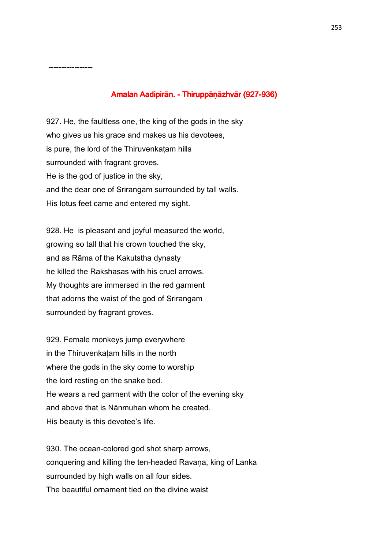## Amalan Aadipirān. - Thiruppāṇāzhvār (927-936)

927. He, the faultless one, the king of the gods in the sky who gives us his grace and makes us his devotees, is pure, the lord of the Thiruvenkaṭam hills surrounded with fragrant groves. He is the god of justice in the sky, and the dear one of Srirangam surrounded by tall walls. His lotus feet came and entered my sight.

-----------------

928. He is pleasant and joyful measured the world, growing so tall that his crown touched the sky, and as Rāma of the Kakutstha dynasty he killed the Rakshasas with his cruel arrows. My thoughts are immersed in the red garment that adorns the waist of the god of Srirangam surrounded by fragrant groves.

929. Female monkeys jump everywhere in the Thiruvenkaṭam hills in the north where the gods in the sky come to worship the lord resting on the snake bed. He wears a red garment with the color of the evening sky and above that is Nānmuhan whom he created. His beauty is this devotee's life.

930. The ocean-colored god shot sharp arrows, conquering and killing the ten-headed Ravana, king of Lanka surrounded by high walls on all four sides. The beautiful ornament tied on the divine waist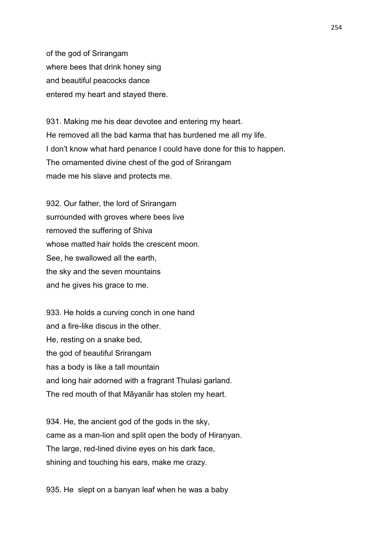of the god of Srirangam where bees that drink honey sing and beautiful peacocks dance entered my heart and stayed there.

931. Making me his dear devotee and entering my heart. He removed all the bad karma that has burdened me all my life. I don't know what hard penance I could have done for this to happen. The ornamented divine chest of the god of Srirangam made me his slave and protects me.

932. Our father, the lord of Srirangam surrounded with groves where bees live removed the suffering of Shiva whose matted hair holds the crescent moon. See, he swallowed all the earth, the sky and the seven mountains and he gives his grace to me.

933. He holds a curving conch in one hand and a fire-like discus in the other. He, resting on a snake bed, the god of beautiful Srirangam has a body is like a tall mountain and long hair adorned with a fragrant Thulasi garland. The red mouth of that Māyanār has stolen my heart.

934. He, the ancient god of the gods in the sky, came as a man-lion and split open the body of Hiranyan. The large, red-lined divine eyes on his dark face, shining and touching his ears, make me crazy.

935. He slept on a banyan leaf when he was a baby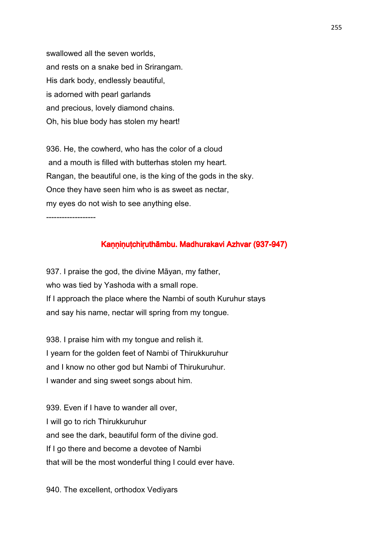swallowed all the seven worlds, and rests on a snake bed in Srirangam. His dark body, endlessly beautiful, is adorned with pearl garlands and precious, lovely diamond chains. Oh, his blue body has stolen my heart!

936. He, the cowherd, who has the color of a cloud and a mouth is filled with butterhas stolen my heart. Rangan, the beautiful one, is the king of the gods in the sky. Once they have seen him who is as sweet as nectar, my eyes do not wish to see anything else.

-------------------

## Kaṇṇiṇuṭchiṛuthāmbu. Madhurakavi Azhvar (937-947)

937. I praise the god, the divine Māyan, my father, who was tied by Yashoda with a small rope. If I approach the place where the Nambi of south Kuruhur stays and say his name, nectar will spring from my tongue.

938. I praise him with my tongue and relish it. I yearn for the golden feet of Nambi of Thirukkuruhur and I know no other god but Nambi of Thirukuruhur. I wander and sing sweet songs about him.

939. Even if I have to wander all over, I will go to rich Thirukkuruhur and see the dark, beautiful form of the divine god. If I go there and become a devotee of Nambi that will be the most wonderful thing I could ever have.

940. The excellent, orthodox Vediyars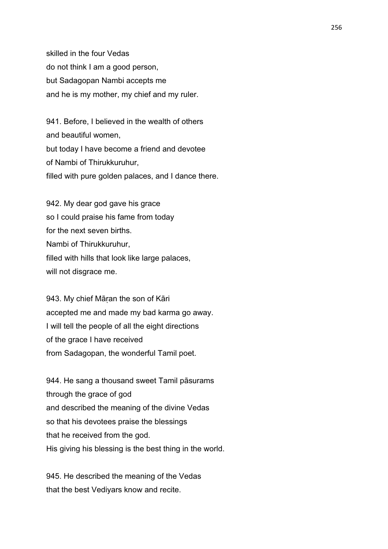skilled in the four Vedas do not think I am a good person, but Sadagopan Nambi accepts me and he is my mother, my chief and my ruler.

941. Before, I believed in the wealth of others and beautiful women, but today I have become a friend and devotee of Nambi of Thirukkuruhur, filled with pure golden palaces, and I dance there.

942. My dear god gave his grace so I could praise his fame from today for the next seven births. Nambi of Thirukkuruhur, filled with hills that look like large palaces, will not disgrace me.

943. My chief Māṛan the son of Kāri accepted me and made my bad karma go away. I will tell the people of all the eight directions of the grace I have received from Sadagopan, the wonderful Tamil poet.

944. He sang a thousand sweet Tamil pāsurams through the grace of god and described the meaning of the divine Vedas so that his devotees praise the blessings that he received from the god. His giving his blessing is the best thing in the world.

945. He described the meaning of the Vedas that the best Vediyars know and recite.